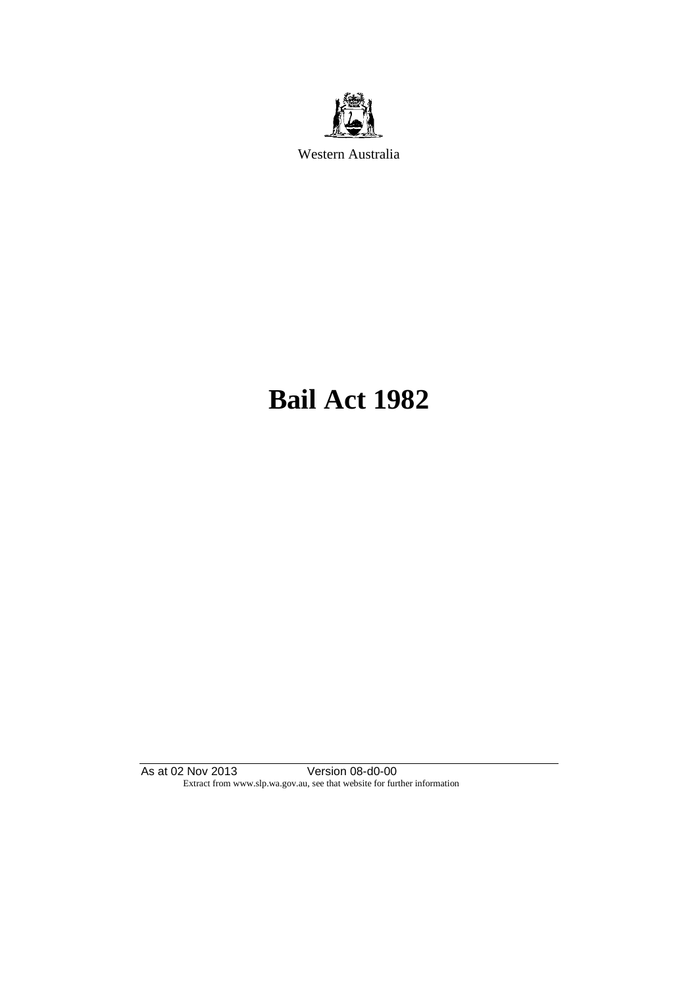

Western Australia

# **Bail Act 1982**

As at 02 Nov 2013 Version 08-d0-00 Extract from www.slp.wa.gov.au, see that website for further information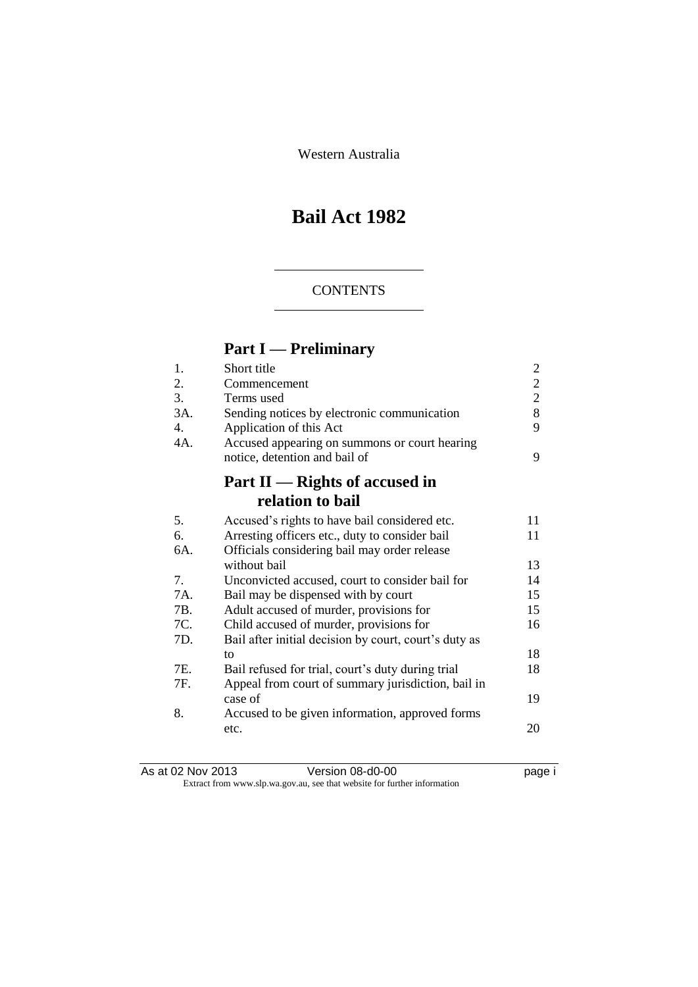Western Australia

# **Bail Act 1982**

### **CONTENTS**

# **Part I — Preliminary**

| 1.  | Short title                                           | 2              |
|-----|-------------------------------------------------------|----------------|
| 2.  | Commencement                                          | $\overline{2}$ |
| 3.  | Terms used                                            | $\overline{2}$ |
| 3A. | Sending notices by electronic communication           | 8              |
| 4.  | Application of this Act                               | 9              |
| 4A. | Accused appearing on summons or court hearing         |                |
|     | notice, detention and bail of                         | 9              |
|     | Part II — Rights of accused in                        |                |
|     | relation to bail                                      |                |
| 5.  | Accused's rights to have bail considered etc.         | 11             |
| 6.  | Arresting officers etc., duty to consider bail        | 11             |
| 6A. | Officials considering bail may order release          |                |
|     | without bail                                          | 13             |
| 7.  | Unconvicted accused, court to consider bail for       | 14             |
| 7A. | Bail may be dispensed with by court                   | 15             |
| 7B. | Adult accused of murder, provisions for               | 15             |
| 7C. | Child accused of murder, provisions for               | 16             |
| 7D. | Bail after initial decision by court, court's duty as |                |
|     | to                                                    | 18             |
| 7E. | Bail refused for trial, court's duty during trial     | 18             |
| 7F. | Appeal from court of summary jurisdiction, bail in    |                |
|     | case of                                               | 19             |
| 8.  | Accused to be given information, approved forms       |                |
|     | etc.                                                  | 20             |
|     |                                                       |                |

| As at 02 Nov 2013 | Version 08-d0-00                                                         | page i |
|-------------------|--------------------------------------------------------------------------|--------|
|                   | Extract from www.slp.wa.gov.au, see that website for further information |        |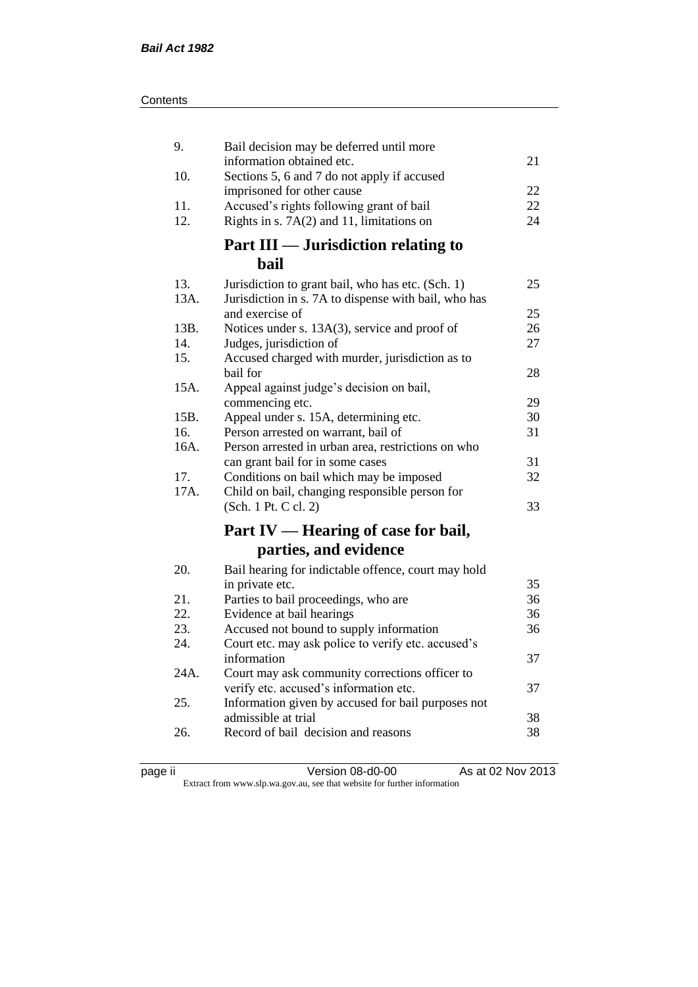| 9.   | Bail decision may be deferred until more                                                 |    |
|------|------------------------------------------------------------------------------------------|----|
| 10.  | information obtained etc.<br>Sections 5, 6 and 7 do not apply if accused                 | 21 |
|      | imprisoned for other cause                                                               | 22 |
| 11.  | Accused's rights following grant of bail                                                 | 22 |
| 12.  | Rights in s. $7A(2)$ and 11, limitations on                                              | 24 |
|      | <b>Part III — Jurisdiction relating to</b>                                               |    |
|      | <b>bail</b>                                                                              |    |
| 13.  | Jurisdiction to grant bail, who has etc. (Sch. 1)                                        | 25 |
| 13A. | Jurisdiction in s. 7A to dispense with bail, who has                                     |    |
|      | and exercise of                                                                          | 25 |
| 13B. | Notices under s. 13A(3), service and proof of                                            | 26 |
| 14.  | Judges, jurisdiction of                                                                  | 27 |
| 15.  | Accused charged with murder, jurisdiction as to<br>bail for                              | 28 |
| 15A. | Appeal against judge's decision on bail,                                                 |    |
|      | commencing etc.                                                                          | 29 |
| 15B. | Appeal under s. 15A, determining etc.                                                    | 30 |
| 16.  | Person arrested on warrant, bail of                                                      | 31 |
| 16A. | Person arrested in urban area, restrictions on who                                       |    |
|      | can grant bail for in some cases                                                         | 31 |
| 17.  | Conditions on bail which may be imposed                                                  | 32 |
| 17A. | Child on bail, changing responsible person for                                           |    |
|      | (Sch. 1 Pt. C cl. 2)                                                                     | 33 |
|      | Part IV — Hearing of case for bail,                                                      |    |
|      | parties, and evidence                                                                    |    |
| 20.  | Bail hearing for indictable offence, court may hold                                      |    |
|      | in private etc.                                                                          | 35 |
| 21.  | Parties to bail proceedings, who are                                                     | 36 |
| 22.  | Evidence at bail hearings                                                                | 36 |
| 23.  | Accused not bound to supply information                                                  | 36 |
| 24.  | Court etc. may ask police to verify etc. accused's                                       |    |
| 24A. | information                                                                              | 37 |
|      | Court may ask community corrections officer to<br>verify etc. accused's information etc. | 37 |
| 25.  | Information given by accused for bail purposes not                                       |    |
|      | admissible at trial                                                                      | 38 |
| 26.  | Record of bail decision and reasons                                                      | 38 |
|      |                                                                                          |    |

| æ<br>ı.<br>г |  |
|--------------|--|
|              |  |

page ii Version 08-d0-00 As at 02 Nov 2013

Extract from www.slp.wa.gov.au, see that website for further information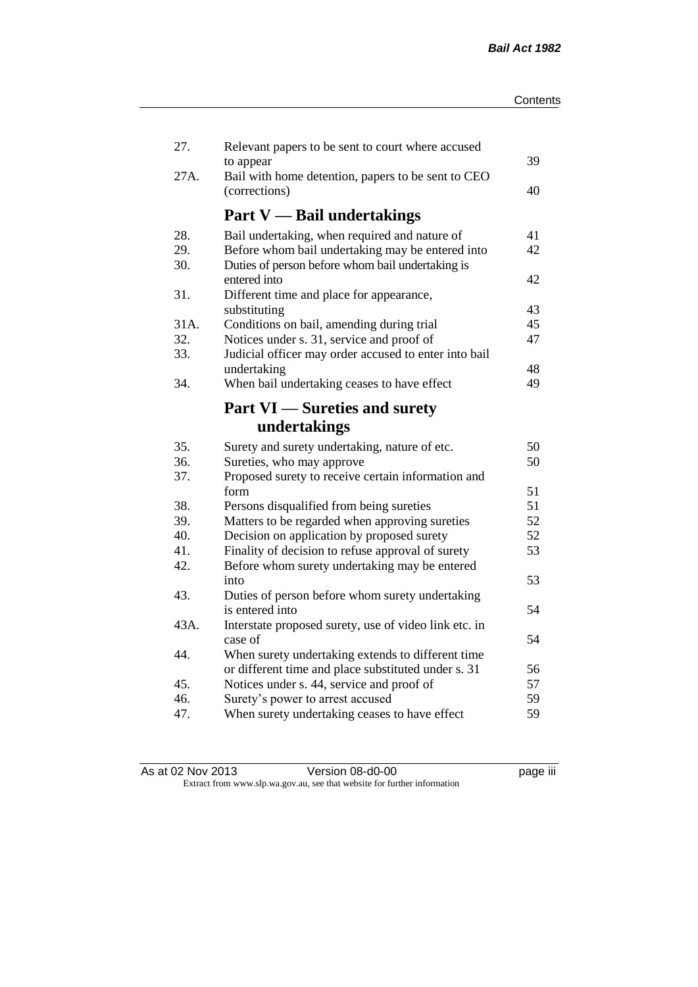| 27.  | Relevant papers to be sent to court where accused                |    |
|------|------------------------------------------------------------------|----|
| 27A. | to appear<br>Bail with home detention, papers to be sent to CEO  | 39 |
|      | (corrections)                                                    | 40 |
|      | <b>Part V</b> — Bail undertakings                                |    |
| 28.  | Bail undertaking, when required and nature of                    | 41 |
| 29.  | Before whom bail undertaking may be entered into                 | 42 |
| 30.  | Duties of person before whom bail undertaking is<br>entered into | 42 |
| 31.  | Different time and place for appearance,                         |    |
|      | substituting                                                     | 43 |
| 31A. | Conditions on bail, amending during trial                        | 45 |
| 32.  | Notices under s. 31, service and proof of                        | 47 |
| 33.  | Judicial officer may order accused to enter into bail            |    |
|      | undertaking                                                      | 48 |
| 34.  | When bail undertaking ceases to have effect                      | 49 |
|      |                                                                  |    |
|      | <b>Part VI</b> — Sureties and surety                             |    |
|      | undertakings                                                     |    |
| 35.  | Surety and surety undertaking, nature of etc.                    | 50 |
| 36.  | Sureties, who may approve                                        | 50 |
| 37.  | Proposed surety to receive certain information and               |    |
|      | form                                                             | 51 |
| 38.  | Persons disqualified from being sureties                         | 51 |
| 39.  | Matters to be regarded when approving sureties                   | 52 |
| 40.  | Decision on application by proposed surety                       | 52 |
| 41.  | Finality of decision to refuse approval of surety                | 53 |
| 42.  | Before whom surety undertaking may be entered                    |    |
|      | into                                                             | 53 |
| 43.  | Duties of person before whom surety undertaking                  |    |
|      | is entered into                                                  | 54 |
| 43A. | Interstate proposed surety, use of video link etc. in            |    |
|      | case of                                                          | 54 |
| 44.  | When surety undertaking extends to different time                |    |
|      | or different time and place substituted under s. 31              | 56 |
| 45.  | Notices under s. 44, service and proof of                        | 57 |
| 46.  | Surety's power to arrest accused                                 | 59 |
| 47.  | When surety undertaking ceases to have effect                    | 59 |
|      |                                                                  |    |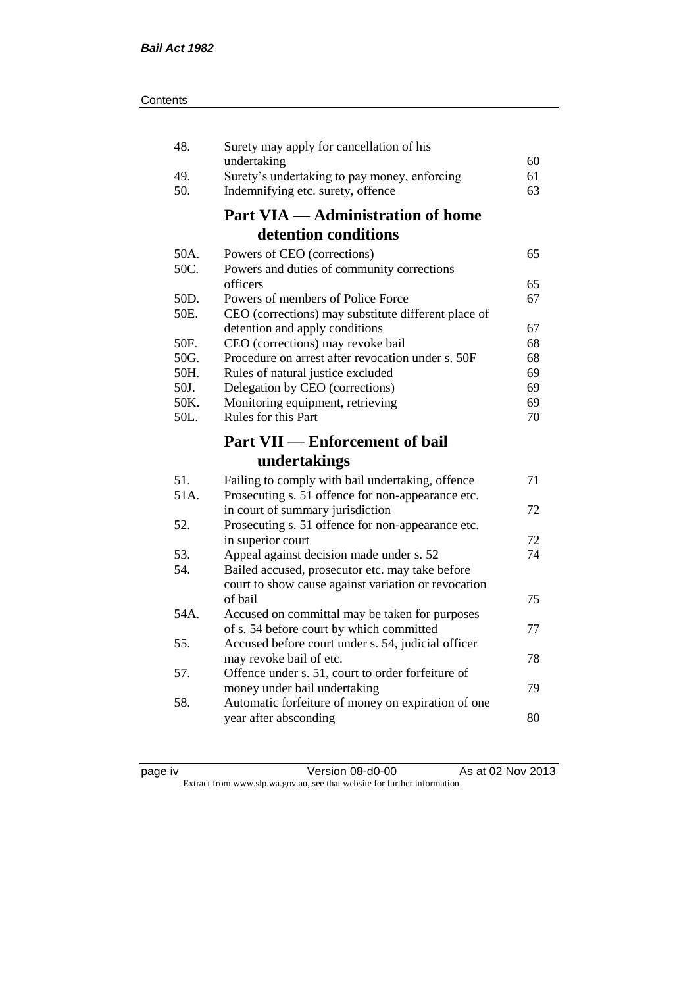| 48.  | Surety may apply for cancellation of his                                                              |    |
|------|-------------------------------------------------------------------------------------------------------|----|
|      | undertaking                                                                                           | 60 |
| 49.  | Surety's undertaking to pay money, enforcing                                                          | 61 |
| 50.  | Indemnifying etc. surety, offence                                                                     | 63 |
|      | <b>Part VIA — Administration of home</b>                                                              |    |
|      | detention conditions                                                                                  |    |
| 50A. | Powers of CEO (corrections)                                                                           | 65 |
| 50C. | Powers and duties of community corrections                                                            |    |
|      | officers                                                                                              | 65 |
| 50D. | Powers of members of Police Force                                                                     | 67 |
| 50E. | CEO (corrections) may substitute different place of                                                   |    |
|      | detention and apply conditions                                                                        | 67 |
| 50F. | CEO (corrections) may revoke bail                                                                     | 68 |
| 50G. | Procedure on arrest after revocation under s. 50F                                                     | 68 |
| 50H. | Rules of natural justice excluded                                                                     | 69 |
| 50J. | Delegation by CEO (corrections)                                                                       | 69 |
| 50K. | Monitoring equipment, retrieving                                                                      | 69 |
| 50L. | Rules for this Part                                                                                   | 70 |
|      |                                                                                                       |    |
|      | <b>Part VII — Enforcement of bail</b>                                                                 |    |
|      | undertakings                                                                                          |    |
| 51.  |                                                                                                       | 71 |
| 51A. | Failing to comply with bail undertaking, offence<br>Prosecuting s. 51 offence for non-appearance etc. |    |
|      | in court of summary jurisdiction                                                                      | 72 |
| 52.  | Prosecuting s. 51 offence for non-appearance etc.                                                     |    |
|      | in superior court                                                                                     | 72 |
| 53.  | Appeal against decision made under s. 52                                                              | 74 |
| 54.  | Bailed accused, prosecutor etc. may take before                                                       |    |
|      | court to show cause against variation or revocation                                                   |    |
|      | of bail                                                                                               | 75 |
| 54A. | Accused on committal may be taken for purposes                                                        |    |
|      | of s. 54 before court by which committed                                                              | 77 |
| 55.  | Accused before court under s. 54, judicial officer                                                    |    |
|      | may revoke bail of etc.                                                                               | 78 |
| 57.  | Offence under s. 51, court to order forfeiture of                                                     |    |
|      | money under bail undertaking                                                                          | 79 |
| 58.  | Automatic forfeiture of money on expiration of one                                                    |    |
|      | year after absconding                                                                                 | 80 |

page iv Version 08-d0-00 As at 02 Nov 2013 Extract from www.slp.wa.gov.au, see that website for further information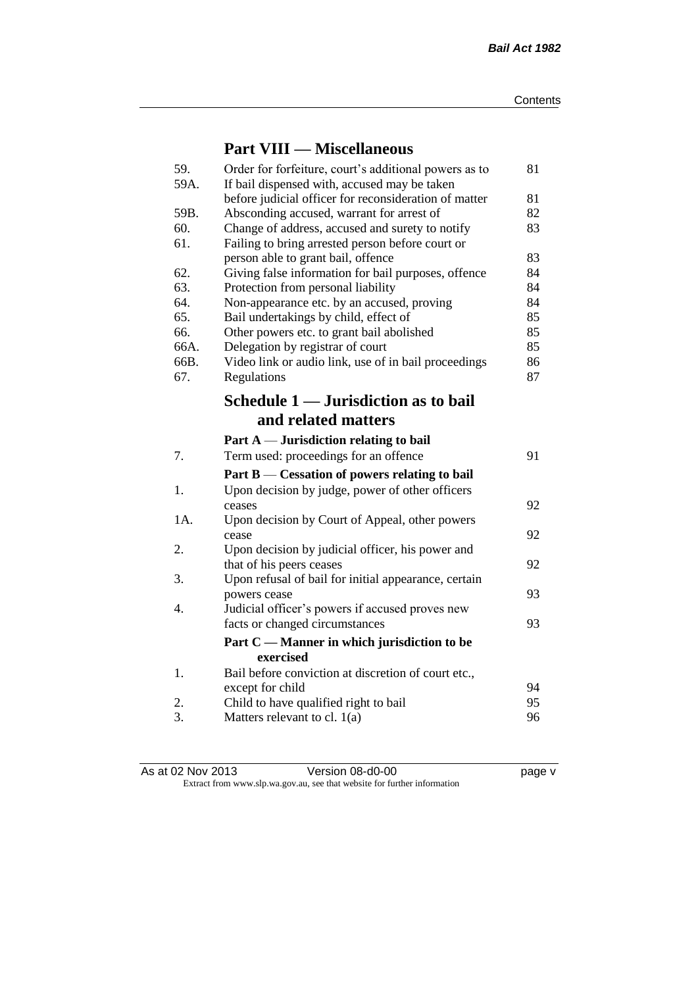# **Part VIII — Miscellaneous**

| 59.  | Order for forfeiture, court's additional powers as to                                        | 81       |
|------|----------------------------------------------------------------------------------------------|----------|
| 59A. | If bail dispensed with, accused may be taken                                                 |          |
| 59B. | before judicial officer for reconsideration of matter                                        | 81<br>82 |
| 60.  | Absconding accused, warrant for arrest of<br>Change of address, accused and surety to notify | 83       |
| 61.  | Failing to bring arrested person before court or                                             |          |
|      | person able to grant bail, offence                                                           | 83       |
| 62.  | Giving false information for bail purposes, offence                                          | 84       |
| 63.  | Protection from personal liability                                                           | 84       |
| 64.  | Non-appearance etc. by an accused, proving                                                   | 84       |
| 65.  | Bail undertakings by child, effect of                                                        | 85       |
| 66.  | Other powers etc. to grant bail abolished                                                    | 85       |
| 66A. | Delegation by registrar of court                                                             | 85       |
| 66B. | Video link or audio link, use of in bail proceedings                                         | 86       |
| 67.  | Regulations                                                                                  | 87       |
|      | Schedule 1 — Jurisdiction as to bail                                                         |          |
|      | and related matters                                                                          |          |
|      | Part $A$ — Jurisdiction relating to bail                                                     |          |
| 7.   | Term used: proceedings for an offence                                                        | 91       |
|      | Part $B$ — Cessation of powers relating to bail                                              |          |
| 1.   | Upon decision by judge, power of other officers                                              |          |
|      | ceases                                                                                       | 92       |
| 1A.  | Upon decision by Court of Appeal, other powers                                               |          |
|      | cease                                                                                        | 92       |
| 2.   | Upon decision by judicial officer, his power and                                             |          |
|      | that of his peers ceases                                                                     | 92       |
| 3.   | Upon refusal of bail for initial appearance, certain                                         |          |
|      | powers cease                                                                                 | 93       |
| 4.   | Judicial officer's powers if accused proves new                                              |          |
|      | facts or changed circumstances                                                               | 93       |
|      | Part C — Manner in which jurisdiction to be                                                  |          |
|      | exercised                                                                                    |          |
| 1.   | Bail before conviction at discretion of court etc.,                                          |          |
|      | except for child                                                                             | 94       |
| 2.   | Child to have qualified right to bail                                                        | 95       |
| 3.   | Matters relevant to cl. $1(a)$                                                               | 96       |

As at 02 Nov 2013 **Version 08-d0-00 page v** Extract from www.slp.wa.gov.au, see that website for further information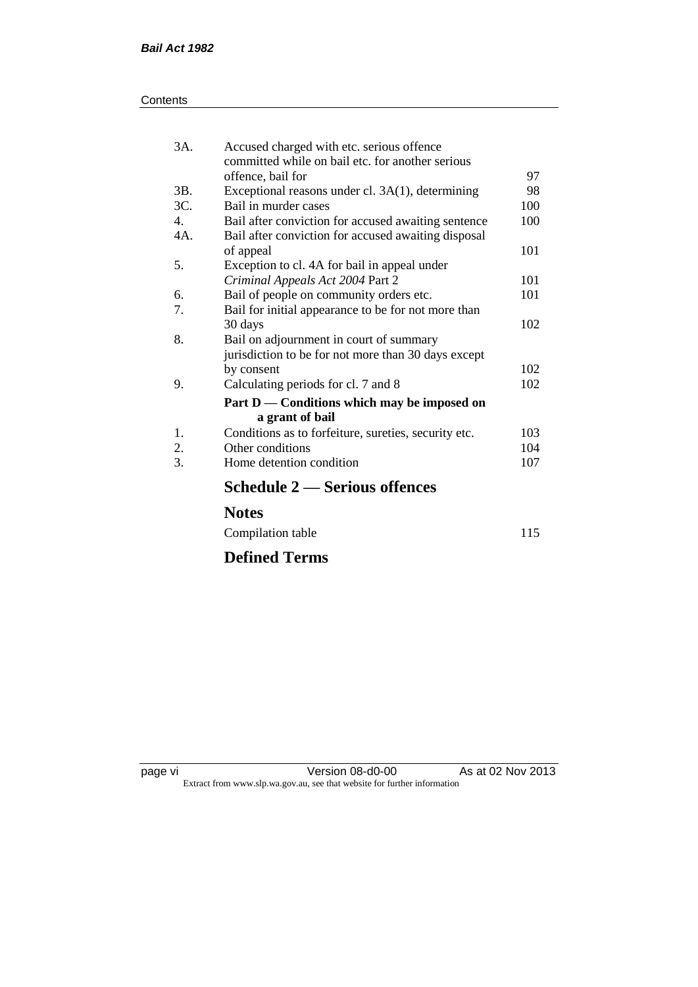| Contents |
|----------|
|----------|

| 3A.            | Accused charged with etc. serious offence<br>committed while on bail etc. for another serious |     |
|----------------|-----------------------------------------------------------------------------------------------|-----|
|                | offence, bail for                                                                             | 97  |
| 3B.            | Exceptional reasons under cl. 3A(1), determining                                              | 98  |
| 3C.            | Bail in murder cases                                                                          | 100 |
| $\mathbf{4}$ . | Bail after conviction for accused awaiting sentence                                           | 100 |
| 4A.            | Bail after conviction for accused awaiting disposal                                           |     |
|                | of appeal                                                                                     | 101 |
| 5.             | Exception to cl. 4A for bail in appeal under                                                  |     |
|                | Criminal Appeals Act 2004 Part 2                                                              | 101 |
| 6.             | Bail of people on community orders etc.                                                       | 101 |
| 7.             | Bail for initial appearance to be for not more than                                           |     |
|                | 30 days                                                                                       | 102 |
| 8.             | Bail on adjournment in court of summary                                                       |     |
|                | jurisdiction to be for not more than 30 days except                                           |     |
|                | by consent                                                                                    | 102 |
| 9.             | Calculating periods for cl. 7 and 8                                                           | 102 |
|                | Part D — Conditions which may be imposed on                                                   |     |
|                | a grant of bail                                                                               |     |
| 1.             | Conditions as to forfeiture, sureties, security etc.                                          | 103 |
| 2.             | Other conditions                                                                              | 104 |
| 3.             | Home detention condition                                                                      | 107 |
|                | <b>Schedule 2 — Serious offences</b>                                                          |     |
|                | <b>Notes</b>                                                                                  |     |

| Compilation table | 115 |
|-------------------|-----|
|                   |     |

# **Defined Terms**

page vi Version 08-d0-00 As at 02 Nov 2013 Extract from www.slp.wa.gov.au, see that website for further information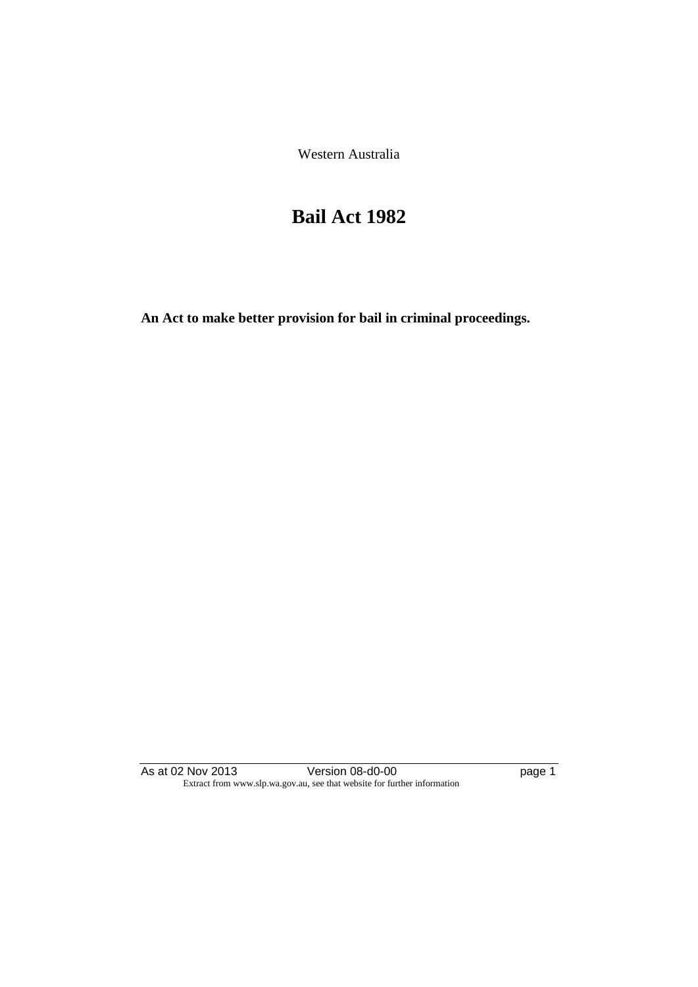Western Australia

# **Bail Act 1982**

**An Act to make better provision for bail in criminal proceedings.** 

As at 02 Nov 2013 **Details Access 12 Version 08-d0-00 page 1** Extract from www.slp.wa.gov.au, see that website for further information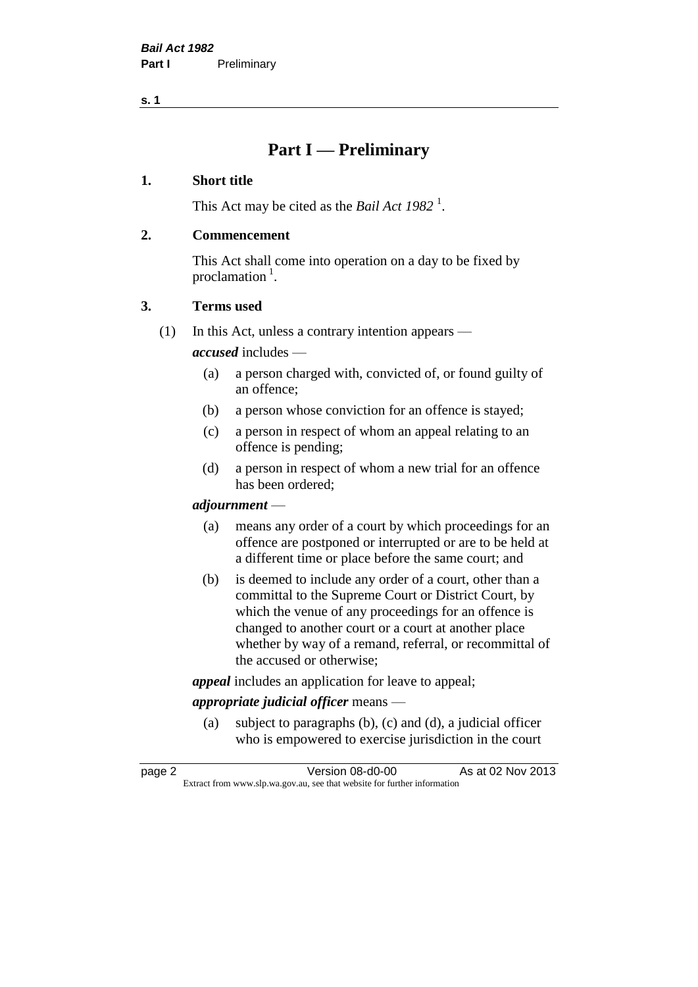**s. 1**

# **Part I — Preliminary**

#### **1. Short title**

This Act may be cited as the *Bail Act* 1982<sup>1</sup>.

#### **2. Commencement**

This Act shall come into operation on a day to be fixed by proclamation  $<sup>1</sup>$ .</sup>

#### **3. Terms used**

(1) In this Act, unless a contrary intention appears —

*accused* includes —

- (a) a person charged with, convicted of, or found guilty of an offence;
- (b) a person whose conviction for an offence is stayed;
- (c) a person in respect of whom an appeal relating to an offence is pending;
- (d) a person in respect of whom a new trial for an offence has been ordered;

#### *adjournment* —

- (a) means any order of a court by which proceedings for an offence are postponed or interrupted or are to be held at a different time or place before the same court; and
- (b) is deemed to include any order of a court, other than a committal to the Supreme Court or District Court, by which the venue of any proceedings for an offence is changed to another court or a court at another place whether by way of a remand, referral, or recommittal of the accused or otherwise;

*appeal* includes an application for leave to appeal;

### *appropriate judicial officer* means —

(a) subject to paragraphs (b), (c) and (d), a judicial officer who is empowered to exercise jurisdiction in the court

| page 2 | Version 08-d0-00                                                         | As at 02 Nov 2013 |
|--------|--------------------------------------------------------------------------|-------------------|
|        | Extract from www.slp.wa.gov.au, see that website for further information |                   |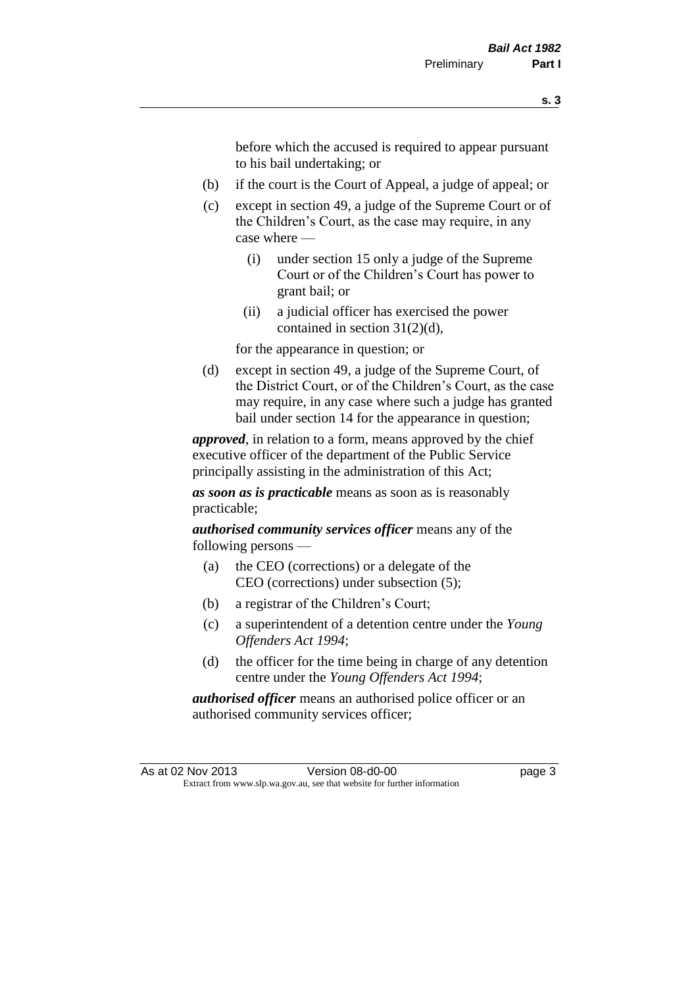before which the accused is required to appear pursuant to his bail undertaking; or

- (b) if the court is the Court of Appeal, a judge of appeal; or
- (c) except in section 49, a judge of the Supreme Court or of the Children's Court, as the case may require, in any case where —
	- (i) under section 15 only a judge of the Supreme Court or of the Children's Court has power to grant bail; or
	- (ii) a judicial officer has exercised the power contained in section 31(2)(d),

for the appearance in question; or

(d) except in section 49, a judge of the Supreme Court, of the District Court, or of the Children's Court, as the case may require, in any case where such a judge has granted bail under section 14 for the appearance in question;

*approved*, in relation to a form, means approved by the chief executive officer of the department of the Public Service principally assisting in the administration of this Act;

*as soon as is practicable* means as soon as is reasonably practicable;

*authorised community services officer* means any of the following persons —

- (a) the CEO (corrections) or a delegate of the CEO (corrections) under subsection (5);
- (b) a registrar of the Children's Court;
- (c) a superintendent of a detention centre under the *Young Offenders Act 1994*;
- (d) the officer for the time being in charge of any detention centre under the *Young Offenders Act 1994*;

*authorised officer* means an authorised police officer or an authorised community services officer;

As at 02 Nov 2013 Version 08-d0-00 page 3 Extract from www.slp.wa.gov.au, see that website for further information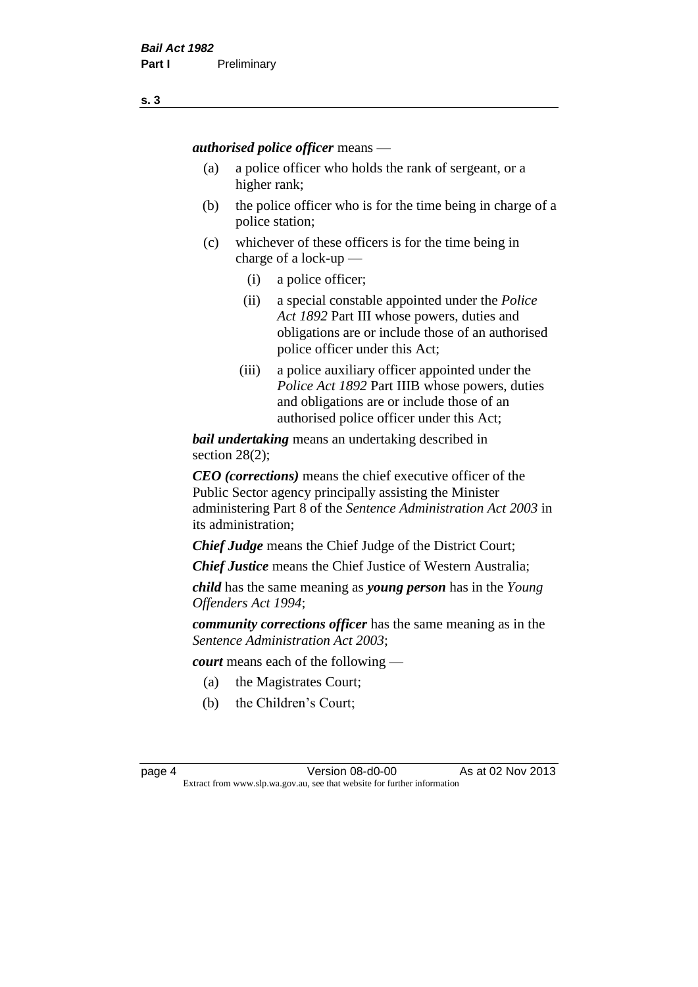*authorised police officer* means —

- (a) a police officer who holds the rank of sergeant, or a higher rank;
- (b) the police officer who is for the time being in charge of a police station;
- (c) whichever of these officers is for the time being in charge of a lock-up —
	- (i) a police officer;
	- (ii) a special constable appointed under the *Police Act 1892* Part III whose powers, duties and obligations are or include those of an authorised police officer under this Act;
	- (iii) a police auxiliary officer appointed under the *Police Act 1892* Part IIIB whose powers, duties and obligations are or include those of an authorised police officer under this Act;

*bail undertaking* means an undertaking described in section 28(2);

*CEO (corrections)* means the chief executive officer of the Public Sector agency principally assisting the Minister administering Part 8 of the *Sentence Administration Act 2003* in its administration;

*Chief Judge* means the Chief Judge of the District Court;

*Chief Justice* means the Chief Justice of Western Australia;

*child* has the same meaning as *young person* has in the *Young Offenders Act 1994*;

*community corrections officer* has the same meaning as in the *Sentence Administration Act 2003*;

*court* means each of the following —

- (a) the Magistrates Court;
- (b) the Children's Court;

page 4 Version 08-d0-00 As at 02 Nov 2013 Extract from www.slp.wa.gov.au, see that website for further information

**s. 3**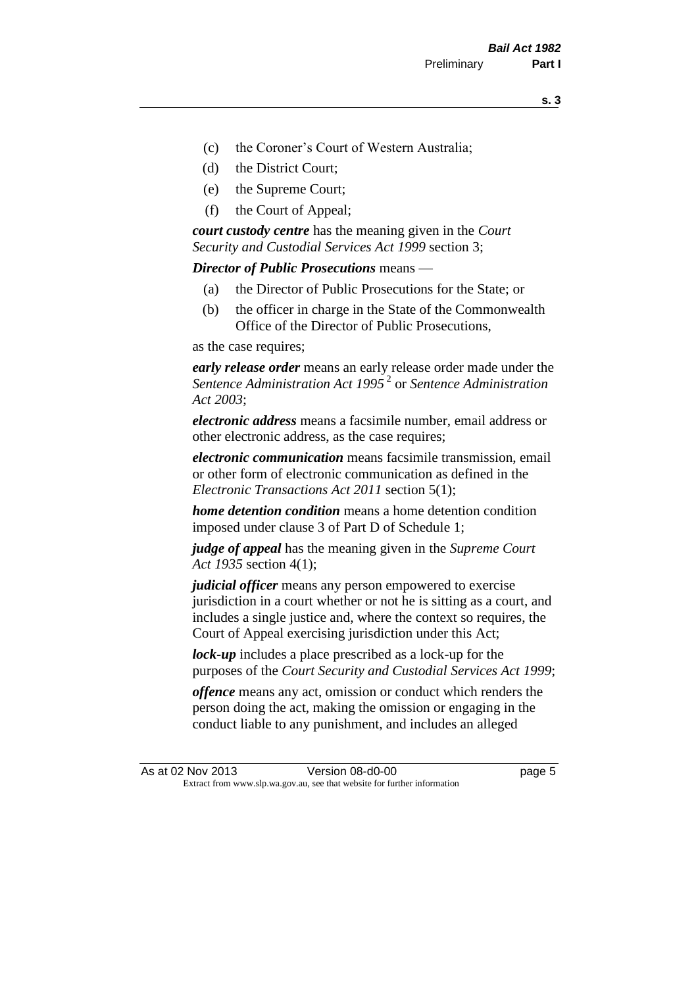- (c) the Coroner's Court of Western Australia;
- (d) the District Court;
- (e) the Supreme Court;
- (f) the Court of Appeal;

*court custody centre* has the meaning given in the *Court Security and Custodial Services Act 1999* section 3;

*Director of Public Prosecutions* means —

- (a) the Director of Public Prosecutions for the State; or
- (b) the officer in charge in the State of the Commonwealth Office of the Director of Public Prosecutions,

as the case requires;

*early release order* means an early release order made under the *Sentence Administration Act 1995* <sup>2</sup> or *Sentence Administration Act 2003*;

*electronic address* means a facsimile number, email address or other electronic address, as the case requires;

*electronic communication* means facsimile transmission, email or other form of electronic communication as defined in the *Electronic Transactions Act 2011* section 5(1);

*home detention condition* means a home detention condition imposed under clause 3 of Part D of Schedule 1;

*judge of appeal* has the meaning given in the *Supreme Court Act 1935* section 4(1);

*judicial officer* means any person empowered to exercise jurisdiction in a court whether or not he is sitting as a court, and includes a single justice and, where the context so requires, the Court of Appeal exercising jurisdiction under this Act;

*lock-up* includes a place prescribed as a lock-up for the purposes of the *Court Security and Custodial Services Act 1999*;

*offence* means any act, omission or conduct which renders the person doing the act, making the omission or engaging in the conduct liable to any punishment, and includes an alleged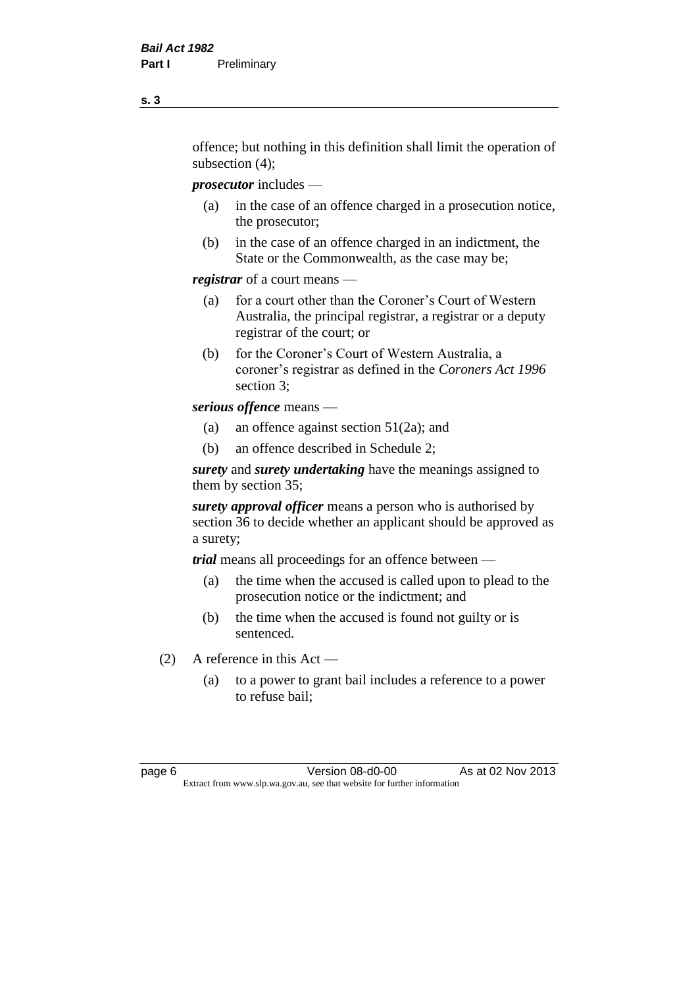offence; but nothing in this definition shall limit the operation of subsection (4);

*prosecutor* includes —

- (a) in the case of an offence charged in a prosecution notice, the prosecutor;
- (b) in the case of an offence charged in an indictment, the State or the Commonwealth, as the case may be;

*registrar* of a court means —

- (a) for a court other than the Coroner's Court of Western Australia, the principal registrar, a registrar or a deputy registrar of the court; or
- (b) for the Coroner's Court of Western Australia, a coroner's registrar as defined in the *Coroners Act 1996* section 3;

*serious offence* means —

- (a) an offence against section 51(2a); and
- (b) an offence described in Schedule 2;

*surety* and *surety undertaking* have the meanings assigned to them by section 35;

*surety approval officer* means a person who is authorised by section 36 to decide whether an applicant should be approved as a surety;

*trial* means all proceedings for an offence between —

- (a) the time when the accused is called upon to plead to the prosecution notice or the indictment; and
- (b) the time when the accused is found not guilty or is sentenced.
- (2) A reference in this Act
	- (a) to a power to grant bail includes a reference to a power to refuse bail;

page 6 Version 08-d0-00 As at 02 Nov 2013 Extract from www.slp.wa.gov.au, see that website for further information

**s. 3**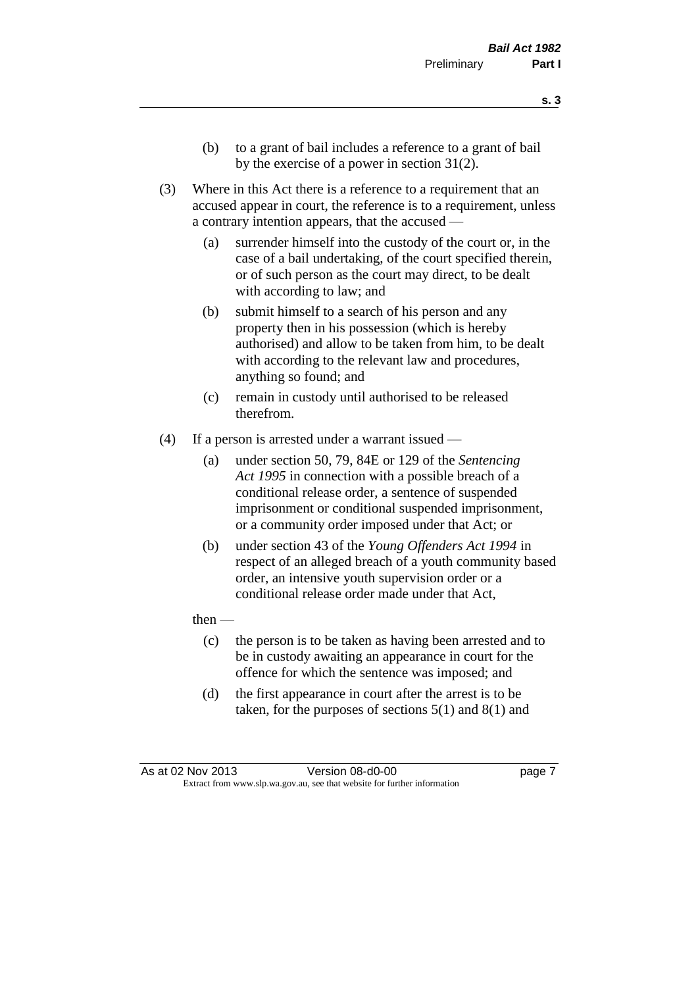- **s. 3**
- (b) to a grant of bail includes a reference to a grant of bail by the exercise of a power in section 31(2).
- (3) Where in this Act there is a reference to a requirement that an accused appear in court, the reference is to a requirement, unless a contrary intention appears, that the accused —
	- (a) surrender himself into the custody of the court or, in the case of a bail undertaking, of the court specified therein, or of such person as the court may direct, to be dealt with according to law; and
	- (b) submit himself to a search of his person and any property then in his possession (which is hereby authorised) and allow to be taken from him, to be dealt with according to the relevant law and procedures, anything so found; and
	- (c) remain in custody until authorised to be released therefrom.
- (4) If a person is arrested under a warrant issued
	- (a) under section 50, 79, 84E or 129 of the *Sentencing Act 1995* in connection with a possible breach of a conditional release order, a sentence of suspended imprisonment or conditional suspended imprisonment, or a community order imposed under that Act; or
	- (b) under section 43 of the *Young Offenders Act 1994* in respect of an alleged breach of a youth community based order, an intensive youth supervision order or a conditional release order made under that Act,
	- then
		- (c) the person is to be taken as having been arrested and to be in custody awaiting an appearance in court for the offence for which the sentence was imposed; and
		- (d) the first appearance in court after the arrest is to be taken, for the purposes of sections  $5(1)$  and  $8(1)$  and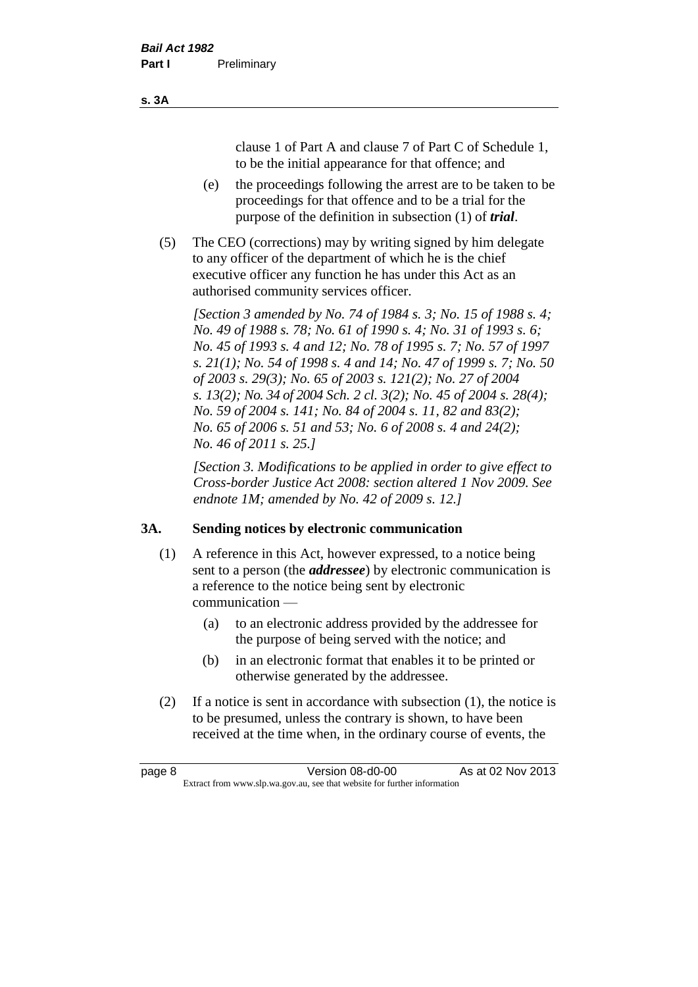clause 1 of Part A and clause 7 of Part C of Schedule 1, to be the initial appearance for that offence; and

- (e) the proceedings following the arrest are to be taken to be proceedings for that offence and to be a trial for the purpose of the definition in subsection (1) of *trial*.
- (5) The CEO (corrections) may by writing signed by him delegate to any officer of the department of which he is the chief executive officer any function he has under this Act as an authorised community services officer.

*[Section 3 amended by No. 74 of 1984 s. 3; No. 15 of 1988 s. 4; No. 49 of 1988 s. 78; No. 61 of 1990 s. 4; No. 31 of 1993 s. 6; No. 45 of 1993 s. 4 and 12; No. 78 of 1995 s. 7; No. 57 of 1997 s. 21(1); No. 54 of 1998 s. 4 and 14; No. 47 of 1999 s. 7; No. 50 of 2003 s. 29(3); No. 65 of 2003 s. 121(2); No. 27 of 2004 s. 13(2); No. 34 of 2004 Sch. 2 cl. 3(2); No. 45 of 2004 s. 28(4); No. 59 of 2004 s. 141; No. 84 of 2004 s. 11, 82 and 83(2); No. 65 of 2006 s. 51 and 53; No. 6 of 2008 s. 4 and 24(2); No. 46 of 2011 s. 25.]* 

*[Section 3. Modifications to be applied in order to give effect to Cross-border Justice Act 2008: section altered 1 Nov 2009. See endnote 1M; amended by No. 42 of 2009 s. 12.]*

### **3A. Sending notices by electronic communication**

- (1) A reference in this Act, however expressed, to a notice being sent to a person (the *addressee*) by electronic communication is a reference to the notice being sent by electronic communication —
	- (a) to an electronic address provided by the addressee for the purpose of being served with the notice; and
	- (b) in an electronic format that enables it to be printed or otherwise generated by the addressee.
- (2) If a notice is sent in accordance with subsection (1), the notice is to be presumed, unless the contrary is shown, to have been received at the time when, in the ordinary course of events, the

| page 8 | Version 08-d0-00                                                         | As at 02 Nov 2013 |
|--------|--------------------------------------------------------------------------|-------------------|
|        | Extract from www.slp.wa.gov.au, see that website for further information |                   |

#### **s. 3A**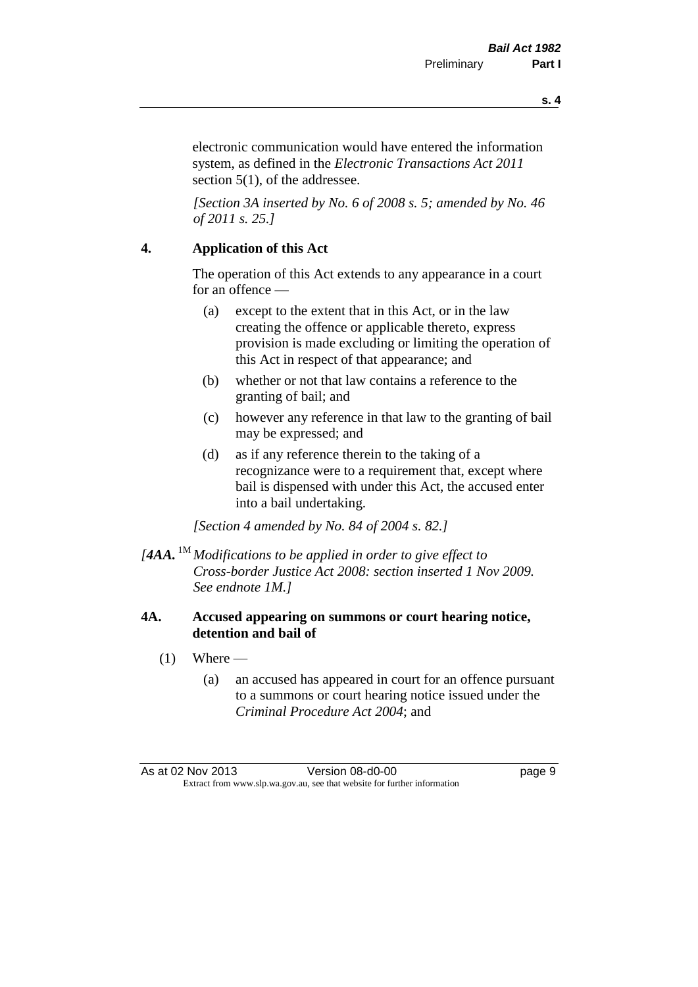**s. 4**

electronic communication would have entered the information system, as defined in the *Electronic Transactions Act 2011* section 5(1), of the addressee.

*[Section 3A inserted by No. 6 of 2008 s. 5; amended by No. 46 of 2011 s. 25.]*

#### **4. Application of this Act**

The operation of this Act extends to any appearance in a court for an offence —

- (a) except to the extent that in this Act, or in the law creating the offence or applicable thereto, express provision is made excluding or limiting the operation of this Act in respect of that appearance; and
- (b) whether or not that law contains a reference to the granting of bail; and
- (c) however any reference in that law to the granting of bail may be expressed; and
- (d) as if any reference therein to the taking of a recognizance were to a requirement that, except where bail is dispensed with under this Act, the accused enter into a bail undertaking.

*[Section 4 amended by No. 84 of 2004 s. 82.]*

*[4AA.* 1M *Modifications to be applied in order to give effect to Cross-border Justice Act 2008: section inserted 1 Nov 2009. See endnote 1M.]*

#### **4A. Accused appearing on summons or court hearing notice, detention and bail of**

- $(1)$  Where
	- (a) an accused has appeared in court for an offence pursuant to a summons or court hearing notice issued under the *Criminal Procedure Act 2004*; and

As at 02 Nov 2013 Version 08-d0-00 Page 9 Extract from www.slp.wa.gov.au, see that website for further information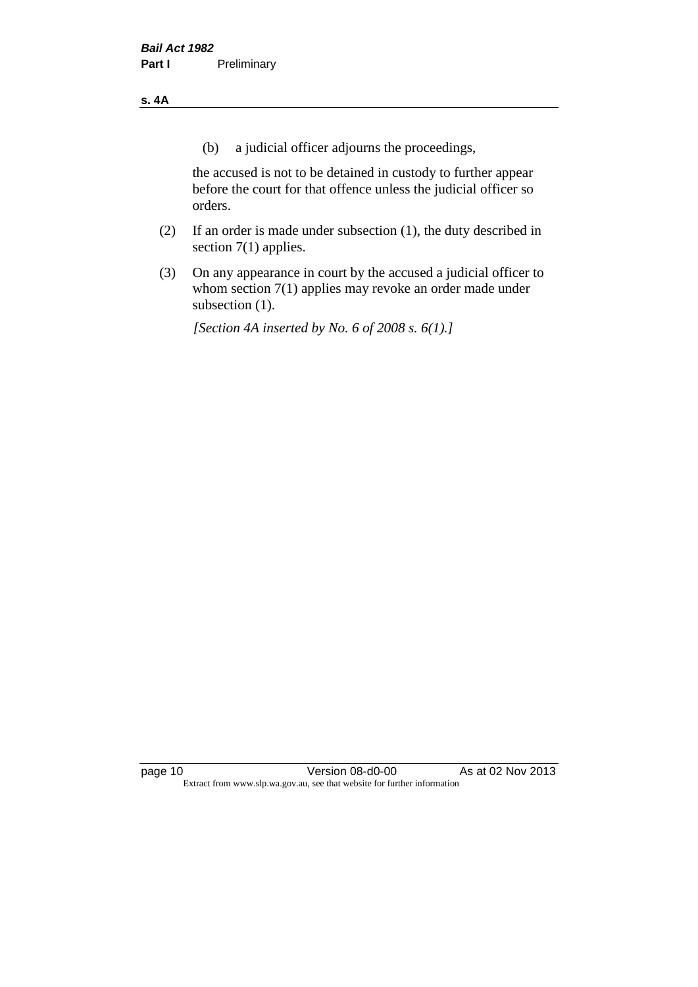#### **s. 4A**

(b) a judicial officer adjourns the proceedings,

the accused is not to be detained in custody to further appear before the court for that offence unless the judicial officer so orders.

- (2) If an order is made under subsection (1), the duty described in section 7(1) applies.
- (3) On any appearance in court by the accused a judicial officer to whom section 7(1) applies may revoke an order made under subsection (1).

*[Section 4A inserted by No. 6 of 2008 s. 6(1).]*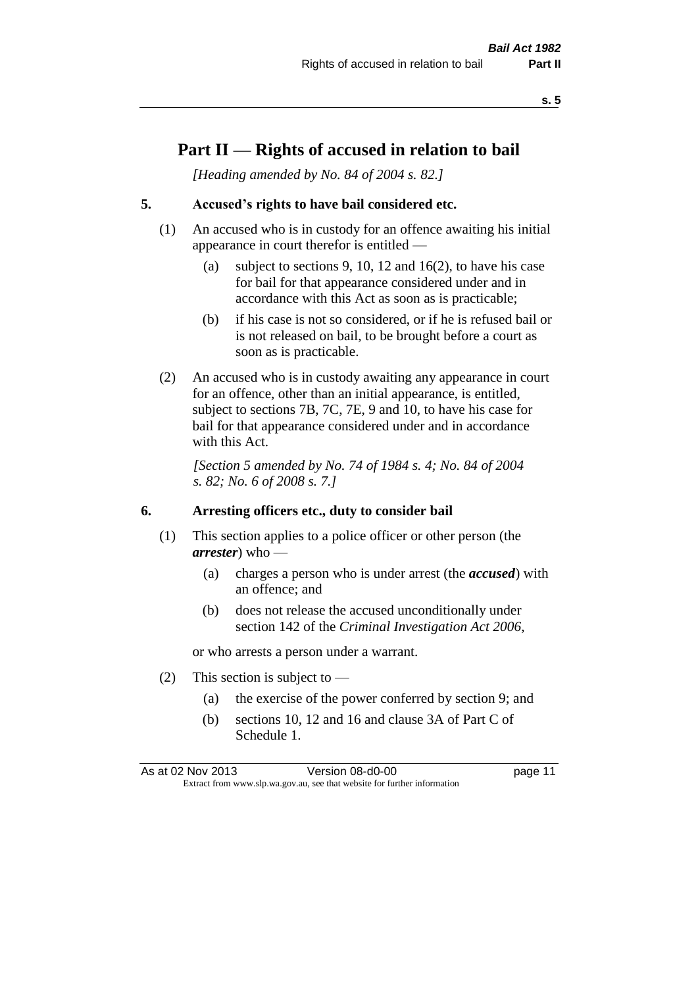## **Part II — Rights of accused in relation to bail**

*[Heading amended by No. 84 of 2004 s. 82.]* 

#### **5. Accused's rights to have bail considered etc.**

- (1) An accused who is in custody for an offence awaiting his initial appearance in court therefor is entitled —
	- (a) subject to sections 9, 10, 12 and 16(2), to have his case for bail for that appearance considered under and in accordance with this Act as soon as is practicable;
	- (b) if his case is not so considered, or if he is refused bail or is not released on bail, to be brought before a court as soon as is practicable.
- (2) An accused who is in custody awaiting any appearance in court for an offence, other than an initial appearance, is entitled, subject to sections 7B, 7C, 7E, 9 and 10, to have his case for bail for that appearance considered under and in accordance with this Act.

*[Section 5 amended by No. 74 of 1984 s. 4; No. 84 of 2004 s. 82; No. 6 of 2008 s. 7.]* 

#### **6. Arresting officers etc., duty to consider bail**

- (1) This section applies to a police officer or other person (the *arrester*) who —
	- (a) charges a person who is under arrest (the *accused*) with an offence; and
	- (b) does not release the accused unconditionally under section 142 of the *Criminal Investigation Act 2006*,

or who arrests a person under a warrant.

- (2) This section is subject to  $-$ 
	- (a) the exercise of the power conferred by section 9; and
	- (b) sections 10, 12 and 16 and clause 3A of Part C of Schedule 1.

As at 02 Nov 2013 Version 08-d0-00 Page 11 Extract from www.slp.wa.gov.au, see that website for further information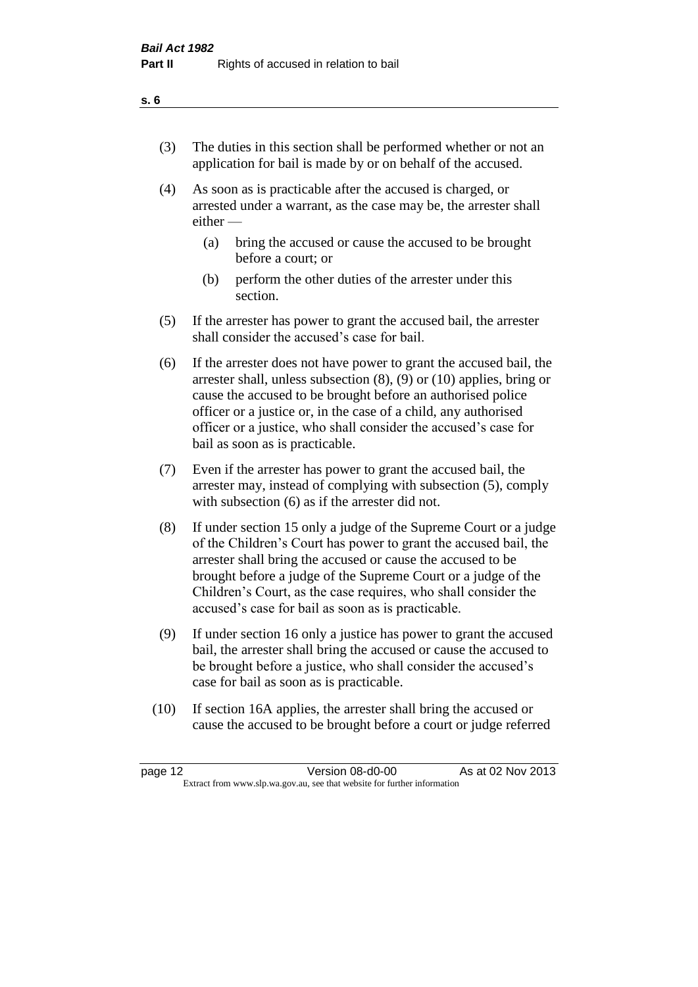- (3) The duties in this section shall be performed whether or not an application for bail is made by or on behalf of the accused.
- (4) As soon as is practicable after the accused is charged, or arrested under a warrant, as the case may be, the arrester shall either —
	- (a) bring the accused or cause the accused to be brought before a court; or
	- (b) perform the other duties of the arrester under this section.
- (5) If the arrester has power to grant the accused bail, the arrester shall consider the accused's case for bail.
- (6) If the arrester does not have power to grant the accused bail, the arrester shall, unless subsection (8), (9) or (10) applies, bring or cause the accused to be brought before an authorised police officer or a justice or, in the case of a child, any authorised officer or a justice, who shall consider the accused's case for bail as soon as is practicable.
- (7) Even if the arrester has power to grant the accused bail, the arrester may, instead of complying with subsection (5), comply with subsection (6) as if the arrester did not.
- (8) If under section 15 only a judge of the Supreme Court or a judge of the Children's Court has power to grant the accused bail, the arrester shall bring the accused or cause the accused to be brought before a judge of the Supreme Court or a judge of the Children's Court, as the case requires, who shall consider the accused's case for bail as soon as is practicable.
- (9) If under section 16 only a justice has power to grant the accused bail, the arrester shall bring the accused or cause the accused to be brought before a justice, who shall consider the accused's case for bail as soon as is practicable.
- (10) If section 16A applies, the arrester shall bring the accused or cause the accused to be brought before a court or judge referred

| page 12                                                                  | Version 08-d0-00 | As at 02 Nov 2013 |
|--------------------------------------------------------------------------|------------------|-------------------|
| Extract from www.slp.wa.gov.au, see that website for further information |                  |                   |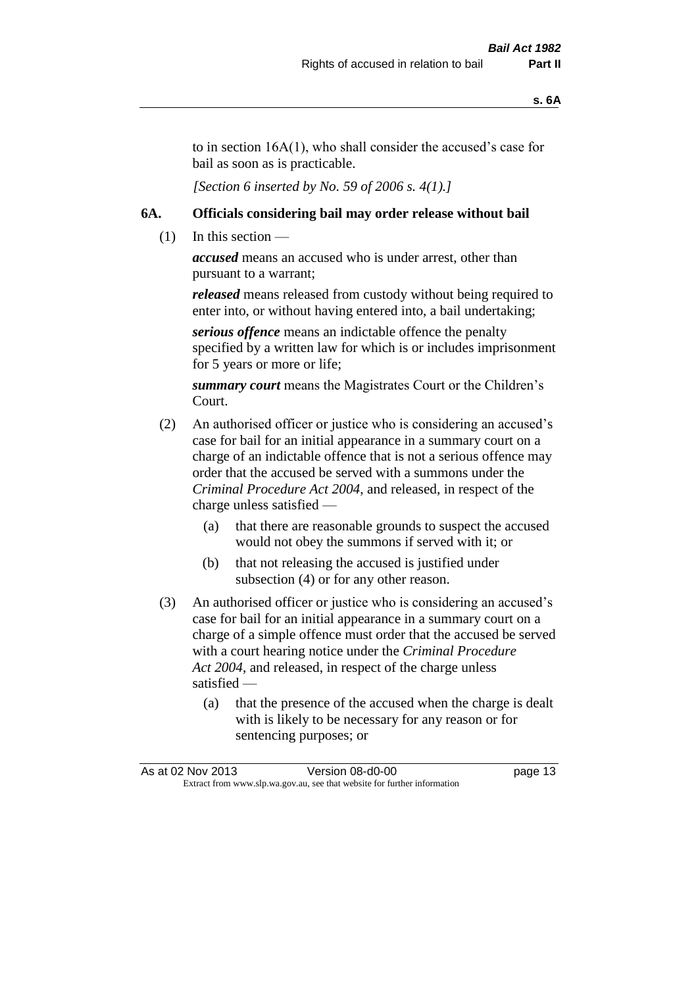to in section 16A(1), who shall consider the accused's case for bail as soon as is practicable.

*[Section 6 inserted by No. 59 of 2006 s. 4(1).]* 

#### **6A. Officials considering bail may order release without bail**

 $(1)$  In this section —

*accused* means an accused who is under arrest, other than pursuant to a warrant;

*released* means released from custody without being required to enter into, or without having entered into, a bail undertaking;

*serious offence* means an indictable offence the penalty specified by a written law for which is or includes imprisonment for 5 years or more or life;

*summary court* means the Magistrates Court or the Children's Court.

- (2) An authorised officer or justice who is considering an accused's case for bail for an initial appearance in a summary court on a charge of an indictable offence that is not a serious offence may order that the accused be served with a summons under the *Criminal Procedure Act 2004*, and released, in respect of the charge unless satisfied —
	- (a) that there are reasonable grounds to suspect the accused would not obey the summons if served with it; or
	- (b) that not releasing the accused is justified under subsection (4) or for any other reason.
- (3) An authorised officer or justice who is considering an accused's case for bail for an initial appearance in a summary court on a charge of a simple offence must order that the accused be served with a court hearing notice under the *Criminal Procedure Act 2004*, and released, in respect of the charge unless satisfied —
	- (a) that the presence of the accused when the charge is dealt with is likely to be necessary for any reason or for sentencing purposes; or

|  | As at 02 Nov 2013                                                        | Version 08-d0-00 | page 13 |
|--|--------------------------------------------------------------------------|------------------|---------|
|  | Extract from www.slp.wa.gov.au, see that website for further information |                  |         |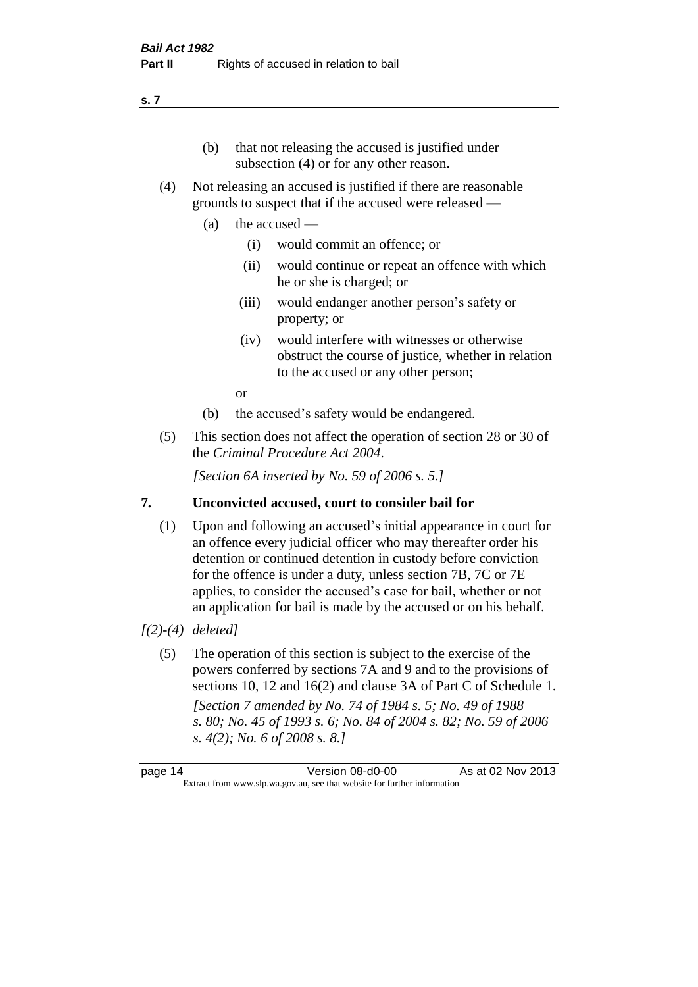- (b) that not releasing the accused is justified under subsection (4) or for any other reason.
- (4) Not releasing an accused is justified if there are reasonable grounds to suspect that if the accused were released —
	- (a) the accused
		- (i) would commit an offence; or
		- (ii) would continue or repeat an offence with which he or she is charged; or
		- (iii) would endanger another person's safety or property; or
		- (iv) would interfere with witnesses or otherwise obstruct the course of justice, whether in relation to the accused or any other person;

or

- (b) the accused's safety would be endangered.
- (5) This section does not affect the operation of section 28 or 30 of the *Criminal Procedure Act 2004*.

*[Section 6A inserted by No. 59 of 2006 s. 5.]* 

### **7. Unconvicted accused, court to consider bail for**

(1) Upon and following an accused's initial appearance in court for an offence every judicial officer who may thereafter order his detention or continued detention in custody before conviction for the offence is under a duty, unless section 7B, 7C or 7E applies, to consider the accused's case for bail, whether or not an application for bail is made by the accused or on his behalf.

### *[(2)-(4) deleted]*

(5) The operation of this section is subject to the exercise of the powers conferred by sections 7A and 9 and to the provisions of sections 10, 12 and 16(2) and clause 3A of Part C of Schedule 1. *[Section 7 amended by No. 74 of 1984 s. 5; No. 49 of 1988 s. 80; No. 45 of 1993 s. 6; No. 84 of 2004 s. 82; No. 59 of 2006 s. 4(2); No. 6 of 2008 s. 8.]* 

page 14 Version 08-d0-00 As at 02 Nov 2013 Extract from www.slp.wa.gov.au, see that website for further information

#### **s. 7**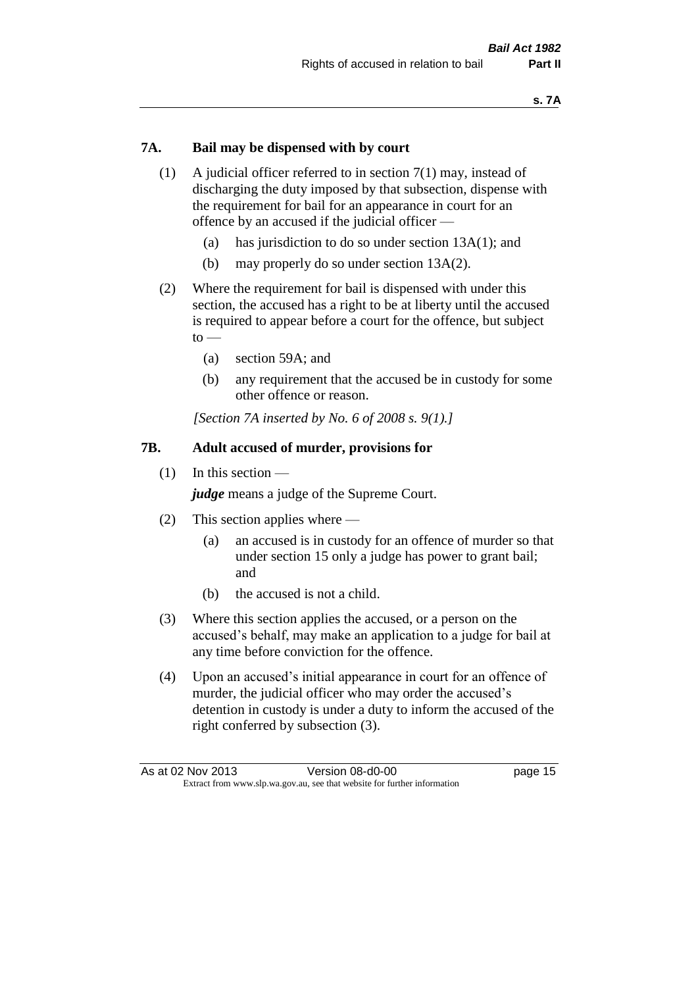#### **7A. Bail may be dispensed with by court**

- (1) A judicial officer referred to in section 7(1) may, instead of discharging the duty imposed by that subsection, dispense with the requirement for bail for an appearance in court for an offence by an accused if the judicial officer —
	- (a) has jurisdiction to do so under section 13A(1); and
	- (b) may properly do so under section 13A(2).
- (2) Where the requirement for bail is dispensed with under this section, the accused has a right to be at liberty until the accused is required to appear before a court for the offence, but subject  $to -$ 
	- (a) section 59A; and
	- (b) any requirement that the accused be in custody for some other offence or reason.

*[Section 7A inserted by No. 6 of 2008 s. 9(1).]*

#### **7B. Adult accused of murder, provisions for**

(1) In this section —

*judge* means a judge of the Supreme Court.

- (2) This section applies where
	- (a) an accused is in custody for an offence of murder so that under section 15 only a judge has power to grant bail; and
	- (b) the accused is not a child.
- (3) Where this section applies the accused, or a person on the accused's behalf, may make an application to a judge for bail at any time before conviction for the offence.
- (4) Upon an accused's initial appearance in court for an offence of murder, the judicial officer who may order the accused's detention in custody is under a duty to inform the accused of the right conferred by subsection (3).

| As at 02 Nov 2013                                                        | Version 08-d0-00 | page 15 |
|--------------------------------------------------------------------------|------------------|---------|
| Extract from www.slp.wa.gov.au, see that website for further information |                  |         |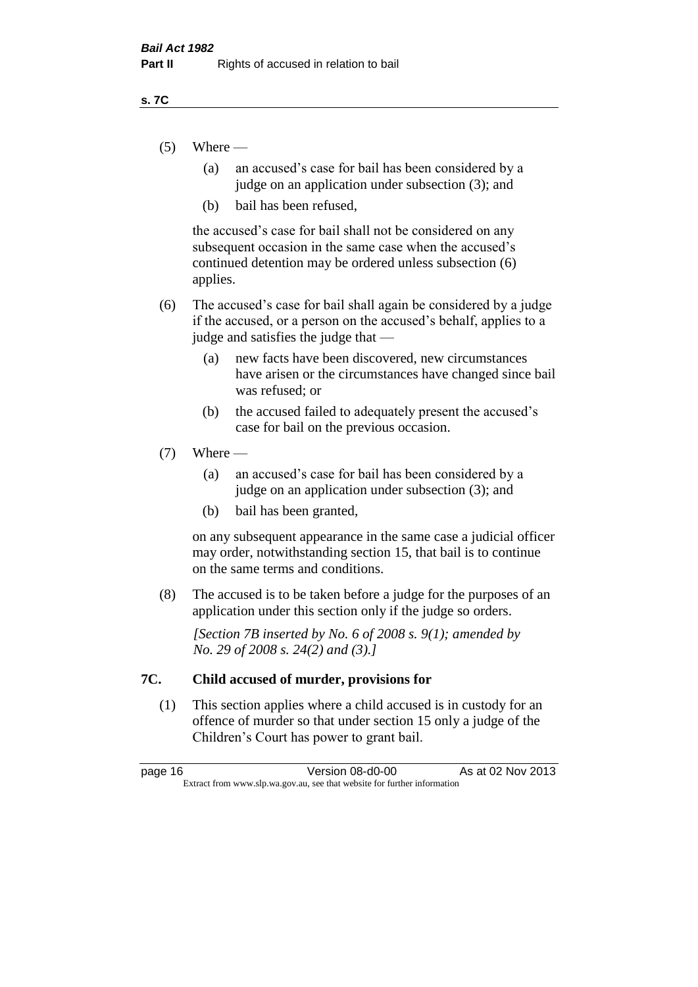#### **s. 7C**

- $(5)$  Where
	- (a) an accused's case for bail has been considered by a judge on an application under subsection (3); and
	- (b) bail has been refused,

the accused's case for bail shall not be considered on any subsequent occasion in the same case when the accused's continued detention may be ordered unless subsection (6) applies.

- (6) The accused's case for bail shall again be considered by a judge if the accused, or a person on the accused's behalf, applies to a judge and satisfies the judge that —
	- (a) new facts have been discovered, new circumstances have arisen or the circumstances have changed since bail was refused; or
	- (b) the accused failed to adequately present the accused's case for bail on the previous occasion.

#### $(7)$  Where —

- (a) an accused's case for bail has been considered by a judge on an application under subsection (3); and
- (b) bail has been granted,

on any subsequent appearance in the same case a judicial officer may order, notwithstanding section 15, that bail is to continue on the same terms and conditions.

(8) The accused is to be taken before a judge for the purposes of an application under this section only if the judge so orders.

*[Section 7B inserted by No. 6 of 2008 s. 9(1); amended by No. 29 of 2008 s. 24(2) and (3).]*

#### **7C. Child accused of murder, provisions for**

(1) This section applies where a child accused is in custody for an offence of murder so that under section 15 only a judge of the Children's Court has power to grant bail.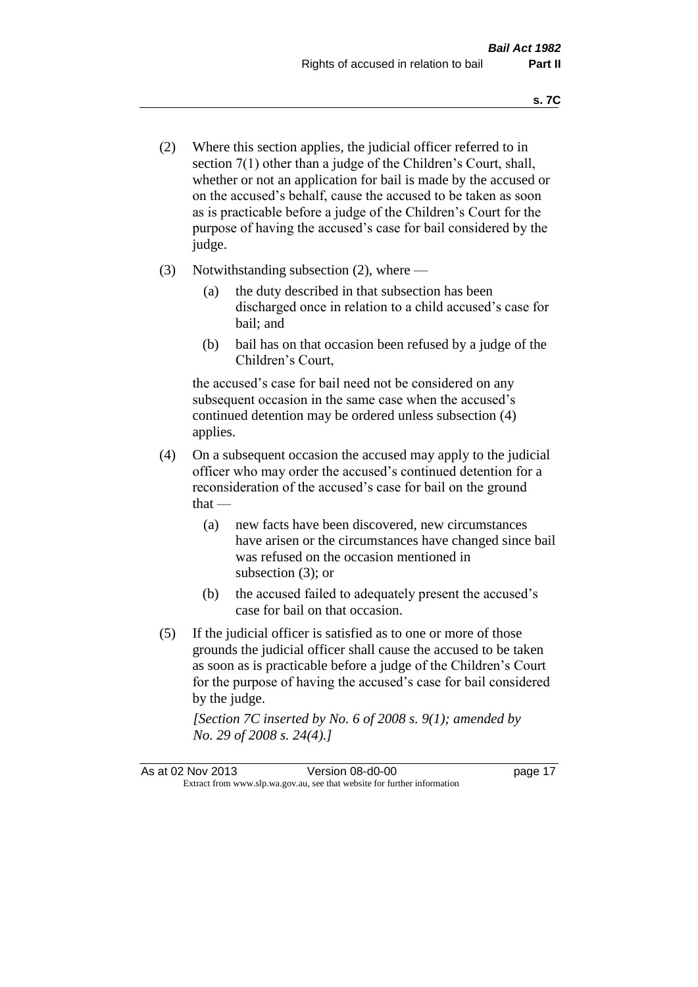- (2) Where this section applies, the judicial officer referred to in section 7(1) other than a judge of the Children's Court, shall, whether or not an application for bail is made by the accused or on the accused's behalf, cause the accused to be taken as soon as is practicable before a judge of the Children's Court for the purpose of having the accused's case for bail considered by the judge.
- (3) Notwithstanding subsection (2), where
	- (a) the duty described in that subsection has been discharged once in relation to a child accused's case for bail; and
	- (b) bail has on that occasion been refused by a judge of the Children's Court,

the accused's case for bail need not be considered on any subsequent occasion in the same case when the accused's continued detention may be ordered unless subsection (4) applies.

- (4) On a subsequent occasion the accused may apply to the judicial officer who may order the accused's continued detention for a reconsideration of the accused's case for bail on the ground  $that -$ 
	- (a) new facts have been discovered, new circumstances have arisen or the circumstances have changed since bail was refused on the occasion mentioned in subsection (3); or
	- (b) the accused failed to adequately present the accused's case for bail on that occasion.
- (5) If the judicial officer is satisfied as to one or more of those grounds the judicial officer shall cause the accused to be taken as soon as is practicable before a judge of the Children's Court for the purpose of having the accused's case for bail considered by the judge.

*[Section 7C inserted by No. 6 of 2008 s. 9(1); amended by No. 29 of 2008 s. 24(4).]*

As at 02 Nov 2013 Version 08-d0-00 Page 17 Extract from www.slp.wa.gov.au, see that website for further information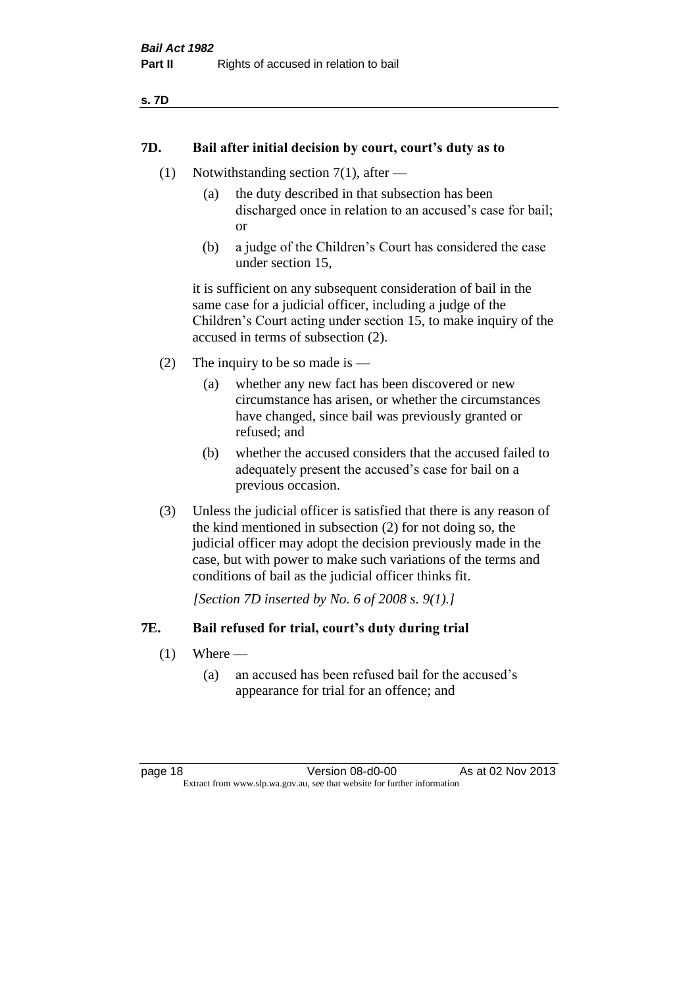#### **7D. Bail after initial decision by court, court's duty as to**

- (1) Notwithstanding section 7(1), after
	- (a) the duty described in that subsection has been discharged once in relation to an accused's case for bail; or
	- (b) a judge of the Children's Court has considered the case under section 15,

it is sufficient on any subsequent consideration of bail in the same case for a judicial officer, including a judge of the Children's Court acting under section 15, to make inquiry of the accused in terms of subsection (2).

- (2) The inquiry to be so made is  $-$ 
	- (a) whether any new fact has been discovered or new circumstance has arisen, or whether the circumstances have changed, since bail was previously granted or refused; and
	- (b) whether the accused considers that the accused failed to adequately present the accused's case for bail on a previous occasion.
- (3) Unless the judicial officer is satisfied that there is any reason of the kind mentioned in subsection (2) for not doing so, the judicial officer may adopt the decision previously made in the case, but with power to make such variations of the terms and conditions of bail as the judicial officer thinks fit.

*[Section 7D inserted by No. 6 of 2008 s. 9(1).]*

#### **7E. Bail refused for trial, court's duty during trial**

- $(1)$  Where
	- (a) an accused has been refused bail for the accused's appearance for trial for an offence; and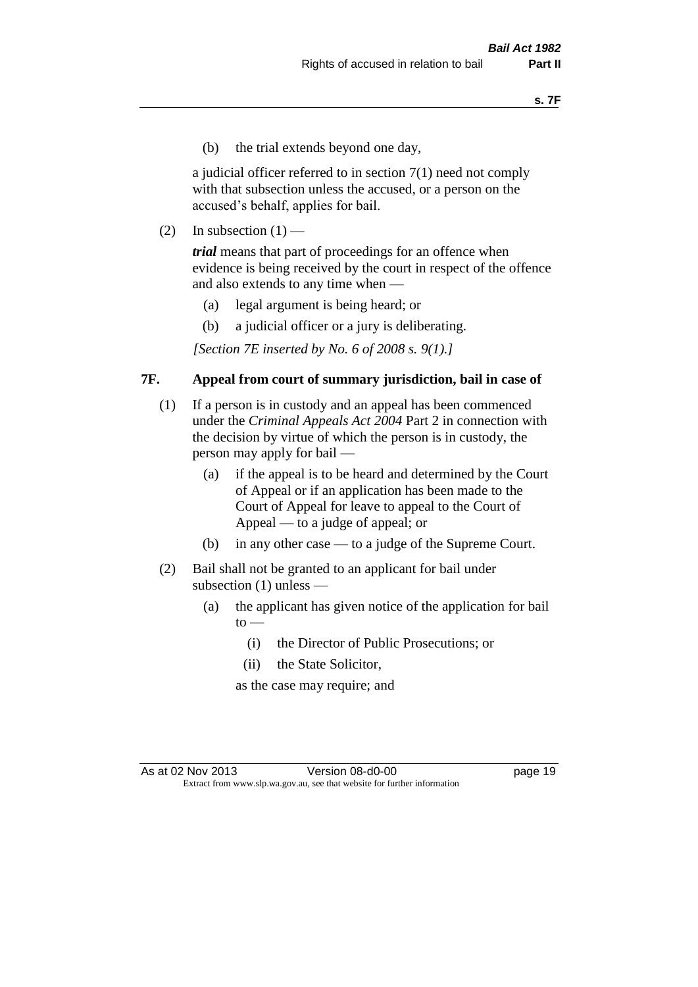(b) the trial extends beyond one day,

a judicial officer referred to in section 7(1) need not comply with that subsection unless the accused, or a person on the accused's behalf, applies for bail.

(2) In subsection  $(1)$  —

*trial* means that part of proceedings for an offence when evidence is being received by the court in respect of the offence and also extends to any time when —

- (a) legal argument is being heard; or
- (b) a judicial officer or a jury is deliberating.

*[Section 7E inserted by No. 6 of 2008 s. 9(1).]*

#### **7F. Appeal from court of summary jurisdiction, bail in case of**

- (1) If a person is in custody and an appeal has been commenced under the *Criminal Appeals Act 2004* Part 2 in connection with the decision by virtue of which the person is in custody, the person may apply for bail —
	- (a) if the appeal is to be heard and determined by the Court of Appeal or if an application has been made to the Court of Appeal for leave to appeal to the Court of Appeal — to a judge of appeal; or
	- (b) in any other case to a judge of the Supreme Court.
- (2) Bail shall not be granted to an applicant for bail under subsection (1) unless —
	- (a) the applicant has given notice of the application for bail  $to -$ 
		- (i) the Director of Public Prosecutions; or
		- (ii) the State Solicitor,

as the case may require; and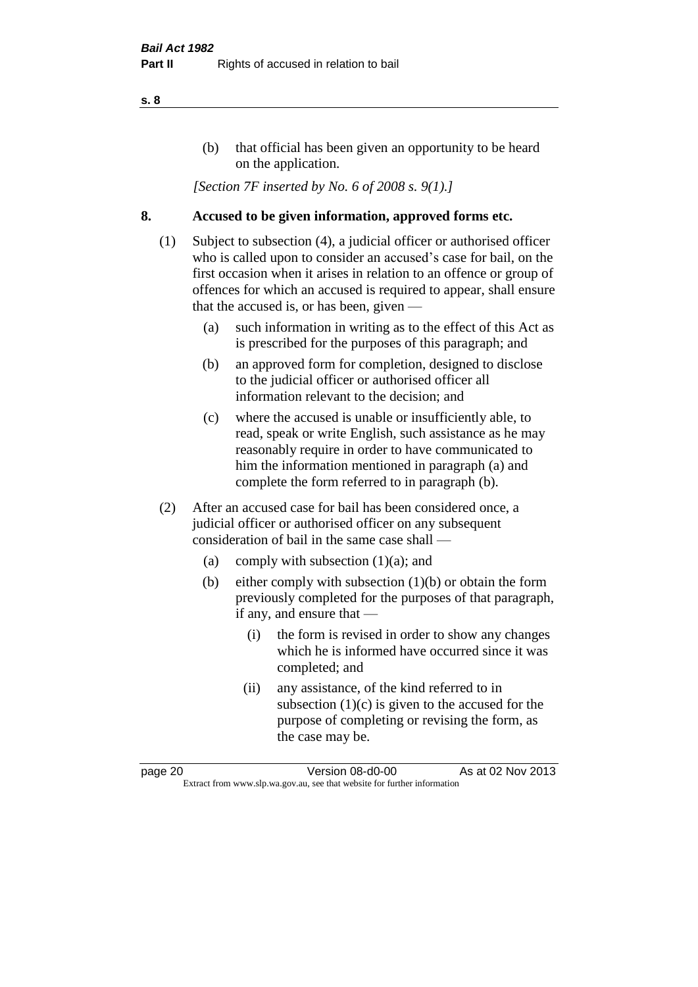#### (b) that official has been given an opportunity to be heard on the application.

*[Section 7F inserted by No. 6 of 2008 s. 9(1).]*

#### **8. Accused to be given information, approved forms etc.**

- (1) Subject to subsection (4), a judicial officer or authorised officer who is called upon to consider an accused's case for bail, on the first occasion when it arises in relation to an offence or group of offences for which an accused is required to appear, shall ensure that the accused is, or has been, given —
	- (a) such information in writing as to the effect of this Act as is prescribed for the purposes of this paragraph; and
	- (b) an approved form for completion, designed to disclose to the judicial officer or authorised officer all information relevant to the decision; and
	- (c) where the accused is unable or insufficiently able, to read, speak or write English, such assistance as he may reasonably require in order to have communicated to him the information mentioned in paragraph (a) and complete the form referred to in paragraph (b).
- (2) After an accused case for bail has been considered once, a judicial officer or authorised officer on any subsequent consideration of bail in the same case shall —
	- (a) comply with subsection (1)(a); and
	- (b) either comply with subsection (1)(b) or obtain the form previously completed for the purposes of that paragraph, if any, and ensure that —
		- (i) the form is revised in order to show any changes which he is informed have occurred since it was completed; and
		- (ii) any assistance, of the kind referred to in subsection  $(1)(c)$  is given to the accused for the purpose of completing or revising the form, as the case may be.

page 20 Version 08-d0-00 As at 02 Nov 2013 Extract from www.slp.wa.gov.au, see that website for further information

#### **s. 8**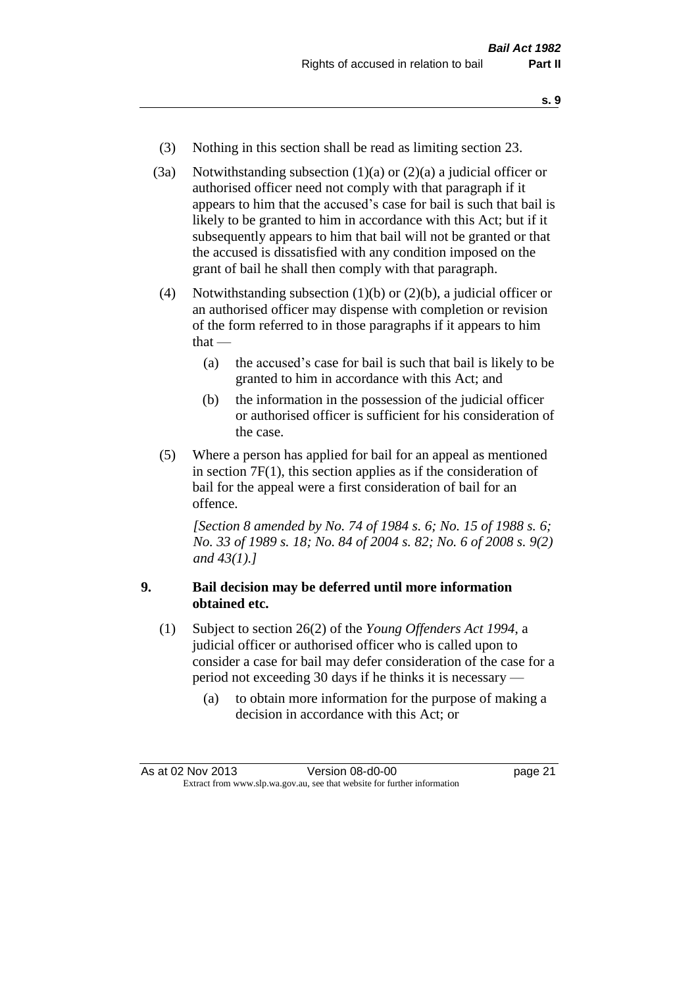- **s. 9**
- (3) Nothing in this section shall be read as limiting section 23.
- (3a) Notwithstanding subsection  $(1)(a)$  or  $(2)(a)$  a judicial officer or authorised officer need not comply with that paragraph if it appears to him that the accused's case for bail is such that bail is likely to be granted to him in accordance with this Act; but if it subsequently appears to him that bail will not be granted or that the accused is dissatisfied with any condition imposed on the grant of bail he shall then comply with that paragraph.
- (4) Notwithstanding subsection (1)(b) or (2)(b), a judicial officer or an authorised officer may dispense with completion or revision of the form referred to in those paragraphs if it appears to him that —
	- (a) the accused's case for bail is such that bail is likely to be granted to him in accordance with this Act; and
	- (b) the information in the possession of the judicial officer or authorised officer is sufficient for his consideration of the case.
- (5) Where a person has applied for bail for an appeal as mentioned in section 7F(1), this section applies as if the consideration of bail for the appeal were a first consideration of bail for an offence.

*[Section 8 amended by No. 74 of 1984 s. 6; No. 15 of 1988 s. 6; No. 33 of 1989 s. 18; No. 84 of 2004 s. 82; No. 6 of 2008 s. 9(2) and 43(1).]* 

#### **9. Bail decision may be deferred until more information obtained etc.**

- (1) Subject to section 26(2) of the *Young Offenders Act 1994*, a judicial officer or authorised officer who is called upon to consider a case for bail may defer consideration of the case for a period not exceeding 30 days if he thinks it is necessary —
	- (a) to obtain more information for the purpose of making a decision in accordance with this Act; or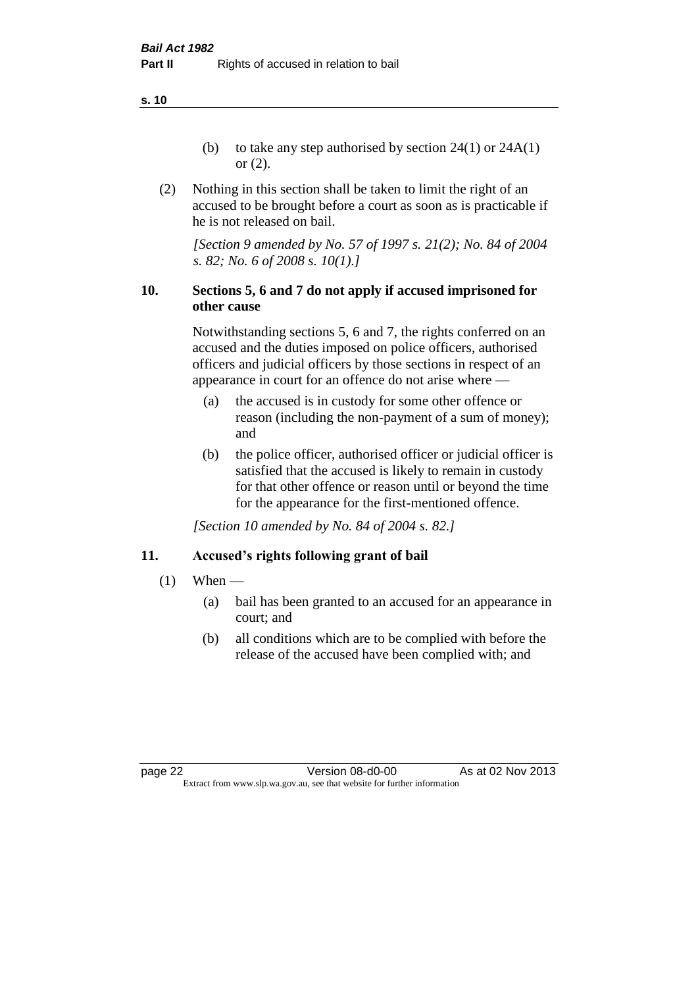**s. 10**

- (b) to take any step authorised by section  $24(1)$  or  $24A(1)$ or (2).
- (2) Nothing in this section shall be taken to limit the right of an accused to be brought before a court as soon as is practicable if he is not released on bail.

*[Section 9 amended by No. 57 of 1997 s. 21(2); No. 84 of 2004 s. 82; No. 6 of 2008 s. 10(1).]*

### **10. Sections 5, 6 and 7 do not apply if accused imprisoned for other cause**

Notwithstanding sections 5, 6 and 7, the rights conferred on an accused and the duties imposed on police officers, authorised officers and judicial officers by those sections in respect of an appearance in court for an offence do not arise where —

- (a) the accused is in custody for some other offence or reason (including the non-payment of a sum of money); and
- (b) the police officer, authorised officer or judicial officer is satisfied that the accused is likely to remain in custody for that other offence or reason until or beyond the time for the appearance for the first-mentioned offence.

*[Section 10 amended by No. 84 of 2004 s. 82.]*

### **11. Accused's rights following grant of bail**

- $(1)$  When
	- (a) bail has been granted to an accused for an appearance in court; and
	- (b) all conditions which are to be complied with before the release of the accused have been complied with; and

page 22 Version 08-d0-00 As at 02 Nov 2013 Extract from www.slp.wa.gov.au, see that website for further information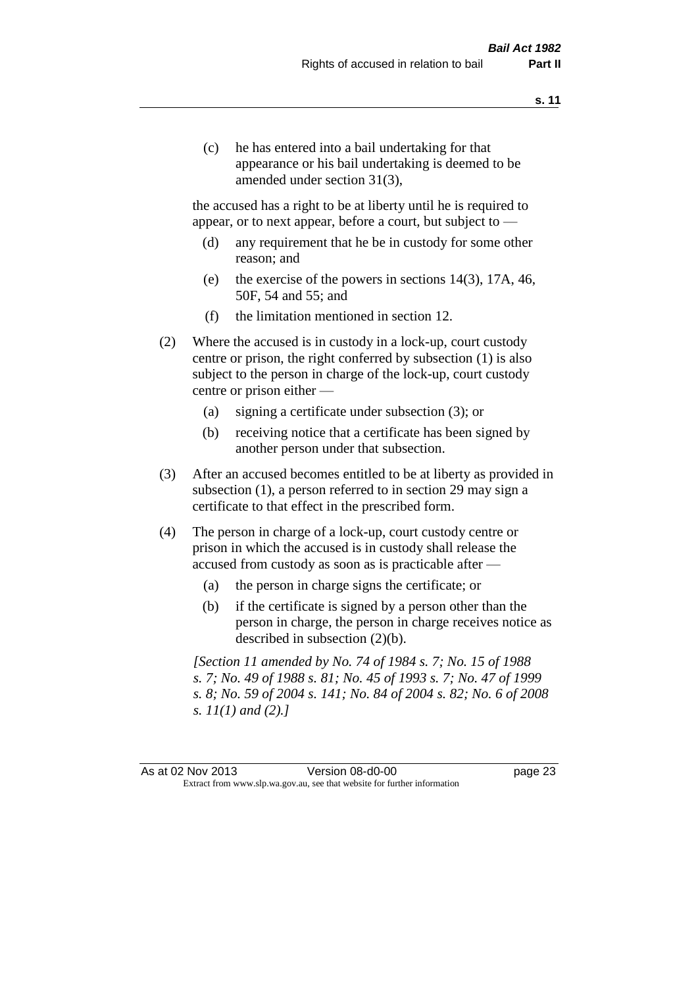(c) he has entered into a bail undertaking for that appearance or his bail undertaking is deemed to be amended under section 31(3),

the accused has a right to be at liberty until he is required to appear, or to next appear, before a court, but subject to —

- (d) any requirement that he be in custody for some other reason; and
- (e) the exercise of the powers in sections 14(3), 17A, 46, 50F, 54 and 55; and
- (f) the limitation mentioned in section 12.
- (2) Where the accused is in custody in a lock-up, court custody centre or prison, the right conferred by subsection (1) is also subject to the person in charge of the lock-up, court custody centre or prison either —
	- (a) signing a certificate under subsection (3); or
	- (b) receiving notice that a certificate has been signed by another person under that subsection.
- (3) After an accused becomes entitled to be at liberty as provided in subsection (1), a person referred to in section 29 may sign a certificate to that effect in the prescribed form.
- (4) The person in charge of a lock-up, court custody centre or prison in which the accused is in custody shall release the accused from custody as soon as is practicable after —
	- (a) the person in charge signs the certificate; or
	- (b) if the certificate is signed by a person other than the person in charge, the person in charge receives notice as described in subsection (2)(b).

*[Section 11 amended by No. 74 of 1984 s. 7; No. 15 of 1988 s. 7; No. 49 of 1988 s. 81; No. 45 of 1993 s. 7; No. 47 of 1999 s. 8; No. 59 of 2004 s. 141; No. 84 of 2004 s. 82; No. 6 of 2008 s. 11(1) and (2).]* 

As at 02 Nov 2013 Version 08-d0-00 Page 23 Extract from www.slp.wa.gov.au, see that website for further information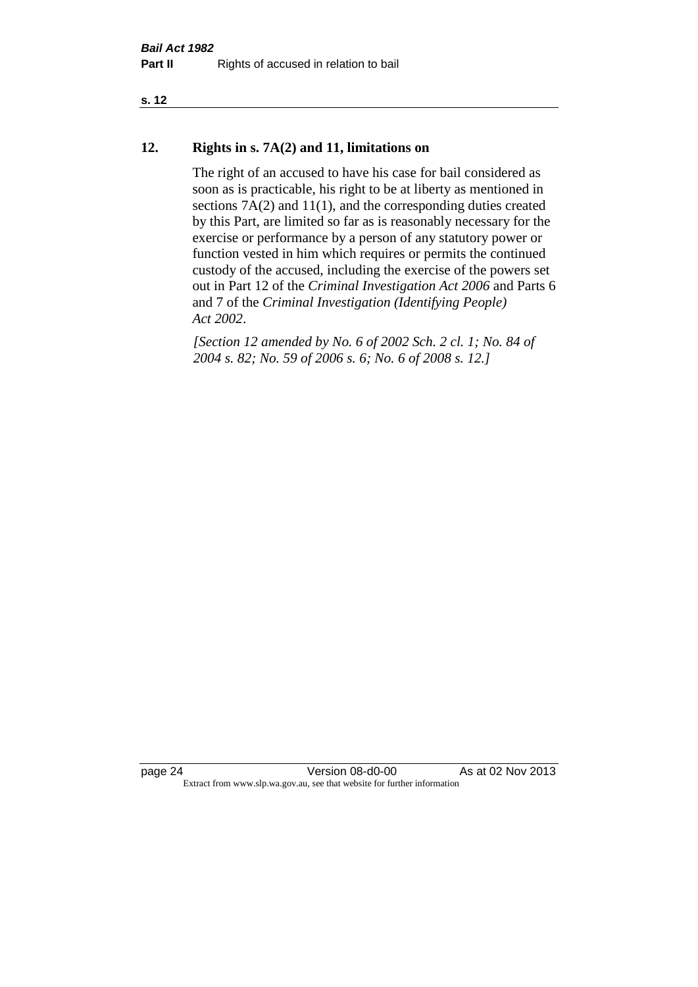#### **s. 12**

#### **12. Rights in s. 7A(2) and 11, limitations on**

The right of an accused to have his case for bail considered as soon as is practicable, his right to be at liberty as mentioned in sections 7A(2) and 11(1), and the corresponding duties created by this Part, are limited so far as is reasonably necessary for the exercise or performance by a person of any statutory power or function vested in him which requires or permits the continued custody of the accused, including the exercise of the powers set out in Part 12 of the *Criminal Investigation Act 2006* and Parts 6 and 7 of the *Criminal Investigation (Identifying People) Act 2002*.

*[Section 12 amended by No. 6 of 2002 Sch. 2 cl. 1; No. 84 of 2004 s. 82; No. 59 of 2006 s. 6; No. 6 of 2008 s. 12.]*

page 24 Version 08-d0-00 As at 02 Nov 2013 Extract from www.slp.wa.gov.au, see that website for further information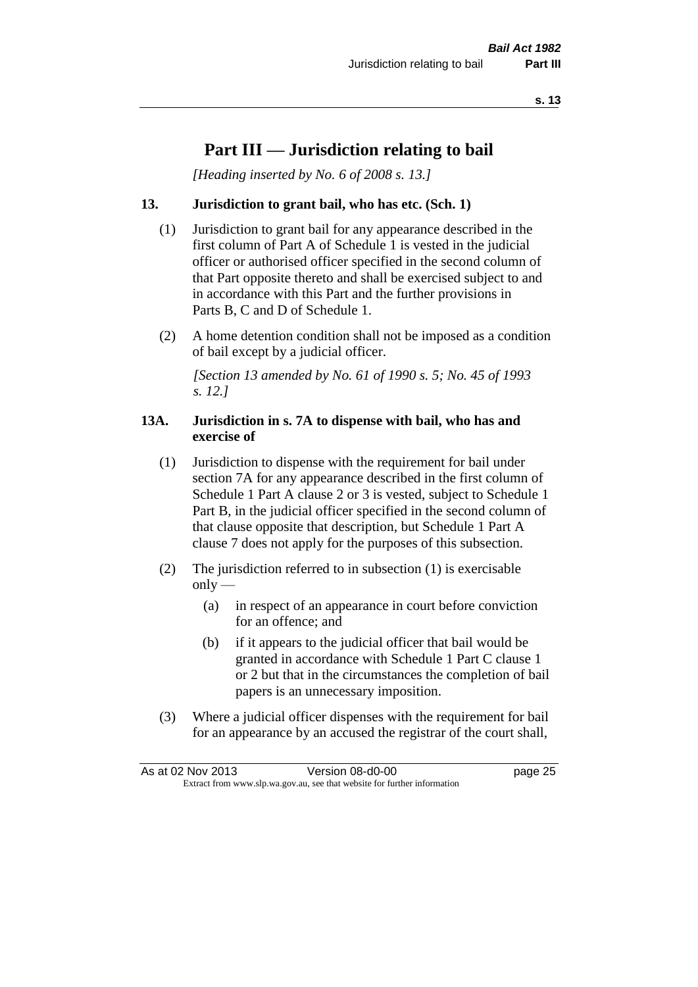## **Part III — Jurisdiction relating to bail**

*[Heading inserted by No. 6 of 2008 s. 13.]*

#### **13. Jurisdiction to grant bail, who has etc. (Sch. 1)**

- (1) Jurisdiction to grant bail for any appearance described in the first column of Part A of Schedule 1 is vested in the judicial officer or authorised officer specified in the second column of that Part opposite thereto and shall be exercised subject to and in accordance with this Part and the further provisions in Parts B, C and D of Schedule 1.
- (2) A home detention condition shall not be imposed as a condition of bail except by a judicial officer.

*[Section 13 amended by No. 61 of 1990 s. 5; No. 45 of 1993 s. 12.]* 

#### **13A. Jurisdiction in s. 7A to dispense with bail, who has and exercise of**

- (1) Jurisdiction to dispense with the requirement for bail under section 7A for any appearance described in the first column of Schedule 1 Part A clause 2 or 3 is vested, subject to Schedule 1 Part B, in the judicial officer specified in the second column of that clause opposite that description, but Schedule 1 Part A clause 7 does not apply for the purposes of this subsection.
- (2) The jurisdiction referred to in subsection (1) is exercisable  $only$ —
	- (a) in respect of an appearance in court before conviction for an offence; and
	- (b) if it appears to the judicial officer that bail would be granted in accordance with Schedule 1 Part C clause 1 or 2 but that in the circumstances the completion of bail papers is an unnecessary imposition.
- (3) Where a judicial officer dispenses with the requirement for bail for an appearance by an accused the registrar of the court shall,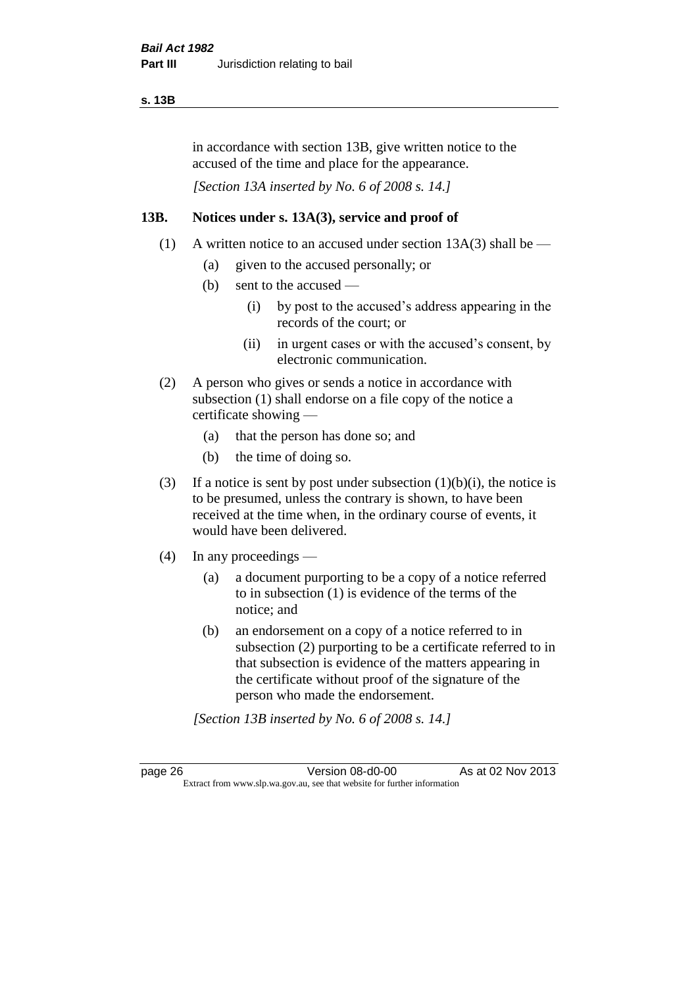#### **s. 13B**

in accordance with section 13B, give written notice to the accused of the time and place for the appearance.

*[Section 13A inserted by No. 6 of 2008 s. 14.]*

#### **13B. Notices under s. 13A(3), service and proof of**

- (1) A written notice to an accused under section  $13A(3)$  shall be
	- (a) given to the accused personally; or
	- (b) sent to the accused
		- (i) by post to the accused's address appearing in the records of the court; or
		- (ii) in urgent cases or with the accused's consent, by electronic communication.
- (2) A person who gives or sends a notice in accordance with subsection (1) shall endorse on a file copy of the notice a certificate showing —
	- (a) that the person has done so; and
	- (b) the time of doing so.
- (3) If a notice is sent by post under subsection  $(1)(b)(i)$ , the notice is to be presumed, unless the contrary is shown, to have been received at the time when, in the ordinary course of events, it would have been delivered.
- (4) In any proceedings
	- (a) a document purporting to be a copy of a notice referred to in subsection (1) is evidence of the terms of the notice; and
	- (b) an endorsement on a copy of a notice referred to in subsection (2) purporting to be a certificate referred to in that subsection is evidence of the matters appearing in the certificate without proof of the signature of the person who made the endorsement.

*[Section 13B inserted by No. 6 of 2008 s. 14.]*

page 26 Version 08-d0-00 As at 02 Nov 2013 Extract from www.slp.wa.gov.au, see that website for further information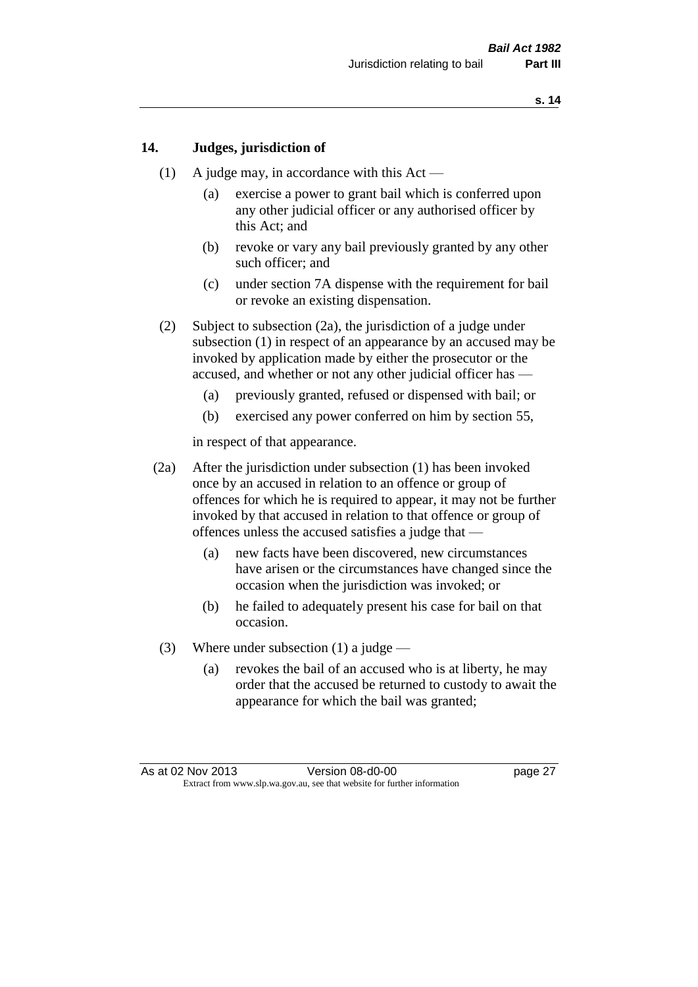#### **14. Judges, jurisdiction of**

- (1) A judge may, in accordance with this  $Act -$ 
	- (a) exercise a power to grant bail which is conferred upon any other judicial officer or any authorised officer by this Act; and
	- (b) revoke or vary any bail previously granted by any other such officer; and
	- (c) under section 7A dispense with the requirement for bail or revoke an existing dispensation.
- (2) Subject to subsection (2a), the jurisdiction of a judge under subsection (1) in respect of an appearance by an accused may be invoked by application made by either the prosecutor or the accused, and whether or not any other judicial officer has —
	- (a) previously granted, refused or dispensed with bail; or
	- (b) exercised any power conferred on him by section 55,

in respect of that appearance.

- (2a) After the jurisdiction under subsection (1) has been invoked once by an accused in relation to an offence or group of offences for which he is required to appear, it may not be further invoked by that accused in relation to that offence or group of offences unless the accused satisfies a judge that —
	- (a) new facts have been discovered, new circumstances have arisen or the circumstances have changed since the occasion when the jurisdiction was invoked; or
	- (b) he failed to adequately present his case for bail on that occasion.
- (3) Where under subsection (1) a judge
	- (a) revokes the bail of an accused who is at liberty, he may order that the accused be returned to custody to await the appearance for which the bail was granted;

As at 02 Nov 2013 Version 08-d0-00 Page 27 Extract from www.slp.wa.gov.au, see that website for further information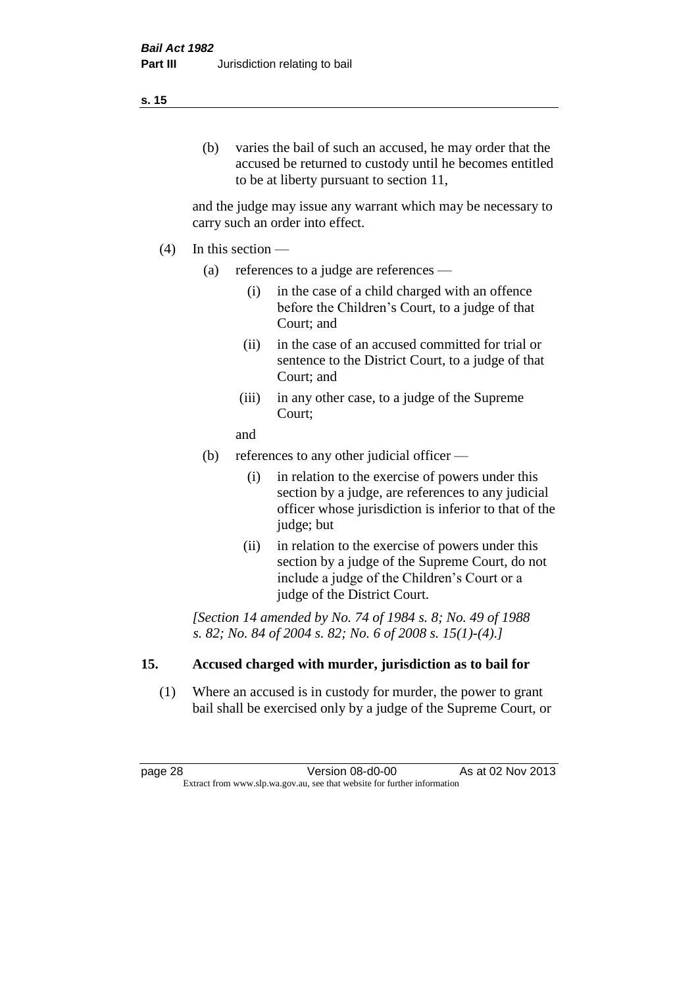### (b) varies the bail of such an accused, he may order that the accused be returned to custody until he becomes entitled to be at liberty pursuant to section 11,

and the judge may issue any warrant which may be necessary to carry such an order into effect.

- (4) In this section
	- (a) references to a judge are references
		- (i) in the case of a child charged with an offence before the Children's Court, to a judge of that Court; and
		- (ii) in the case of an accused committed for trial or sentence to the District Court, to a judge of that Court; and
		- (iii) in any other case, to a judge of the Supreme Court;
		- and
	- (b) references to any other judicial officer
		- (i) in relation to the exercise of powers under this section by a judge, are references to any judicial officer whose jurisdiction is inferior to that of the judge; but
		- (ii) in relation to the exercise of powers under this section by a judge of the Supreme Court, do not include a judge of the Children's Court or a judge of the District Court.

*[Section 14 amended by No. 74 of 1984 s. 8; No. 49 of 1988 s. 82; No. 84 of 2004 s. 82; No. 6 of 2008 s. 15(1)-(4).]* 

### **15. Accused charged with murder, jurisdiction as to bail for**

(1) Where an accused is in custody for murder, the power to grant bail shall be exercised only by a judge of the Supreme Court, or

page 28 Version 08-d0-00 As at 02 Nov 2013 Extract from www.slp.wa.gov.au, see that website for further information

#### **s. 15**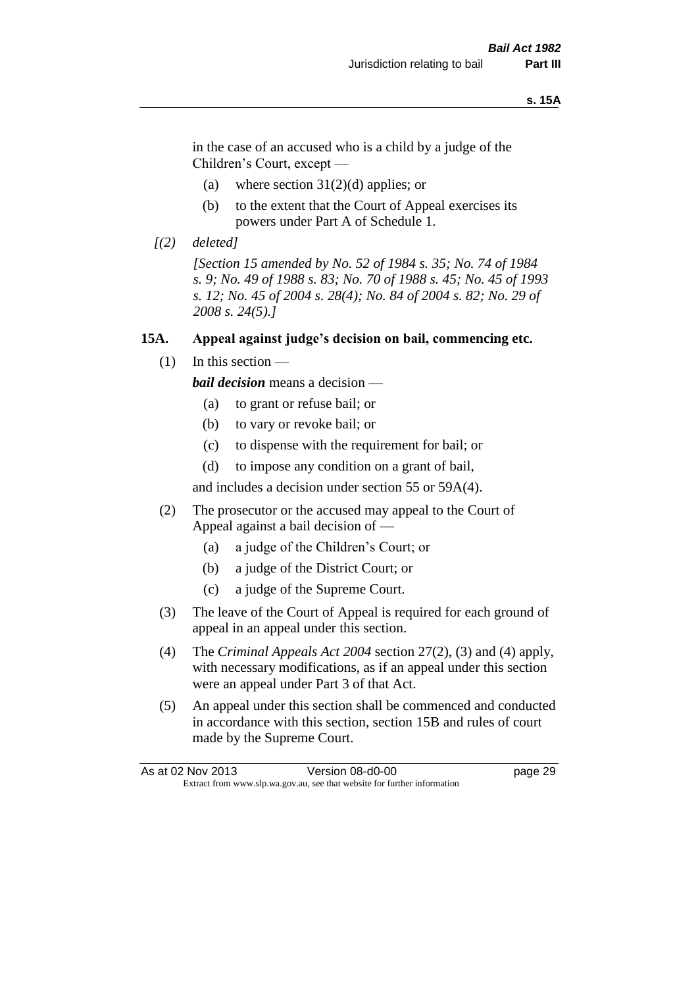#### **s. 15A**

in the case of an accused who is a child by a judge of the Children's Court, except —

- (a) where section  $31(2)(d)$  applies; or
- (b) to the extent that the Court of Appeal exercises its powers under Part A of Schedule 1.
- *[(2) deleted]*

*[Section 15 amended by No. 52 of 1984 s. 35; No. 74 of 1984 s. 9; No. 49 of 1988 s. 83; No. 70 of 1988 s. 45; No. 45 of 1993 s. 12; No. 45 of 2004 s. 28(4); No. 84 of 2004 s. 82; No. 29 of 2008 s. 24(5).]* 

## **15A. Appeal against judge's decision on bail, commencing etc.**

 $(1)$  In this section —

*bail decision* means a decision —

- (a) to grant or refuse bail; or
- (b) to vary or revoke bail; or
- (c) to dispense with the requirement for bail; or
- (d) to impose any condition on a grant of bail,

and includes a decision under section 55 or 59A(4).

- (2) The prosecutor or the accused may appeal to the Court of Appeal against a bail decision of —
	- (a) a judge of the Children's Court; or
	- (b) a judge of the District Court; or
	- (c) a judge of the Supreme Court.
- (3) The leave of the Court of Appeal is required for each ground of appeal in an appeal under this section.
- (4) The *Criminal Appeals Act 2004* section 27(2), (3) and (4) apply, with necessary modifications, as if an appeal under this section were an appeal under Part 3 of that Act.
- (5) An appeal under this section shall be commenced and conducted in accordance with this section, section 15B and rules of court made by the Supreme Court.

| As at 02 Nov 2013 | Version 08-d0-00                                                         | page 29 |
|-------------------|--------------------------------------------------------------------------|---------|
|                   | Extract from www.slp.wa.gov.au, see that website for further information |         |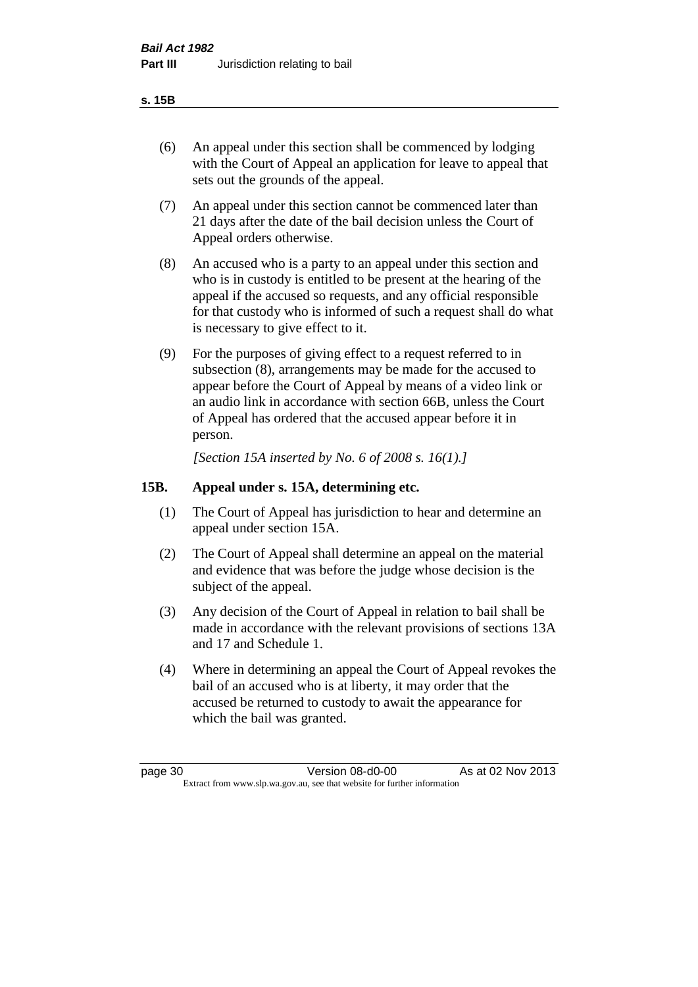#### **s. 15B**

- (6) An appeal under this section shall be commenced by lodging with the Court of Appeal an application for leave to appeal that sets out the grounds of the appeal.
- (7) An appeal under this section cannot be commenced later than 21 days after the date of the bail decision unless the Court of Appeal orders otherwise.
- (8) An accused who is a party to an appeal under this section and who is in custody is entitled to be present at the hearing of the appeal if the accused so requests, and any official responsible for that custody who is informed of such a request shall do what is necessary to give effect to it.
- (9) For the purposes of giving effect to a request referred to in subsection (8), arrangements may be made for the accused to appear before the Court of Appeal by means of a video link or an audio link in accordance with section 66B, unless the Court of Appeal has ordered that the accused appear before it in person.

*[Section 15A inserted by No. 6 of 2008 s. 16(1).]*

## **15B. Appeal under s. 15A, determining etc.**

- (1) The Court of Appeal has jurisdiction to hear and determine an appeal under section 15A.
- (2) The Court of Appeal shall determine an appeal on the material and evidence that was before the judge whose decision is the subject of the appeal.
- (3) Any decision of the Court of Appeal in relation to bail shall be made in accordance with the relevant provisions of sections 13A and 17 and Schedule 1.
- (4) Where in determining an appeal the Court of Appeal revokes the bail of an accused who is at liberty, it may order that the accused be returned to custody to await the appearance for which the bail was granted.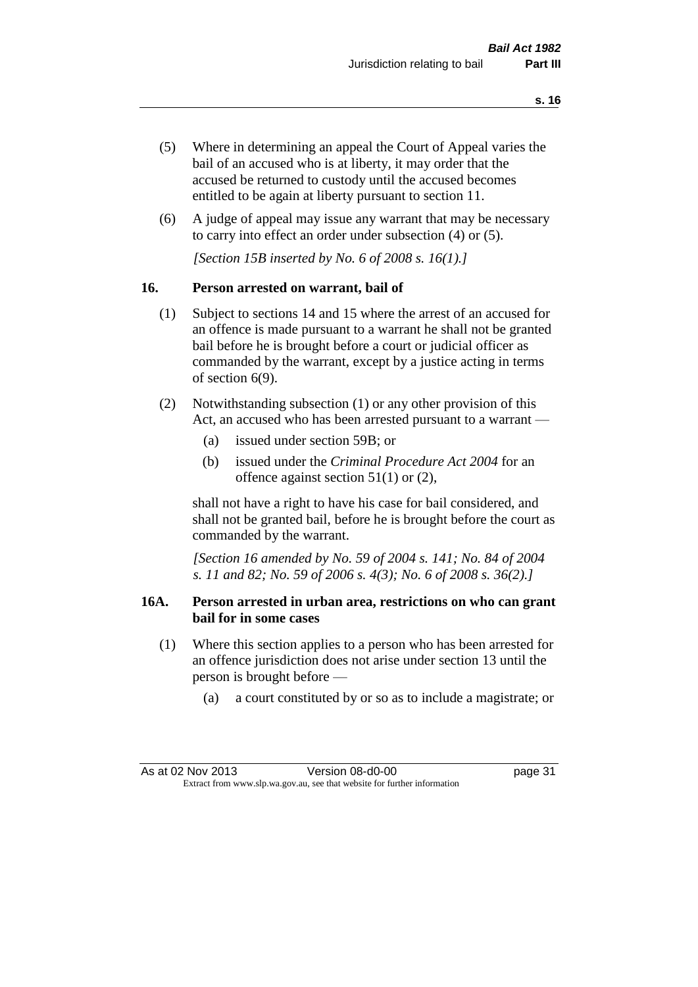- (5) Where in determining an appeal the Court of Appeal varies the bail of an accused who is at liberty, it may order that the accused be returned to custody until the accused becomes entitled to be again at liberty pursuant to section 11.
- (6) A judge of appeal may issue any warrant that may be necessary to carry into effect an order under subsection (4) or (5).

*[Section 15B inserted by No. 6 of 2008 s. 16(1).]*

## **16. Person arrested on warrant, bail of**

- (1) Subject to sections 14 and 15 where the arrest of an accused for an offence is made pursuant to a warrant he shall not be granted bail before he is brought before a court or judicial officer as commanded by the warrant, except by a justice acting in terms of section 6(9).
- (2) Notwithstanding subsection (1) or any other provision of this Act, an accused who has been arrested pursuant to a warrant —
	- (a) issued under section 59B; or
	- (b) issued under the *Criminal Procedure Act 2004* for an offence against section 51(1) or (2),

shall not have a right to have his case for bail considered, and shall not be granted bail, before he is brought before the court as commanded by the warrant.

*[Section 16 amended by No. 59 of 2004 s. 141; No. 84 of 2004 s. 11 and 82; No. 59 of 2006 s. 4(3); No. 6 of 2008 s. 36(2).]*

## **16A. Person arrested in urban area, restrictions on who can grant bail for in some cases**

- (1) Where this section applies to a person who has been arrested for an offence jurisdiction does not arise under section 13 until the person is brought before —
	- (a) a court constituted by or so as to include a magistrate; or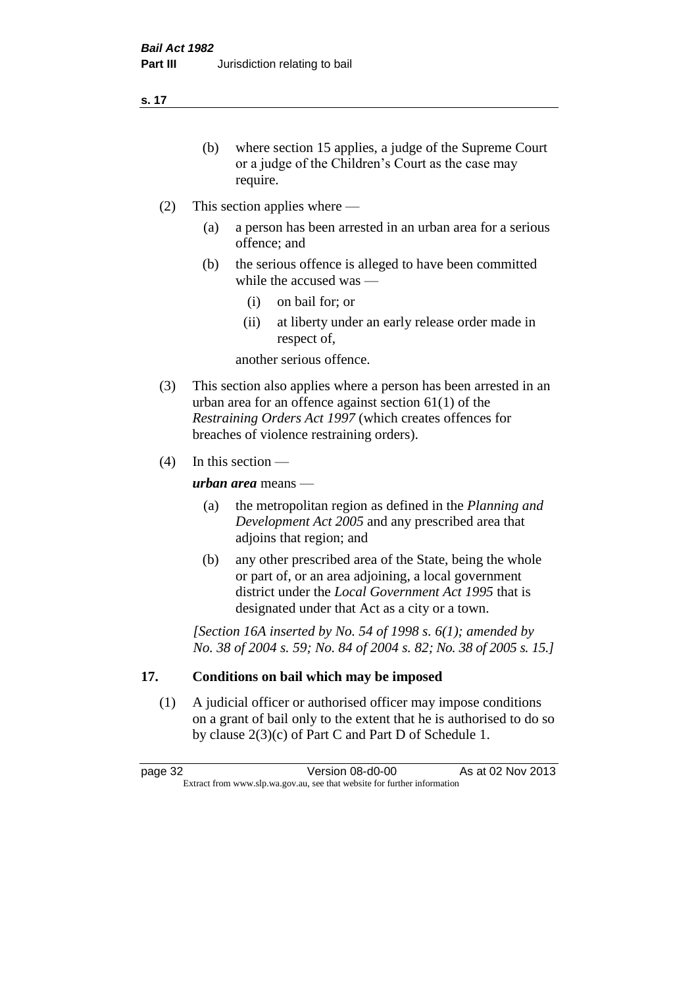**s. 17**

- (b) where section 15 applies, a judge of the Supreme Court or a judge of the Children's Court as the case may require.
- (2) This section applies where
	- (a) a person has been arrested in an urban area for a serious offence; and
	- (b) the serious offence is alleged to have been committed while the accused was —
		- (i) on bail for; or
		- (ii) at liberty under an early release order made in respect of,

another serious offence.

- (3) This section also applies where a person has been arrested in an urban area for an offence against section 61(1) of the *Restraining Orders Act 1997* (which creates offences for breaches of violence restraining orders).
- (4) In this section —

*urban area* means —

- (a) the metropolitan region as defined in the *Planning and Development Act 2005* and any prescribed area that adjoins that region; and
- (b) any other prescribed area of the State, being the whole or part of, or an area adjoining, a local government district under the *Local Government Act 1995* that is designated under that Act as a city or a town.

*[Section 16A inserted by No. 54 of 1998 s. 6(1); amended by No. 38 of 2004 s. 59; No. 84 of 2004 s. 82; No. 38 of 2005 s. 15.]*

# **17. Conditions on bail which may be imposed**

(1) A judicial officer or authorised officer may impose conditions on a grant of bail only to the extent that he is authorised to do so by clause 2(3)(c) of Part C and Part D of Schedule 1.

page 32 Version 08-d0-00 As at 02 Nov 2013 Extract from www.slp.wa.gov.au, see that website for further information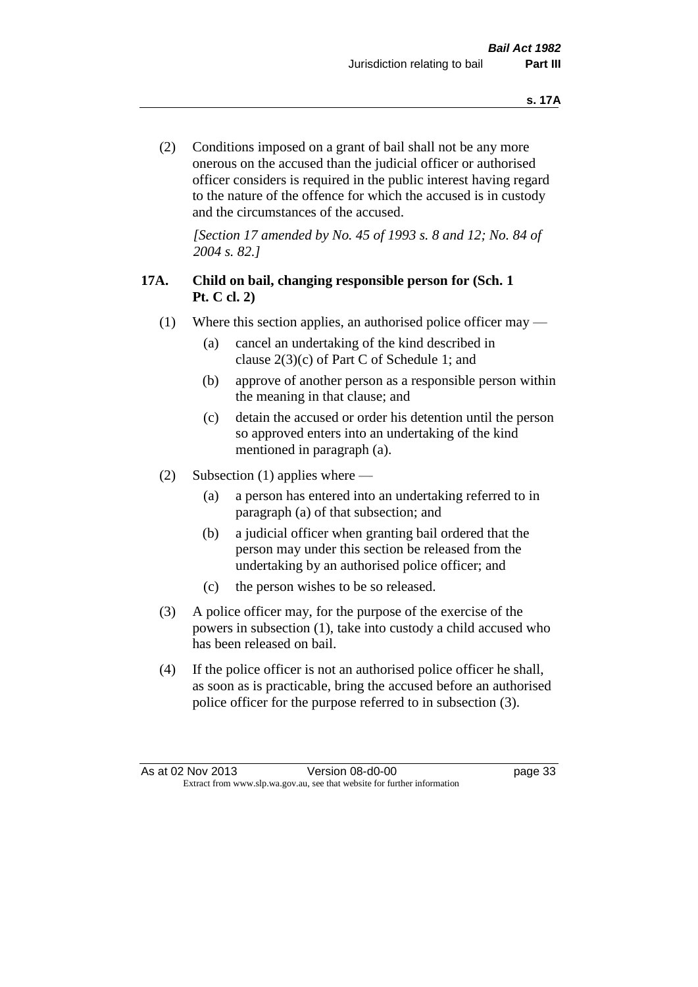(2) Conditions imposed on a grant of bail shall not be any more onerous on the accused than the judicial officer or authorised officer considers is required in the public interest having regard to the nature of the offence for which the accused is in custody and the circumstances of the accused.

*[Section 17 amended by No. 45 of 1993 s. 8 and 12; No. 84 of 2004 s. 82.]* 

# **17A. Child on bail, changing responsible person for (Sch. 1 Pt. C cl. 2)**

- (1) Where this section applies, an authorised police officer may
	- (a) cancel an undertaking of the kind described in clause 2(3)(c) of Part C of Schedule 1; and
	- (b) approve of another person as a responsible person within the meaning in that clause; and
	- (c) detain the accused or order his detention until the person so approved enters into an undertaking of the kind mentioned in paragraph (a).
- (2) Subsection (1) applies where
	- (a) a person has entered into an undertaking referred to in paragraph (a) of that subsection; and
	- (b) a judicial officer when granting bail ordered that the person may under this section be released from the undertaking by an authorised police officer; and
	- (c) the person wishes to be so released.
- (3) A police officer may, for the purpose of the exercise of the powers in subsection (1), take into custody a child accused who has been released on bail.
- (4) If the police officer is not an authorised police officer he shall, as soon as is practicable, bring the accused before an authorised police officer for the purpose referred to in subsection (3).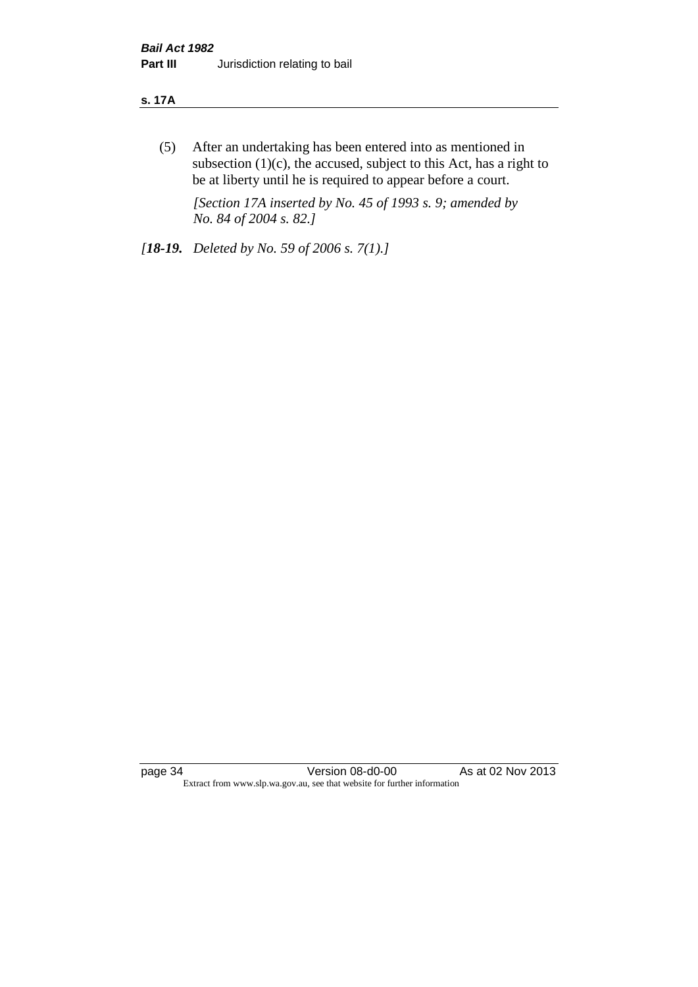#### **s. 17A**

(5) After an undertaking has been entered into as mentioned in subsection  $(1)(c)$ , the accused, subject to this Act, has a right to be at liberty until he is required to appear before a court.

*[Section 17A inserted by No. 45 of 1993 s. 9; amended by No. 84 of 2004 s. 82.]* 

*[18-19. Deleted by No. 59 of 2006 s. 7(1).]*

page 34 Version 08-d0-00 As at 02 Nov 2013 Extract from www.slp.wa.gov.au, see that website for further information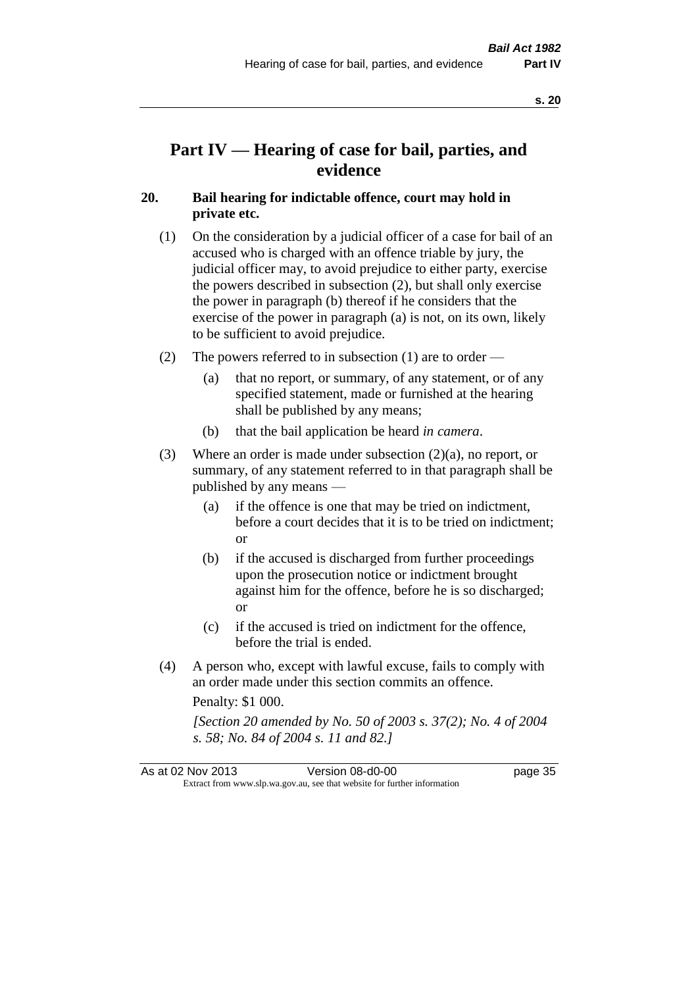# **Part IV — Hearing of case for bail, parties, and evidence**

# **20. Bail hearing for indictable offence, court may hold in private etc.**

- (1) On the consideration by a judicial officer of a case for bail of an accused who is charged with an offence triable by jury, the judicial officer may, to avoid prejudice to either party, exercise the powers described in subsection (2), but shall only exercise the power in paragraph (b) thereof if he considers that the exercise of the power in paragraph (a) is not, on its own, likely to be sufficient to avoid prejudice.
- (2) The powers referred to in subsection (1) are to order
	- (a) that no report, or summary, of any statement, or of any specified statement, made or furnished at the hearing shall be published by any means;
	- (b) that the bail application be heard *in camera*.
- (3) Where an order is made under subsection (2)(a), no report, or summary, of any statement referred to in that paragraph shall be published by any means —
	- (a) if the offence is one that may be tried on indictment, before a court decides that it is to be tried on indictment; or
	- (b) if the accused is discharged from further proceedings upon the prosecution notice or indictment brought against him for the offence, before he is so discharged; or
	- (c) if the accused is tried on indictment for the offence, before the trial is ended.
- (4) A person who, except with lawful excuse, fails to comply with an order made under this section commits an offence.

Penalty: \$1 000.

*[Section 20 amended by No. 50 of 2003 s. 37(2); No. 4 of 2004 s. 58; No. 84 of 2004 s. 11 and 82.]*

| As at 02 Nov 2013 | Version 08-d0-00                                                         | page 35 |
|-------------------|--------------------------------------------------------------------------|---------|
|                   | Extract from www.slp.wa.gov.au, see that website for further information |         |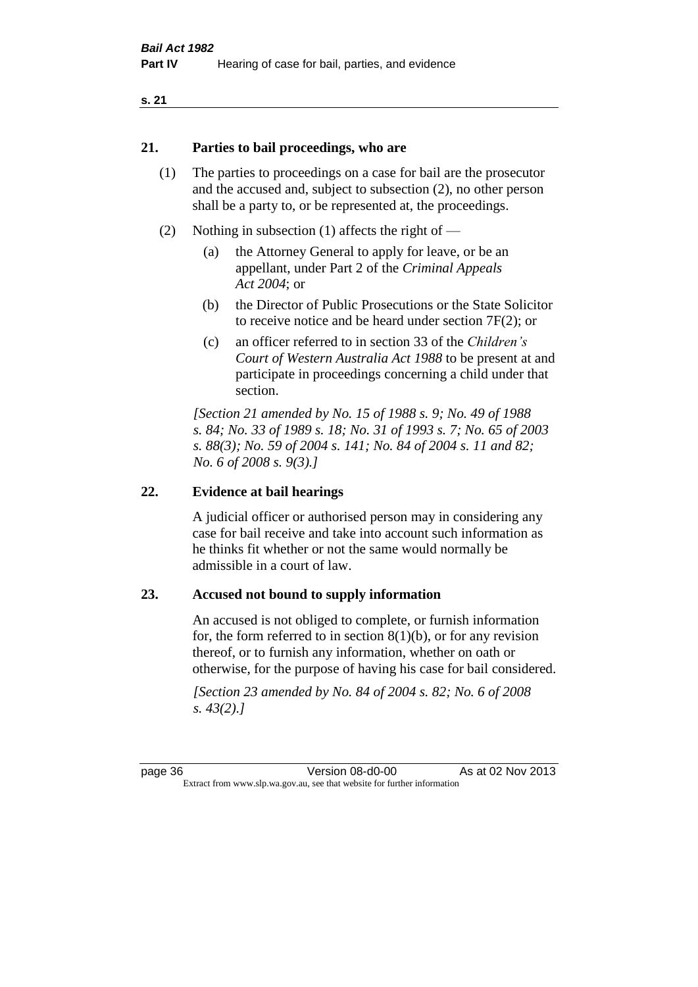#### **21. Parties to bail proceedings, who are**

- (1) The parties to proceedings on a case for bail are the prosecutor and the accused and, subject to subsection (2), no other person shall be a party to, or be represented at, the proceedings.
- (2) Nothing in subsection (1) affects the right of
	- (a) the Attorney General to apply for leave, or be an appellant, under Part 2 of the *Criminal Appeals Act 2004*; or
	- (b) the Director of Public Prosecutions or the State Solicitor to receive notice and be heard under section 7F(2); or
	- (c) an officer referred to in section 33 of the *Children's Court of Western Australia Act 1988* to be present at and participate in proceedings concerning a child under that section.

*[Section 21 amended by No. 15 of 1988 s. 9; No. 49 of 1988 s. 84; No. 33 of 1989 s. 18; No. 31 of 1993 s. 7; No. 65 of 2003 s. 88(3); No. 59 of 2004 s. 141; No. 84 of 2004 s. 11 and 82; No. 6 of 2008 s. 9(3).]* 

#### **22. Evidence at bail hearings**

A judicial officer or authorised person may in considering any case for bail receive and take into account such information as he thinks fit whether or not the same would normally be admissible in a court of law.

#### **23. Accused not bound to supply information**

An accused is not obliged to complete, or furnish information for, the form referred to in section  $8(1)(b)$ , or for any revision thereof, or to furnish any information, whether on oath or otherwise, for the purpose of having his case for bail considered.

*[Section 23 amended by No. 84 of 2004 s. 82; No. 6 of 2008 s. 43(2).]*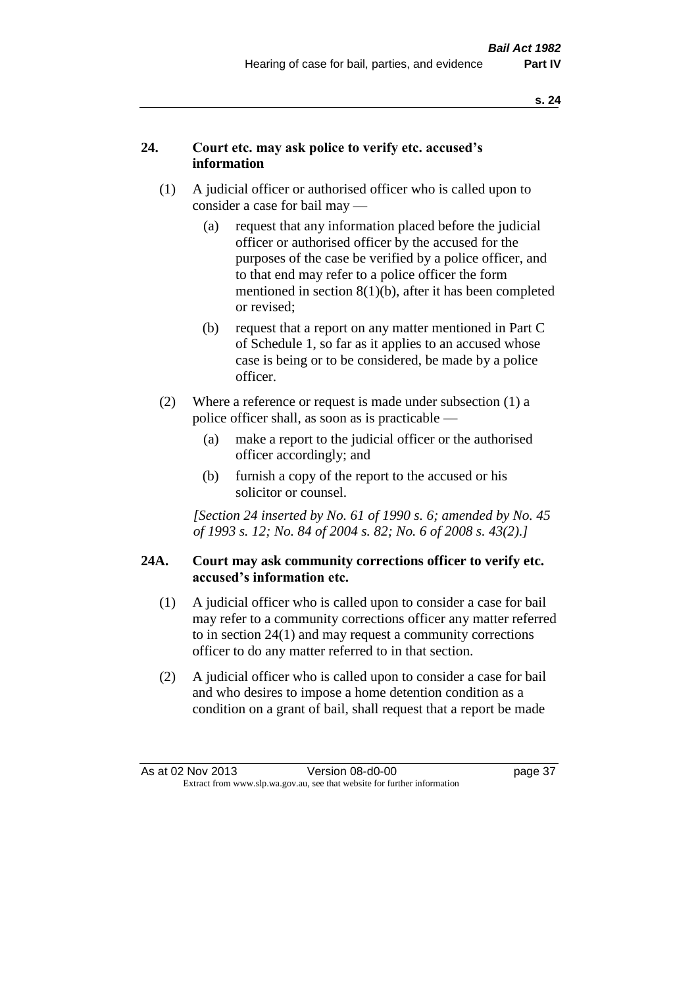# **24. Court etc. may ask police to verify etc. accused's information**

- (1) A judicial officer or authorised officer who is called upon to consider a case for bail may —
	- (a) request that any information placed before the judicial officer or authorised officer by the accused for the purposes of the case be verified by a police officer, and to that end may refer to a police officer the form mentioned in section 8(1)(b), after it has been completed or revised;
	- (b) request that a report on any matter mentioned in Part C of Schedule 1, so far as it applies to an accused whose case is being or to be considered, be made by a police officer.
- (2) Where a reference or request is made under subsection (1) a police officer shall, as soon as is practicable —
	- (a) make a report to the judicial officer or the authorised officer accordingly; and
	- (b) furnish a copy of the report to the accused or his solicitor or counsel.

*[Section 24 inserted by No. 61 of 1990 s. 6; amended by No. 45 of 1993 s. 12; No. 84 of 2004 s. 82; No. 6 of 2008 s. 43(2).]* 

## **24A. Court may ask community corrections officer to verify etc. accused's information etc.**

- (1) A judicial officer who is called upon to consider a case for bail may refer to a community corrections officer any matter referred to in section 24(1) and may request a community corrections officer to do any matter referred to in that section.
- (2) A judicial officer who is called upon to consider a case for bail and who desires to impose a home detention condition as a condition on a grant of bail, shall request that a report be made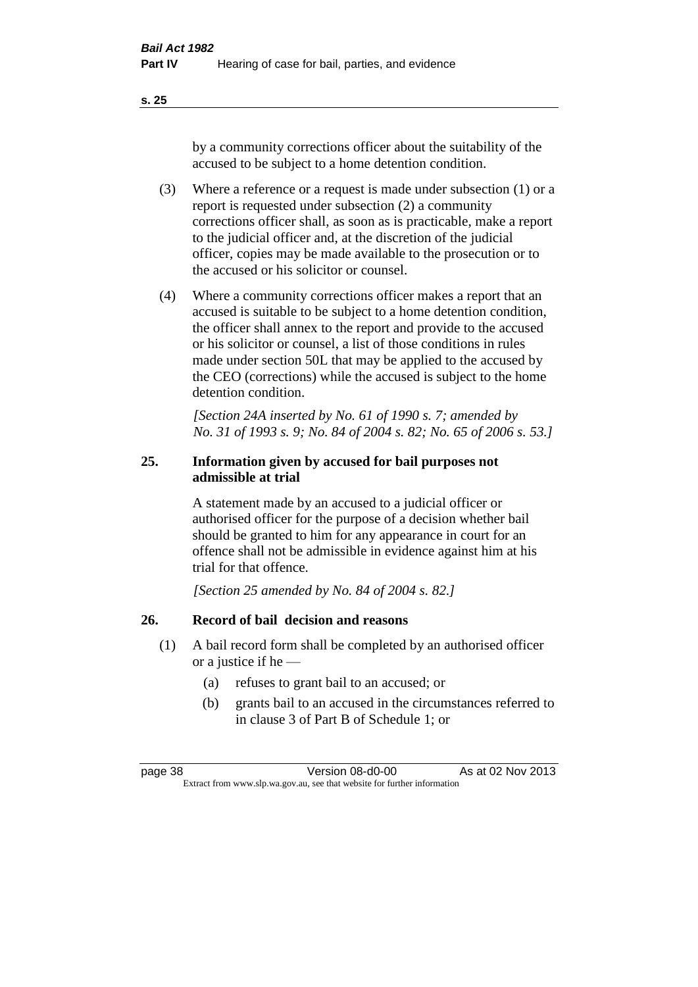**s. 25**

by a community corrections officer about the suitability of the accused to be subject to a home detention condition.

- (3) Where a reference or a request is made under subsection (1) or a report is requested under subsection (2) a community corrections officer shall, as soon as is practicable, make a report to the judicial officer and, at the discretion of the judicial officer, copies may be made available to the prosecution or to the accused or his solicitor or counsel.
- (4) Where a community corrections officer makes a report that an accused is suitable to be subject to a home detention condition, the officer shall annex to the report and provide to the accused or his solicitor or counsel, a list of those conditions in rules made under section 50L that may be applied to the accused by the CEO (corrections) while the accused is subject to the home detention condition.

*[Section 24A inserted by No. 61 of 1990 s. 7; amended by No. 31 of 1993 s. 9; No. 84 of 2004 s. 82; No. 65 of 2006 s. 53.]* 

# **25. Information given by accused for bail purposes not admissible at trial**

A statement made by an accused to a judicial officer or authorised officer for the purpose of a decision whether bail should be granted to him for any appearance in court for an offence shall not be admissible in evidence against him at his trial for that offence.

*[Section 25 amended by No. 84 of 2004 s. 82.]* 

# **26. Record of bail decision and reasons**

- (1) A bail record form shall be completed by an authorised officer or a justice if he —
	- (a) refuses to grant bail to an accused; or
	- (b) grants bail to an accused in the circumstances referred to in clause 3 of Part B of Schedule 1; or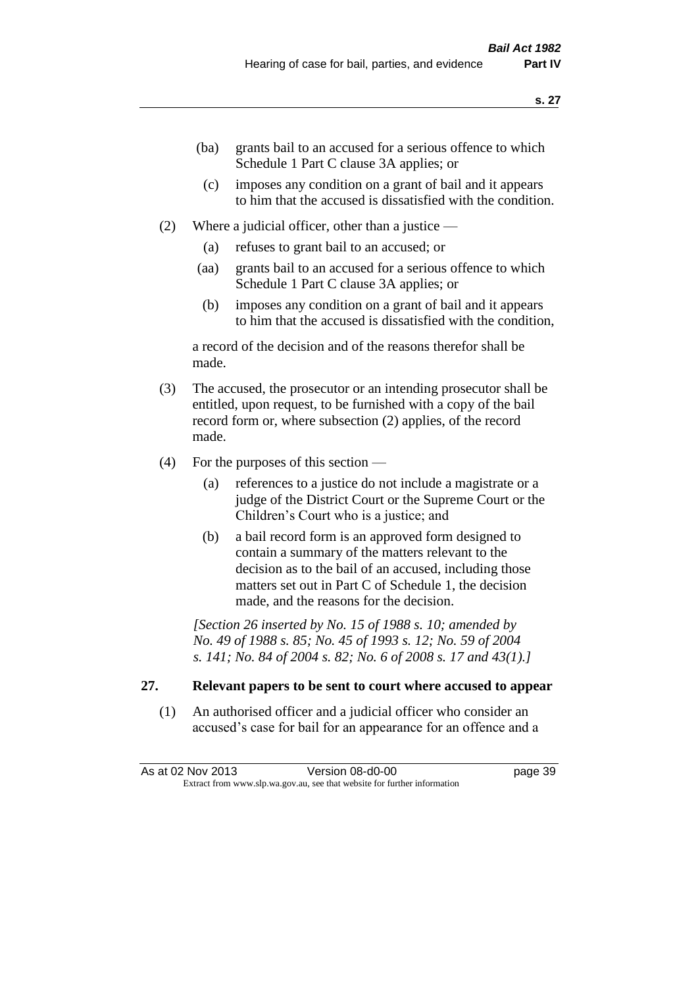- (ba) grants bail to an accused for a serious offence to which Schedule 1 Part C clause 3A applies; or
- (c) imposes any condition on a grant of bail and it appears to him that the accused is dissatisfied with the condition.
- (2) Where a judicial officer, other than a justice
	- (a) refuses to grant bail to an accused; or
	- (aa) grants bail to an accused for a serious offence to which Schedule 1 Part C clause 3A applies; or
	- (b) imposes any condition on a grant of bail and it appears to him that the accused is dissatisfied with the condition,

a record of the decision and of the reasons therefor shall be made.

- (3) The accused, the prosecutor or an intending prosecutor shall be entitled, upon request, to be furnished with a copy of the bail record form or, where subsection (2) applies, of the record made.
- (4) For the purposes of this section
	- (a) references to a justice do not include a magistrate or a judge of the District Court or the Supreme Court or the Children's Court who is a justice; and
	- (b) a bail record form is an approved form designed to contain a summary of the matters relevant to the decision as to the bail of an accused, including those matters set out in Part C of Schedule 1, the decision made, and the reasons for the decision.

*[Section 26 inserted by No. 15 of 1988 s. 10; amended by No. 49 of 1988 s. 85; No. 45 of 1993 s. 12; No. 59 of 2004 s. 141; No. 84 of 2004 s. 82; No. 6 of 2008 s. 17 and 43(1).]* 

# **27. Relevant papers to be sent to court where accused to appear**

(1) An authorised officer and a judicial officer who consider an accused's case for bail for an appearance for an offence and a

As at 02 Nov 2013 Version 08-d0-00 Page 39 Extract from www.slp.wa.gov.au, see that website for further information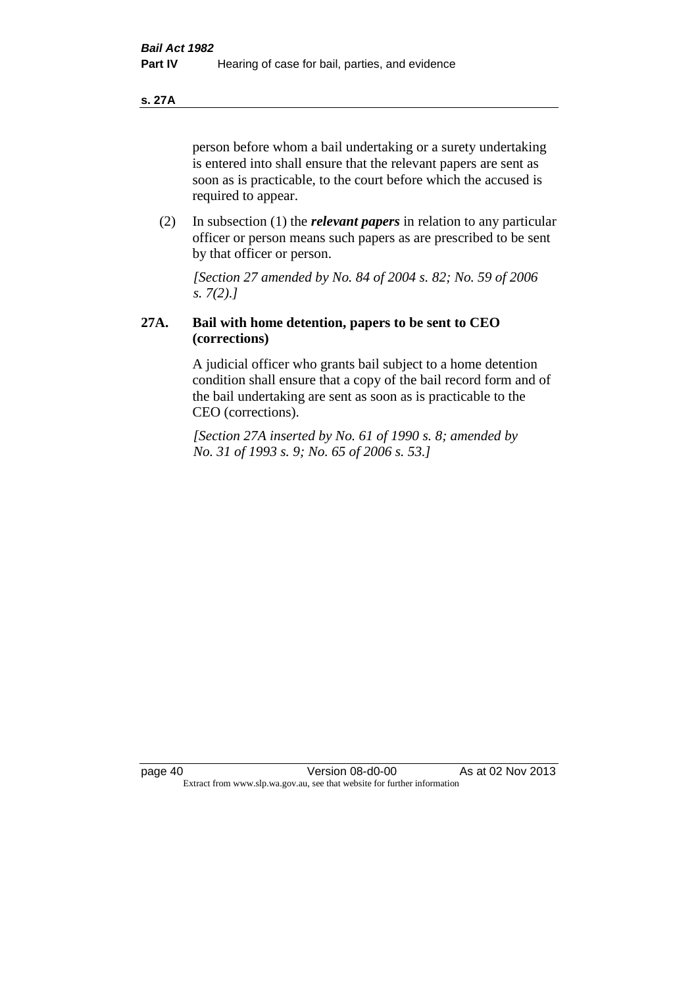**s. 27A**

person before whom a bail undertaking or a surety undertaking is entered into shall ensure that the relevant papers are sent as soon as is practicable, to the court before which the accused is required to appear.

(2) In subsection (1) the *relevant papers* in relation to any particular officer or person means such papers as are prescribed to be sent by that officer or person.

*[Section 27 amended by No. 84 of 2004 s. 82; No. 59 of 2006 s. 7(2).]* 

# **27A. Bail with home detention, papers to be sent to CEO (corrections)**

A judicial officer who grants bail subject to a home detention condition shall ensure that a copy of the bail record form and of the bail undertaking are sent as soon as is practicable to the CEO (corrections).

*[Section 27A inserted by No. 61 of 1990 s. 8; amended by No. 31 of 1993 s. 9; No. 65 of 2006 s. 53.]*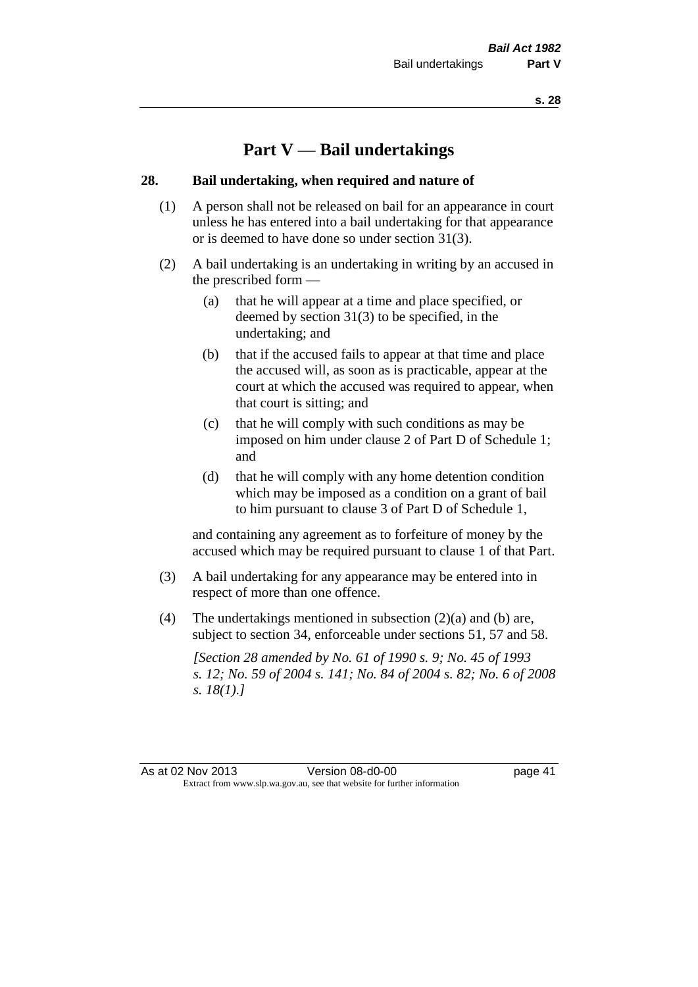# **Part V — Bail undertakings**

#### **28. Bail undertaking, when required and nature of**

- (1) A person shall not be released on bail for an appearance in court unless he has entered into a bail undertaking for that appearance or is deemed to have done so under section 31(3).
- (2) A bail undertaking is an undertaking in writing by an accused in the prescribed form —
	- (a) that he will appear at a time and place specified, or deemed by section 31(3) to be specified, in the undertaking; and
	- (b) that if the accused fails to appear at that time and place the accused will, as soon as is practicable, appear at the court at which the accused was required to appear, when that court is sitting; and
	- (c) that he will comply with such conditions as may be imposed on him under clause 2 of Part D of Schedule 1; and
	- (d) that he will comply with any home detention condition which may be imposed as a condition on a grant of bail to him pursuant to clause 3 of Part D of Schedule 1,

and containing any agreement as to forfeiture of money by the accused which may be required pursuant to clause 1 of that Part.

- (3) A bail undertaking for any appearance may be entered into in respect of more than one offence.
- (4) The undertakings mentioned in subsection (2)(a) and (b) are, subject to section 34, enforceable under sections 51, 57 and 58.

*[Section 28 amended by No. 61 of 1990 s. 9; No. 45 of 1993 s. 12; No. 59 of 2004 s. 141; No. 84 of 2004 s. 82; No. 6 of 2008 s. 18(1).]* 

As at 02 Nov 2013 Version 08-d0-00 Page 41 Extract from www.slp.wa.gov.au, see that website for further information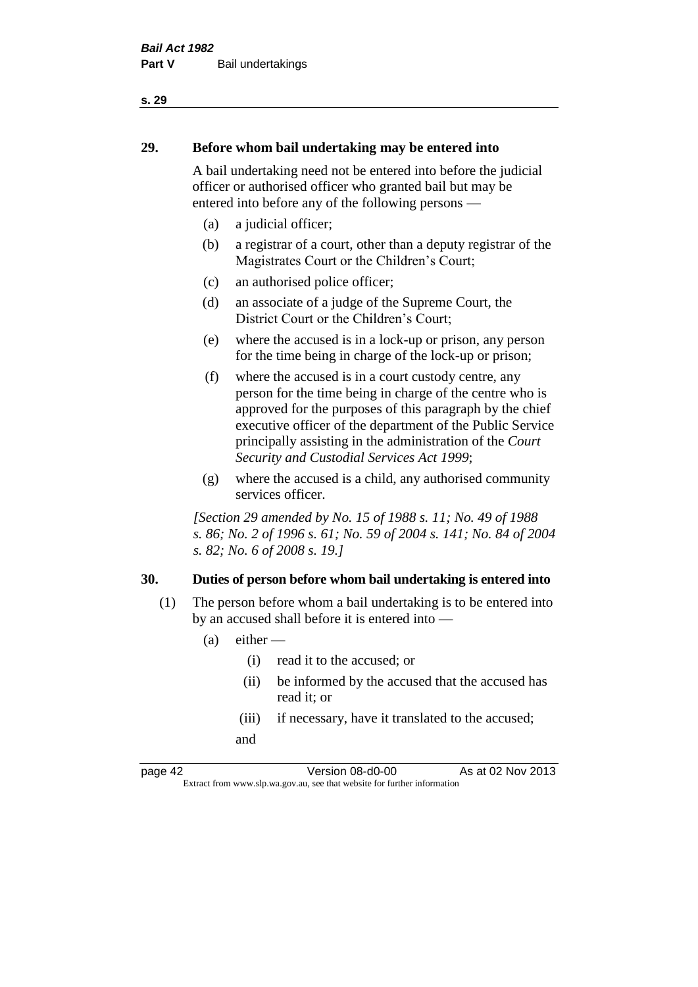# **29. Before whom bail undertaking may be entered into**

A bail undertaking need not be entered into before the judicial officer or authorised officer who granted bail but may be entered into before any of the following persons —

- (a) a judicial officer;
- (b) a registrar of a court, other than a deputy registrar of the Magistrates Court or the Children's Court;
- (c) an authorised police officer;
- (d) an associate of a judge of the Supreme Court, the District Court or the Children's Court;
- (e) where the accused is in a lock-up or prison, any person for the time being in charge of the lock-up or prison;
- (f) where the accused is in a court custody centre, any person for the time being in charge of the centre who is approved for the purposes of this paragraph by the chief executive officer of the department of the Public Service principally assisting in the administration of the *Court Security and Custodial Services Act 1999*;
- (g) where the accused is a child, any authorised community services officer.

*[Section 29 amended by No. 15 of 1988 s. 11; No. 49 of 1988 s. 86; No. 2 of 1996 s. 61; No. 59 of 2004 s. 141; No. 84 of 2004 s. 82; No. 6 of 2008 s. 19.]* 

# **30. Duties of person before whom bail undertaking is entered into**

- (1) The person before whom a bail undertaking is to be entered into by an accused shall before it is entered into —
	- $(a)$  either
		- (i) read it to the accused; or
		- (ii) be informed by the accused that the accused has read it; or
		- (iii) if necessary, have it translated to the accused; and

page 42 Version 08-d0-00 As at 02 Nov 2013 Extract from www.slp.wa.gov.au, see that website for further information

#### **s. 29**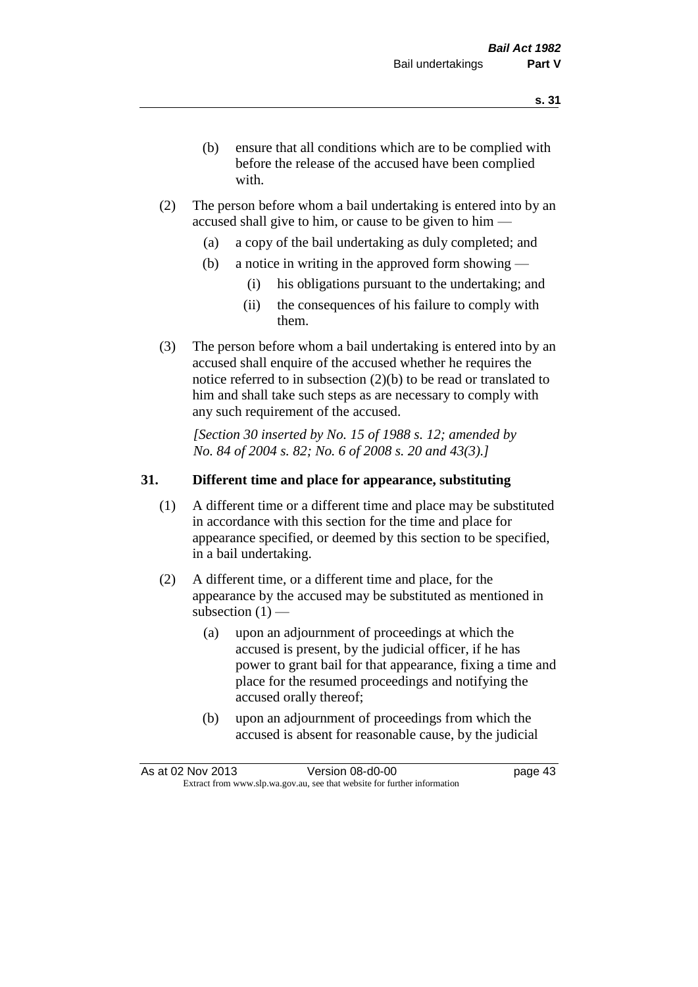- (b) ensure that all conditions which are to be complied with before the release of the accused have been complied with.
- (2) The person before whom a bail undertaking is entered into by an accused shall give to him, or cause to be given to him —
	- (a) a copy of the bail undertaking as duly completed; and
	- (b) a notice in writing in the approved form showing
		- (i) his obligations pursuant to the undertaking; and
		- (ii) the consequences of his failure to comply with them.
- (3) The person before whom a bail undertaking is entered into by an accused shall enquire of the accused whether he requires the notice referred to in subsection (2)(b) to be read or translated to him and shall take such steps as are necessary to comply with any such requirement of the accused.

*[Section 30 inserted by No. 15 of 1988 s. 12; amended by No. 84 of 2004 s. 82; No. 6 of 2008 s. 20 and 43(3).]* 

## **31. Different time and place for appearance, substituting**

- (1) A different time or a different time and place may be substituted in accordance with this section for the time and place for appearance specified, or deemed by this section to be specified, in a bail undertaking.
- (2) A different time, or a different time and place, for the appearance by the accused may be substituted as mentioned in subsection  $(1)$  —
	- (a) upon an adjournment of proceedings at which the accused is present, by the judicial officer, if he has power to grant bail for that appearance, fixing a time and place for the resumed proceedings and notifying the accused orally thereof;
	- (b) upon an adjournment of proceedings from which the accused is absent for reasonable cause, by the judicial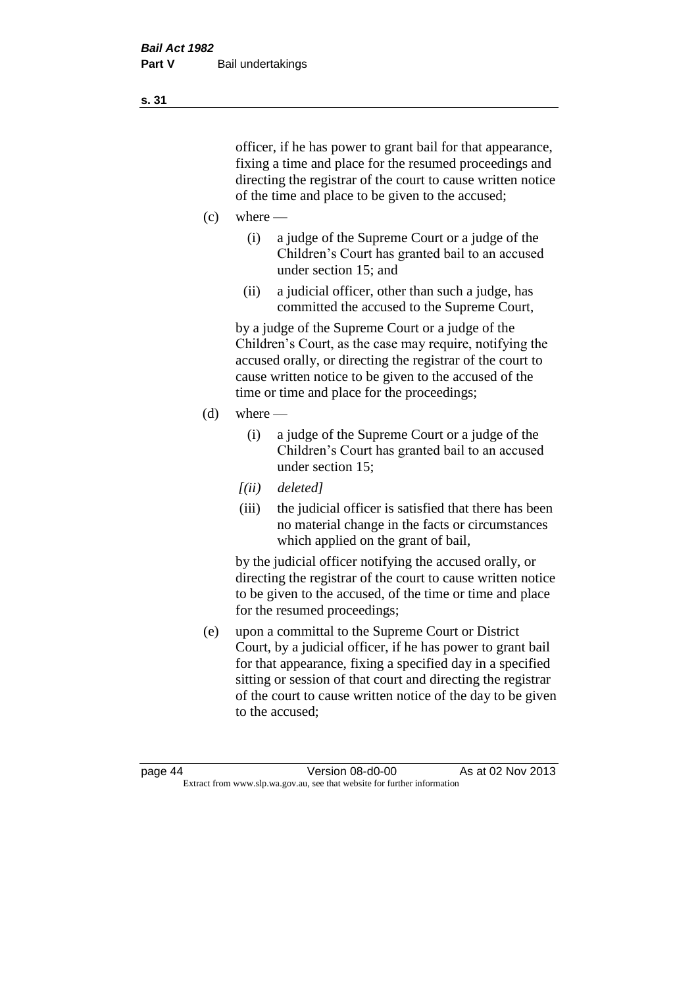officer, if he has power to grant bail for that appearance, fixing a time and place for the resumed proceedings and directing the registrar of the court to cause written notice of the time and place to be given to the accused;

- $(c)$  where
	- (i) a judge of the Supreme Court or a judge of the Children's Court has granted bail to an accused under section 15; and
	- (ii) a judicial officer, other than such a judge, has committed the accused to the Supreme Court,

by a judge of the Supreme Court or a judge of the Children's Court, as the case may require, notifying the accused orally, or directing the registrar of the court to cause written notice to be given to the accused of the time or time and place for the proceedings;

- $(d)$  where
	- (i) a judge of the Supreme Court or a judge of the Children's Court has granted bail to an accused under section 15;
	- *[(ii) deleted]*
	- (iii) the judicial officer is satisfied that there has been no material change in the facts or circumstances which applied on the grant of bail,

by the judicial officer notifying the accused orally, or directing the registrar of the court to cause written notice to be given to the accused, of the time or time and place for the resumed proceedings;

(e) upon a committal to the Supreme Court or District Court, by a judicial officer, if he has power to grant bail for that appearance, fixing a specified day in a specified sitting or session of that court and directing the registrar of the court to cause written notice of the day to be given to the accused;

**s. 31**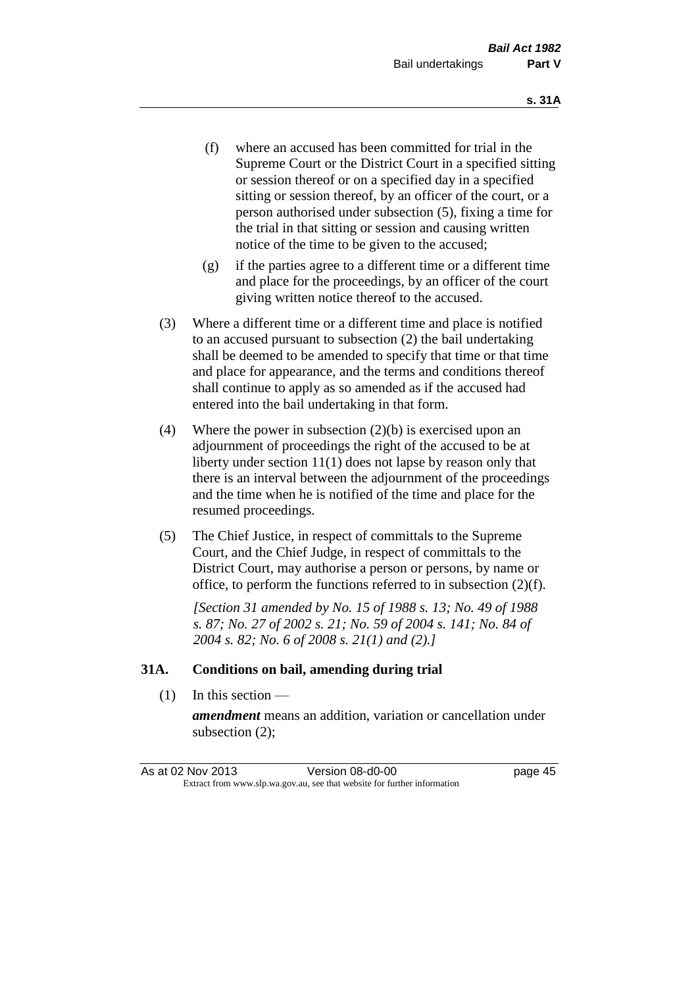- (f) where an accused has been committed for trial in the Supreme Court or the District Court in a specified sitting or session thereof or on a specified day in a specified sitting or session thereof, by an officer of the court, or a person authorised under subsection (5), fixing a time for the trial in that sitting or session and causing written notice of the time to be given to the accused;
- (g) if the parties agree to a different time or a different time and place for the proceedings, by an officer of the court giving written notice thereof to the accused.
- (3) Where a different time or a different time and place is notified to an accused pursuant to subsection (2) the bail undertaking shall be deemed to be amended to specify that time or that time and place for appearance, and the terms and conditions thereof shall continue to apply as so amended as if the accused had entered into the bail undertaking in that form.
- (4) Where the power in subsection (2)(b) is exercised upon an adjournment of proceedings the right of the accused to be at liberty under section 11(1) does not lapse by reason only that there is an interval between the adjournment of the proceedings and the time when he is notified of the time and place for the resumed proceedings.
- (5) The Chief Justice, in respect of committals to the Supreme Court, and the Chief Judge, in respect of committals to the District Court, may authorise a person or persons, by name or office, to perform the functions referred to in subsection (2)(f).

*[Section 31 amended by No. 15 of 1988 s. 13; No. 49 of 1988 s. 87; No. 27 of 2002 s. 21; No. 59 of 2004 s. 141; No. 84 of 2004 s. 82; No. 6 of 2008 s. 21(1) and (2).]* 

#### **31A. Conditions on bail, amending during trial**

(1) In this section —

*amendment* means an addition, variation or cancellation under subsection (2);

As at 02 Nov 2013 Version 08-d0-00 page 45 Extract from www.slp.wa.gov.au, see that website for further information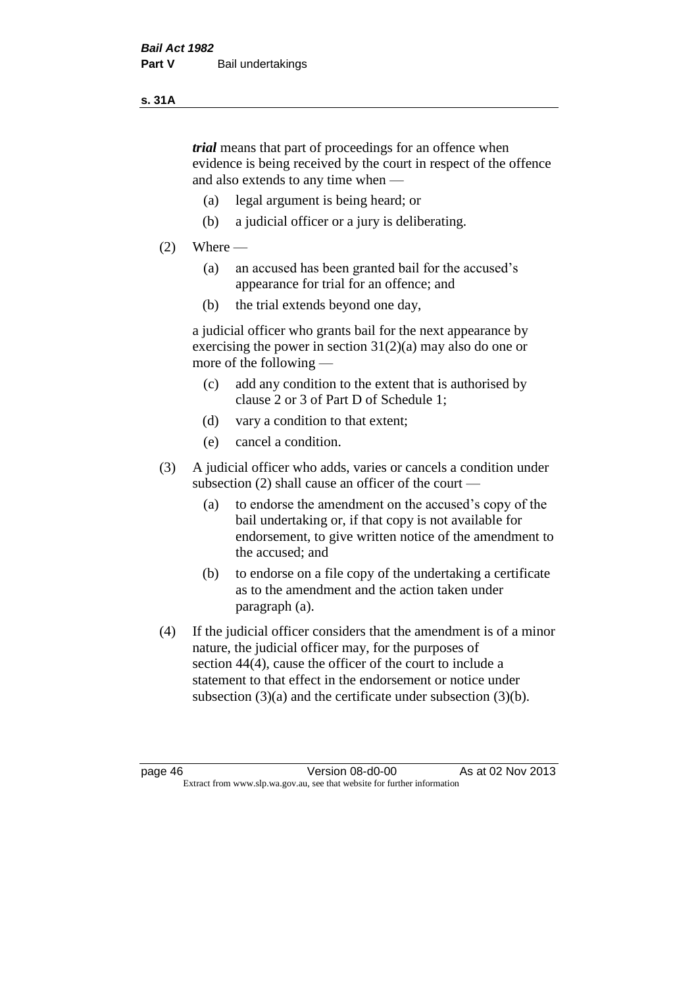#### **s. 31A**

*trial* means that part of proceedings for an offence when evidence is being received by the court in respect of the offence and also extends to any time when —

- (a) legal argument is being heard; or
- (b) a judicial officer or a jury is deliberating.

## $(2)$  Where —

- (a) an accused has been granted bail for the accused's appearance for trial for an offence; and
- (b) the trial extends beyond one day,

a judicial officer who grants bail for the next appearance by exercising the power in section  $31(2)(a)$  may also do one or more of the following —

- (c) add any condition to the extent that is authorised by clause 2 or 3 of Part D of Schedule 1;
- (d) vary a condition to that extent;
- (e) cancel a condition.
- (3) A judicial officer who adds, varies or cancels a condition under subsection (2) shall cause an officer of the court —
	- (a) to endorse the amendment on the accused's copy of the bail undertaking or, if that copy is not available for endorsement, to give written notice of the amendment to the accused; and
	- (b) to endorse on a file copy of the undertaking a certificate as to the amendment and the action taken under paragraph (a).
- (4) If the judicial officer considers that the amendment is of a minor nature, the judicial officer may, for the purposes of section 44(4), cause the officer of the court to include a statement to that effect in the endorsement or notice under subsection (3)(a) and the certificate under subsection (3)(b).

page 46 Version 08-d0-00 As at 02 Nov 2013 Extract from www.slp.wa.gov.au, see that website for further information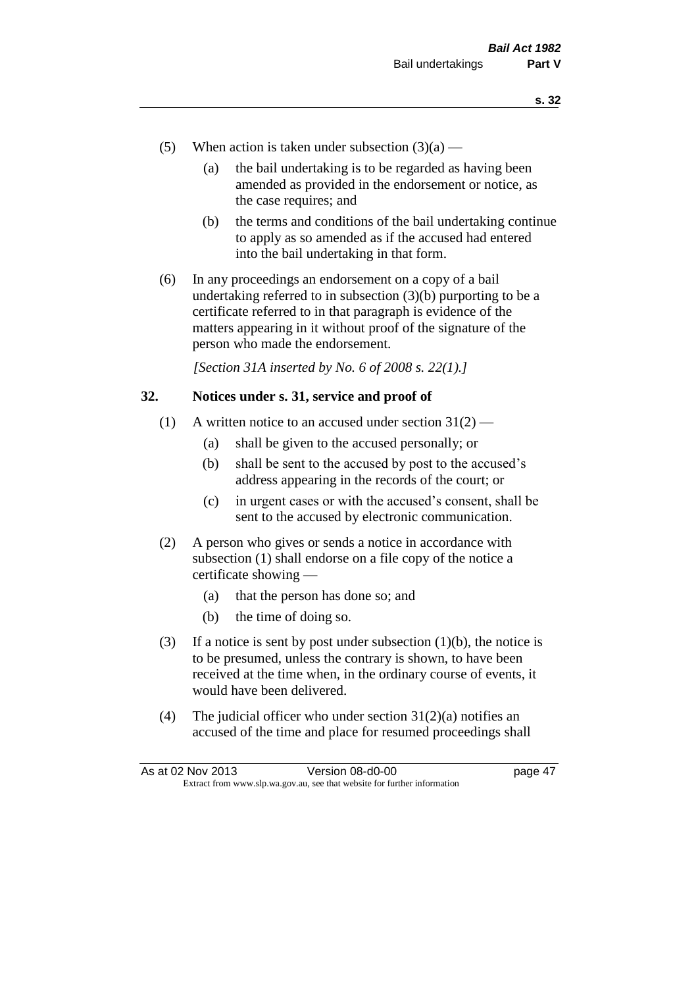- (5) When action is taken under subsection  $(3)(a)$ 
	- (a) the bail undertaking is to be regarded as having been amended as provided in the endorsement or notice, as the case requires; and
	- (b) the terms and conditions of the bail undertaking continue to apply as so amended as if the accused had entered into the bail undertaking in that form.
- (6) In any proceedings an endorsement on a copy of a bail undertaking referred to in subsection  $(3)(b)$  purporting to be a certificate referred to in that paragraph is evidence of the matters appearing in it without proof of the signature of the person who made the endorsement.

*[Section 31A inserted by No. 6 of 2008 s. 22(1).]*

## **32. Notices under s. 31, service and proof of**

- (1) A written notice to an accused under section  $31(2)$ 
	- (a) shall be given to the accused personally; or
	- (b) shall be sent to the accused by post to the accused's address appearing in the records of the court; or
	- (c) in urgent cases or with the accused's consent, shall be sent to the accused by electronic communication.
- (2) A person who gives or sends a notice in accordance with subsection (1) shall endorse on a file copy of the notice a certificate showing —
	- (a) that the person has done so; and
	- (b) the time of doing so.
- (3) If a notice is sent by post under subsection  $(1)(b)$ , the notice is to be presumed, unless the contrary is shown, to have been received at the time when, in the ordinary course of events, it would have been delivered.
- (4) The judicial officer who under section  $31(2)(a)$  notifies an accused of the time and place for resumed proceedings shall

| As at 02 Nov 2013 | Version 08-d0-00                                                         | page 47 |
|-------------------|--------------------------------------------------------------------------|---------|
|                   | Extract from www.slp.wa.gov.au, see that website for further information |         |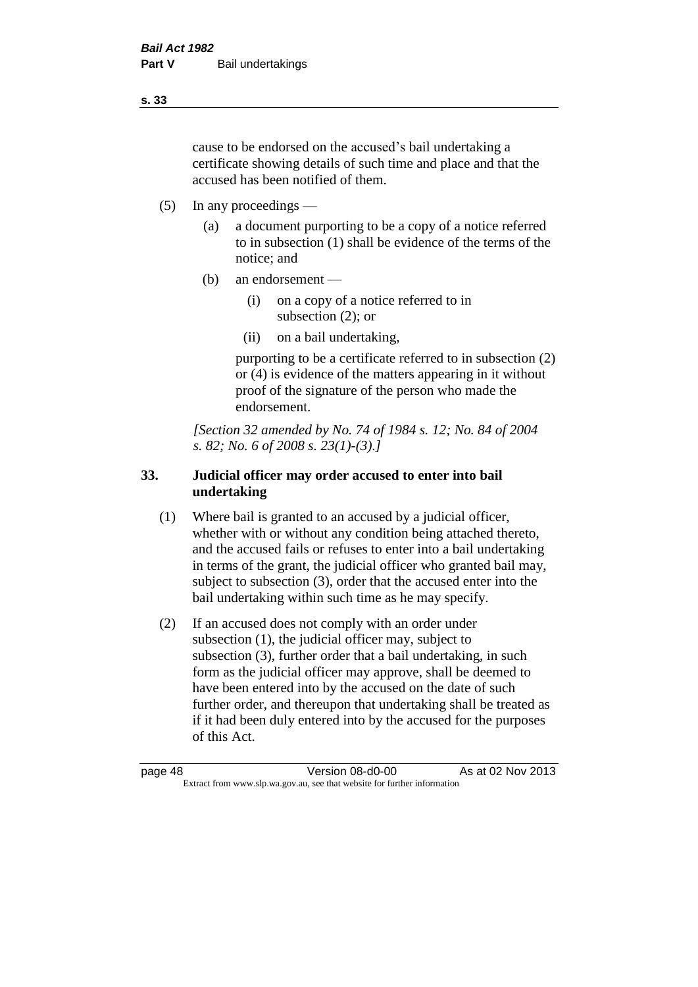cause to be endorsed on the accused's bail undertaking a certificate showing details of such time and place and that the accused has been notified of them.

- (5) In any proceedings
	- (a) a document purporting to be a copy of a notice referred to in subsection (1) shall be evidence of the terms of the notice; and
	- (b) an endorsement
		- (i) on a copy of a notice referred to in subsection (2); or
		- (ii) on a bail undertaking,

purporting to be a certificate referred to in subsection (2) or (4) is evidence of the matters appearing in it without proof of the signature of the person who made the endorsement.

*[Section 32 amended by No. 74 of 1984 s. 12; No. 84 of 2004 s. 82; No. 6 of 2008 s. 23(1)-(3).]* 

## **33. Judicial officer may order accused to enter into bail undertaking**

- (1) Where bail is granted to an accused by a judicial officer, whether with or without any condition being attached thereto, and the accused fails or refuses to enter into a bail undertaking in terms of the grant, the judicial officer who granted bail may, subject to subsection (3), order that the accused enter into the bail undertaking within such time as he may specify.
- (2) If an accused does not comply with an order under subsection (1), the judicial officer may, subject to subsection (3), further order that a bail undertaking, in such form as the judicial officer may approve, shall be deemed to have been entered into by the accused on the date of such further order, and thereupon that undertaking shall be treated as if it had been duly entered into by the accused for the purposes of this Act.

page 48 Version 08-d0-00 As at 02 Nov 2013 Extract from www.slp.wa.gov.au, see that website for further information

**s. 33**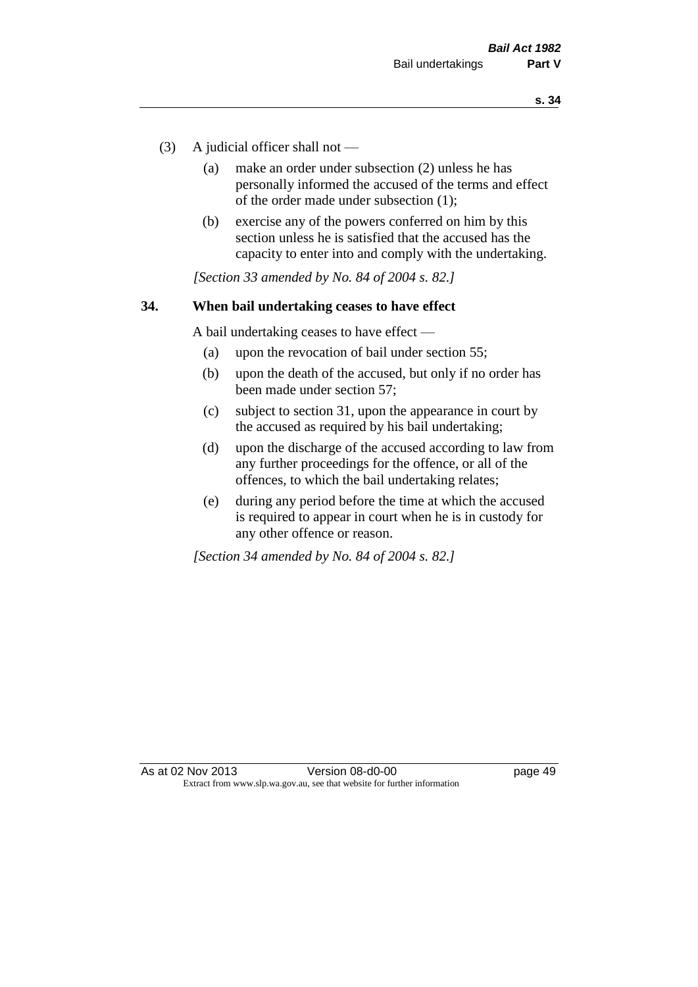- (3) A judicial officer shall not
	- (a) make an order under subsection (2) unless he has personally informed the accused of the terms and effect of the order made under subsection (1);
	- (b) exercise any of the powers conferred on him by this section unless he is satisfied that the accused has the capacity to enter into and comply with the undertaking.

*[Section 33 amended by No. 84 of 2004 s. 82.]* 

#### **34. When bail undertaking ceases to have effect**

A bail undertaking ceases to have effect —

- (a) upon the revocation of bail under section 55;
- (b) upon the death of the accused, but only if no order has been made under section 57;
- (c) subject to section 31, upon the appearance in court by the accused as required by his bail undertaking;
- (d) upon the discharge of the accused according to law from any further proceedings for the offence, or all of the offences, to which the bail undertaking relates;
- (e) during any period before the time at which the accused is required to appear in court when he is in custody for any other offence or reason.

*[Section 34 amended by No. 84 of 2004 s. 82.]*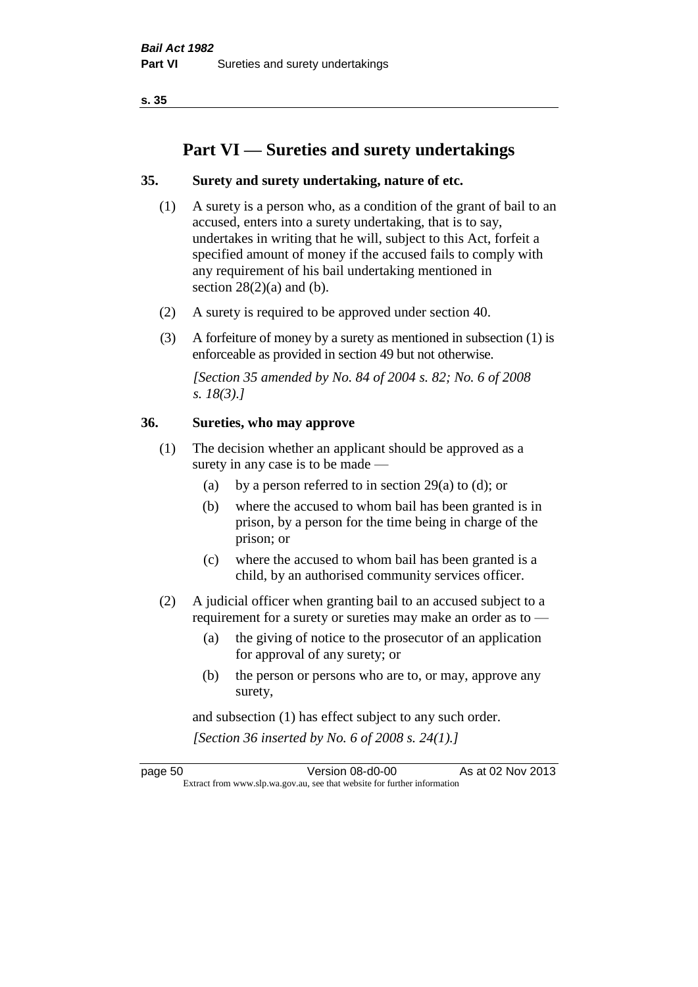**s. 35**

# **Part VI — Sureties and surety undertakings**

## **35. Surety and surety undertaking, nature of etc.**

- (1) A surety is a person who, as a condition of the grant of bail to an accused, enters into a surety undertaking, that is to say, undertakes in writing that he will, subject to this Act, forfeit a specified amount of money if the accused fails to comply with any requirement of his bail undertaking mentioned in section  $28(2)(a)$  and (b).
- (2) A surety is required to be approved under section 40.
- (3) A forfeiture of money by a surety as mentioned in subsection (1) is enforceable as provided in section 49 but not otherwise.

*[Section 35 amended by No. 84 of 2004 s. 82; No. 6 of 2008 s. 18(3).]* 

## **36. Sureties, who may approve**

- (1) The decision whether an applicant should be approved as a surety in any case is to be made —
	- (a) by a person referred to in section 29(a) to (d); or
	- (b) where the accused to whom bail has been granted is in prison, by a person for the time being in charge of the prison; or
	- (c) where the accused to whom bail has been granted is a child, by an authorised community services officer.
- (2) A judicial officer when granting bail to an accused subject to a requirement for a surety or sureties may make an order as to —
	- (a) the giving of notice to the prosecutor of an application for approval of any surety; or
	- (b) the person or persons who are to, or may, approve any surety,

and subsection (1) has effect subject to any such order. *[Section 36 inserted by No. 6 of 2008 s. 24(1).]*

page 50 Version 08-d0-00 As at 02 Nov 2013 Extract from www.slp.wa.gov.au, see that website for further information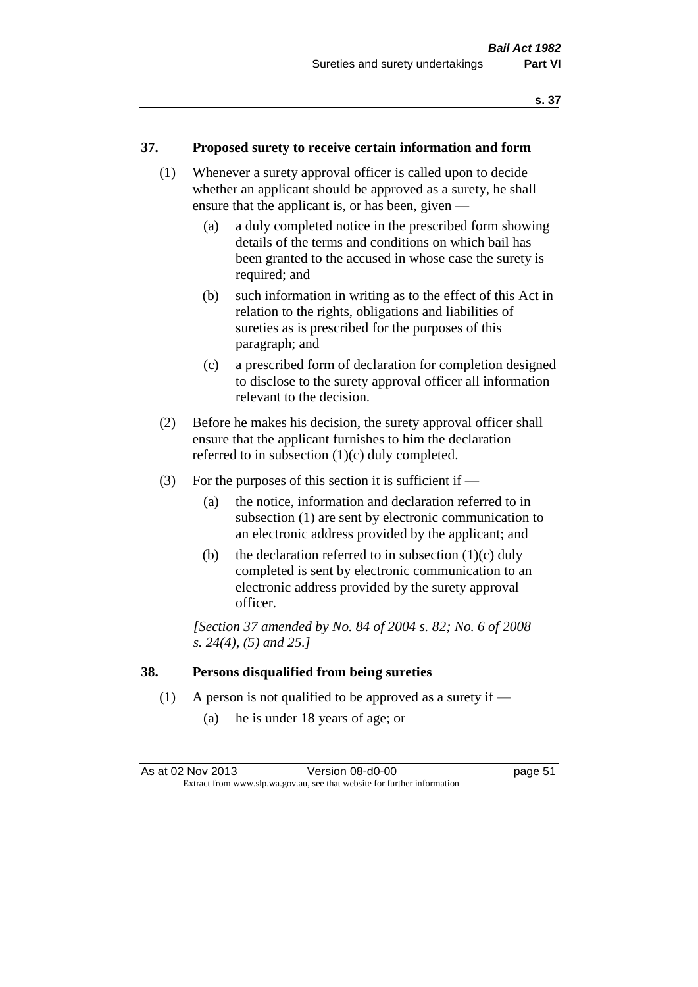#### **37. Proposed surety to receive certain information and form**

- (1) Whenever a surety approval officer is called upon to decide whether an applicant should be approved as a surety, he shall ensure that the applicant is, or has been, given —
	- (a) a duly completed notice in the prescribed form showing details of the terms and conditions on which bail has been granted to the accused in whose case the surety is required; and
	- (b) such information in writing as to the effect of this Act in relation to the rights, obligations and liabilities of sureties as is prescribed for the purposes of this paragraph; and
	- (c) a prescribed form of declaration for completion designed to disclose to the surety approval officer all information relevant to the decision.
- (2) Before he makes his decision, the surety approval officer shall ensure that the applicant furnishes to him the declaration referred to in subsection (1)(c) duly completed.
- (3) For the purposes of this section it is sufficient if  $-$ 
	- (a) the notice, information and declaration referred to in subsection (1) are sent by electronic communication to an electronic address provided by the applicant; and
	- (b) the declaration referred to in subsection  $(1)(c)$  duly completed is sent by electronic communication to an electronic address provided by the surety approval officer.

*[Section 37 amended by No. 84 of 2004 s. 82; No. 6 of 2008 s. 24(4), (5) and 25.]* 

#### **38. Persons disqualified from being sureties**

- (1) A person is not qualified to be approved as a surety if
	- (a) he is under 18 years of age; or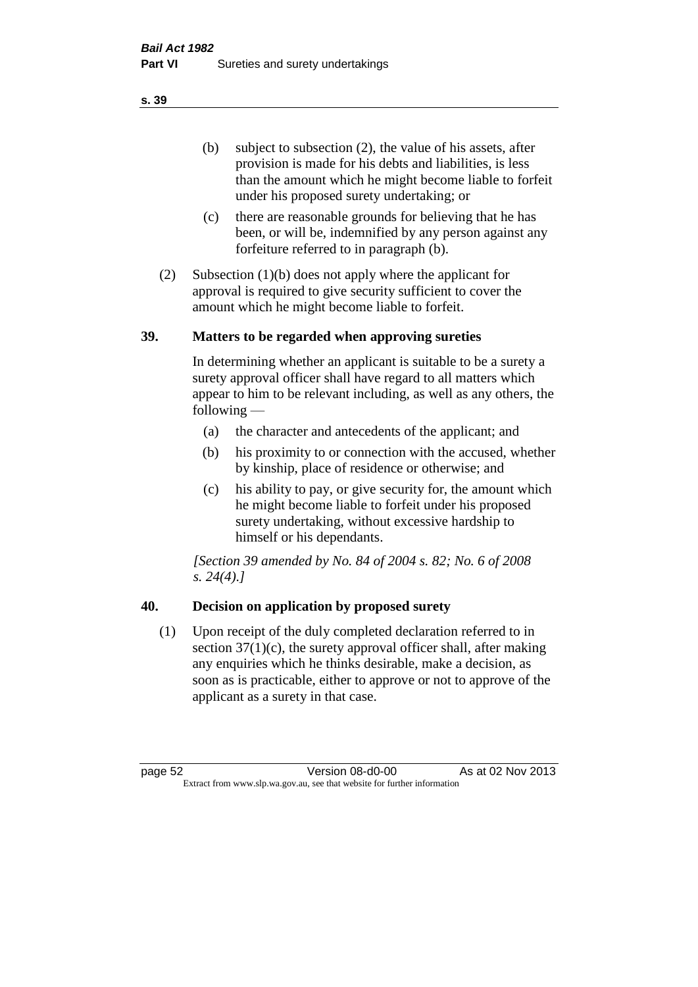(b) subject to subsection (2), the value of his assets, after provision is made for his debts and liabilities, is less than the amount which he might become liable to forfeit under his proposed surety undertaking; or

- (c) there are reasonable grounds for believing that he has been, or will be, indemnified by any person against any forfeiture referred to in paragraph (b).
- (2) Subsection (1)(b) does not apply where the applicant for approval is required to give security sufficient to cover the amount which he might become liable to forfeit.

## **39. Matters to be regarded when approving sureties**

In determining whether an applicant is suitable to be a surety a surety approval officer shall have regard to all matters which appear to him to be relevant including, as well as any others, the following —

- (a) the character and antecedents of the applicant; and
- (b) his proximity to or connection with the accused, whether by kinship, place of residence or otherwise; and
- (c) his ability to pay, or give security for, the amount which he might become liable to forfeit under his proposed surety undertaking, without excessive hardship to himself or his dependants.

*[Section 39 amended by No. 84 of 2004 s. 82; No. 6 of 2008 s. 24(4).]* 

# **40. Decision on application by proposed surety**

(1) Upon receipt of the duly completed declaration referred to in section  $37(1)(c)$ , the surety approval officer shall, after making any enquiries which he thinks desirable, make a decision, as soon as is practicable, either to approve or not to approve of the applicant as a surety in that case.

page 52 Version 08-d0-00 As at 02 Nov 2013 Extract from www.slp.wa.gov.au, see that website for further information

**s. 39**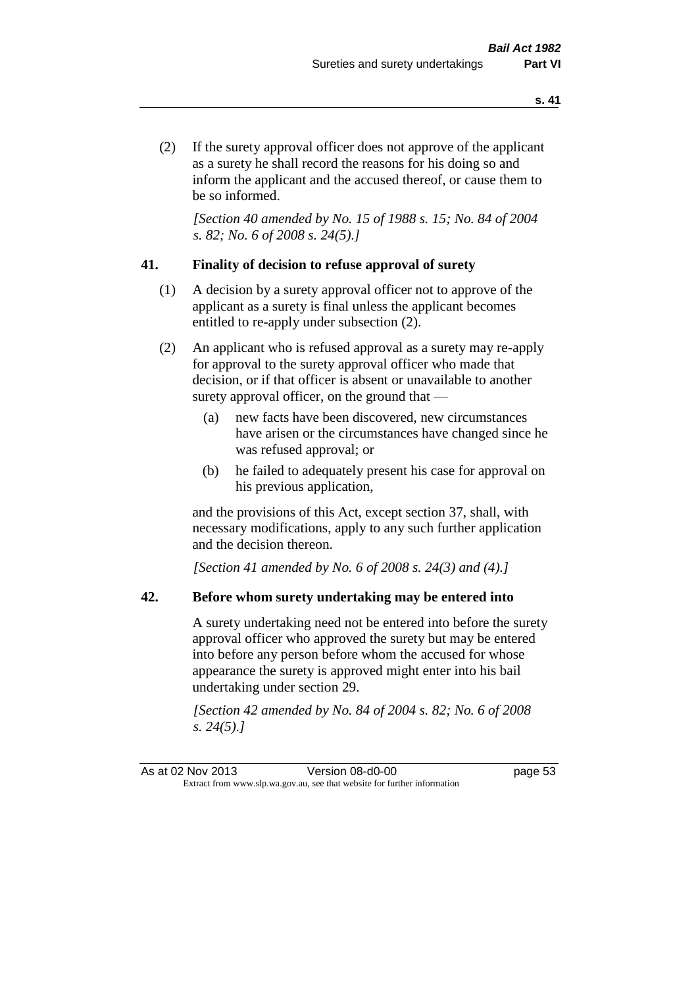(2) If the surety approval officer does not approve of the applicant as a surety he shall record the reasons for his doing so and inform the applicant and the accused thereof, or cause them to be so informed.

*[Section 40 amended by No. 15 of 1988 s. 15; No. 84 of 2004 s. 82; No. 6 of 2008 s. 24(5).]* 

## **41. Finality of decision to refuse approval of surety**

- (1) A decision by a surety approval officer not to approve of the applicant as a surety is final unless the applicant becomes entitled to re-apply under subsection (2).
- (2) An applicant who is refused approval as a surety may re-apply for approval to the surety approval officer who made that decision, or if that officer is absent or unavailable to another surety approval officer, on the ground that —
	- (a) new facts have been discovered, new circumstances have arisen or the circumstances have changed since he was refused approval; or
	- (b) he failed to adequately present his case for approval on his previous application,

and the provisions of this Act, except section 37, shall, with necessary modifications, apply to any such further application and the decision thereon.

*[Section 41 amended by No. 6 of 2008 s. 24(3) and (4).]*

## **42. Before whom surety undertaking may be entered into**

A surety undertaking need not be entered into before the surety approval officer who approved the surety but may be entered into before any person before whom the accused for whose appearance the surety is approved might enter into his bail undertaking under section 29.

*[Section 42 amended by No. 84 of 2004 s. 82; No. 6 of 2008 s. 24(5).]*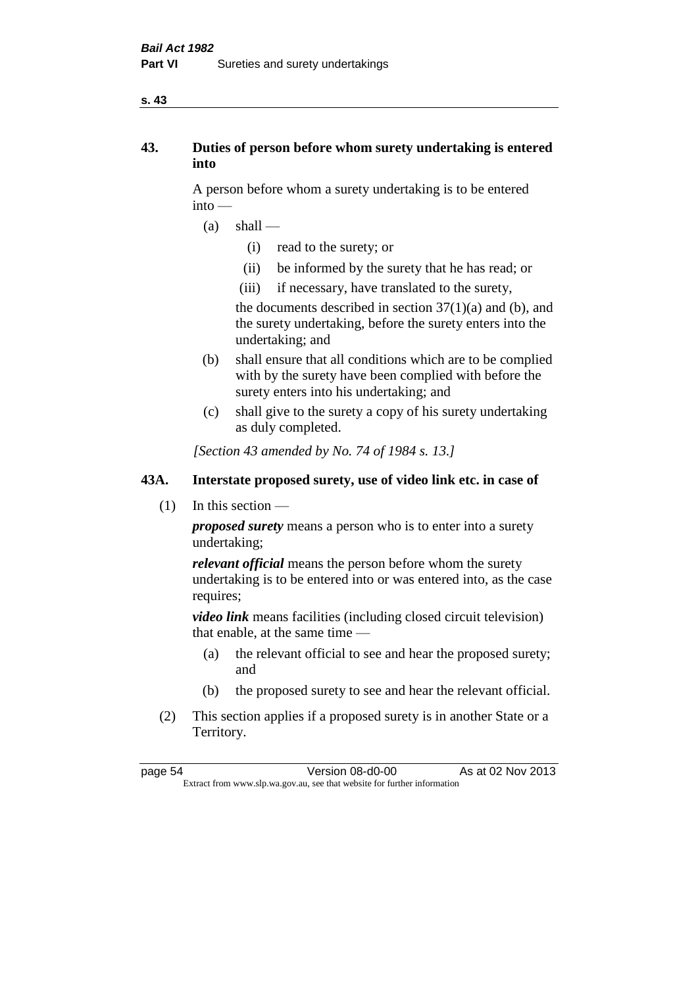#### **s. 43**

# **43. Duties of person before whom surety undertaking is entered into**

A person before whom a surety undertaking is to be entered into —

- $(a)$  shall
	- (i) read to the surety; or
	- (ii) be informed by the surety that he has read; or
	- (iii) if necessary, have translated to the surety,

the documents described in section  $37(1)(a)$  and (b), and the surety undertaking, before the surety enters into the undertaking; and

- (b) shall ensure that all conditions which are to be complied with by the surety have been complied with before the surety enters into his undertaking; and
- (c) shall give to the surety a copy of his surety undertaking as duly completed.

*[Section 43 amended by No. 74 of 1984 s. 13.]* 

## **43A. Interstate proposed surety, use of video link etc. in case of**

(1) In this section —

*proposed surety* means a person who is to enter into a surety undertaking;

*relevant official* means the person before whom the surety undertaking is to be entered into or was entered into, as the case requires;

*video link* means facilities (including closed circuit television) that enable, at the same time —

- (a) the relevant official to see and hear the proposed surety; and
- (b) the proposed surety to see and hear the relevant official.
- (2) This section applies if a proposed surety is in another State or a Territory.

page 54 Version 08-d0-00 As at 02 Nov 2013 Extract from www.slp.wa.gov.au, see that website for further information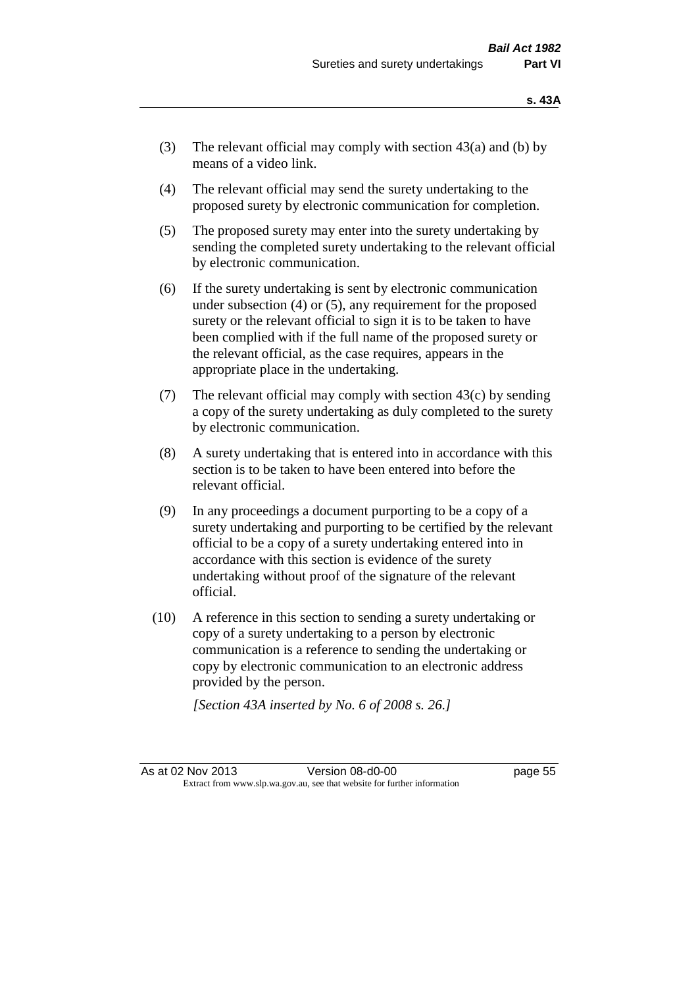- (3) The relevant official may comply with section  $43(a)$  and (b) by means of a video link.
- (4) The relevant official may send the surety undertaking to the proposed surety by electronic communication for completion.
- (5) The proposed surety may enter into the surety undertaking by sending the completed surety undertaking to the relevant official by electronic communication.
- (6) If the surety undertaking is sent by electronic communication under subsection (4) or (5), any requirement for the proposed surety or the relevant official to sign it is to be taken to have been complied with if the full name of the proposed surety or the relevant official, as the case requires, appears in the appropriate place in the undertaking.
- (7) The relevant official may comply with section 43(c) by sending a copy of the surety undertaking as duly completed to the surety by electronic communication.
- (8) A surety undertaking that is entered into in accordance with this section is to be taken to have been entered into before the relevant official.
- (9) In any proceedings a document purporting to be a copy of a surety undertaking and purporting to be certified by the relevant official to be a copy of a surety undertaking entered into in accordance with this section is evidence of the surety undertaking without proof of the signature of the relevant official.
- (10) A reference in this section to sending a surety undertaking or copy of a surety undertaking to a person by electronic communication is a reference to sending the undertaking or copy by electronic communication to an electronic address provided by the person.

*[Section 43A inserted by No. 6 of 2008 s. 26.]*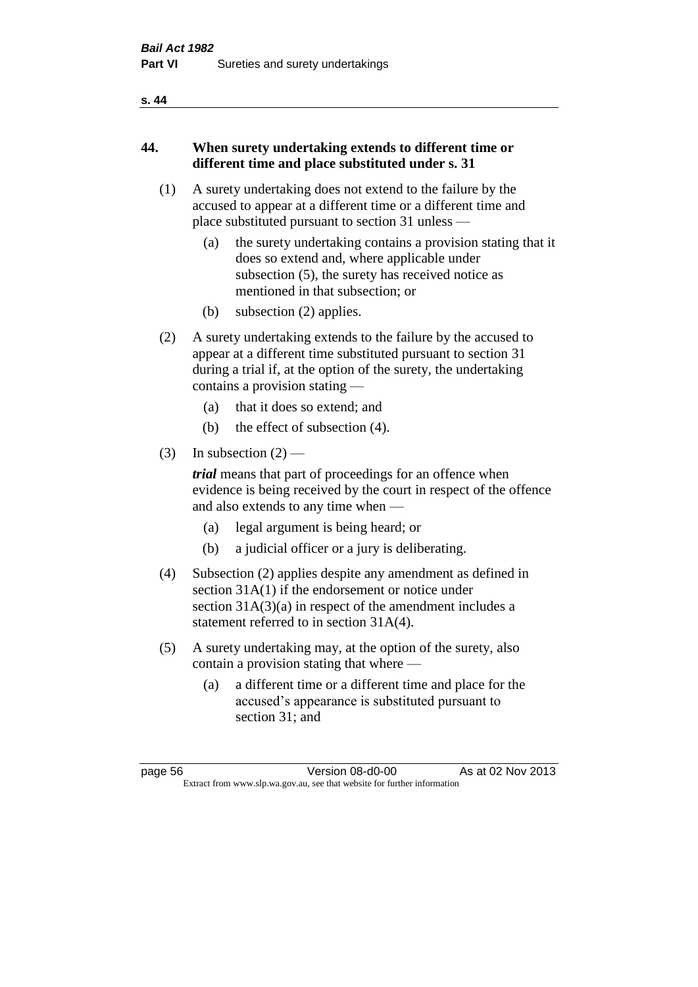#### **s. 44**

# **44. When surety undertaking extends to different time or different time and place substituted under s. 31**

- (1) A surety undertaking does not extend to the failure by the accused to appear at a different time or a different time and place substituted pursuant to section 31 unless —
	- (a) the surety undertaking contains a provision stating that it does so extend and, where applicable under subsection (5), the surety has received notice as mentioned in that subsection; or
	- (b) subsection (2) applies.
- (2) A surety undertaking extends to the failure by the accused to appear at a different time substituted pursuant to section 31 during a trial if, at the option of the surety, the undertaking contains a provision stating —
	- (a) that it does so extend; and
	- (b) the effect of subsection (4).
- (3) In subsection  $(2)$  —

*trial* means that part of proceedings for an offence when evidence is being received by the court in respect of the offence and also extends to any time when —

- (a) legal argument is being heard; or
- (b) a judicial officer or a jury is deliberating.
- (4) Subsection (2) applies despite any amendment as defined in section 31A(1) if the endorsement or notice under section 31A(3)(a) in respect of the amendment includes a statement referred to in section 31A(4).
- (5) A surety undertaking may, at the option of the surety, also contain a provision stating that where —
	- (a) a different time or a different time and place for the accused's appearance is substituted pursuant to section 31; and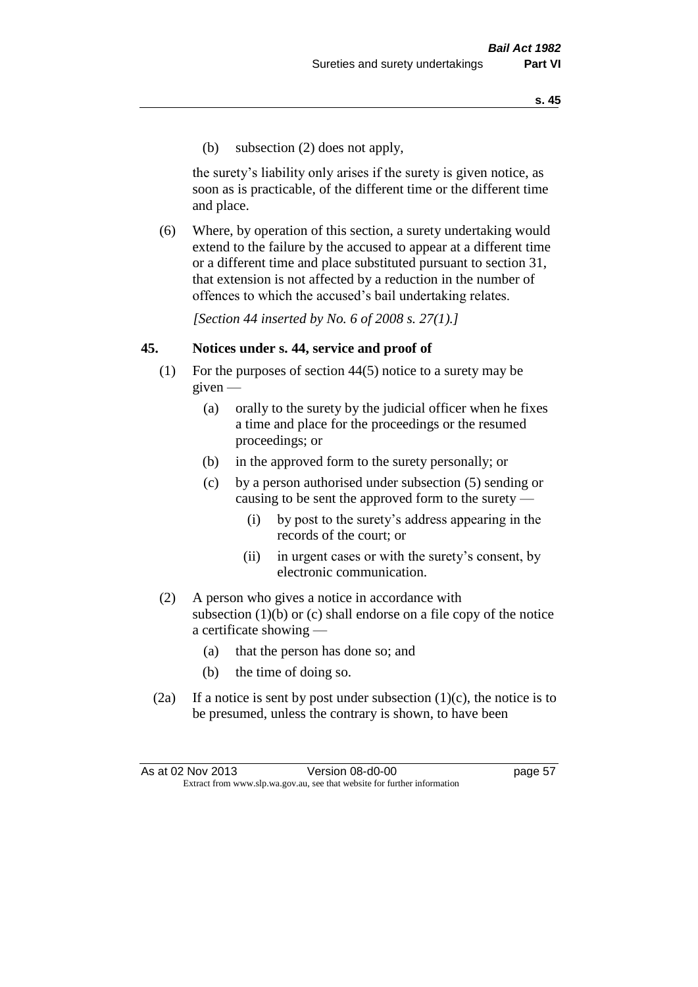(b) subsection (2) does not apply,

the surety's liability only arises if the surety is given notice, as soon as is practicable, of the different time or the different time and place.

(6) Where, by operation of this section, a surety undertaking would extend to the failure by the accused to appear at a different time or a different time and place substituted pursuant to section 31, that extension is not affected by a reduction in the number of offences to which the accused's bail undertaking relates.

*[Section 44 inserted by No. 6 of 2008 s. 27(1).]*

## **45. Notices under s. 44, service and proof of**

- (1) For the purposes of section 44(5) notice to a surety may be given —
	- (a) orally to the surety by the judicial officer when he fixes a time and place for the proceedings or the resumed proceedings; or
	- (b) in the approved form to the surety personally; or
	- (c) by a person authorised under subsection (5) sending or causing to be sent the approved form to the surety —
		- (i) by post to the surety's address appearing in the records of the court; or
		- (ii) in urgent cases or with the surety's consent, by electronic communication.
- (2) A person who gives a notice in accordance with subsection  $(1)(b)$  or  $(c)$  shall endorse on a file copy of the notice a certificate showing —
	- (a) that the person has done so; and
	- (b) the time of doing so.
- (2a) If a notice is sent by post under subsection  $(1)(c)$ , the notice is to be presumed, unless the contrary is shown, to have been

As at 02 Nov 2013 Version 08-d0-00 page 57 Extract from www.slp.wa.gov.au, see that website for further information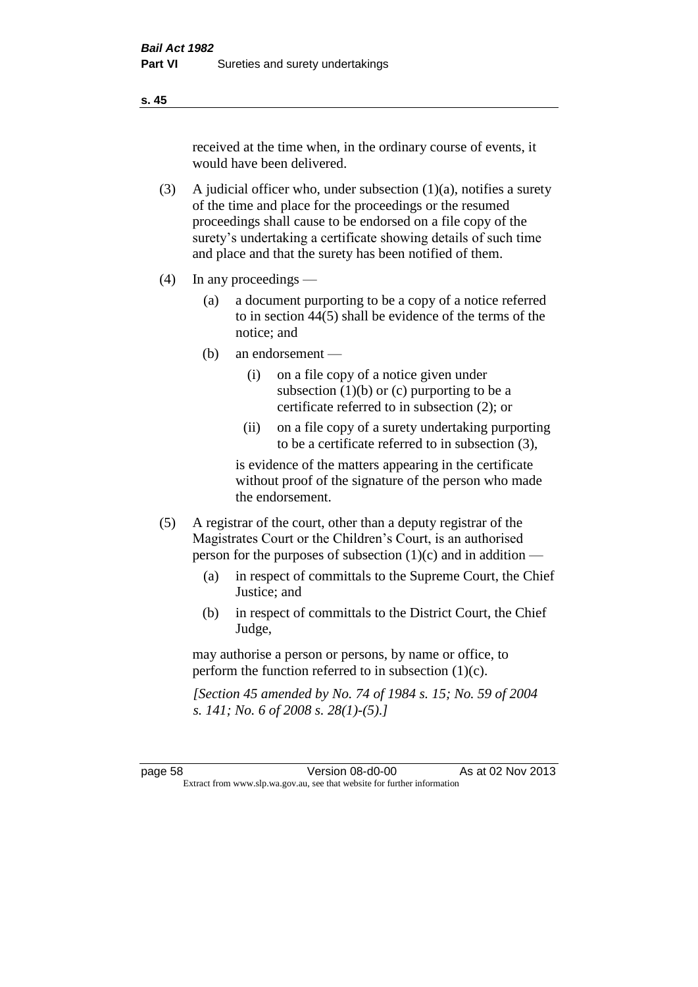received at the time when, in the ordinary course of events, it would have been delivered.

- (3) A judicial officer who, under subsection  $(1)(a)$ , notifies a surety of the time and place for the proceedings or the resumed proceedings shall cause to be endorsed on a file copy of the surety's undertaking a certificate showing details of such time and place and that the surety has been notified of them.
- (4) In any proceedings
	- (a) a document purporting to be a copy of a notice referred to in section 44(5) shall be evidence of the terms of the notice; and
	- (b) an endorsement
		- (i) on a file copy of a notice given under subsection  $(1)(b)$  or  $(c)$  purporting to be a certificate referred to in subsection (2); or
		- (ii) on a file copy of a surety undertaking purporting to be a certificate referred to in subsection (3),

is evidence of the matters appearing in the certificate without proof of the signature of the person who made the endorsement.

- (5) A registrar of the court, other than a deputy registrar of the Magistrates Court or the Children's Court, is an authorised person for the purposes of subsection (1)(c) and in addition —
	- (a) in respect of committals to the Supreme Court, the Chief Justice; and
	- (b) in respect of committals to the District Court, the Chief Judge,

may authorise a person or persons, by name or office, to perform the function referred to in subsection (1)(c).

*[Section 45 amended by No. 74 of 1984 s. 15; No. 59 of 2004 s. 141; No. 6 of 2008 s. 28(1)-(5).]* 

page 58 Version 08-d0-00 As at 02 Nov 2013 Extract from www.slp.wa.gov.au, see that website for further information

**s. 45**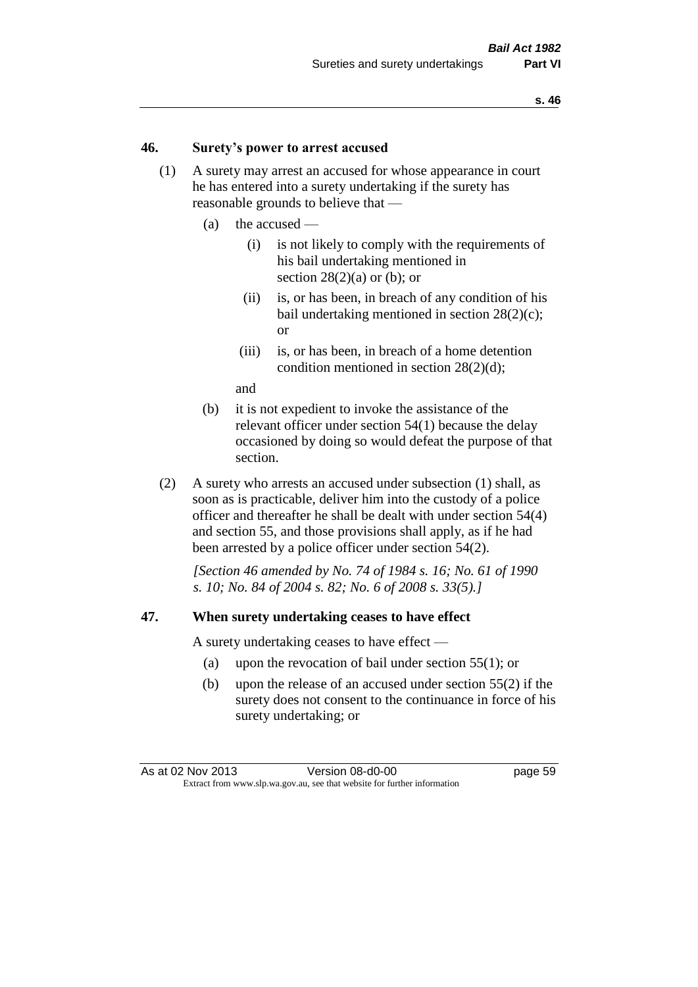## **46. Surety's power to arrest accused**

- (1) A surety may arrest an accused for whose appearance in court he has entered into a surety undertaking if the surety has reasonable grounds to believe that —
	- (a) the accused
		- (i) is not likely to comply with the requirements of his bail undertaking mentioned in section  $28(2)(a)$  or (b); or
		- (ii) is, or has been, in breach of any condition of his bail undertaking mentioned in section 28(2)(c); or
		- (iii) is, or has been, in breach of a home detention condition mentioned in section 28(2)(d);

and

- (b) it is not expedient to invoke the assistance of the relevant officer under section 54(1) because the delay occasioned by doing so would defeat the purpose of that section.
- (2) A surety who arrests an accused under subsection (1) shall, as soon as is practicable, deliver him into the custody of a police officer and thereafter he shall be dealt with under section 54(4) and section 55, and those provisions shall apply, as if he had been arrested by a police officer under section 54(2).

*[Section 46 amended by No. 74 of 1984 s. 16; No. 61 of 1990 s. 10; No. 84 of 2004 s. 82; No. 6 of 2008 s. 33(5).]* 

#### **47. When surety undertaking ceases to have effect**

A surety undertaking ceases to have effect —

- (a) upon the revocation of bail under section 55(1); or
- (b) upon the release of an accused under section 55(2) if the surety does not consent to the continuance in force of his surety undertaking; or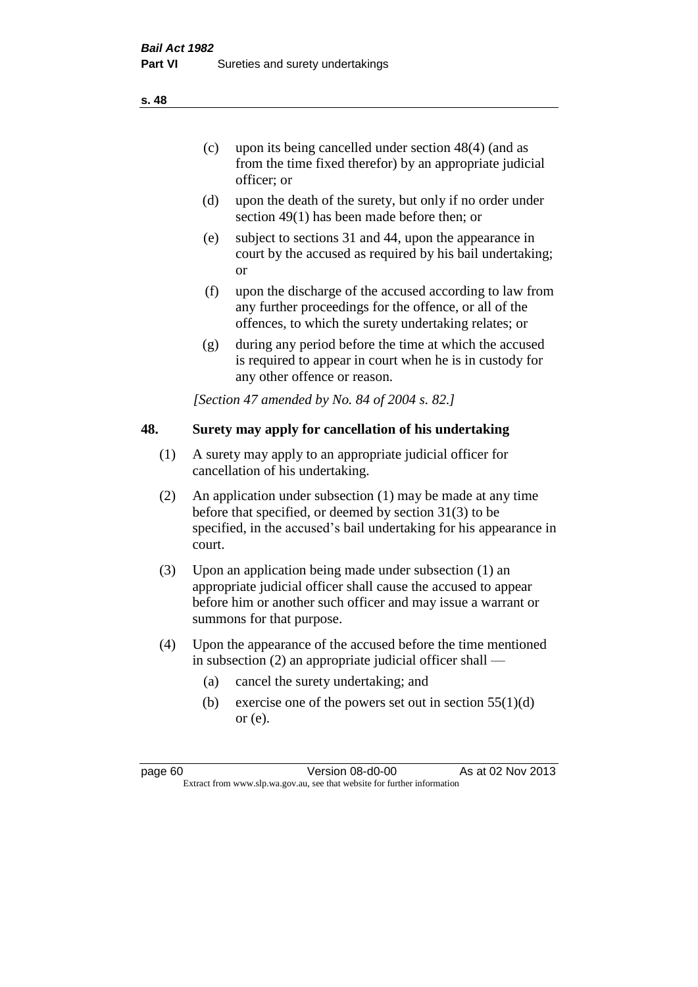- (d) upon the death of the surety, but only if no order under section 49(1) has been made before then; or
- (e) subject to sections 31 and 44, upon the appearance in court by the accused as required by his bail undertaking; or
- (f) upon the discharge of the accused according to law from any further proceedings for the offence, or all of the offences, to which the surety undertaking relates; or
- (g) during any period before the time at which the accused is required to appear in court when he is in custody for any other offence or reason.

*[Section 47 amended by No. 84 of 2004 s. 82.]* 

# **48. Surety may apply for cancellation of his undertaking**

- (1) A surety may apply to an appropriate judicial officer for cancellation of his undertaking.
- (2) An application under subsection (1) may be made at any time before that specified, or deemed by section 31(3) to be specified, in the accused's bail undertaking for his appearance in court.
- (3) Upon an application being made under subsection (1) an appropriate judicial officer shall cause the accused to appear before him or another such officer and may issue a warrant or summons for that purpose.
- (4) Upon the appearance of the accused before the time mentioned in subsection (2) an appropriate judicial officer shall —
	- (a) cancel the surety undertaking; and
	- (b) exercise one of the powers set out in section  $55(1)(d)$ or (e).

**s. 48**

page 60 Version 08-d0-00 As at 02 Nov 2013 Extract from www.slp.wa.gov.au, see that website for further information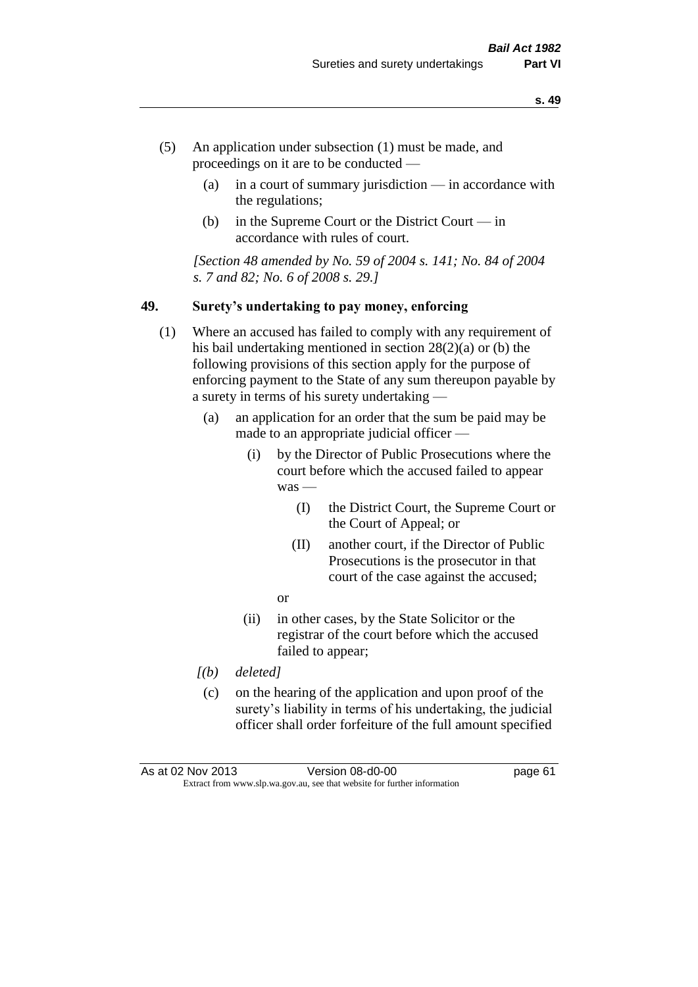- (5) An application under subsection (1) must be made, and proceedings on it are to be conducted —
	- (a) in a court of summary jurisdiction in accordance with the regulations;
	- (b) in the Supreme Court or the District Court in accordance with rules of court.

*[Section 48 amended by No. 59 of 2004 s. 141; No. 84 of 2004 s. 7 and 82; No. 6 of 2008 s. 29.]* 

#### **49. Surety's undertaking to pay money, enforcing**

- (1) Where an accused has failed to comply with any requirement of his bail undertaking mentioned in section 28(2)(a) or (b) the following provisions of this section apply for the purpose of enforcing payment to the State of any sum thereupon payable by a surety in terms of his surety undertaking —
	- (a) an application for an order that the sum be paid may be made to an appropriate judicial officer —
		- (i) by the Director of Public Prosecutions where the court before which the accused failed to appear was —
			- (I) the District Court, the Supreme Court or the Court of Appeal; or
			- (II) another court, if the Director of Public Prosecutions is the prosecutor in that court of the case against the accused;
			- or
		- (ii) in other cases, by the State Solicitor or the registrar of the court before which the accused failed to appear;
	- *[(b) deleted]*
	- (c) on the hearing of the application and upon proof of the surety's liability in terms of his undertaking, the judicial officer shall order forfeiture of the full amount specified

| As at 02 Nov 2013 | Version 08-d0-00                                                         | page 61 |
|-------------------|--------------------------------------------------------------------------|---------|
|                   | Extract from www.slp.wa.gov.au, see that website for further information |         |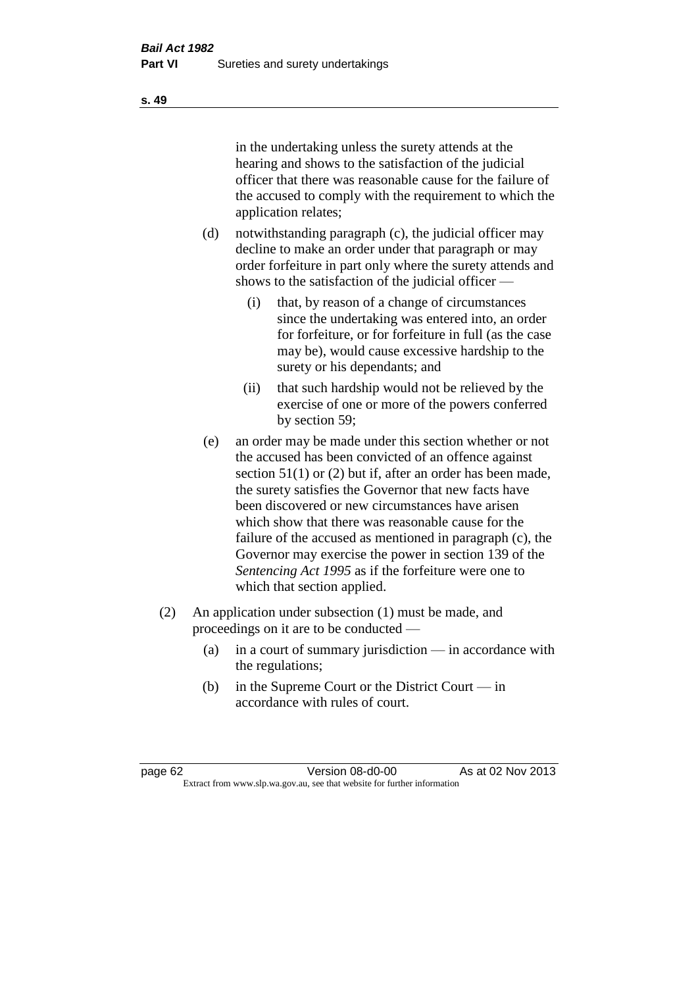in the undertaking unless the surety attends at the hearing and shows to the satisfaction of the judicial officer that there was reasonable cause for the failure of the accused to comply with the requirement to which the application relates;

- (d) notwithstanding paragraph (c), the judicial officer may decline to make an order under that paragraph or may order forfeiture in part only where the surety attends and shows to the satisfaction of the judicial officer —
	- (i) that, by reason of a change of circumstances since the undertaking was entered into, an order for forfeiture, or for forfeiture in full (as the case may be), would cause excessive hardship to the surety or his dependants; and
	- (ii) that such hardship would not be relieved by the exercise of one or more of the powers conferred by section 59;
- (e) an order may be made under this section whether or not the accused has been convicted of an offence against section 51(1) or (2) but if, after an order has been made, the surety satisfies the Governor that new facts have been discovered or new circumstances have arisen which show that there was reasonable cause for the failure of the accused as mentioned in paragraph (c), the Governor may exercise the power in section 139 of the *Sentencing Act 1995* as if the forfeiture were one to which that section applied.
- (2) An application under subsection (1) must be made, and proceedings on it are to be conducted —
	- (a) in a court of summary jurisdiction in accordance with the regulations;
	- (b) in the Supreme Court or the District Court in accordance with rules of court.

page 62 Version 08-d0-00 As at 02 Nov 2013 Extract from www.slp.wa.gov.au, see that website for further information

**s. 49**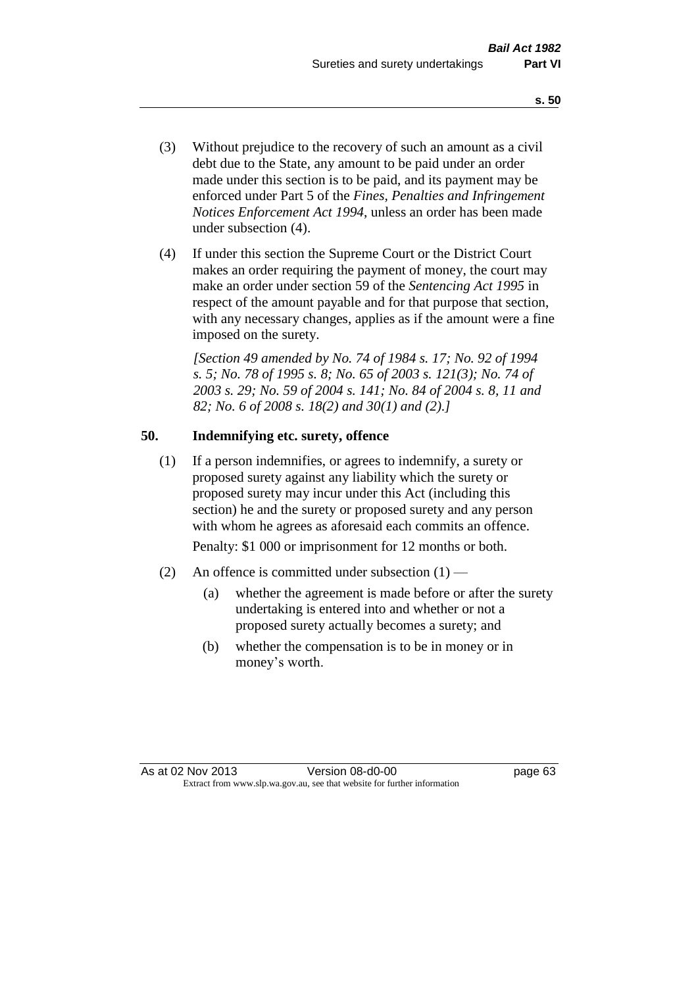- (3) Without prejudice to the recovery of such an amount as a civil debt due to the State, any amount to be paid under an order made under this section is to be paid, and its payment may be enforced under Part 5 of the *Fines, Penalties and Infringement Notices Enforcement Act 1994*, unless an order has been made under subsection (4).
- (4) If under this section the Supreme Court or the District Court makes an order requiring the payment of money, the court may make an order under section 59 of the *Sentencing Act 1995* in respect of the amount payable and for that purpose that section, with any necessary changes, applies as if the amount were a fine imposed on the surety.

*[Section 49 amended by No. 74 of 1984 s. 17; No. 92 of 1994 s. 5; No. 78 of 1995 s. 8; No. 65 of 2003 s. 121(3); No. 74 of 2003 s. 29; No. 59 of 2004 s. 141; No. 84 of 2004 s. 8, 11 and 82; No. 6 of 2008 s. 18(2) and 30(1) and (2).]* 

# **50. Indemnifying etc. surety, offence**

(1) If a person indemnifies, or agrees to indemnify, a surety or proposed surety against any liability which the surety or proposed surety may incur under this Act (including this section) he and the surety or proposed surety and any person with whom he agrees as aforesaid each commits an offence.

Penalty: \$1 000 or imprisonment for 12 months or both.

- (2) An offence is committed under subsection  $(1)$ 
	- (a) whether the agreement is made before or after the surety undertaking is entered into and whether or not a proposed surety actually becomes a surety; and
	- (b) whether the compensation is to be in money or in money's worth.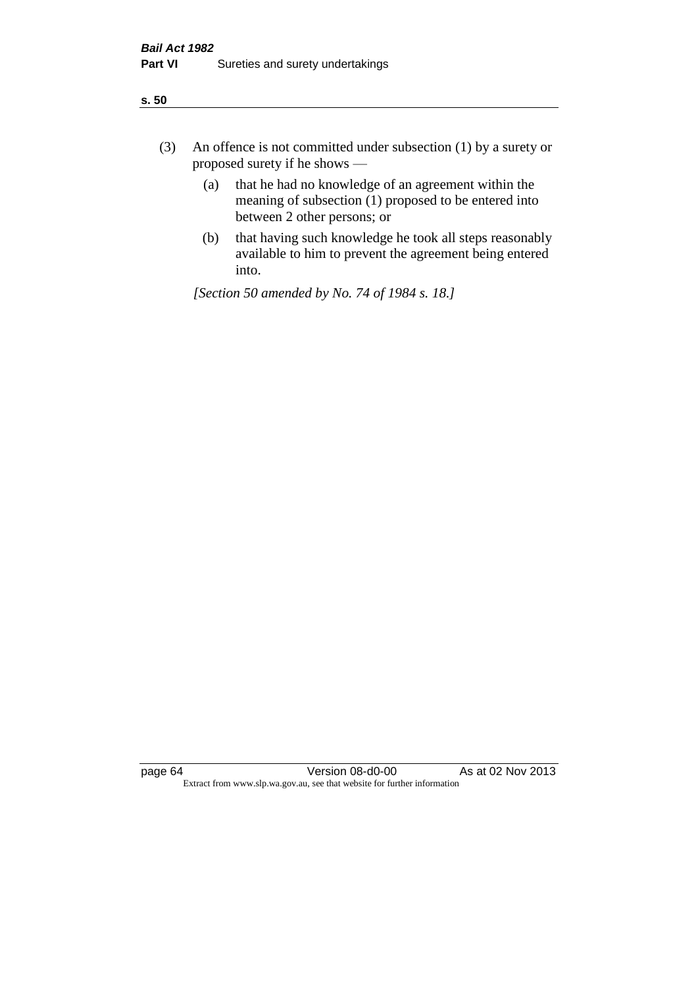| ÷<br>×<br>I<br>. .<br>×<br>۰.<br>×<br>۰.<br>v |
|-----------------------------------------------|
|-----------------------------------------------|

- (3) An offence is not committed under subsection (1) by a surety or proposed surety if he shows —
	- (a) that he had no knowledge of an agreement within the meaning of subsection  $(1)$  proposed to be entered into between 2 other persons; or
	- (b) that having such knowledge he took all steps reasonably available to him to prevent the agreement being entered into.

*[Section 50 amended by No. 74 of 1984 s. 18.]*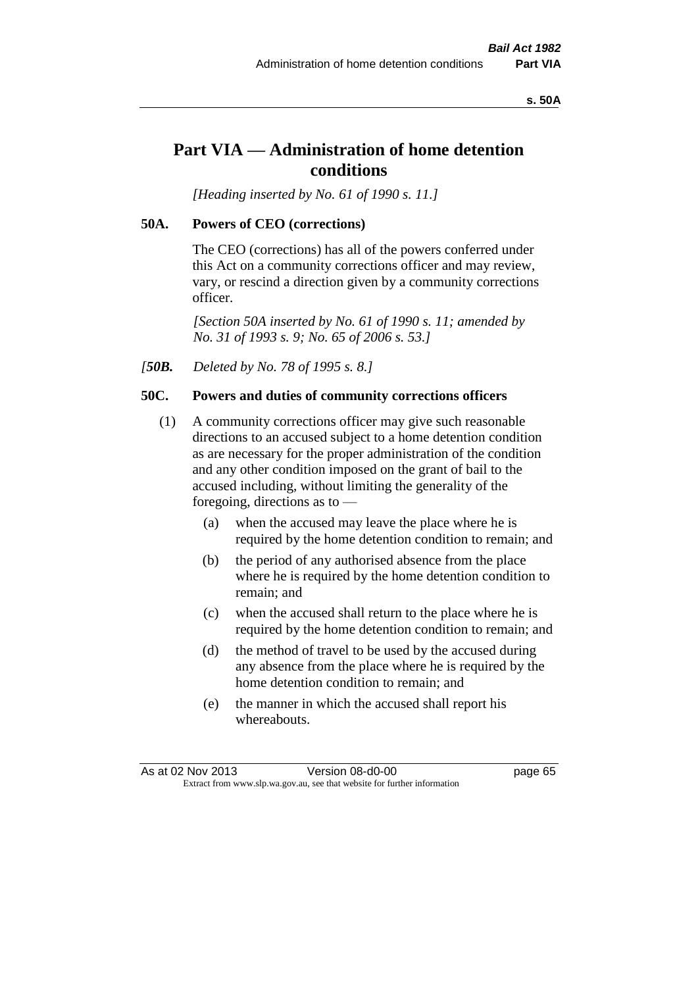#### **s. 50A**

# **Part VIA — Administration of home detention conditions**

*[Heading inserted by No. 61 of 1990 s. 11.]* 

## **50A. Powers of CEO (corrections)**

The CEO (corrections) has all of the powers conferred under this Act on a community corrections officer and may review, vary, or rescind a direction given by a community corrections officer.

*[Section 50A inserted by No. 61 of 1990 s. 11; amended by No. 31 of 1993 s. 9; No. 65 of 2006 s. 53.]* 

*[50B. Deleted by No. 78 of 1995 s. 8.]* 

# **50C. Powers and duties of community corrections officers**

- (1) A community corrections officer may give such reasonable directions to an accused subject to a home detention condition as are necessary for the proper administration of the condition and any other condition imposed on the grant of bail to the accused including, without limiting the generality of the foregoing, directions as to —
	- (a) when the accused may leave the place where he is required by the home detention condition to remain; and
	- (b) the period of any authorised absence from the place where he is required by the home detention condition to remain; and
	- (c) when the accused shall return to the place where he is required by the home detention condition to remain; and
	- (d) the method of travel to be used by the accused during any absence from the place where he is required by the home detention condition to remain; and
	- (e) the manner in which the accused shall report his whereabouts.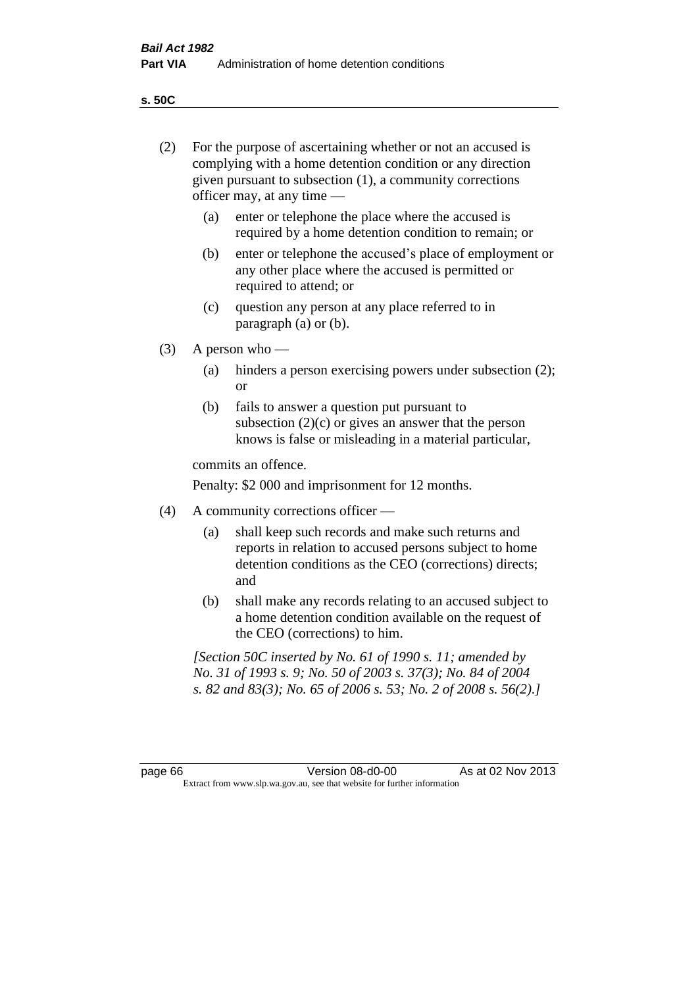**s. 50C**

| (2)     |     | For the purpose of ascertaining whether or not an accused is<br>complying with a home detention condition or any direction<br>given pursuant to subsection (1), a community corrections<br>officer may, at any time — |
|---------|-----|-----------------------------------------------------------------------------------------------------------------------------------------------------------------------------------------------------------------------|
|         | (a) | enter or telephone the place where the accused is<br>required by a home detention condition to remain; or                                                                                                             |
|         | (b) | enter or telephone the accused's place of employment or<br>any other place where the accused is permitted or<br>required to attend; or                                                                                |
|         | (c) | question any person at any place referred to in<br>paragraph $(a)$ or $(b)$ .                                                                                                                                         |
| (3)     |     | A person who $-$                                                                                                                                                                                                      |
|         | (a) | hinders a person exercising powers under subsection (2);<br><sub>or</sub>                                                                                                                                             |
|         | (b) | fails to answer a question put pursuant to<br>subsection $(2)(c)$ or gives an answer that the person<br>knows is false or misleading in a material particular,                                                        |
|         |     | commits an offence.                                                                                                                                                                                                   |
|         |     | Penalty: \$2 000 and imprisonment for 12 months.                                                                                                                                                                      |
| (4)     |     | A community corrections officer -                                                                                                                                                                                     |
|         | (a) | shall keep such records and make such returns and<br>reports in relation to accused persons subject to home<br>detention conditions as the CEO (corrections) directs;<br>and                                          |
|         | (b) | shall make any records relating to an accused subject to<br>a home detention condition available on the request of<br>the CEO (corrections) to him.                                                                   |
|         |     | [Section 50C inserted by No. 61 of 1990 s. 11; amended by<br>No. 31 of 1993 s. 9; No. 50 of 2003 s. 37(3); No. 84 of 2004<br>s. 82 and 83(3); No. 65 of 2006 s. 53; No. 2 of 2008 s. 56(2).]                          |
|         |     |                                                                                                                                                                                                                       |
| page 66 |     | As at 02 Nov 2013<br>Version 08-d0-00<br>Extract from www.slp.wa.gov.au, see that website for further information                                                                                                     |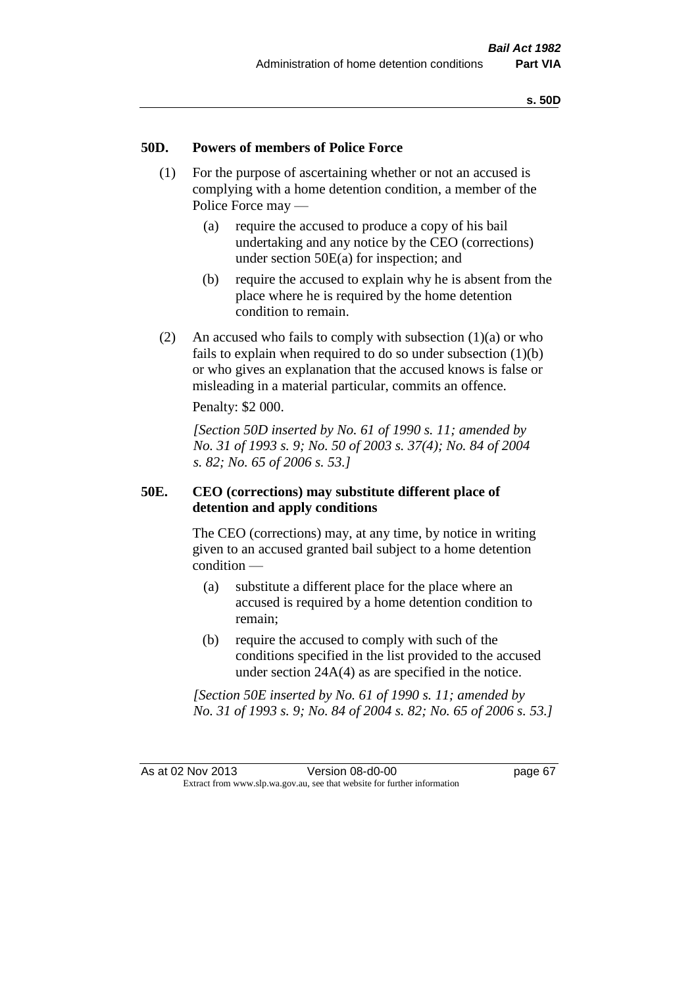## **50D. Powers of members of Police Force**

- (1) For the purpose of ascertaining whether or not an accused is complying with a home detention condition, a member of the Police Force may —
	- (a) require the accused to produce a copy of his bail undertaking and any notice by the CEO (corrections) under section 50E(a) for inspection; and
	- (b) require the accused to explain why he is absent from the place where he is required by the home detention condition to remain.
- (2) An accused who fails to comply with subsection  $(1)(a)$  or who fails to explain when required to do so under subsection  $(1)(b)$ or who gives an explanation that the accused knows is false or misleading in a material particular, commits an offence.

Penalty: \$2 000.

*[Section 50D inserted by No. 61 of 1990 s. 11; amended by No. 31 of 1993 s. 9; No. 50 of 2003 s. 37(4); No. 84 of 2004 s. 82; No. 65 of 2006 s. 53.]* 

## **50E. CEO (corrections) may substitute different place of detention and apply conditions**

The CEO (corrections) may, at any time, by notice in writing given to an accused granted bail subject to a home detention condition —

- (a) substitute a different place for the place where an accused is required by a home detention condition to remain;
- (b) require the accused to comply with such of the conditions specified in the list provided to the accused under section 24A(4) as are specified in the notice.

*[Section 50E inserted by No. 61 of 1990 s. 11; amended by No. 31 of 1993 s. 9; No. 84 of 2004 s. 82; No. 65 of 2006 s. 53.]*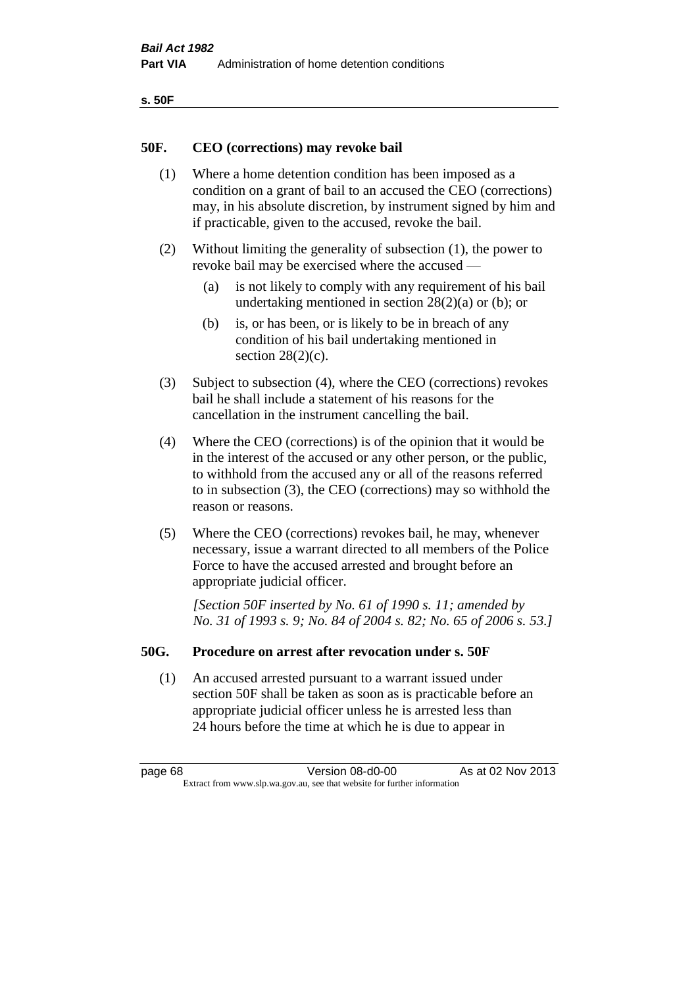| ۰.<br>×<br>-<br>۰.<br>× |  |
|-------------------------|--|
|-------------------------|--|

## **50F. CEO (corrections) may revoke bail**

- (1) Where a home detention condition has been imposed as a condition on a grant of bail to an accused the CEO (corrections) may, in his absolute discretion, by instrument signed by him and if practicable, given to the accused, revoke the bail.
- (2) Without limiting the generality of subsection (1), the power to revoke bail may be exercised where the accused —
	- (a) is not likely to comply with any requirement of his bail undertaking mentioned in section 28(2)(a) or (b); or
	- (b) is, or has been, or is likely to be in breach of any condition of his bail undertaking mentioned in section  $28(2)(c)$ .
- (3) Subject to subsection (4), where the CEO (corrections) revokes bail he shall include a statement of his reasons for the cancellation in the instrument cancelling the bail.
- (4) Where the CEO (corrections) is of the opinion that it would be in the interest of the accused or any other person, or the public, to withhold from the accused any or all of the reasons referred to in subsection (3), the CEO (corrections) may so withhold the reason or reasons.
- (5) Where the CEO (corrections) revokes bail, he may, whenever necessary, issue a warrant directed to all members of the Police Force to have the accused arrested and brought before an appropriate judicial officer.

*[Section 50F inserted by No. 61 of 1990 s. 11; amended by No. 31 of 1993 s. 9; No. 84 of 2004 s. 82; No. 65 of 2006 s. 53.]* 

## **50G. Procedure on arrest after revocation under s. 50F**

(1) An accused arrested pursuant to a warrant issued under section 50F shall be taken as soon as is practicable before an appropriate judicial officer unless he is arrested less than 24 hours before the time at which he is due to appear in

page 68 Version 08-d0-00 As at 02 Nov 2013 Extract from www.slp.wa.gov.au, see that website for further information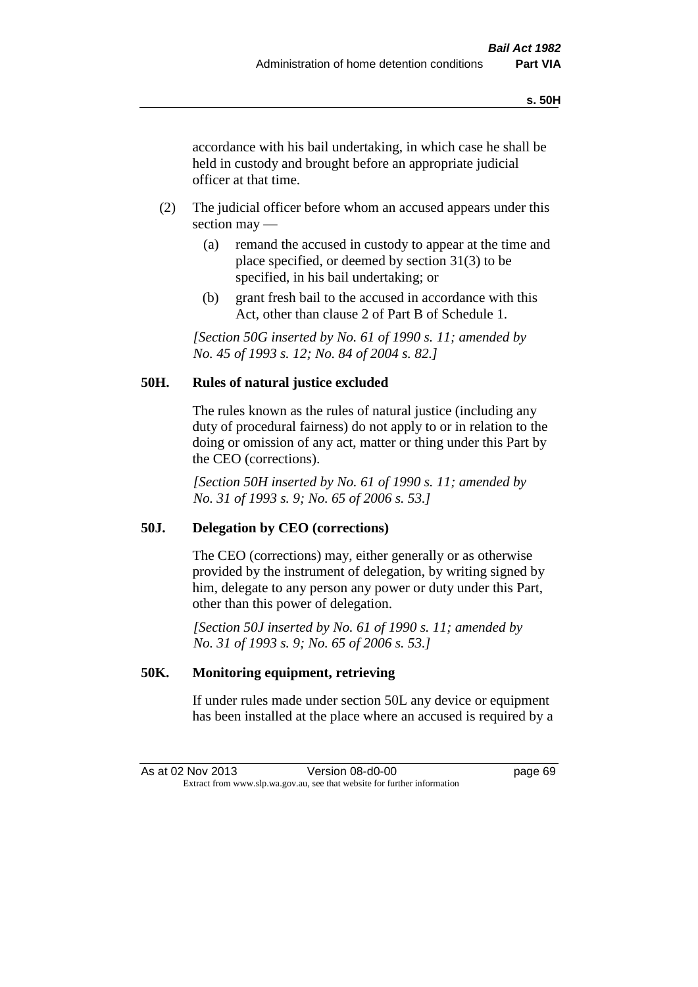accordance with his bail undertaking, in which case he shall be held in custody and brought before an appropriate judicial officer at that time.

- (2) The judicial officer before whom an accused appears under this section may —
	- (a) remand the accused in custody to appear at the time and place specified, or deemed by section 31(3) to be specified, in his bail undertaking; or
	- (b) grant fresh bail to the accused in accordance with this Act, other than clause 2 of Part B of Schedule 1.

*[Section 50G inserted by No. 61 of 1990 s. 11; amended by No. 45 of 1993 s. 12; No. 84 of 2004 s. 82.]* 

# **50H. Rules of natural justice excluded**

The rules known as the rules of natural justice (including any duty of procedural fairness) do not apply to or in relation to the doing or omission of any act, matter or thing under this Part by the CEO (corrections).

*[Section 50H inserted by No. 61 of 1990 s. 11; amended by No. 31 of 1993 s. 9; No. 65 of 2006 s. 53.]* 

# **50J. Delegation by CEO (corrections)**

The CEO (corrections) may, either generally or as otherwise provided by the instrument of delegation, by writing signed by him, delegate to any person any power or duty under this Part, other than this power of delegation.

*[Section 50J inserted by No. 61 of 1990 s. 11; amended by No. 31 of 1993 s. 9; No. 65 of 2006 s. 53.]* 

# **50K. Monitoring equipment, retrieving**

If under rules made under section 50L any device or equipment has been installed at the place where an accused is required by a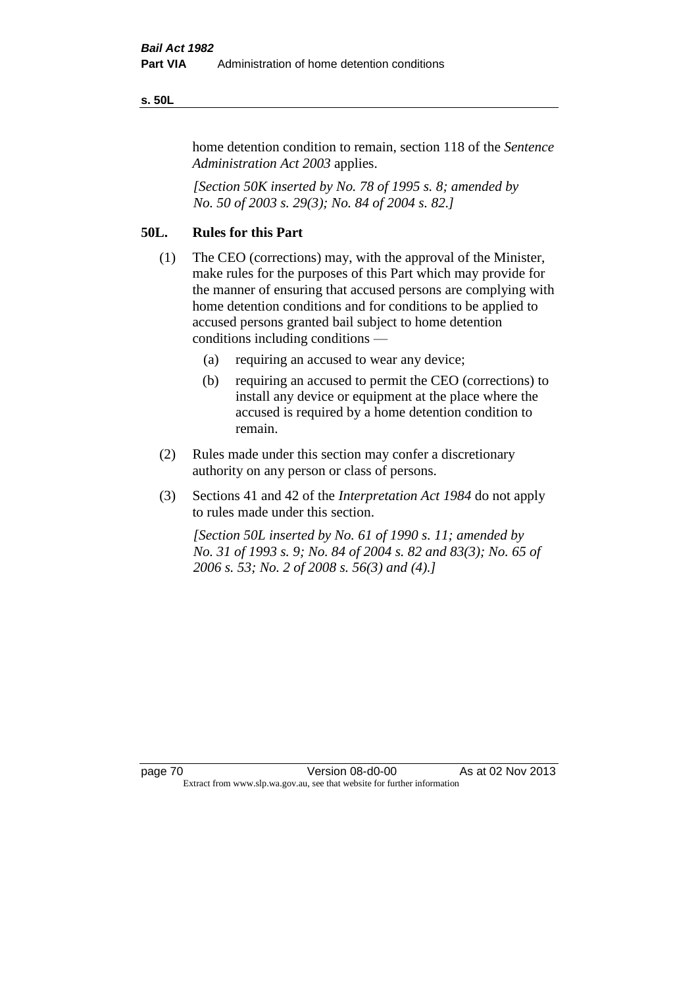#### **s. 50L**

home detention condition to remain, section 118 of the *Sentence Administration Act 2003* applies.

*[Section 50K inserted by No. 78 of 1995 s. 8; amended by No. 50 of 2003 s. 29(3); No. 84 of 2004 s. 82.]* 

# **50L. Rules for this Part**

- (1) The CEO (corrections) may, with the approval of the Minister, make rules for the purposes of this Part which may provide for the manner of ensuring that accused persons are complying with home detention conditions and for conditions to be applied to accused persons granted bail subject to home detention conditions including conditions —
	- (a) requiring an accused to wear any device;
	- (b) requiring an accused to permit the CEO (corrections) to install any device or equipment at the place where the accused is required by a home detention condition to remain.
- (2) Rules made under this section may confer a discretionary authority on any person or class of persons.
- (3) Sections 41 and 42 of the *Interpretation Act 1984* do not apply to rules made under this section.

*[Section 50L inserted by No. 61 of 1990 s. 11; amended by No. 31 of 1993 s. 9; No. 84 of 2004 s. 82 and 83(3); No. 65 of 2006 s. 53; No. 2 of 2008 s. 56(3) and (4).]*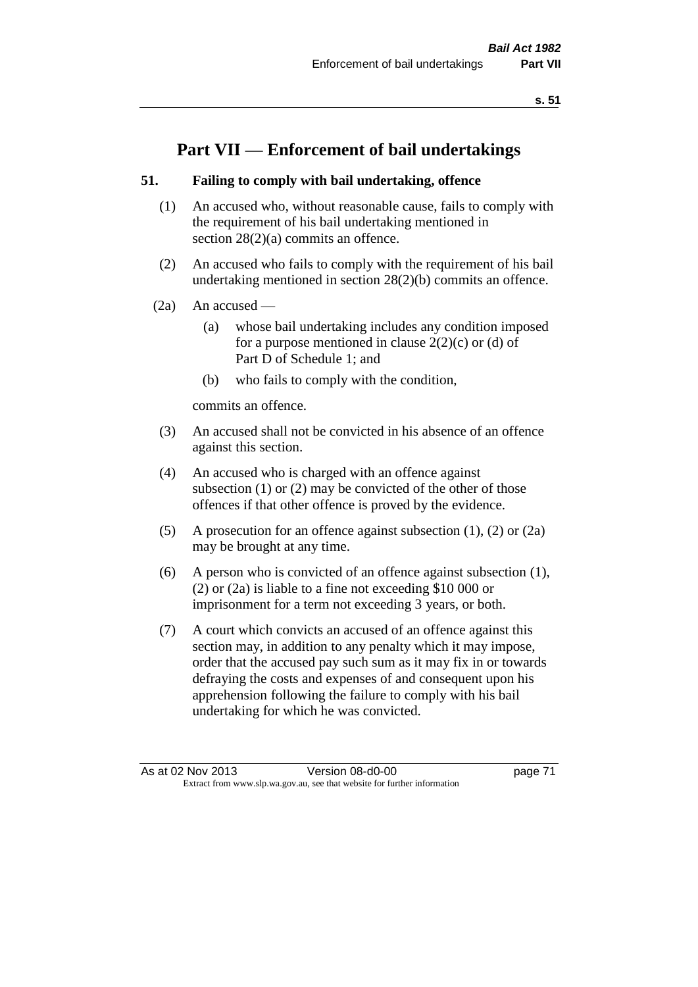# **Part VII — Enforcement of bail undertakings**

# **51. Failing to comply with bail undertaking, offence**

- (1) An accused who, without reasonable cause, fails to comply with the requirement of his bail undertaking mentioned in section 28(2)(a) commits an offence.
- (2) An accused who fails to comply with the requirement of his bail undertaking mentioned in section 28(2)(b) commits an offence.
- $(2a)$  An accused
	- (a) whose bail undertaking includes any condition imposed for a purpose mentioned in clause  $2(2)(c)$  or (d) of Part D of Schedule 1; and
	- (b) who fails to comply with the condition,

commits an offence.

- (3) An accused shall not be convicted in his absence of an offence against this section.
- (4) An accused who is charged with an offence against subsection (1) or (2) may be convicted of the other of those offences if that other offence is proved by the evidence.
- (5) A prosecution for an offence against subsection (1), (2) or (2a) may be brought at any time.
- (6) A person who is convicted of an offence against subsection (1), (2) or (2a) is liable to a fine not exceeding \$10 000 or imprisonment for a term not exceeding 3 years, or both.
- (7) A court which convicts an accused of an offence against this section may, in addition to any penalty which it may impose, order that the accused pay such sum as it may fix in or towards defraying the costs and expenses of and consequent upon his apprehension following the failure to comply with his bail undertaking for which he was convicted.

As at 02 Nov 2013 Version 08-d0-00 page 71 Extract from www.slp.wa.gov.au, see that website for further information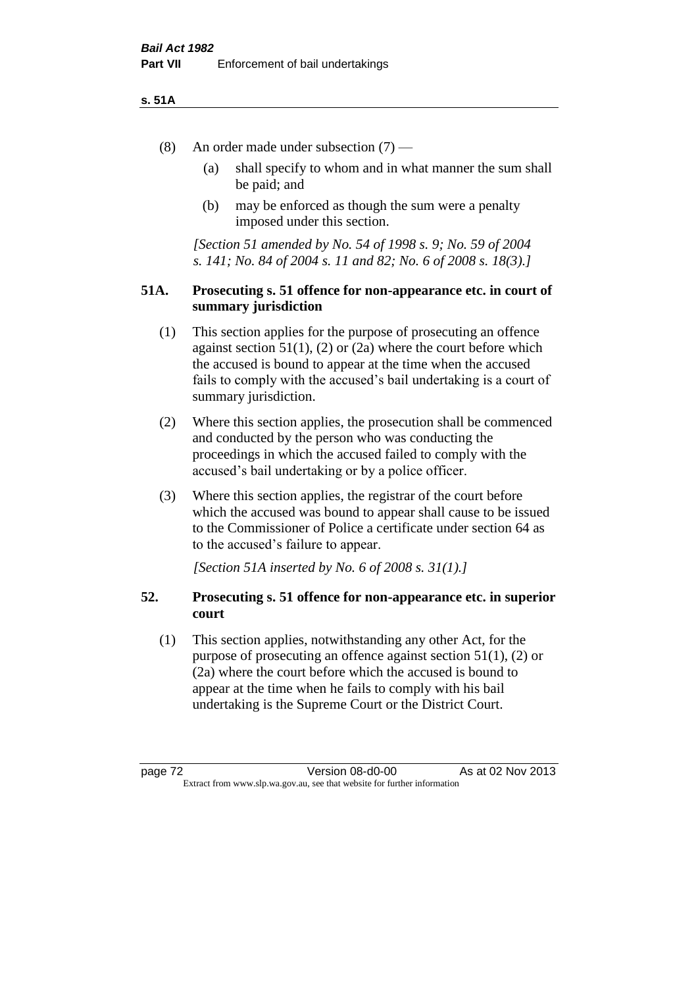### **s. 51A**

- (8) An order made under subsection (7)
	- (a) shall specify to whom and in what manner the sum shall be paid; and
	- (b) may be enforced as though the sum were a penalty imposed under this section.

*[Section 51 amended by No. 54 of 1998 s. 9; No. 59 of 2004 s. 141; No. 84 of 2004 s. 11 and 82; No. 6 of 2008 s. 18(3).]*

## **51A. Prosecuting s. 51 offence for non-appearance etc. in court of summary jurisdiction**

- (1) This section applies for the purpose of prosecuting an offence against section  $51(1)$ ,  $(2)$  or  $(2a)$  where the court before which the accused is bound to appear at the time when the accused fails to comply with the accused's bail undertaking is a court of summary jurisdiction.
- (2) Where this section applies, the prosecution shall be commenced and conducted by the person who was conducting the proceedings in which the accused failed to comply with the accused's bail undertaking or by a police officer.
- (3) Where this section applies, the registrar of the court before which the accused was bound to appear shall cause to be issued to the Commissioner of Police a certificate under section 64 as to the accused's failure to appear.

*[Section 51A inserted by No. 6 of 2008 s. 31(1).]*

# **52. Prosecuting s. 51 offence for non-appearance etc. in superior court**

(1) This section applies, notwithstanding any other Act, for the purpose of prosecuting an offence against section 51(1), (2) or (2a) where the court before which the accused is bound to appear at the time when he fails to comply with his bail undertaking is the Supreme Court or the District Court.

page 72 Version 08-d0-00 As at 02 Nov 2013 Extract from www.slp.wa.gov.au, see that website for further information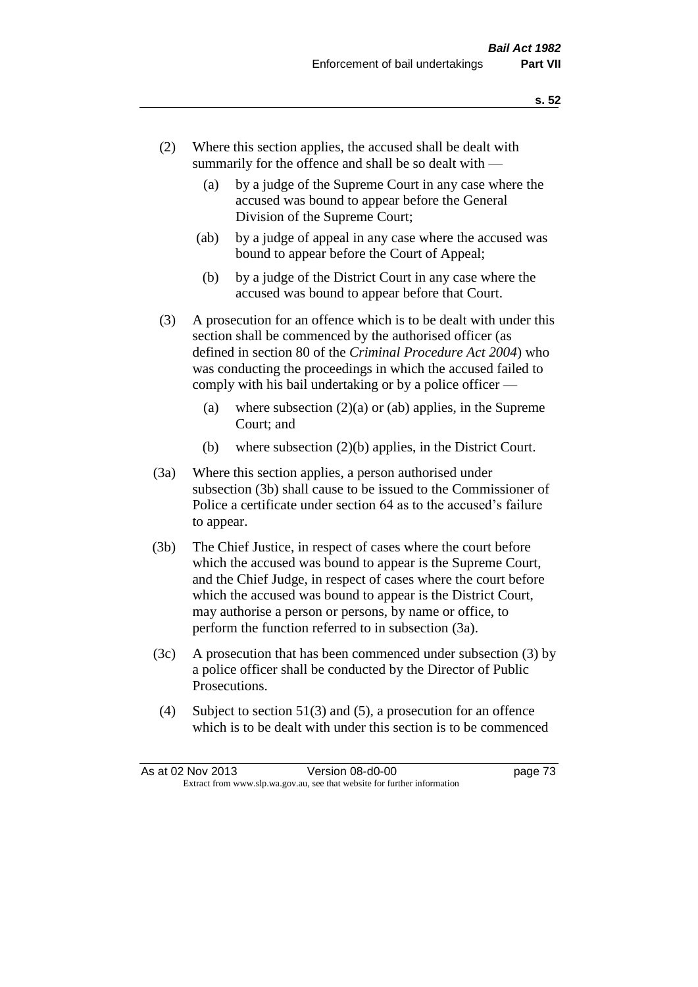- (2) Where this section applies, the accused shall be dealt with summarily for the offence and shall be so dealt with —
	- (a) by a judge of the Supreme Court in any case where the accused was bound to appear before the General Division of the Supreme Court;
	- (ab) by a judge of appeal in any case where the accused was bound to appear before the Court of Appeal;
	- (b) by a judge of the District Court in any case where the accused was bound to appear before that Court.
- (3) A prosecution for an offence which is to be dealt with under this section shall be commenced by the authorised officer (as defined in section 80 of the *Criminal Procedure Act 2004*) who was conducting the proceedings in which the accused failed to comply with his bail undertaking or by a police officer —
	- (a) where subsection  $(2)(a)$  or (ab) applies, in the Supreme Court; and
	- (b) where subsection (2)(b) applies, in the District Court.
- (3a) Where this section applies, a person authorised under subsection (3b) shall cause to be issued to the Commissioner of Police a certificate under section 64 as to the accused's failure to appear.
- (3b) The Chief Justice, in respect of cases where the court before which the accused was bound to appear is the Supreme Court, and the Chief Judge, in respect of cases where the court before which the accused was bound to appear is the District Court, may authorise a person or persons, by name or office, to perform the function referred to in subsection (3a).
- (3c) A prosecution that has been commenced under subsection (3) by a police officer shall be conducted by the Director of Public Prosecutions.
- (4) Subject to section 51(3) and (5), a prosecution for an offence which is to be dealt with under this section is to be commenced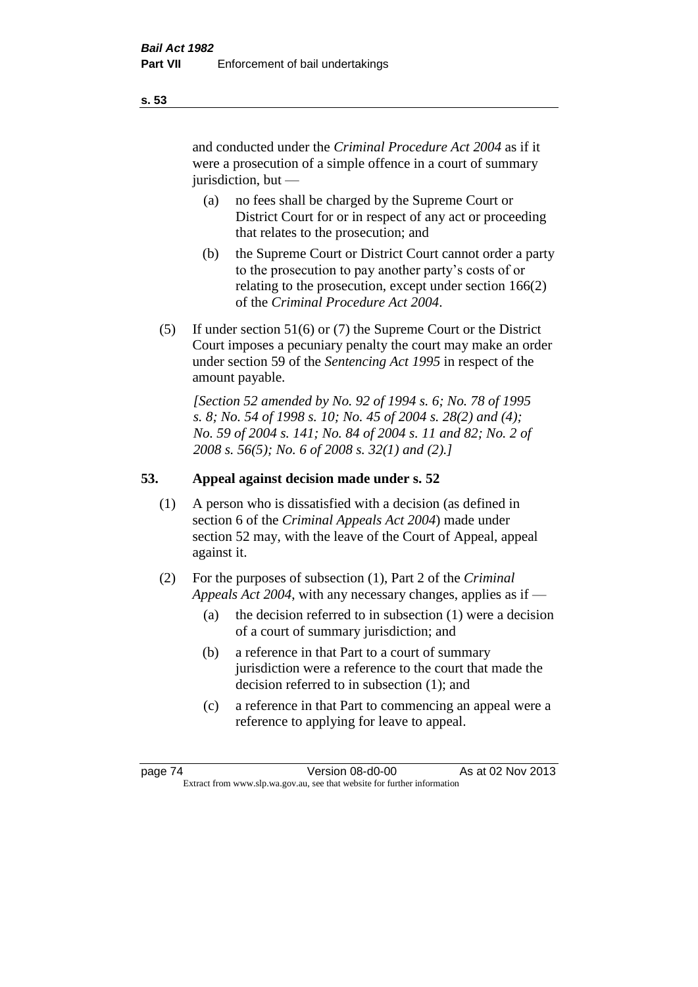and conducted under the *Criminal Procedure Act 2004* as if it were a prosecution of a simple offence in a court of summary jurisdiction, but —

- (a) no fees shall be charged by the Supreme Court or District Court for or in respect of any act or proceeding that relates to the prosecution; and
- (b) the Supreme Court or District Court cannot order a party to the prosecution to pay another party's costs of or relating to the prosecution, except under section 166(2) of the *Criminal Procedure Act 2004*.
- (5) If under section 51(6) or (7) the Supreme Court or the District Court imposes a pecuniary penalty the court may make an order under section 59 of the *Sentencing Act 1995* in respect of the amount payable.

*[Section 52 amended by No. 92 of 1994 s. 6; No. 78 of 1995 s. 8; No. 54 of 1998 s. 10; No. 45 of 2004 s. 28(2) and (4); No. 59 of 2004 s. 141; No. 84 of 2004 s. 11 and 82; No. 2 of 2008 s. 56(5); No. 6 of 2008 s. 32(1) and (2).]* 

# **53. Appeal against decision made under s. 52**

- (1) A person who is dissatisfied with a decision (as defined in section 6 of the *Criminal Appeals Act 2004*) made under section 52 may, with the leave of the Court of Appeal, appeal against it.
- (2) For the purposes of subsection (1), Part 2 of the *Criminal Appeals Act 2004*, with any necessary changes, applies as if —
	- (a) the decision referred to in subsection (1) were a decision of a court of summary jurisdiction; and
	- (b) a reference in that Part to a court of summary jurisdiction were a reference to the court that made the decision referred to in subsection (1); and
	- (c) a reference in that Part to commencing an appeal were a reference to applying for leave to appeal.

**s. 53**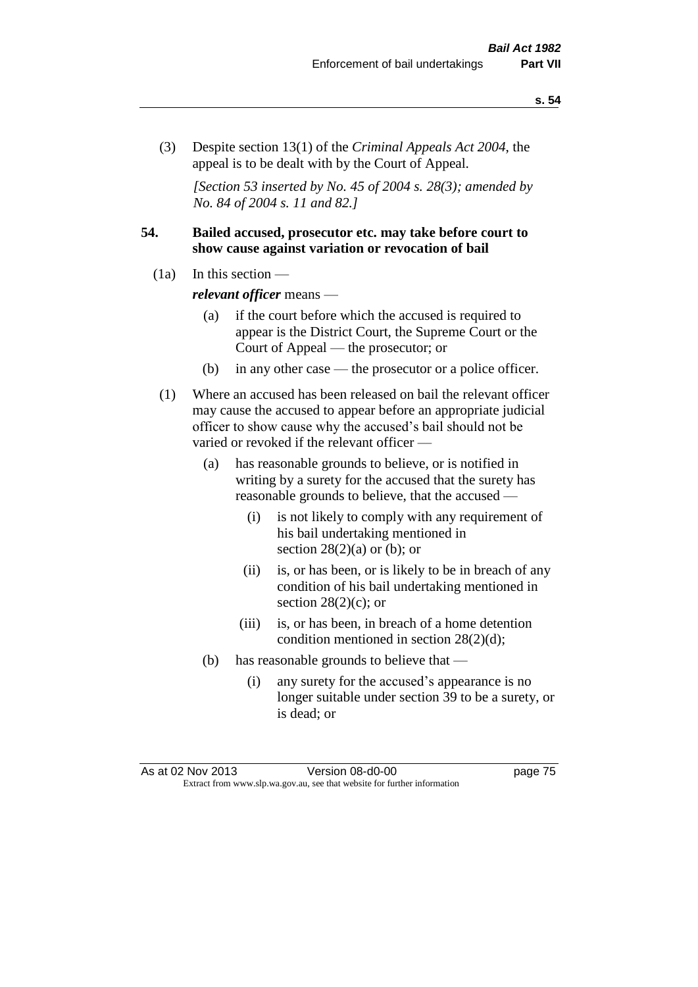(3) Despite section 13(1) of the *Criminal Appeals Act 2004*, the appeal is to be dealt with by the Court of Appeal.

*[Section 53 inserted by No. 45 of 2004 s. 28(3); amended by No. 84 of 2004 s. 11 and 82.]*

## **54. Bailed accused, prosecutor etc. may take before court to show cause against variation or revocation of bail**

 $(1a)$  In this section —

*relevant officer* means —

- (a) if the court before which the accused is required to appear is the District Court, the Supreme Court or the Court of Appeal — the prosecutor; or
- (b) in any other case the prosecutor or a police officer.
- (1) Where an accused has been released on bail the relevant officer may cause the accused to appear before an appropriate judicial officer to show cause why the accused's bail should not be varied or revoked if the relevant officer —
	- (a) has reasonable grounds to believe, or is notified in writing by a surety for the accused that the surety has reasonable grounds to believe, that the accused —
		- (i) is not likely to comply with any requirement of his bail undertaking mentioned in section  $28(2)(a)$  or (b); or
		- (ii) is, or has been, or is likely to be in breach of any condition of his bail undertaking mentioned in section  $28(2)(c)$ ; or
		- (iii) is, or has been, in breach of a home detention condition mentioned in section 28(2)(d);
	- (b) has reasonable grounds to believe that
		- (i) any surety for the accused's appearance is no longer suitable under section 39 to be a surety, or is dead; or

As at 02 Nov 2013 Version 08-d0-00 page 75 Extract from www.slp.wa.gov.au, see that website for further information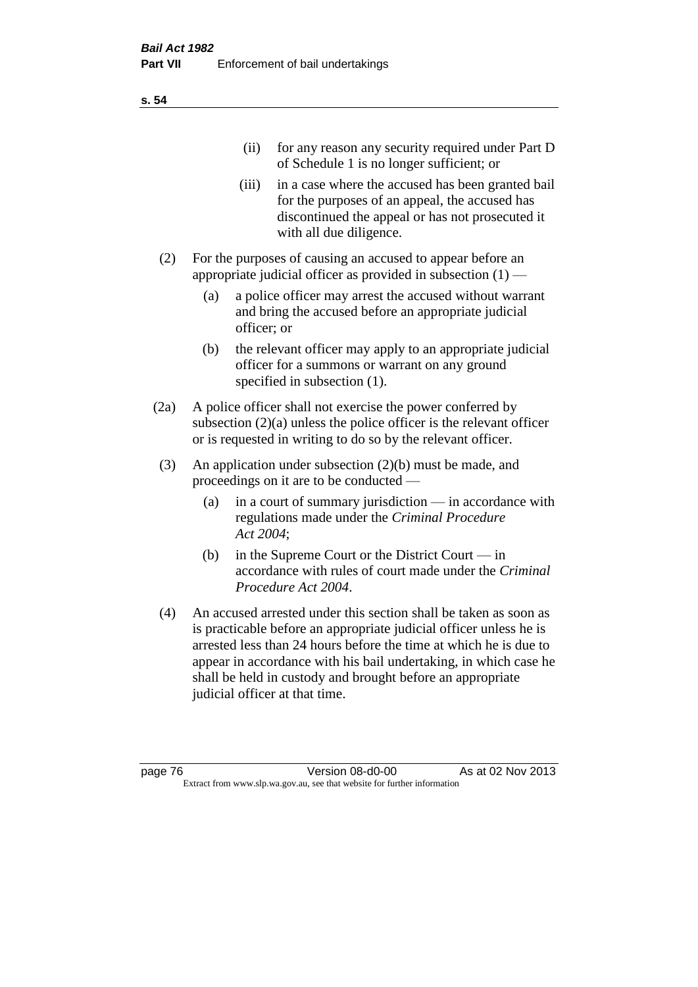| (11)  | for any reason any security required under Part D<br>of Schedule 1 is no longer sufficient; or                                                                                     |
|-------|------------------------------------------------------------------------------------------------------------------------------------------------------------------------------------|
| (111) | in a case where the accused has been granted bail<br>for the purposes of an appeal, the accused has<br>discontinued the appeal or has not prosecuted it<br>with all due diligence. |
|       | For the purposes of causing an accused to appear before an                                                                                                                         |

- appropriate judicial officer as provided in subsection  $(1)$  (a) a police officer may arrest the accused without warrant and bring the accused before an appropriate judicial
	- officer; or (b) the relevant officer may apply to an appropriate judicial officer for a summons or warrant on any ground specified in subsection  $(1)$ .
- (2a) A police officer shall not exercise the power conferred by subsection (2)(a) unless the police officer is the relevant officer or is requested in writing to do so by the relevant officer.
- (3) An application under subsection (2)(b) must be made, and proceedings on it are to be conducted —
	- (a) in a court of summary jurisdiction in accordance with regulations made under the *Criminal Procedure Act 2004*;
	- (b) in the Supreme Court or the District Court  $-\text{in}$ accordance with rules of court made under the *Criminal Procedure Act 2004*.
- (4) An accused arrested under this section shall be taken as soon as is practicable before an appropriate judicial officer unless he is arrested less than 24 hours before the time at which he is due to appear in accordance with his bail undertaking, in which case he shall be held in custody and brought before an appropriate judicial officer at that time.

**s. 54**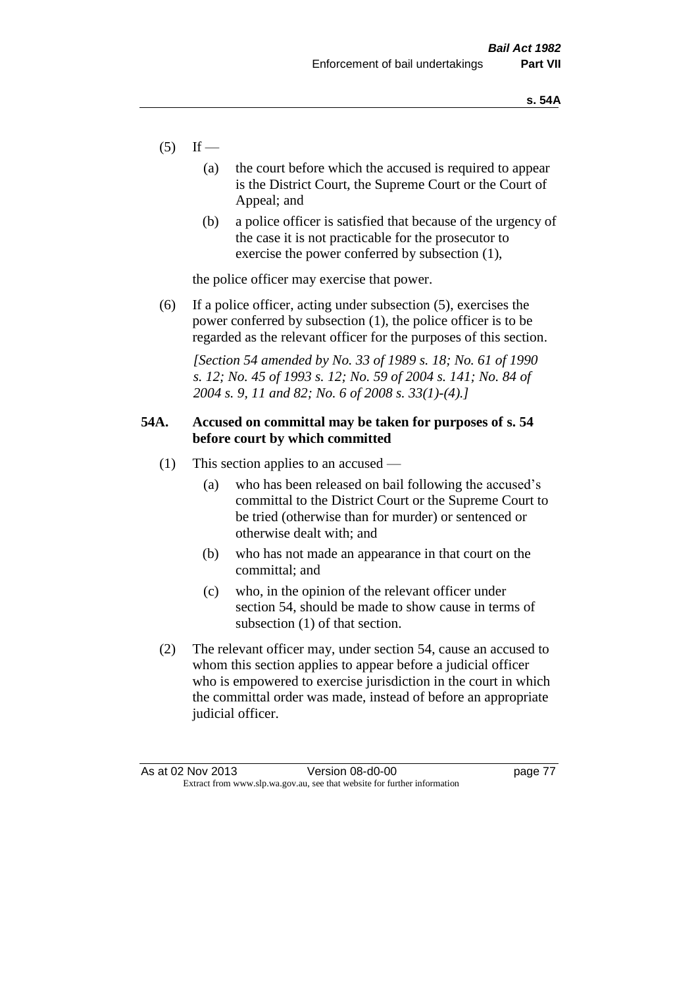- $(5)$  If
	- (a) the court before which the accused is required to appear is the District Court, the Supreme Court or the Court of Appeal; and
	- (b) a police officer is satisfied that because of the urgency of the case it is not practicable for the prosecutor to exercise the power conferred by subsection (1),

the police officer may exercise that power.

(6) If a police officer, acting under subsection (5), exercises the power conferred by subsection (1), the police officer is to be regarded as the relevant officer for the purposes of this section.

*[Section 54 amended by No. 33 of 1989 s. 18; No. 61 of 1990 s. 12; No. 45 of 1993 s. 12; No. 59 of 2004 s. 141; No. 84 of 2004 s. 9, 11 and 82; No. 6 of 2008 s. 33(1)-(4).]* 

## **54A. Accused on committal may be taken for purposes of s. 54 before court by which committed**

- (1) This section applies to an accused
	- (a) who has been released on bail following the accused's committal to the District Court or the Supreme Court to be tried (otherwise than for murder) or sentenced or otherwise dealt with; and
	- (b) who has not made an appearance in that court on the committal; and
	- (c) who, in the opinion of the relevant officer under section 54, should be made to show cause in terms of subsection (1) of that section.
- (2) The relevant officer may, under section 54, cause an accused to whom this section applies to appear before a judicial officer who is empowered to exercise jurisdiction in the court in which the committal order was made, instead of before an appropriate judicial officer.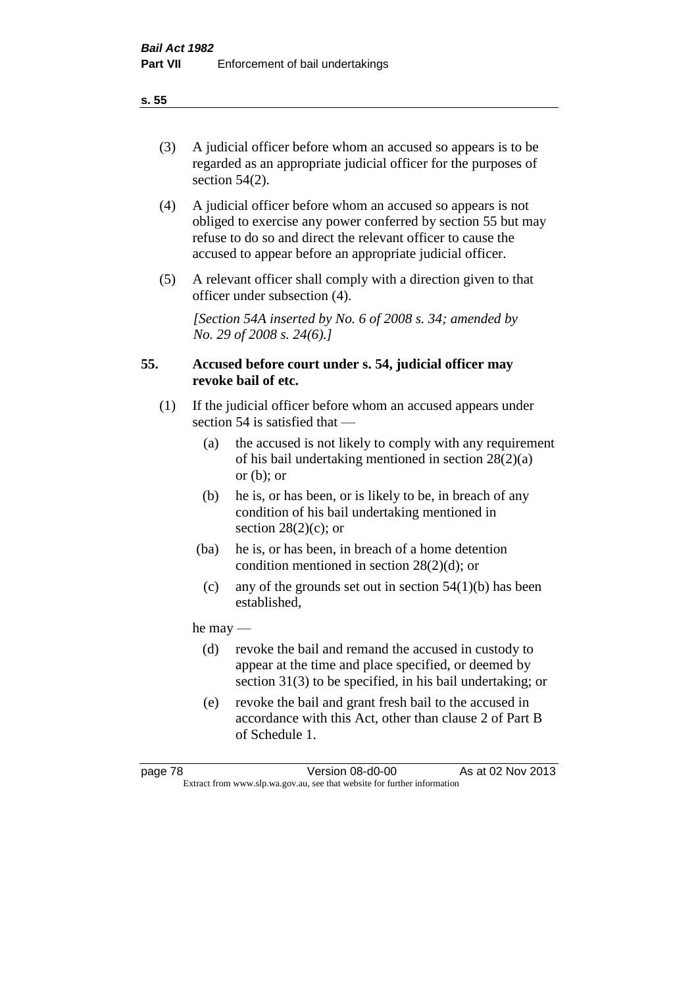(3) A judicial officer before whom an accused so appears is to be regarded as an appropriate judicial officer for the purposes of section 54(2).

- (4) A judicial officer before whom an accused so appears is not obliged to exercise any power conferred by section 55 but may refuse to do so and direct the relevant officer to cause the accused to appear before an appropriate judicial officer.
- (5) A relevant officer shall comply with a direction given to that officer under subsection (4).

*[Section 54A inserted by No. 6 of 2008 s. 34; amended by No. 29 of 2008 s. 24(6).]*

# **55. Accused before court under s. 54, judicial officer may revoke bail of etc.**

- (1) If the judicial officer before whom an accused appears under section 54 is satisfied that —
	- (a) the accused is not likely to comply with any requirement of his bail undertaking mentioned in section 28(2)(a) or  $(b)$ ; or
	- (b) he is, or has been, or is likely to be, in breach of any condition of his bail undertaking mentioned in section  $28(2)(c)$ ; or
	- (ba) he is, or has been, in breach of a home detention condition mentioned in section 28(2)(d); or
	- (c) any of the grounds set out in section  $54(1)(b)$  has been established,

he may —

- (d) revoke the bail and remand the accused in custody to appear at the time and place specified, or deemed by section 31(3) to be specified, in his bail undertaking; or
- (e) revoke the bail and grant fresh bail to the accused in accordance with this Act, other than clause 2 of Part B of Schedule 1.

**s. 55**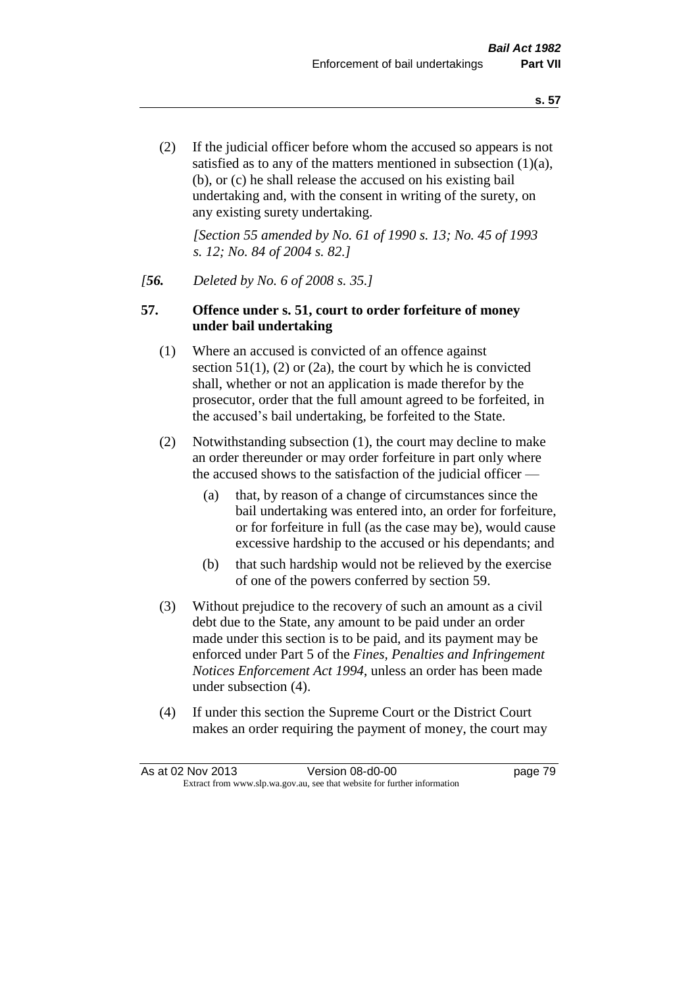(2) If the judicial officer before whom the accused so appears is not satisfied as to any of the matters mentioned in subsection (1)(a), (b), or (c) he shall release the accused on his existing bail undertaking and, with the consent in writing of the surety, on any existing surety undertaking.

*[Section 55 amended by No. 61 of 1990 s. 13; No. 45 of 1993 s. 12; No. 84 of 2004 s. 82.]* 

## *[56. Deleted by No. 6 of 2008 s. 35.]*

## **57. Offence under s. 51, court to order forfeiture of money under bail undertaking**

- (1) Where an accused is convicted of an offence against section  $51(1)$ ,  $(2)$  or  $(2a)$ , the court by which he is convicted shall, whether or not an application is made therefor by the prosecutor, order that the full amount agreed to be forfeited, in the accused's bail undertaking, be forfeited to the State.
- (2) Notwithstanding subsection (1), the court may decline to make an order thereunder or may order forfeiture in part only where the accused shows to the satisfaction of the judicial officer —
	- (a) that, by reason of a change of circumstances since the bail undertaking was entered into, an order for forfeiture, or for forfeiture in full (as the case may be), would cause excessive hardship to the accused or his dependants; and
	- (b) that such hardship would not be relieved by the exercise of one of the powers conferred by section 59.
- (3) Without prejudice to the recovery of such an amount as a civil debt due to the State, any amount to be paid under an order made under this section is to be paid, and its payment may be enforced under Part 5 of the *Fines, Penalties and Infringement Notices Enforcement Act 1994*, unless an order has been made under subsection (4).
- (4) If under this section the Supreme Court or the District Court makes an order requiring the payment of money, the court may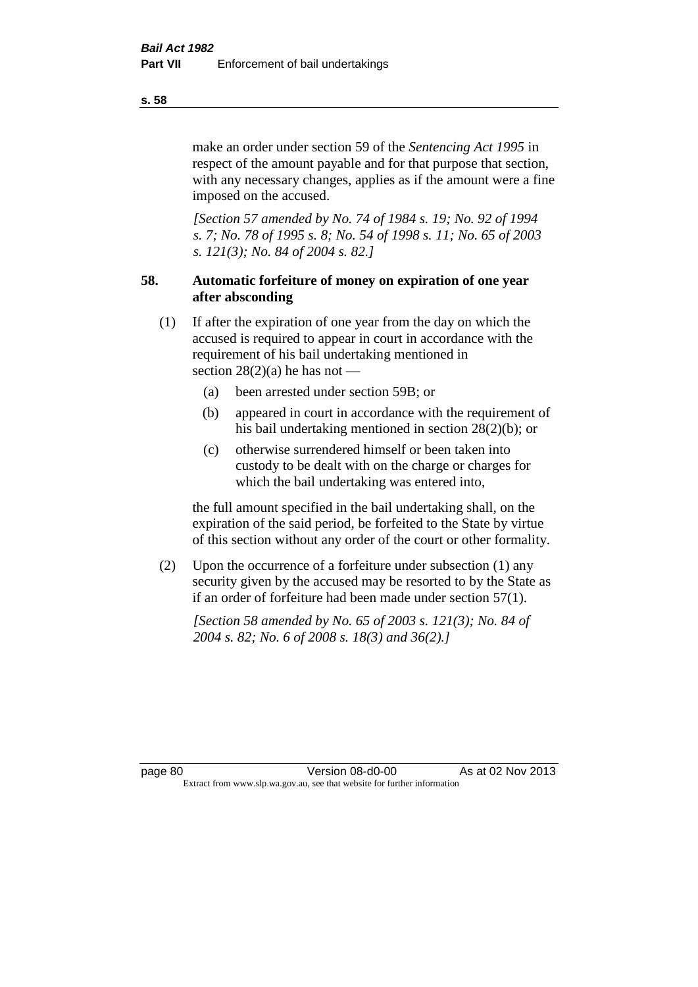make an order under section 59 of the *Sentencing Act 1995* in respect of the amount payable and for that purpose that section, with any necessary changes, applies as if the amount were a fine imposed on the accused.

*[Section 57 amended by No. 74 of 1984 s. 19; No. 92 of 1994 s. 7; No. 78 of 1995 s. 8; No. 54 of 1998 s. 11; No. 65 of 2003 s. 121(3); No. 84 of 2004 s. 82.]* 

# **58. Automatic forfeiture of money on expiration of one year after absconding**

- (1) If after the expiration of one year from the day on which the accused is required to appear in court in accordance with the requirement of his bail undertaking mentioned in section  $28(2)(a)$  he has not —
	- (a) been arrested under section 59B; or
	- (b) appeared in court in accordance with the requirement of his bail undertaking mentioned in section 28(2)(b); or
	- (c) otherwise surrendered himself or been taken into custody to be dealt with on the charge or charges for which the bail undertaking was entered into,

the full amount specified in the bail undertaking shall, on the expiration of the said period, be forfeited to the State by virtue of this section without any order of the court or other formality.

(2) Upon the occurrence of a forfeiture under subsection (1) any security given by the accused may be resorted to by the State as if an order of forfeiture had been made under section 57(1).

*[Section 58 amended by No. 65 of 2003 s. 121(3); No. 84 of 2004 s. 82; No. 6 of 2008 s. 18(3) and 36(2).]*

page 80 Version 08-d0-00 As at 02 Nov 2013 Extract from www.slp.wa.gov.au, see that website for further information

**s. 58**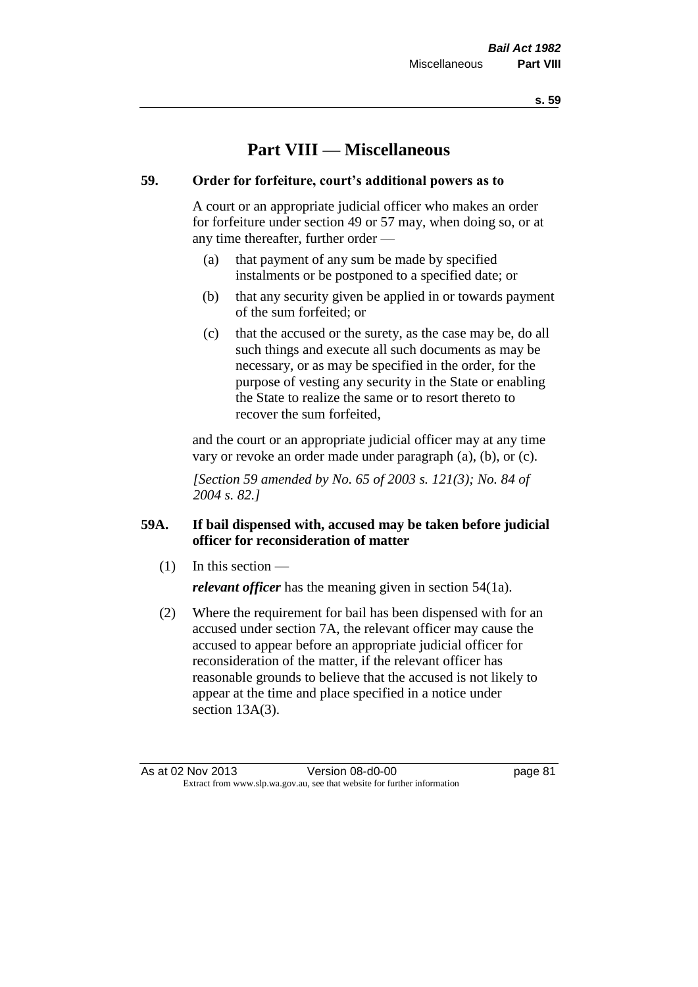# **Part VIII — Miscellaneous**

# **59. Order for forfeiture, court's additional powers as to**

A court or an appropriate judicial officer who makes an order for forfeiture under section 49 or 57 may, when doing so, or at any time thereafter, further order —

- (a) that payment of any sum be made by specified instalments or be postponed to a specified date; or
- (b) that any security given be applied in or towards payment of the sum forfeited; or
- (c) that the accused or the surety, as the case may be, do all such things and execute all such documents as may be necessary, or as may be specified in the order, for the purpose of vesting any security in the State or enabling the State to realize the same or to resort thereto to recover the sum forfeited,

and the court or an appropriate judicial officer may at any time vary or revoke an order made under paragraph (a), (b), or (c).

*[Section 59 amended by No. 65 of 2003 s. 121(3); No. 84 of 2004 s. 82.]*

# **59A. If bail dispensed with, accused may be taken before judicial officer for reconsideration of matter**

(1) In this section —

*relevant officer* has the meaning given in section 54(1a).

(2) Where the requirement for bail has been dispensed with for an accused under section 7A, the relevant officer may cause the accused to appear before an appropriate judicial officer for reconsideration of the matter, if the relevant officer has reasonable grounds to believe that the accused is not likely to appear at the time and place specified in a notice under section 13A(3).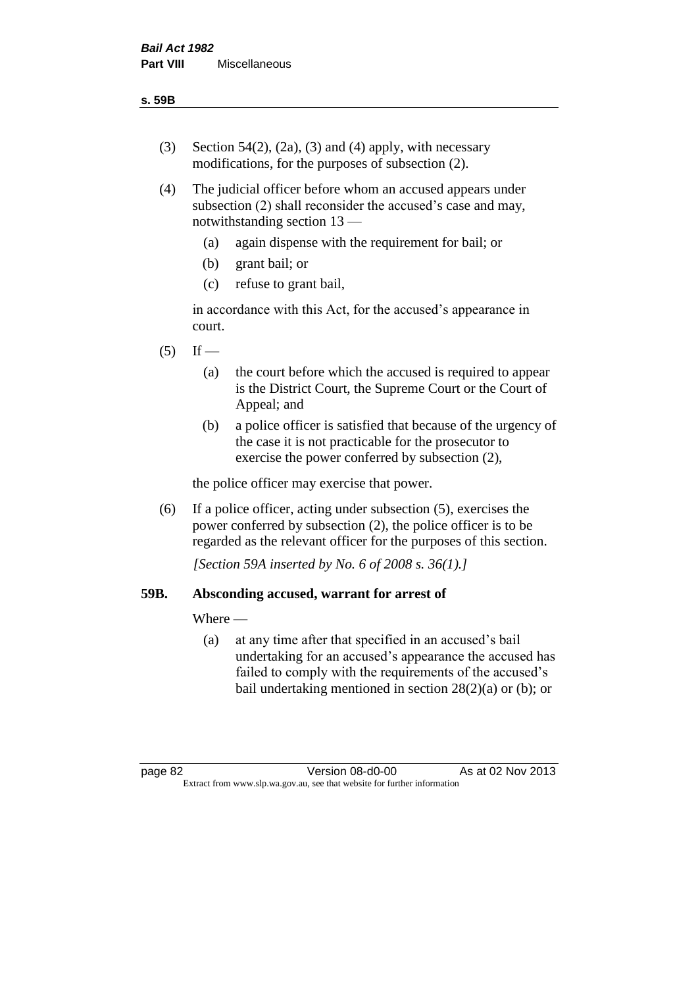- (3) Section 54(2), (2a), (3) and (4) apply, with necessary modifications, for the purposes of subsection (2).
- (4) The judicial officer before whom an accused appears under subsection (2) shall reconsider the accused's case and may, notwithstanding section 13 —
	- (a) again dispense with the requirement for bail; or
	- (b) grant bail; or
	- (c) refuse to grant bail,

in accordance with this Act, for the accused's appearance in court.

- $(5)$  If
	- (a) the court before which the accused is required to appear is the District Court, the Supreme Court or the Court of Appeal; and
	- (b) a police officer is satisfied that because of the urgency of the case it is not practicable for the prosecutor to exercise the power conferred by subsection (2),

the police officer may exercise that power.

(6) If a police officer, acting under subsection (5), exercises the power conferred by subsection (2), the police officer is to be regarded as the relevant officer for the purposes of this section.

*[Section 59A inserted by No. 6 of 2008 s. 36(1).]*

# **59B. Absconding accused, warrant for arrest of**

Where —

(a) at any time after that specified in an accused's bail undertaking for an accused's appearance the accused has failed to comply with the requirements of the accused's bail undertaking mentioned in section  $28(2)(a)$  or (b); or

page 82 Version 08-d0-00 As at 02 Nov 2013 Extract from www.slp.wa.gov.au, see that website for further information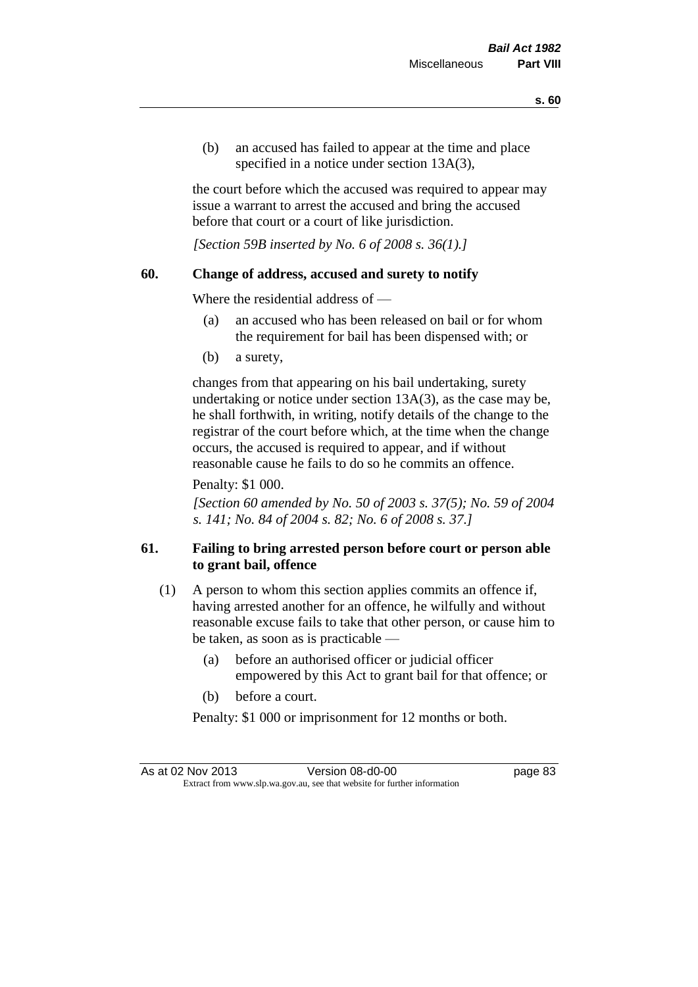(b) an accused has failed to appear at the time and place specified in a notice under section 13A(3).

the court before which the accused was required to appear may issue a warrant to arrest the accused and bring the accused before that court or a court of like jurisdiction.

*[Section 59B inserted by No. 6 of 2008 s. 36(1).]*

## **60. Change of address, accused and surety to notify**

Where the residential address of —

- (a) an accused who has been released on bail or for whom the requirement for bail has been dispensed with; or
- (b) a surety,

changes from that appearing on his bail undertaking, surety undertaking or notice under section 13A(3), as the case may be, he shall forthwith, in writing, notify details of the change to the registrar of the court before which, at the time when the change occurs, the accused is required to appear, and if without reasonable cause he fails to do so he commits an offence.

Penalty: \$1 000.

*[Section 60 amended by No. 50 of 2003 s. 37(5); No. 59 of 2004 s. 141; No. 84 of 2004 s. 82; No. 6 of 2008 s. 37.]*

# **61. Failing to bring arrested person before court or person able to grant bail, offence**

- (1) A person to whom this section applies commits an offence if, having arrested another for an offence, he wilfully and without reasonable excuse fails to take that other person, or cause him to be taken, as soon as is practicable —
	- (a) before an authorised officer or judicial officer empowered by this Act to grant bail for that offence; or
	- (b) before a court.

Penalty: \$1 000 or imprisonment for 12 months or both.

As at 02 Nov 2013 Version 08-d0-00 Page 83 Extract from www.slp.wa.gov.au, see that website for further information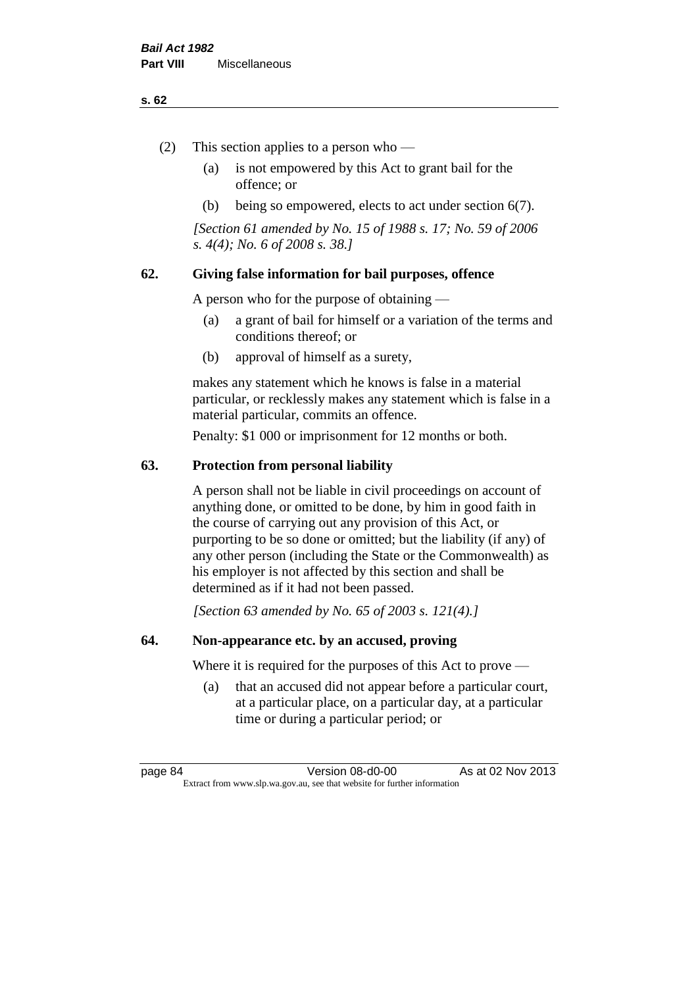### **s. 62**

- (2) This section applies to a person who
	- (a) is not empowered by this Act to grant bail for the offence; or
	- (b) being so empowered, elects to act under section 6(7).

*[Section 61 amended by No. 15 of 1988 s. 17; No. 59 of 2006 s. 4(4); No. 6 of 2008 s. 38.]* 

# **62. Giving false information for bail purposes, offence**

A person who for the purpose of obtaining —

- (a) a grant of bail for himself or a variation of the terms and conditions thereof; or
- (b) approval of himself as a surety,

makes any statement which he knows is false in a material particular, or recklessly makes any statement which is false in a material particular, commits an offence.

Penalty: \$1 000 or imprisonment for 12 months or both.

## **63. Protection from personal liability**

A person shall not be liable in civil proceedings on account of anything done, or omitted to be done, by him in good faith in the course of carrying out any provision of this Act, or purporting to be so done or omitted; but the liability (if any) of any other person (including the State or the Commonwealth) as his employer is not affected by this section and shall be determined as if it had not been passed.

*[Section 63 amended by No. 65 of 2003 s. 121(4).]*

# **64. Non-appearance etc. by an accused, proving**

Where it is required for the purposes of this Act to prove —

(a) that an accused did not appear before a particular court, at a particular place, on a particular day, at a particular time or during a particular period; or

page 84 Version 08-d0-00 As at 02 Nov 2013 Extract from www.slp.wa.gov.au, see that website for further information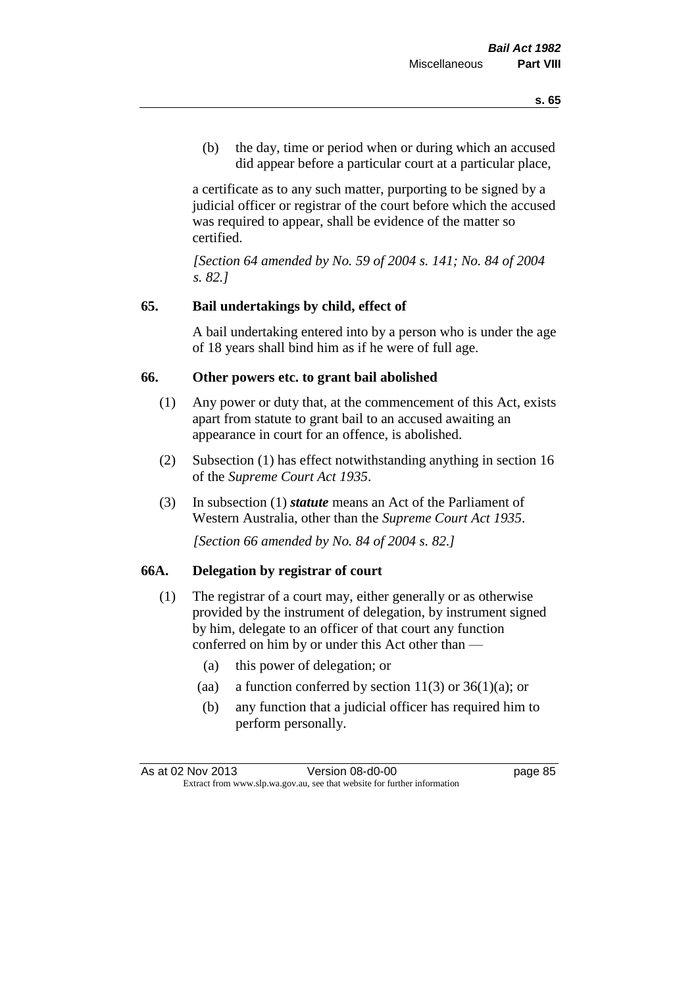(b) the day, time or period when or during which an accused did appear before a particular court at a particular place,

a certificate as to any such matter, purporting to be signed by a judicial officer or registrar of the court before which the accused was required to appear, shall be evidence of the matter so certified.

*[Section 64 amended by No. 59 of 2004 s. 141; No. 84 of 2004 s. 82.]* 

# **65. Bail undertakings by child, effect of**

A bail undertaking entered into by a person who is under the age of 18 years shall bind him as if he were of full age.

#### **66. Other powers etc. to grant bail abolished**

- (1) Any power or duty that, at the commencement of this Act, exists apart from statute to grant bail to an accused awaiting an appearance in court for an offence, is abolished.
- (2) Subsection (1) has effect notwithstanding anything in section 16 of the *Supreme Court Act 1935*.
- (3) In subsection (1) *statute* means an Act of the Parliament of Western Australia, other than the *Supreme Court Act 1935*.

*[Section 66 amended by No. 84 of 2004 s. 82.]*

## **66A. Delegation by registrar of court**

- (1) The registrar of a court may, either generally or as otherwise provided by the instrument of delegation, by instrument signed by him, delegate to an officer of that court any function conferred on him by or under this Act other than —
	- (a) this power of delegation; or
	- (aa) a function conferred by section  $11(3)$  or  $36(1)(a)$ ; or
	- (b) any function that a judicial officer has required him to perform personally.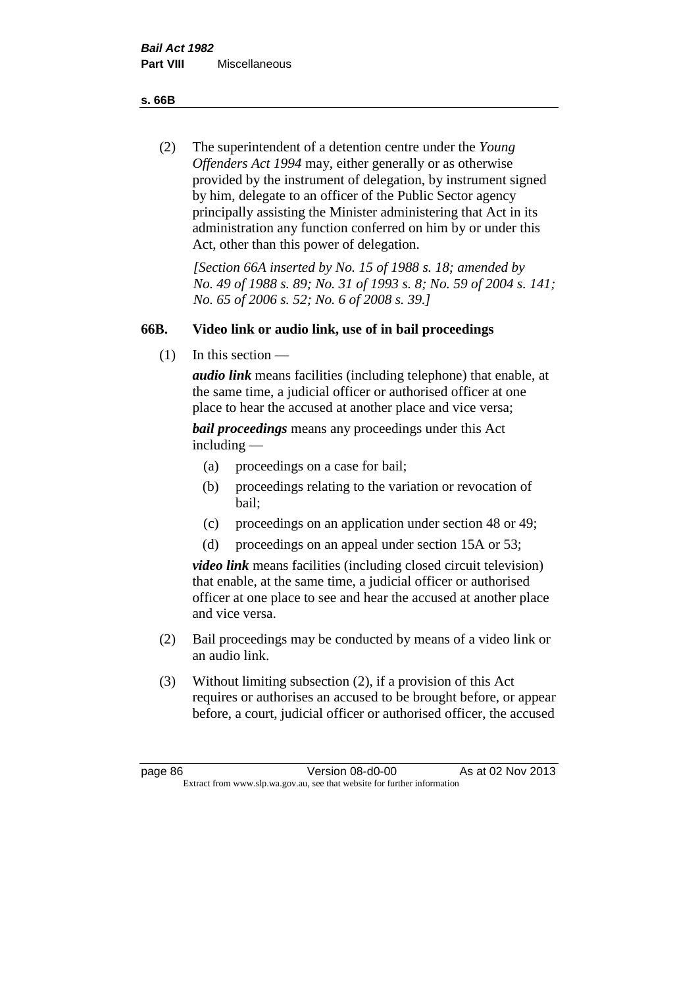**s. 66B**

(2) The superintendent of a detention centre under the *Young Offenders Act 1994* may, either generally or as otherwise provided by the instrument of delegation, by instrument signed by him, delegate to an officer of the Public Sector agency principally assisting the Minister administering that Act in its administration any function conferred on him by or under this Act, other than this power of delegation.

*[Section 66A inserted by No. 15 of 1988 s. 18; amended by No. 49 of 1988 s. 89; No. 31 of 1993 s. 8; No. 59 of 2004 s. 141; No. 65 of 2006 s. 52; No. 6 of 2008 s. 39.]* 

# **66B. Video link or audio link, use of in bail proceedings**

(1) In this section —

*audio link* means facilities (including telephone) that enable, at the same time, a judicial officer or authorised officer at one place to hear the accused at another place and vice versa;

*bail proceedings* means any proceedings under this Act including —

- (a) proceedings on a case for bail;
- (b) proceedings relating to the variation or revocation of bail;
- (c) proceedings on an application under section 48 or 49;
- (d) proceedings on an appeal under section 15A or 53;

*video link* means facilities (including closed circuit television) that enable, at the same time, a judicial officer or authorised officer at one place to see and hear the accused at another place and vice versa.

- (2) Bail proceedings may be conducted by means of a video link or an audio link.
- (3) Without limiting subsection (2), if a provision of this Act requires or authorises an accused to be brought before, or appear before, a court, judicial officer or authorised officer, the accused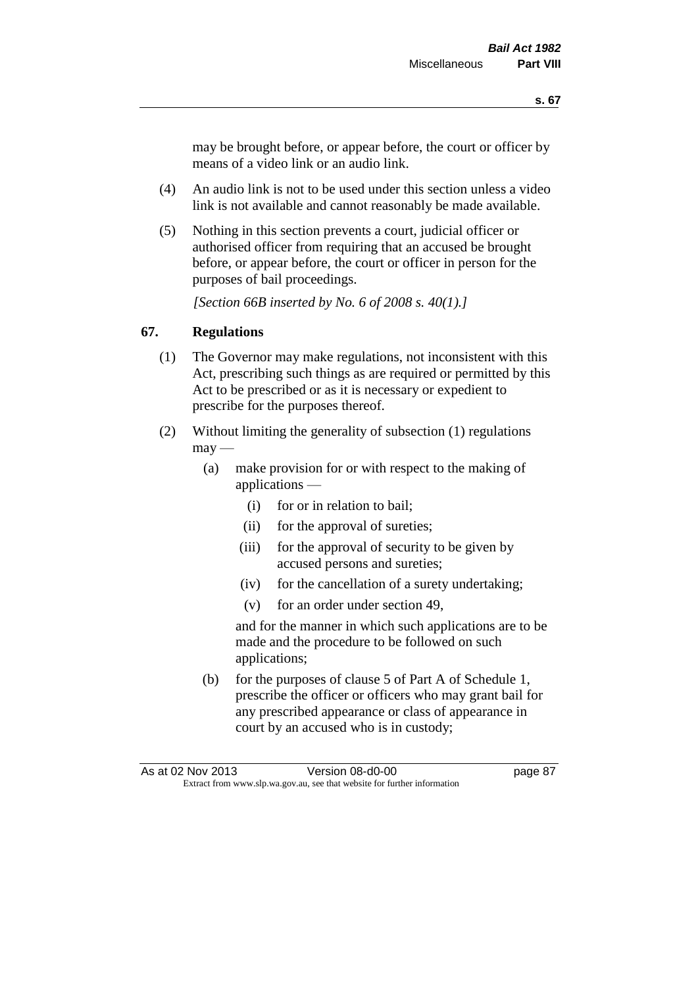may be brought before, or appear before, the court or officer by means of a video link or an audio link.

- (4) An audio link is not to be used under this section unless a video link is not available and cannot reasonably be made available.
- (5) Nothing in this section prevents a court, judicial officer or authorised officer from requiring that an accused be brought before, or appear before, the court or officer in person for the purposes of bail proceedings.

*[Section 66B inserted by No. 6 of 2008 s. 40(1).]*

# **67. Regulations**

- (1) The Governor may make regulations, not inconsistent with this Act, prescribing such things as are required or permitted by this Act to be prescribed or as it is necessary or expedient to prescribe for the purposes thereof.
- (2) Without limiting the generality of subsection (1) regulations  $\text{max}$  —
	- (a) make provision for or with respect to the making of applications —
		- (i) for or in relation to bail;
		- (ii) for the approval of sureties;
		- (iii) for the approval of security to be given by accused persons and sureties;
		- (iv) for the cancellation of a surety undertaking;
		- (v) for an order under section 49,

and for the manner in which such applications are to be made and the procedure to be followed on such applications;

(b) for the purposes of clause 5 of Part A of Schedule 1, prescribe the officer or officers who may grant bail for any prescribed appearance or class of appearance in court by an accused who is in custody;

As at 02 Nov 2013 Version 08-d0-00 Page 87 Extract from www.slp.wa.gov.au, see that website for further information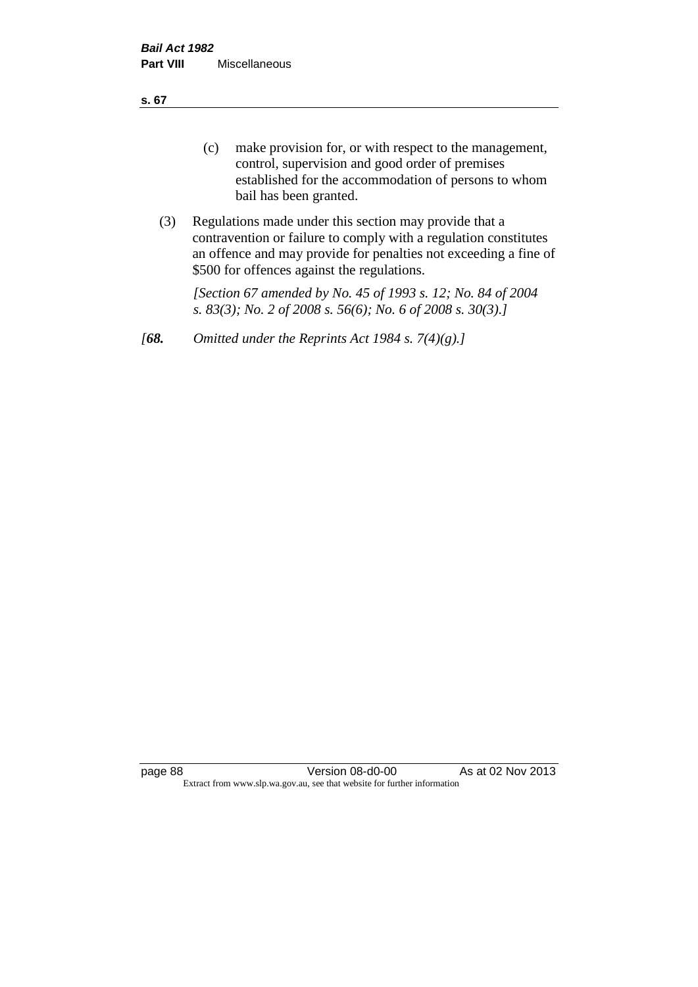**s. 67**

- (c) make provision for, or with respect to the management, control, supervision and good order of premises established for the accommodation of persons to whom bail has been granted.
- (3) Regulations made under this section may provide that a contravention or failure to comply with a regulation constitutes an offence and may provide for penalties not exceeding a fine of \$500 for offences against the regulations.

*[Section 67 amended by No. 45 of 1993 s. 12; No. 84 of 2004 s. 83(3); No. 2 of 2008 s. 56(6); No. 6 of 2008 s. 30(3).]* 

*[68. Omitted under the Reprints Act 1984 s. 7(4)(g).]*

page 88 Version 08-d0-00 As at 02 Nov 2013 Extract from www.slp.wa.gov.au, see that website for further information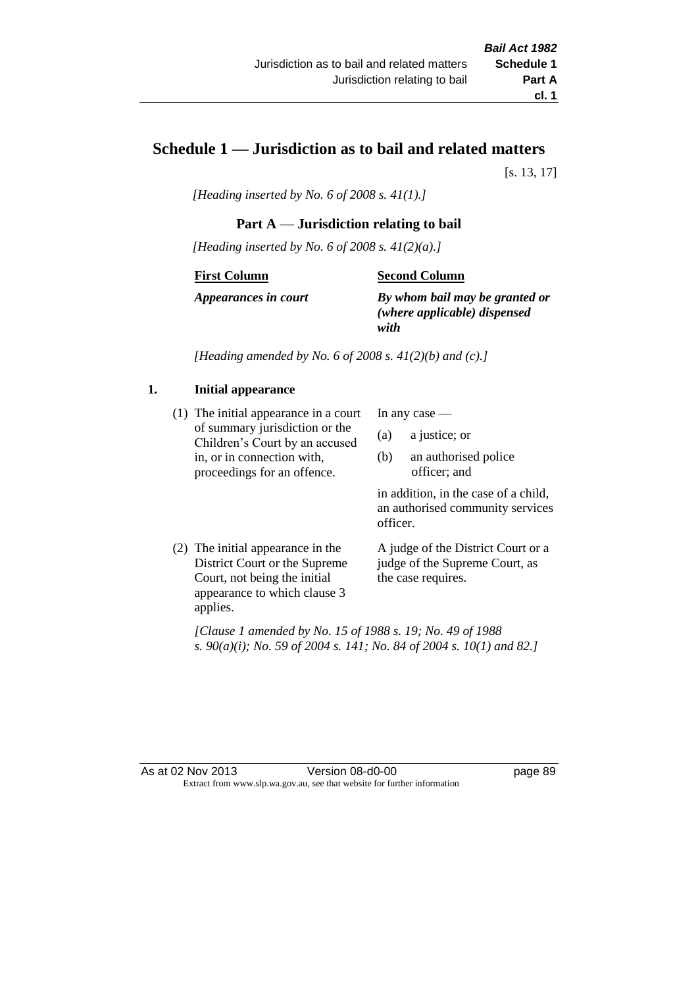# **Schedule 1 — Jurisdiction as to bail and related matters**

[s. 13, 17]

*[Heading inserted by No. 6 of 2008 s. 41(1).]*

# **Part A** — **Jurisdiction relating to bail**

*[Heading inserted by No. 6 of 2008 s. 41(2)(a).]*

#### **First Column**

#### **Second Column**

*Appearances in court*

*By whom bail may be granted or (where applicable) dispensed with*

*[Heading amended by No. 6 of 2008 s. 41(2)(b) and (c).]*

# **1. Initial appearance**

(1) The initial appearance in a court of summary jurisdiction or the Children's Court by an accused in, or in connection with, proceedings for an offence.

In any case —

- (a) a justice; or
- (b) an authorised police officer; and

in addition, in the case of a child, an authorised community services officer.

(2) The initial appearance in the District Court or the Supreme Court, not being the initial appearance to which clause 3 applies.

A judge of the District Court or a judge of the Supreme Court, as the case requires.

*[Clause 1 amended by No. 15 of 1988 s. 19; No. 49 of 1988 s. 90(a)(i); No. 59 of 2004 s. 141; No. 84 of 2004 s. 10(1) and 82.]*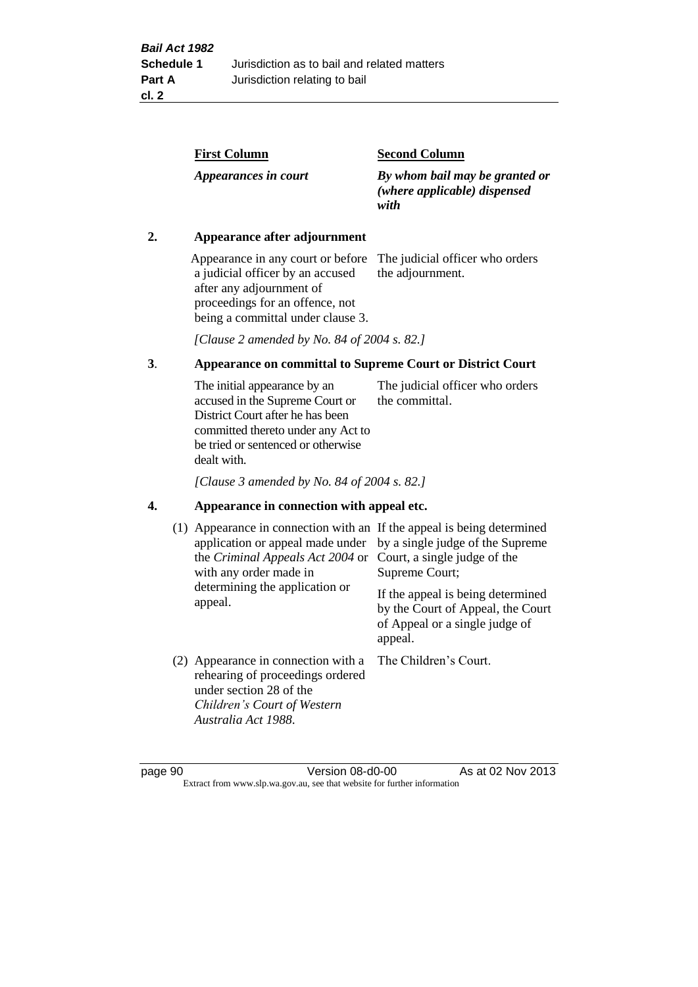| <b>First Column</b>  | <b>Second Column</b>                                                   |
|----------------------|------------------------------------------------------------------------|
| Appearances in court | By whom bail may be granted or<br>(where applicable) dispensed<br>with |

### **2. Appearance after adjournment**

Appearance in any court or before The judicial officer who orders a judicial officer by an accused after any adjournment of proceedings for an offence, not being a committal under clause 3.

the adjournment.

*[Clause 2 amended by No. 84 of 2004 s. 82.]*

# **3**. **Appearance on committal to Supreme Court or District Court**

The initial appearance by an accused in the Supreme Court or District Court after he has been committed thereto under any Act to be tried or sentenced or otherwise dealt with. The judicial officer who orders the committal.

*[Clause 3 amended by No. 84 of 2004 s. 82.]*

#### **4. Appearance in connection with appeal etc.**

| (1) Appearance in connection with an If the appeal is being determined<br>application or appeal made under<br>the Criminal Appeals Act 2004 or<br>with any order made in<br>determining the application or<br>appeal. | by a single judge of the Supreme<br>Court, a single judge of the<br>Supreme Court;<br>If the appeal is being determined<br>by the Court of Appeal, the Court<br>of Appeal or a single judge of<br>appeal. |
|-----------------------------------------------------------------------------------------------------------------------------------------------------------------------------------------------------------------------|-----------------------------------------------------------------------------------------------------------------------------------------------------------------------------------------------------------|
| (2) Appearance in connection with a<br>rehearing of proceedings ordered<br>under section 28 of the<br>Children's Court of Western<br>Australia Act 1988.                                                              | The Children's Court.                                                                                                                                                                                     |

page 90 Version 08-d0-00 As at 02 Nov 2013 Extract from www.slp.wa.gov.au, see that website for further information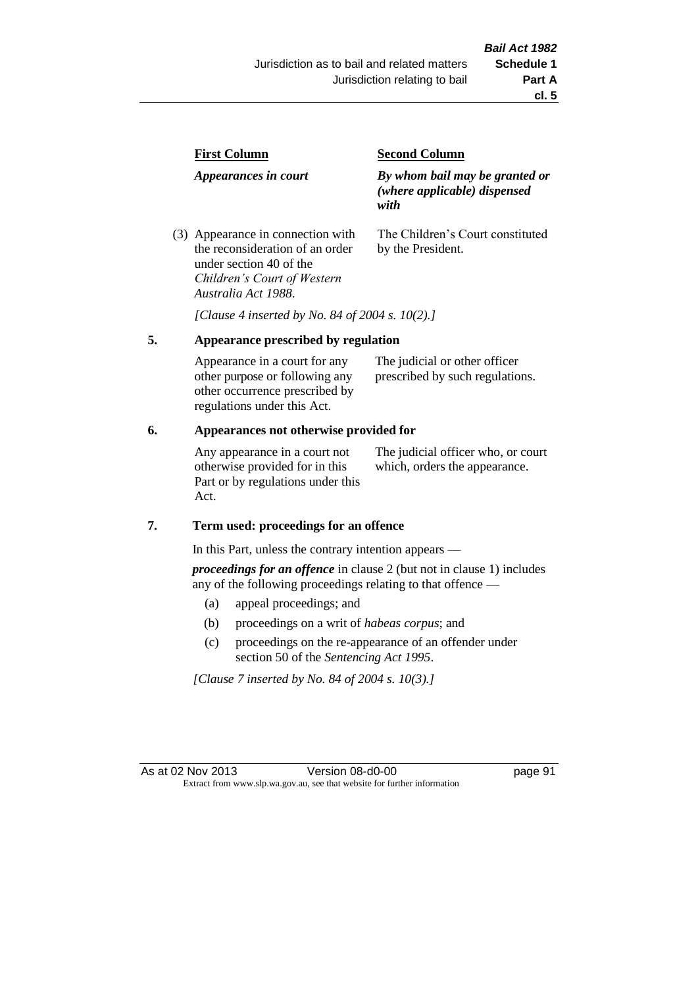| <b>First Column</b>                                                  | <b>Second Column</b>                                                   |  |
|----------------------------------------------------------------------|------------------------------------------------------------------------|--|
| Appearances in court                                                 | By whom bail may be granted or<br>(where applicable) dispensed<br>with |  |
| (3) Appearance in connection with<br>the reconsideration of an order | The Children's Court constituted<br>by the President.                  |  |

*Australia Act 1988*. *[Clause 4 inserted by No. 84 of 2004 s. 10(2).]*

# **5. Appearance prescribed by regulation**

under section 40 of the *Children's Court of Western* 

| Appearance in a court for any<br>other purpose or following any | The judicial or other officer<br>prescribed by such regulations. |  |
|-----------------------------------------------------------------|------------------------------------------------------------------|--|
| other occurrence prescribed by                                  |                                                                  |  |
| regulations under this Act.                                     |                                                                  |  |

## **6. Appearances not otherwise provided for**

Any appearance in a court not otherwise provided for in this Part or by regulations under this Act.

The judicial officer who, or court which, orders the appearance.

# **7. Term used: proceedings for an offence**

In this Part, unless the contrary intention appears —

*proceedings for an offence* in clause 2 (but not in clause 1) includes any of the following proceedings relating to that offence —

- (a) appeal proceedings; and
- (b) proceedings on a writ of *habeas corpus*; and
- (c) proceedings on the re-appearance of an offender under section 50 of the *Sentencing Act 1995*.

*[Clause 7 inserted by No. 84 of 2004 s. 10(3).]*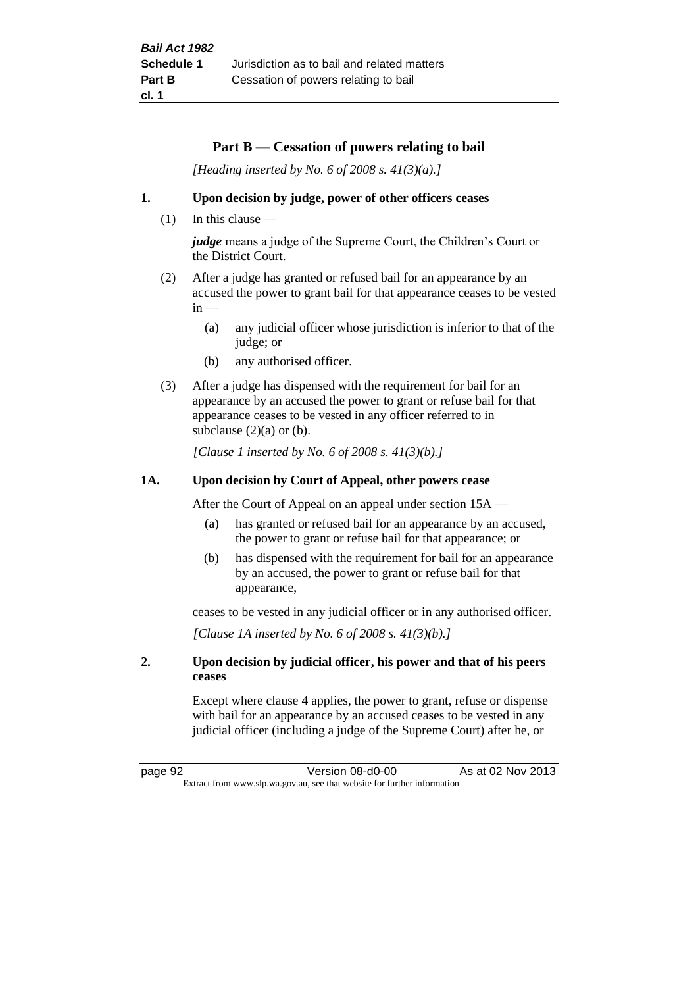## **Part B** — **Cessation of powers relating to bail**

*[Heading inserted by No. 6 of 2008 s. 41(3)(a).]*

#### **1. Upon decision by judge, power of other officers ceases**

 $(1)$  In this clause —

*judge* means a judge of the Supreme Court, the Children's Court or the District Court.

- (2) After a judge has granted or refused bail for an appearance by an accused the power to grant bail for that appearance ceases to be vested  $in -$ 
	- (a) any judicial officer whose jurisdiction is inferior to that of the judge; or
	- (b) any authorised officer.
- (3) After a judge has dispensed with the requirement for bail for an appearance by an accused the power to grant or refuse bail for that appearance ceases to be vested in any officer referred to in subclause  $(2)(a)$  or  $(b)$ .

*[Clause 1 inserted by No. 6 of 2008 s. 41(3)(b).]*

#### **1A. Upon decision by Court of Appeal, other powers cease**

After the Court of Appeal on an appeal under section 15A —

- (a) has granted or refused bail for an appearance by an accused, the power to grant or refuse bail for that appearance; or
- (b) has dispensed with the requirement for bail for an appearance by an accused, the power to grant or refuse bail for that appearance,

ceases to be vested in any judicial officer or in any authorised officer.

*[Clause 1A inserted by No. 6 of 2008 s. 41(3)(b).]*

### **2. Upon decision by judicial officer, his power and that of his peers ceases**

Except where clause 4 applies, the power to grant, refuse or dispense with bail for an appearance by an accused ceases to be vested in any judicial officer (including a judge of the Supreme Court) after he, or

page 92 Version 08-d0-00 As at 02 Nov 2013 Extract from www.slp.wa.gov.au, see that website for further information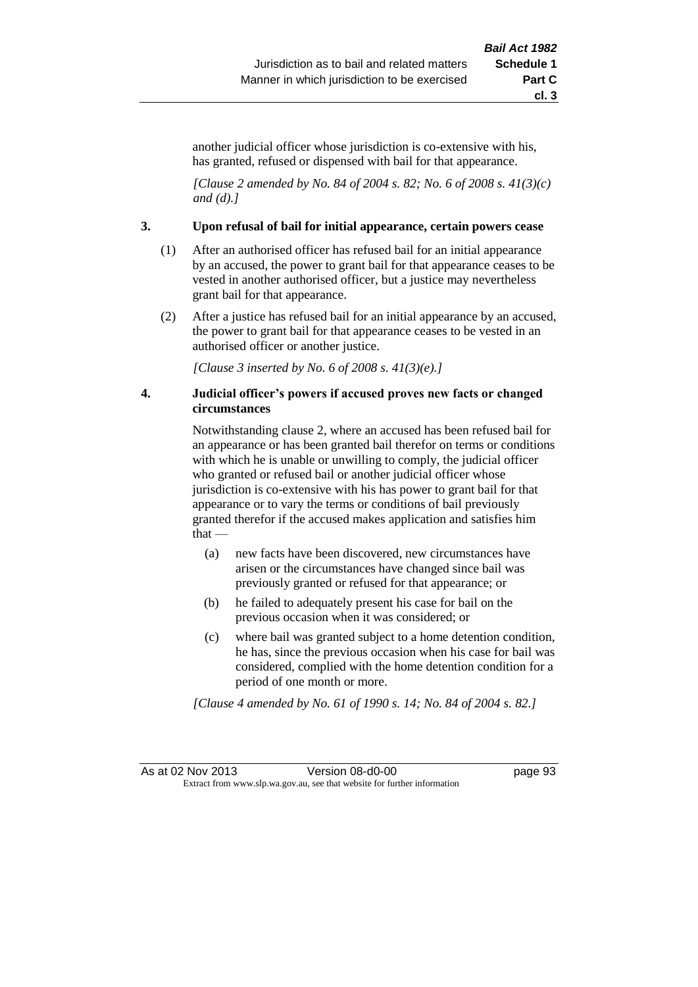another judicial officer whose jurisdiction is co-extensive with his, has granted, refused or dispensed with bail for that appearance.

*[Clause 2 amended by No. 84 of 2004 s. 82; No. 6 of 2008 s. 41(3)(c) and (d).]*

#### **3. Upon refusal of bail for initial appearance, certain powers cease**

- (1) After an authorised officer has refused bail for an initial appearance by an accused, the power to grant bail for that appearance ceases to be vested in another authorised officer, but a justice may nevertheless grant bail for that appearance.
- (2) After a justice has refused bail for an initial appearance by an accused, the power to grant bail for that appearance ceases to be vested in an authorised officer or another justice.

*[Clause 3 inserted by No. 6 of 2008 s. 41(3)(e).]*

### **4. Judicial officer's powers if accused proves new facts or changed circumstances**

Notwithstanding clause 2, where an accused has been refused bail for an appearance or has been granted bail therefor on terms or conditions with which he is unable or unwilling to comply, the judicial officer who granted or refused bail or another judicial officer whose jurisdiction is co-extensive with his has power to grant bail for that appearance or to vary the terms or conditions of bail previously granted therefor if the accused makes application and satisfies him that —

- (a) new facts have been discovered, new circumstances have arisen or the circumstances have changed since bail was previously granted or refused for that appearance; or
- (b) he failed to adequately present his case for bail on the previous occasion when it was considered; or
- (c) where bail was granted subject to a home detention condition, he has, since the previous occasion when his case for bail was considered, complied with the home detention condition for a period of one month or more.

*[Clause 4 amended by No. 61 of 1990 s. 14; No. 84 of 2004 s. 82.]*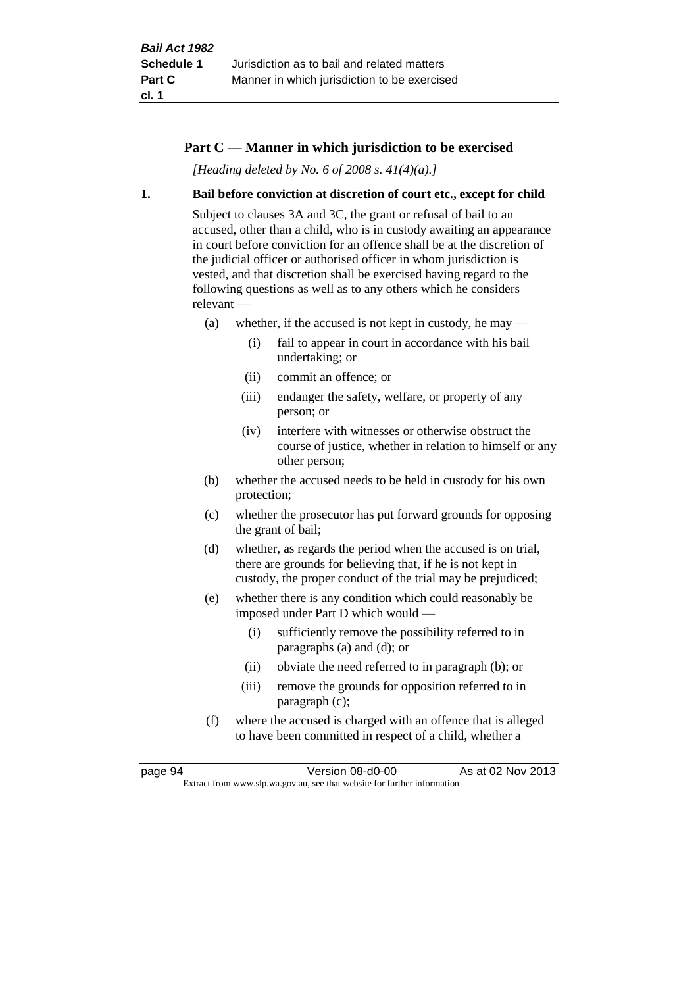## **Part C — Manner in which jurisdiction to be exercised**

*[Heading deleted by No. 6 of 2008 s. 41(4)(a).]*

#### **1. Bail before conviction at discretion of court etc., except for child**

Subject to clauses 3A and 3C, the grant or refusal of bail to an accused, other than a child, who is in custody awaiting an appearance in court before conviction for an offence shall be at the discretion of the judicial officer or authorised officer in whom jurisdiction is vested, and that discretion shall be exercised having regard to the following questions as well as to any others which he considers relevant —

- (a) whether, if the accused is not kept in custody, he may
	- (i) fail to appear in court in accordance with his bail undertaking; or
	- (ii) commit an offence; or
	- (iii) endanger the safety, welfare, or property of any person; or
	- (iv) interfere with witnesses or otherwise obstruct the course of justice, whether in relation to himself or any other person;
- (b) whether the accused needs to be held in custody for his own protection;
- (c) whether the prosecutor has put forward grounds for opposing the grant of bail;
- (d) whether, as regards the period when the accused is on trial, there are grounds for believing that, if he is not kept in custody, the proper conduct of the trial may be prejudiced;
- (e) whether there is any condition which could reasonably be imposed under Part D which would —
	- (i) sufficiently remove the possibility referred to in paragraphs (a) and (d); or
	- (ii) obviate the need referred to in paragraph (b); or
	- (iii) remove the grounds for opposition referred to in paragraph (c);
- (f) where the accused is charged with an offence that is alleged to have been committed in respect of a child, whether a

page 94 Version 08-d0-00 As at 02 Nov 2013 Extract from www.slp.wa.gov.au, see that website for further information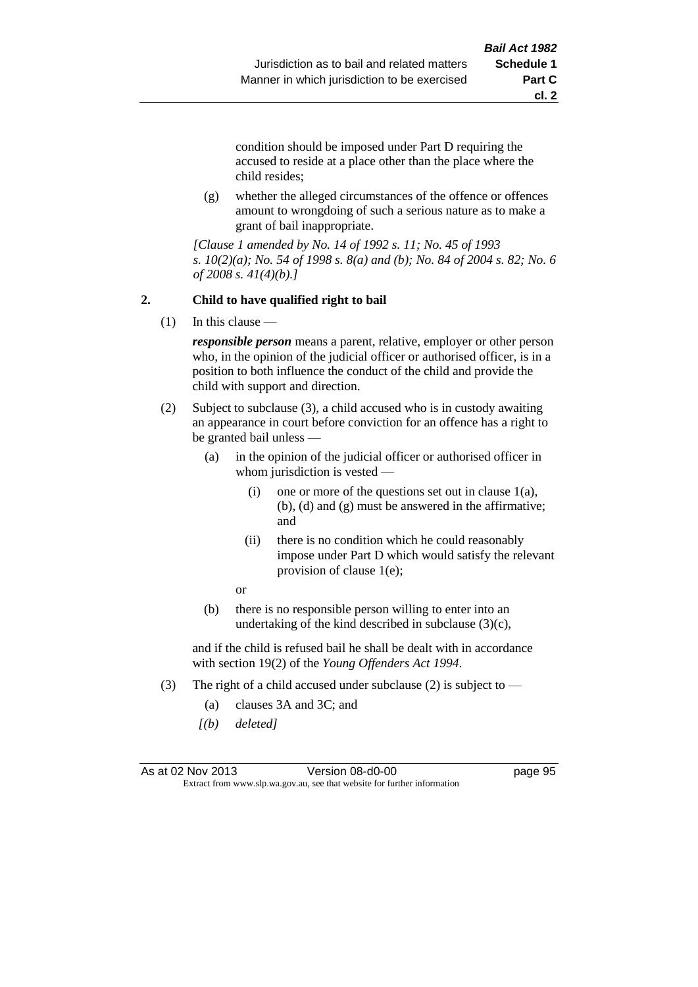**cl. 2**

condition should be imposed under Part D requiring the accused to reside at a place other than the place where the child resides;

(g) whether the alleged circumstances of the offence or offences amount to wrongdoing of such a serious nature as to make a grant of bail inappropriate.

*[Clause 1 amended by No. 14 of 1992 s. 11; No. 45 of 1993 s. 10(2)(a); No. 54 of 1998 s. 8(a) and (b); No. 84 of 2004 s. 82; No. 6 of 2008 s. 41(4)(b).]*

## **2. Child to have qualified right to bail**

(1) In this clause —

*responsible person* means a parent, relative, employer or other person who, in the opinion of the judicial officer or authorised officer, is in a position to both influence the conduct of the child and provide the child with support and direction.

- (2) Subject to subclause (3), a child accused who is in custody awaiting an appearance in court before conviction for an offence has a right to be granted bail unless —
	- (a) in the opinion of the judicial officer or authorised officer in whom jurisdiction is vested —
		- (i) one or more of the questions set out in clause  $1(a)$ , (b), (d) and (g) must be answered in the affirmative; and
		- (ii) there is no condition which he could reasonably impose under Part D which would satisfy the relevant provision of clause 1(e);

or

(b) there is no responsible person willing to enter into an undertaking of the kind described in subclause  $(3)(c)$ ,

and if the child is refused bail he shall be dealt with in accordance with section 19(2) of the *Young Offenders Act 1994*.

- (3) The right of a child accused under subclause (2) is subject to  $-$ 
	- (a) clauses 3A and 3C; and
	- *[(b) deleted]*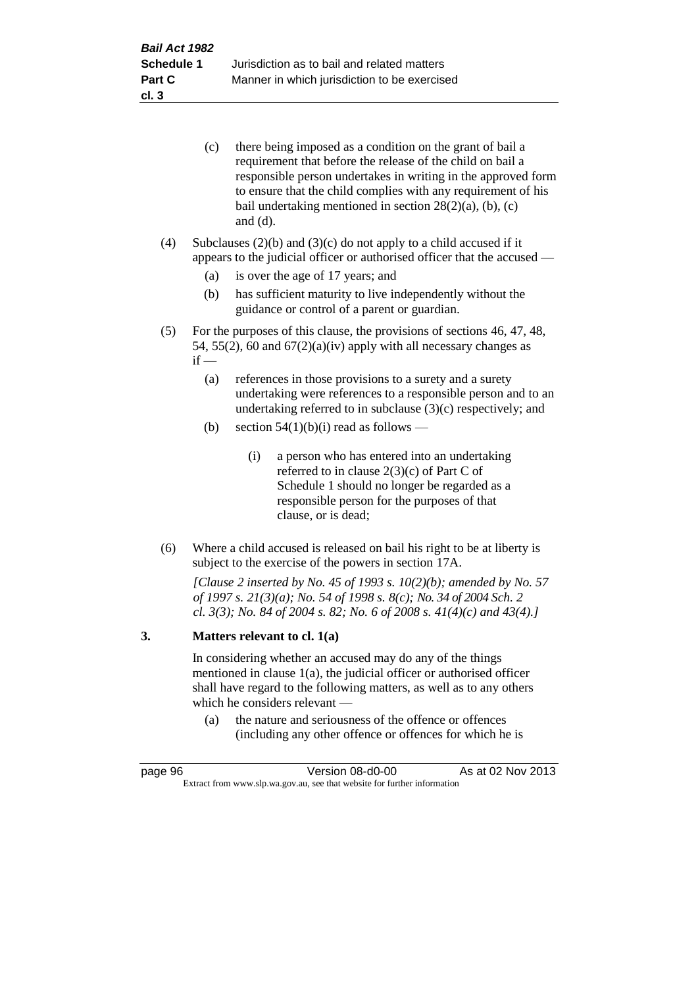| (c) | there being imposed as a condition on the grant of bail a     |
|-----|---------------------------------------------------------------|
|     | requirement that before the release of the child on bail a    |
|     | responsible person undertakes in writing in the approved form |
|     | to ensure that the child complies with any requirement of his |
|     | bail undertaking mentioned in section $28(2)(a)$ , (b), (c)   |
|     | and $(d)$ .                                                   |

(4) Subclauses  $(2)(b)$  and  $(3)(c)$  do not apply to a child accused if it appears to the judicial officer or authorised officer that the accused —

- (a) is over the age of 17 years; and
- (b) has sufficient maturity to live independently without the guidance or control of a parent or guardian.
- (5) For the purposes of this clause, the provisions of sections 46, 47, 48, 54, 55(2), 60 and  $67(2)(a)(iv)$  apply with all necessary changes as  $if -$ 
	- (a) references in those provisions to a surety and a surety undertaking were references to a responsible person and to an undertaking referred to in subclause (3)(c) respectively; and
	- (b) section  $54(1)(b)(i)$  read as follows
		- (i) a person who has entered into an undertaking referred to in clause 2(3)(c) of Part C of Schedule 1 should no longer be regarded as a responsible person for the purposes of that clause, or is dead;
- (6) Where a child accused is released on bail his right to be at liberty is subject to the exercise of the powers in section 17A.

*[Clause 2 inserted by No. 45 of 1993 s. 10(2)(b); amended by No. 57 of 1997 s. 21(3)(a); No. 54 of 1998 s. 8(c); No. 34 of 2004 Sch. 2 cl. 3(3); No. 84 of 2004 s. 82; No. 6 of 2008 s. 41(4)(c) and 43(4).]*

#### **3. Matters relevant to cl. 1(a)**

In considering whether an accused may do any of the things mentioned in clause 1(a), the judicial officer or authorised officer shall have regard to the following matters, as well as to any others which he considers relevant —

(a) the nature and seriousness of the offence or offences (including any other offence or offences for which he is

| page 96                                                                  | Version 08-d0-00 | As at 02 Nov 2013 |
|--------------------------------------------------------------------------|------------------|-------------------|
| Extract from www.slp.wa.gov.au, see that website for further information |                  |                   |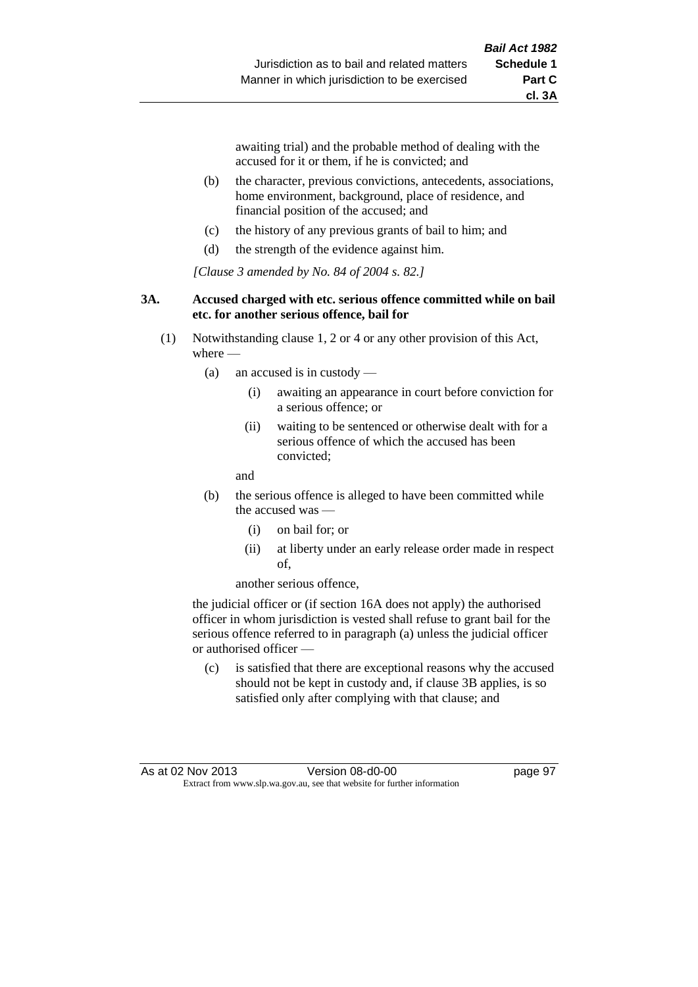awaiting trial) and the probable method of dealing with the accused for it or them, if he is convicted; and

- (b) the character, previous convictions, antecedents, associations, home environment, background, place of residence, and financial position of the accused; and
- (c) the history of any previous grants of bail to him; and
- (d) the strength of the evidence against him.

*[Clause 3 amended by No. 84 of 2004 s. 82.]*

#### **3A. Accused charged with etc. serious offence committed while on bail etc. for another serious offence, bail for**

- (1) Notwithstanding clause 1, 2 or 4 or any other provision of this Act, where -
	- (a) an accused is in custody
		- (i) awaiting an appearance in court before conviction for a serious offence; or
		- (ii) waiting to be sentenced or otherwise dealt with for a serious offence of which the accused has been convicted;

and

- (b) the serious offence is alleged to have been committed while the accused was
	- (i) on bail for; or
	- (ii) at liberty under an early release order made in respect of,

another serious offence,

the judicial officer or (if section 16A does not apply) the authorised officer in whom jurisdiction is vested shall refuse to grant bail for the serious offence referred to in paragraph (a) unless the judicial officer or authorised officer —

(c) is satisfied that there are exceptional reasons why the accused should not be kept in custody and, if clause 3B applies, is so satisfied only after complying with that clause; and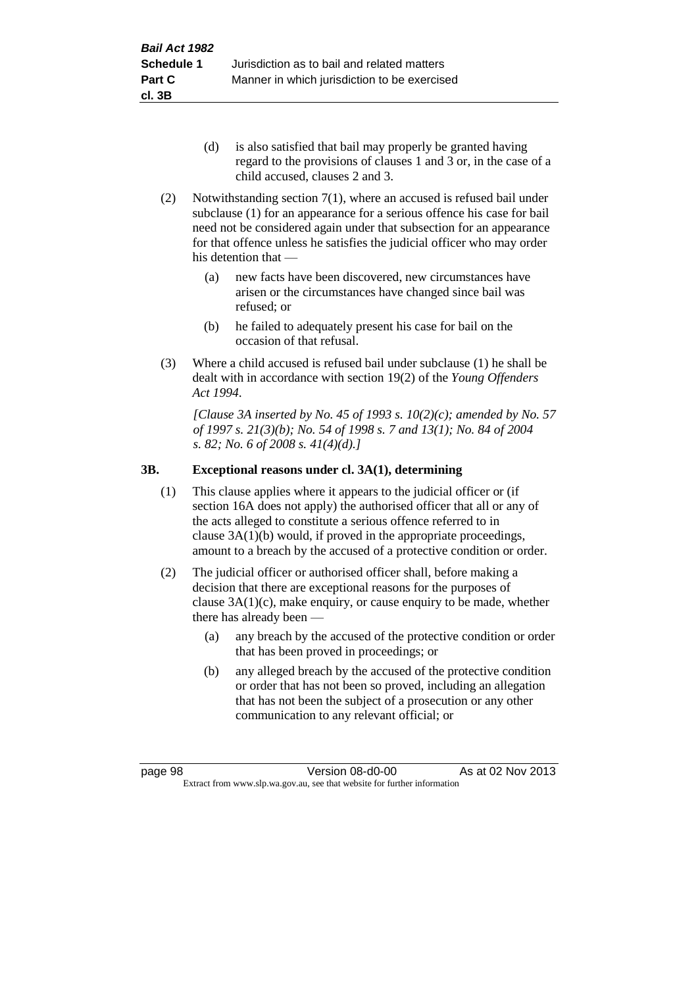- (d) is also satisfied that bail may properly be granted having regard to the provisions of clauses 1 and 3 or, in the case of a child accused, clauses 2 and 3.
- (2) Notwithstanding section 7(1), where an accused is refused bail under subclause (1) for an appearance for a serious offence his case for bail need not be considered again under that subsection for an appearance for that offence unless he satisfies the judicial officer who may order his detention that —
	- (a) new facts have been discovered, new circumstances have arisen or the circumstances have changed since bail was refused; or
	- (b) he failed to adequately present his case for bail on the occasion of that refusal.
- (3) Where a child accused is refused bail under subclause (1) he shall be dealt with in accordance with section 19(2) of the *Young Offenders Act 1994*.

*[Clause 3A inserted by No. 45 of 1993 s. 10(2)(c); amended by No. 57 of 1997 s. 21(3)(b); No. 54 of 1998 s. 7 and 13(1); No. 84 of 2004 s. 82; No. 6 of 2008 s. 41(4)(d).]*

# **3B. Exceptional reasons under cl. 3A(1), determining**

- (1) This clause applies where it appears to the judicial officer or (if section 16A does not apply) the authorised officer that all or any of the acts alleged to constitute a serious offence referred to in clause 3A(1)(b) would, if proved in the appropriate proceedings, amount to a breach by the accused of a protective condition or order.
- (2) The judicial officer or authorised officer shall, before making a decision that there are exceptional reasons for the purposes of clause  $3A(1)(c)$ , make enquiry, or cause enquiry to be made, whether there has already been —
	- (a) any breach by the accused of the protective condition or order that has been proved in proceedings; or
	- (b) any alleged breach by the accused of the protective condition or order that has not been so proved, including an allegation that has not been the subject of a prosecution or any other communication to any relevant official; or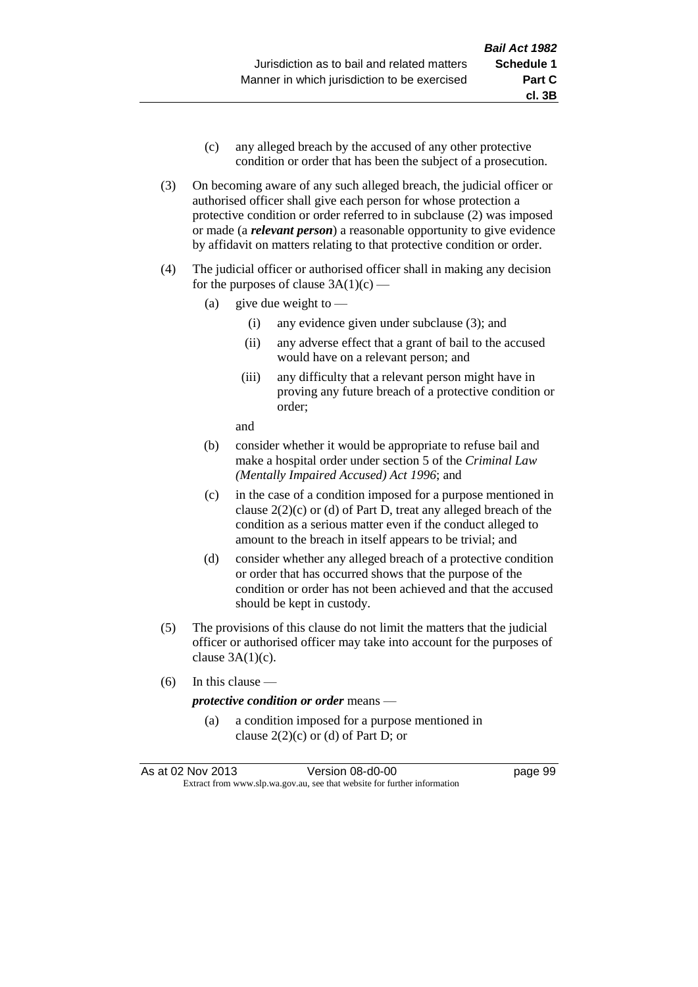- (c) any alleged breach by the accused of any other protective condition or order that has been the subject of a prosecution.
- (3) On becoming aware of any such alleged breach, the judicial officer or authorised officer shall give each person for whose protection a protective condition or order referred to in subclause (2) was imposed or made (a *relevant person*) a reasonable opportunity to give evidence by affidavit on matters relating to that protective condition or order.
- (4) The judicial officer or authorised officer shall in making any decision for the purposes of clause  $3A(1)(c)$  —
	- (a) give due weight to  $-$ 
		- (i) any evidence given under subclause (3); and
		- (ii) any adverse effect that a grant of bail to the accused would have on a relevant person; and
		- (iii) any difficulty that a relevant person might have in proving any future breach of a protective condition or order;

and

- (b) consider whether it would be appropriate to refuse bail and make a hospital order under section 5 of the *Criminal Law (Mentally Impaired Accused) Act 1996*; and
- (c) in the case of a condition imposed for a purpose mentioned in clause 2(2)(c) or (d) of Part D, treat any alleged breach of the condition as a serious matter even if the conduct alleged to amount to the breach in itself appears to be trivial; and
- (d) consider whether any alleged breach of a protective condition or order that has occurred shows that the purpose of the condition or order has not been achieved and that the accused should be kept in custody.
- (5) The provisions of this clause do not limit the matters that the judicial officer or authorised officer may take into account for the purposes of clause  $3A(1)(c)$ .
- (6) In this clause —

#### *protective condition or order* means —

(a) a condition imposed for a purpose mentioned in clause  $2(2)(c)$  or (d) of Part D; or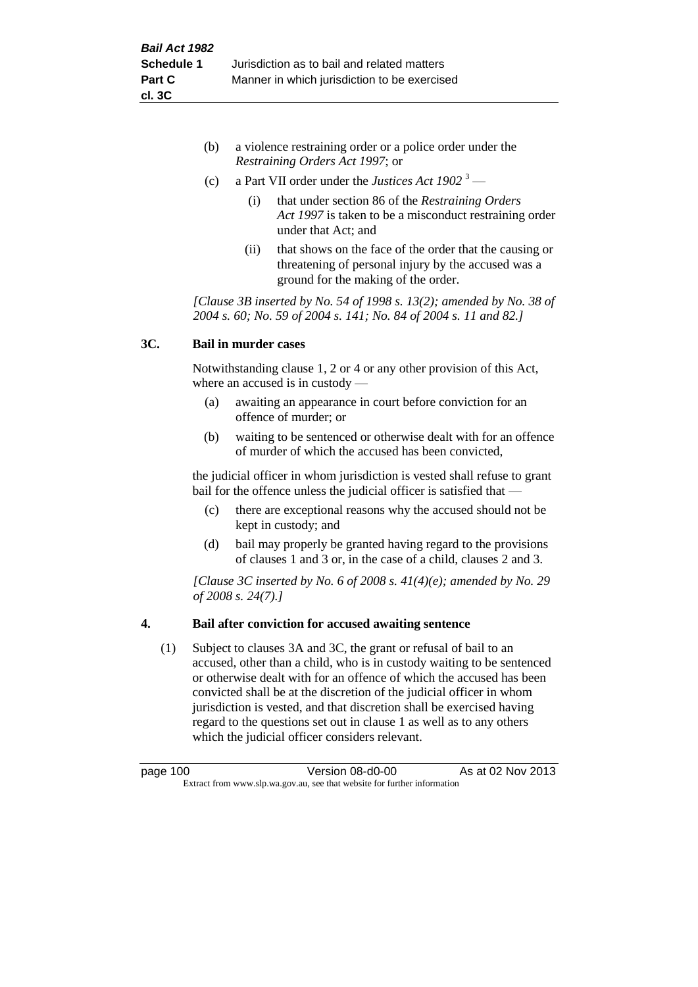- (b) a violence restraining order or a police order under the *Restraining Orders Act 1997*; or
- (c) a Part VII order under the *Justices Act 1902* <sup>3</sup>
	- (i) that under section 86 of the *Restraining Orders Act 1997* is taken to be a misconduct restraining order under that Act; and
	- (ii) that shows on the face of the order that the causing or threatening of personal injury by the accused was a ground for the making of the order.

*[Clause 3B inserted by No. 54 of 1998 s. 13(2); amended by No. 38 of 2004 s. 60; No. 59 of 2004 s. 141; No. 84 of 2004 s. 11 and 82.]*

# **3C. Bail in murder cases**

Notwithstanding clause 1, 2 or 4 or any other provision of this Act, where an accused is in custody —

- (a) awaiting an appearance in court before conviction for an offence of murder; or
- (b) waiting to be sentenced or otherwise dealt with for an offence of murder of which the accused has been convicted,

the judicial officer in whom jurisdiction is vested shall refuse to grant bail for the offence unless the judicial officer is satisfied that —

- (c) there are exceptional reasons why the accused should not be kept in custody; and
- (d) bail may properly be granted having regard to the provisions of clauses 1 and 3 or, in the case of a child, clauses 2 and 3.

*[Clause 3C inserted by No. 6 of 2008 s. 41(4)(e); amended by No. 29 of 2008 s. 24(7).]*

# **4. Bail after conviction for accused awaiting sentence**

(1) Subject to clauses 3A and 3C, the grant or refusal of bail to an accused, other than a child, who is in custody waiting to be sentenced or otherwise dealt with for an offence of which the accused has been convicted shall be at the discretion of the judicial officer in whom jurisdiction is vested, and that discretion shall be exercised having regard to the questions set out in clause 1 as well as to any others which the judicial officer considers relevant.

| page 100                                                                 | Version 08-d0-00 | As at 02 Nov 2013 |
|--------------------------------------------------------------------------|------------------|-------------------|
| Extract from www.slp.wa.gov.au, see that website for further information |                  |                   |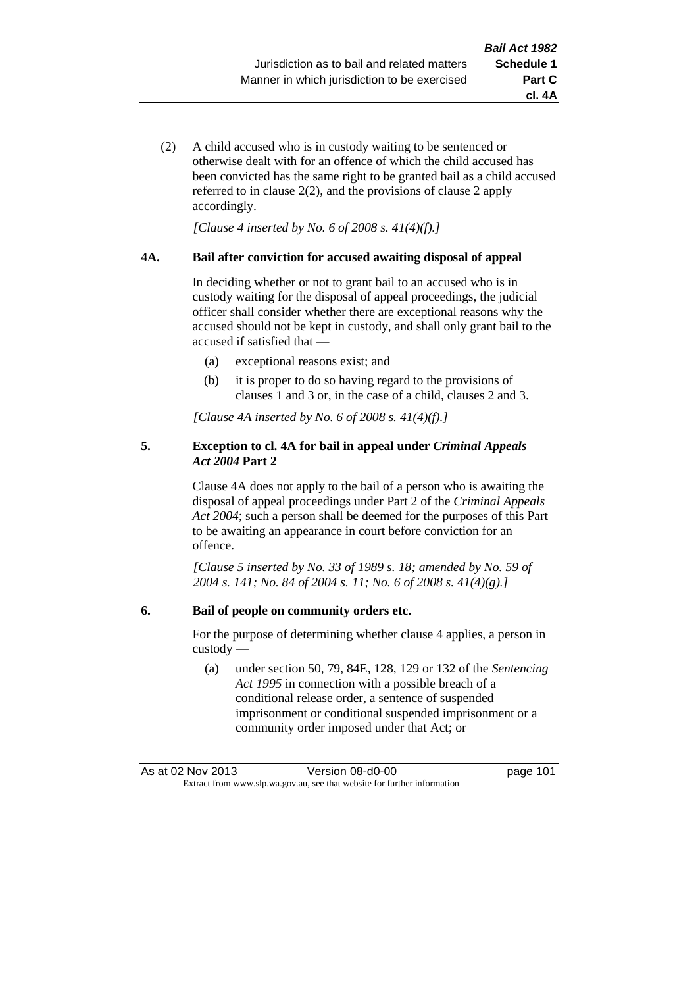- **cl. 4A**
- (2) A child accused who is in custody waiting to be sentenced or otherwise dealt with for an offence of which the child accused has been convicted has the same right to be granted bail as a child accused referred to in clause 2(2), and the provisions of clause 2 apply accordingly.

*[Clause 4 inserted by No. 6 of 2008 s. 41(4)(f).]*

### **4A. Bail after conviction for accused awaiting disposal of appeal**

In deciding whether or not to grant bail to an accused who is in custody waiting for the disposal of appeal proceedings, the judicial officer shall consider whether there are exceptional reasons why the accused should not be kept in custody, and shall only grant bail to the accused if satisfied that —

- (a) exceptional reasons exist; and
- (b) it is proper to do so having regard to the provisions of clauses 1 and 3 or, in the case of a child, clauses 2 and 3.

*[Clause 4A inserted by No. 6 of 2008 s. 41(4)(f).]*

### **5. Exception to cl. 4A for bail in appeal under** *Criminal Appeals Act 2004* **Part 2**

Clause 4A does not apply to the bail of a person who is awaiting the disposal of appeal proceedings under Part 2 of the *Criminal Appeals Act 2004*; such a person shall be deemed for the purposes of this Part to be awaiting an appearance in court before conviction for an offence.

*[Clause 5 inserted by No. 33 of 1989 s. 18; amended by No. 59 of 2004 s. 141; No. 84 of 2004 s. 11; No. 6 of 2008 s. 41(4)(g).]*

### **6. Bail of people on community orders etc.**

For the purpose of determining whether clause 4 applies, a person in custody —

(a) under section 50, 79, 84E, 128, 129 or 132 of the *Sentencing Act 1995* in connection with a possible breach of a conditional release order, a sentence of suspended imprisonment or conditional suspended imprisonment or a community order imposed under that Act; or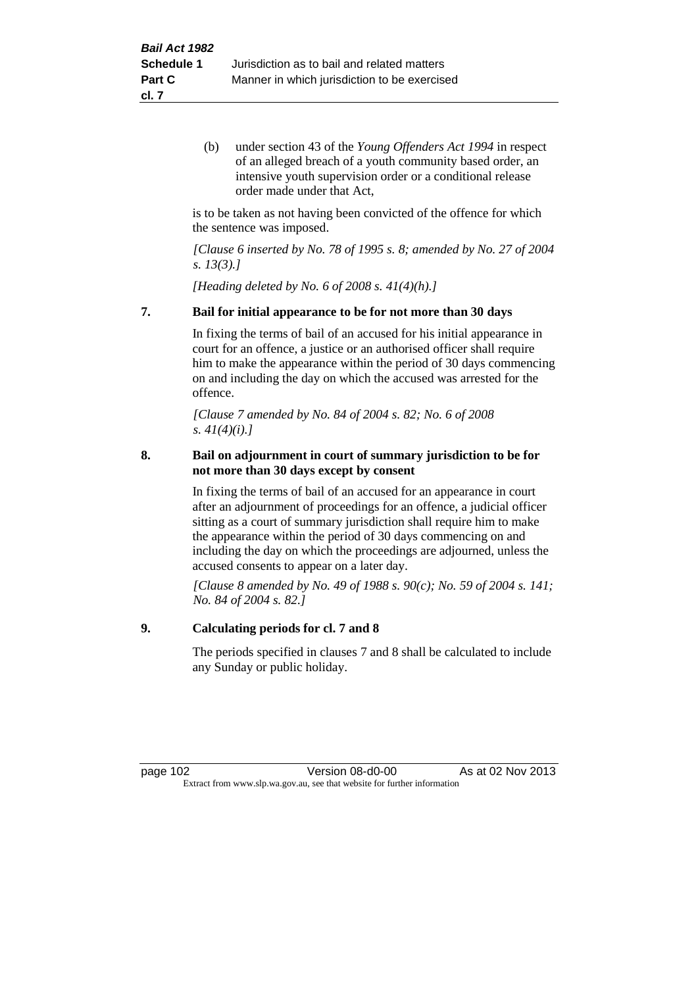(b) under section 43 of the *Young Offenders Act 1994* in respect of an alleged breach of a youth community based order, an intensive youth supervision order or a conditional release order made under that Act,

is to be taken as not having been convicted of the offence for which the sentence was imposed.

*[Clause 6 inserted by No. 78 of 1995 s. 8; amended by No. 27 of 2004 s. 13(3).]*

*[Heading deleted by No. 6 of 2008 s. 41(4)(h).]*

#### **7. Bail for initial appearance to be for not more than 30 days**

In fixing the terms of bail of an accused for his initial appearance in court for an offence, a justice or an authorised officer shall require him to make the appearance within the period of 30 days commencing on and including the day on which the accused was arrested for the offence.

*[Clause 7 amended by No. 84 of 2004 s. 82; No. 6 of 2008 s. 41(4)(i).]*

### **8. Bail on adjournment in court of summary jurisdiction to be for not more than 30 days except by consent**

In fixing the terms of bail of an accused for an appearance in court after an adjournment of proceedings for an offence, a judicial officer sitting as a court of summary jurisdiction shall require him to make the appearance within the period of 30 days commencing on and including the day on which the proceedings are adjourned, unless the accused consents to appear on a later day.

*[Clause 8 amended by No. 49 of 1988 s. 90(c); No. 59 of 2004 s. 141; No. 84 of 2004 s. 82.]*

## **9. Calculating periods for cl. 7 and 8**

The periods specified in clauses 7 and 8 shall be calculated to include any Sunday or public holiday.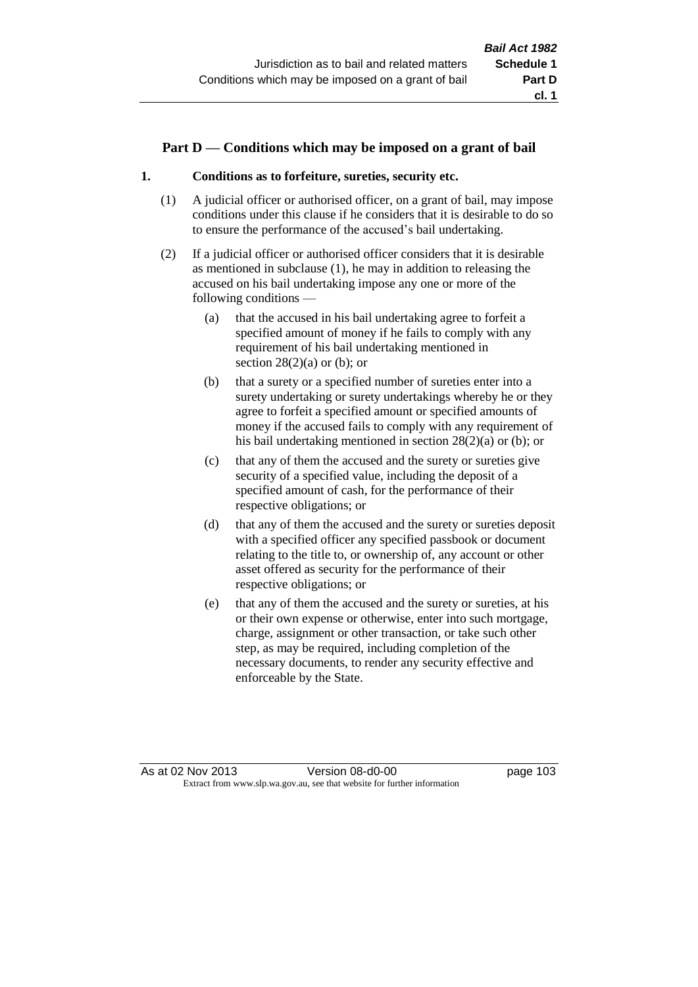# **Part D — Conditions which may be imposed on a grant of bail**

# **1. Conditions as to forfeiture, sureties, security etc.**

- (1) A judicial officer or authorised officer, on a grant of bail, may impose conditions under this clause if he considers that it is desirable to do so to ensure the performance of the accused's bail undertaking.
- (2) If a judicial officer or authorised officer considers that it is desirable as mentioned in subclause (1), he may in addition to releasing the accused on his bail undertaking impose any one or more of the following conditions —
	- (a) that the accused in his bail undertaking agree to forfeit a specified amount of money if he fails to comply with any requirement of his bail undertaking mentioned in section  $28(2)(a)$  or (b); or
	- (b) that a surety or a specified number of sureties enter into a surety undertaking or surety undertakings whereby he or they agree to forfeit a specified amount or specified amounts of money if the accused fails to comply with any requirement of his bail undertaking mentioned in section 28(2)(a) or (b); or
	- (c) that any of them the accused and the surety or sureties give security of a specified value, including the deposit of a specified amount of cash, for the performance of their respective obligations; or
	- (d) that any of them the accused and the surety or sureties deposit with a specified officer any specified passbook or document relating to the title to, or ownership of, any account or other asset offered as security for the performance of their respective obligations; or
	- (e) that any of them the accused and the surety or sureties, at his or their own expense or otherwise, enter into such mortgage, charge, assignment or other transaction, or take such other step, as may be required, including completion of the necessary documents, to render any security effective and enforceable by the State.

As at 02 Nov 2013 Version 08-d0-00 page 103 Extract from www.slp.wa.gov.au, see that website for further information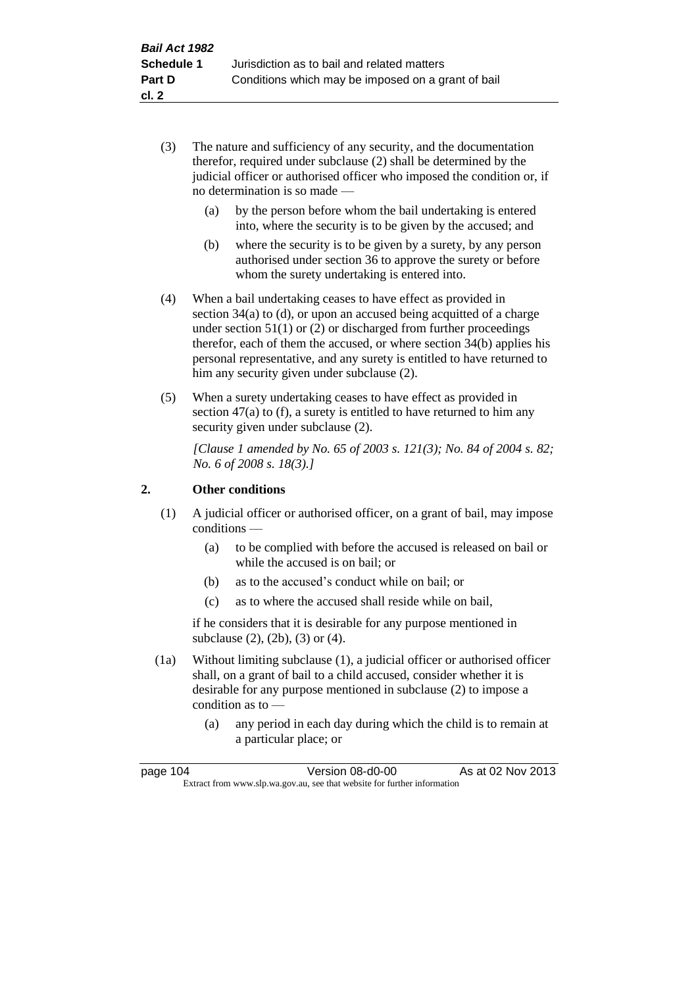- (3) The nature and sufficiency of any security, and the documentation therefor, required under subclause (2) shall be determined by the judicial officer or authorised officer who imposed the condition or, if no determination is so made —
	- (a) by the person before whom the bail undertaking is entered into, where the security is to be given by the accused; and
	- (b) where the security is to be given by a surety, by any person authorised under section 36 to approve the surety or before whom the surety undertaking is entered into.
- (4) When a bail undertaking ceases to have effect as provided in section  $34(a)$  to (d), or upon an accused being acquitted of a charge under section 51(1) or (2) or discharged from further proceedings therefor, each of them the accused, or where section 34(b) applies his personal representative, and any surety is entitled to have returned to him any security given under subclause (2).
- (5) When a surety undertaking ceases to have effect as provided in section 47(a) to (f), a surety is entitled to have returned to him any security given under subclause  $(2)$ .

*[Clause 1 amended by No. 65 of 2003 s. 121(3); No. 84 of 2004 s. 82; No. 6 of 2008 s. 18(3).]*

# **2. Other conditions**

- (1) A judicial officer or authorised officer, on a grant of bail, may impose conditions —
	- (a) to be complied with before the accused is released on bail or while the accused is on bail; or
	- (b) as to the accused's conduct while on bail; or
	- (c) as to where the accused shall reside while on bail,

if he considers that it is desirable for any purpose mentioned in subclause (2), (2b), (3) or (4).

- (1a) Without limiting subclause (1), a judicial officer or authorised officer shall, on a grant of bail to a child accused, consider whether it is desirable for any purpose mentioned in subclause (2) to impose a condition as to —
	- (a) any period in each day during which the child is to remain at a particular place; or

| page 104                                                                 |  | Version 08-d0-00 | As at 02 Nov 2013 |
|--------------------------------------------------------------------------|--|------------------|-------------------|
| Extract from www.slp.wa.gov.au, see that website for further information |  |                  |                   |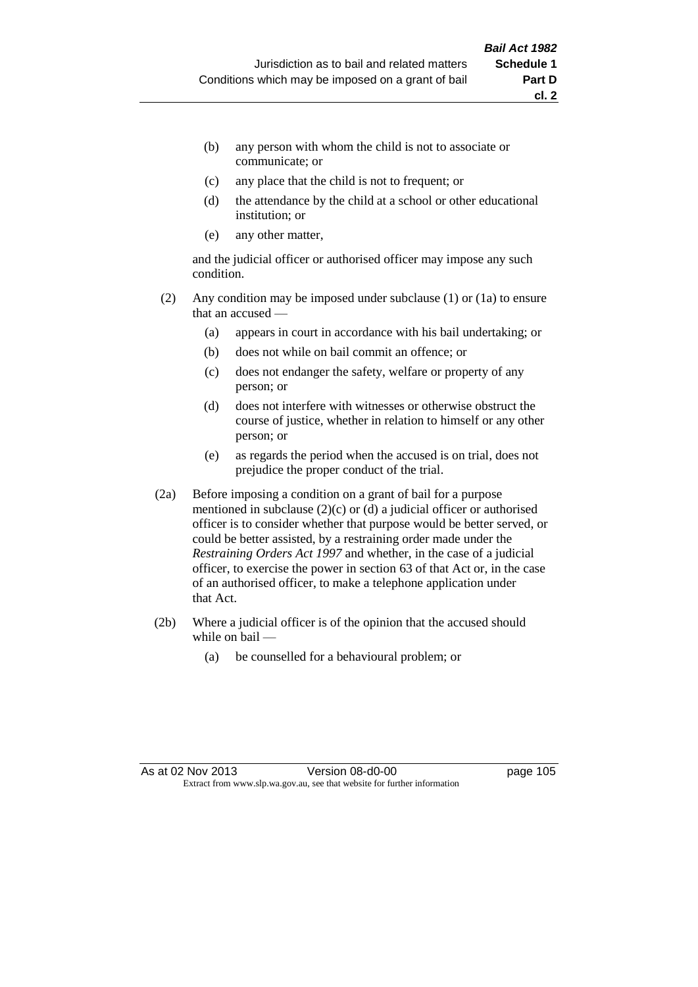- (b) any person with whom the child is not to associate or communicate; or
- (c) any place that the child is not to frequent; or
- (d) the attendance by the child at a school or other educational institution; or
- (e) any other matter,

and the judicial officer or authorised officer may impose any such condition.

- (2) Any condition may be imposed under subclause (1) or (1a) to ensure that an accused —
	- (a) appears in court in accordance with his bail undertaking; or
	- (b) does not while on bail commit an offence; or
	- (c) does not endanger the safety, welfare or property of any person; or
	- (d) does not interfere with witnesses or otherwise obstruct the course of justice, whether in relation to himself or any other person; or
	- (e) as regards the period when the accused is on trial, does not prejudice the proper conduct of the trial.
- (2a) Before imposing a condition on a grant of bail for a purpose mentioned in subclause (2)(c) or (d) a judicial officer or authorised officer is to consider whether that purpose would be better served, or could be better assisted, by a restraining order made under the *Restraining Orders Act 1997* and whether, in the case of a judicial officer, to exercise the power in section 63 of that Act or, in the case of an authorised officer, to make a telephone application under that Act.
- (2b) Where a judicial officer is of the opinion that the accused should while on bail —
	- (a) be counselled for a behavioural problem; or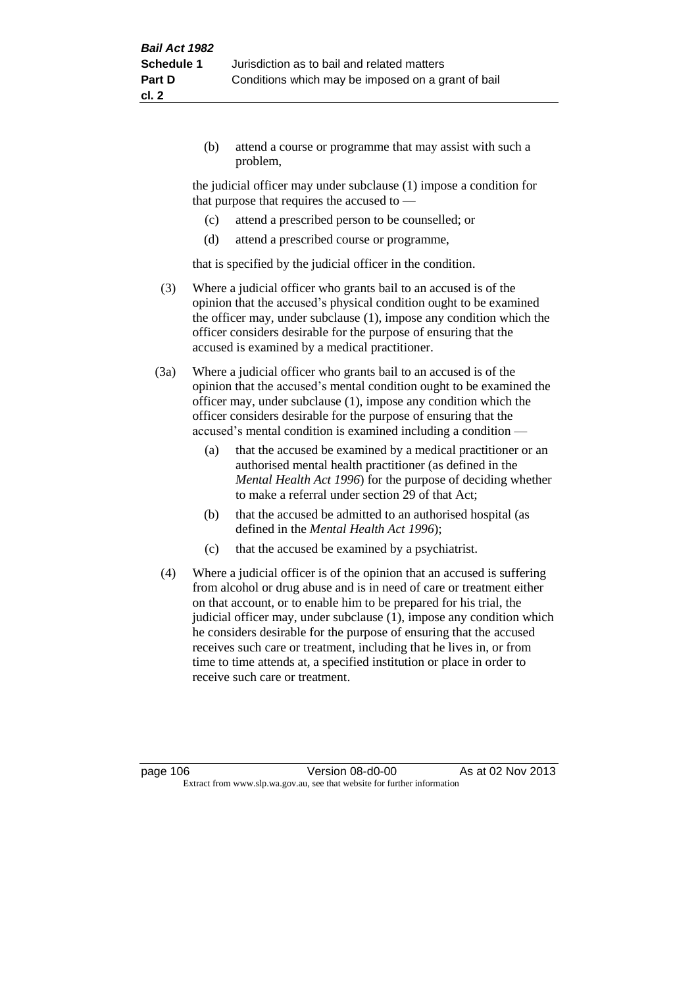(b) attend a course or programme that may assist with such a problem,

the judicial officer may under subclause (1) impose a condition for that purpose that requires the accused to —

- (c) attend a prescribed person to be counselled; or
- (d) attend a prescribed course or programme,

that is specified by the judicial officer in the condition.

- (3) Where a judicial officer who grants bail to an accused is of the opinion that the accused's physical condition ought to be examined the officer may, under subclause (1), impose any condition which the officer considers desirable for the purpose of ensuring that the accused is examined by a medical practitioner.
- (3a) Where a judicial officer who grants bail to an accused is of the opinion that the accused's mental condition ought to be examined the officer may, under subclause (1), impose any condition which the officer considers desirable for the purpose of ensuring that the accused's mental condition is examined including a condition —
	- (a) that the accused be examined by a medical practitioner or an authorised mental health practitioner (as defined in the *Mental Health Act 1996*) for the purpose of deciding whether to make a referral under section 29 of that Act;
	- (b) that the accused be admitted to an authorised hospital (as defined in the *Mental Health Act 1996*);
	- (c) that the accused be examined by a psychiatrist.
- (4) Where a judicial officer is of the opinion that an accused is suffering from alcohol or drug abuse and is in need of care or treatment either on that account, or to enable him to be prepared for his trial, the judicial officer may, under subclause (1), impose any condition which he considers desirable for the purpose of ensuring that the accused receives such care or treatment, including that he lives in, or from time to time attends at, a specified institution or place in order to receive such care or treatment.

page 106 **Version 08-d0-00** As at 02 Nov 2013 Extract from www.slp.wa.gov.au, see that website for further information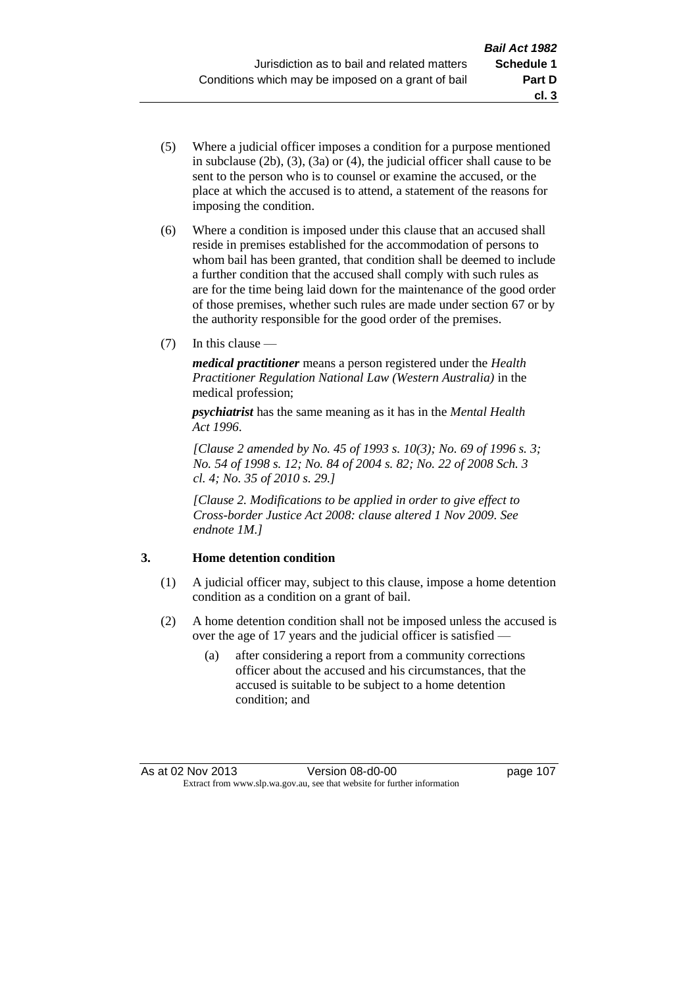- (5) Where a judicial officer imposes a condition for a purpose mentioned in subclause (2b), (3), (3a) or (4), the judicial officer shall cause to be sent to the person who is to counsel or examine the accused, or the place at which the accused is to attend, a statement of the reasons for imposing the condition.
- (6) Where a condition is imposed under this clause that an accused shall reside in premises established for the accommodation of persons to whom bail has been granted, that condition shall be deemed to include a further condition that the accused shall comply with such rules as are for the time being laid down for the maintenance of the good order of those premises, whether such rules are made under section 67 or by the authority responsible for the good order of the premises.
- (7) In this clause —

*medical practitioner* means a person registered under the *Health Practitioner Regulation National Law (Western Australia)* in the medical profession;

*psychiatrist* has the same meaning as it has in the *Mental Health Act 1996*.

*[Clause 2 amended by No. 45 of 1993 s. 10(3); No. 69 of 1996 s. 3; No. 54 of 1998 s. 12; No. 84 of 2004 s. 82; No. 22 of 2008 Sch. 3 cl. 4; No. 35 of 2010 s. 29.]*

*[Clause 2. Modifications to be applied in order to give effect to Cross-border Justice Act 2008: clause altered 1 Nov 2009. See endnote 1M.]*

# **3. Home detention condition**

- (1) A judicial officer may, subject to this clause, impose a home detention condition as a condition on a grant of bail.
- (2) A home detention condition shall not be imposed unless the accused is over the age of 17 years and the judicial officer is satisfied —
	- (a) after considering a report from a community corrections officer about the accused and his circumstances, that the accused is suitable to be subject to a home detention condition; and

**cl. 3**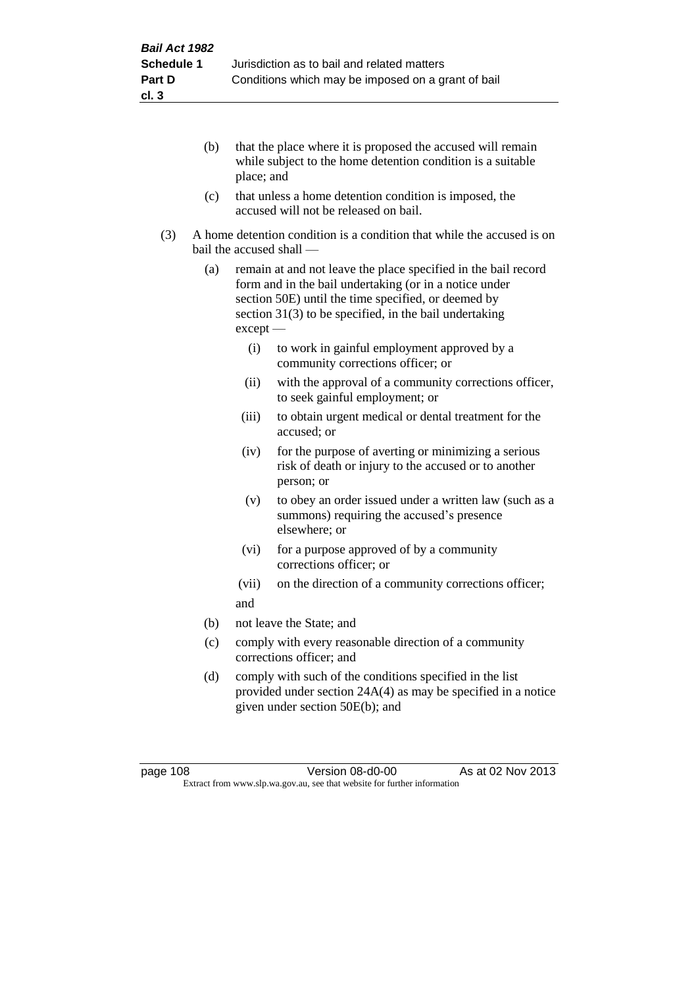- (b) that the place where it is proposed the accused will remain while subject to the home detention condition is a suitable place; and
- (c) that unless a home detention condition is imposed, the accused will not be released on bail.
- (3) A home detention condition is a condition that while the accused is on bail the accused shall —
	- (a) remain at and not leave the place specified in the bail record form and in the bail undertaking (or in a notice under section 50E) until the time specified, or deemed by section 31(3) to be specified, in the bail undertaking except —
		- (i) to work in gainful employment approved by a community corrections officer; or
		- (ii) with the approval of a community corrections officer, to seek gainful employment; or
		- (iii) to obtain urgent medical or dental treatment for the accused; or
		- (iv) for the purpose of averting or minimizing a serious risk of death or injury to the accused or to another person; or
		- (v) to obey an order issued under a written law (such as a summons) requiring the accused's presence elsewhere; or
		- (vi) for a purpose approved of by a community corrections officer; or
		- (vii) on the direction of a community corrections officer; and
	- (b) not leave the State; and
	- (c) comply with every reasonable direction of a community corrections officer; and
	- (d) comply with such of the conditions specified in the list provided under section 24A(4) as may be specified in a notice given under section 50E(b); and

page 108 **Version 08-d0-00** As at 02 Nov 2013 Extract from www.slp.wa.gov.au, see that website for further information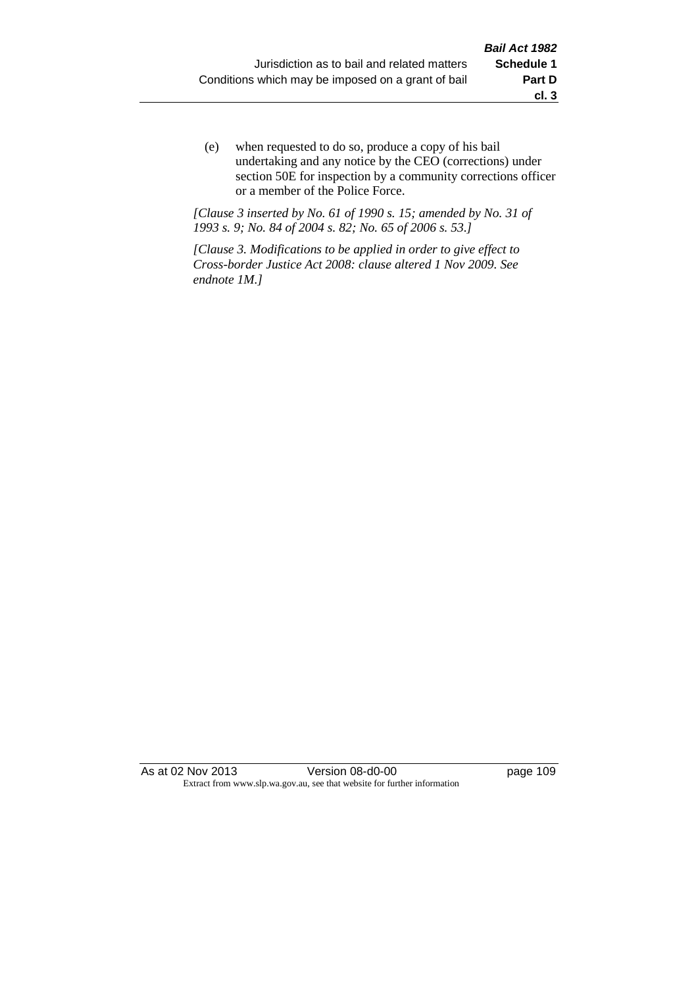(e) when requested to do so, produce a copy of his bail undertaking and any notice by the CEO (corrections) under section 50E for inspection by a community corrections officer or a member of the Police Force.

*[Clause 3 inserted by No. 61 of 1990 s. 15; amended by No. 31 of 1993 s. 9; No. 84 of 2004 s. 82; No. 65 of 2006 s. 53.]*

*[Clause 3. Modifications to be applied in order to give effect to Cross-border Justice Act 2008: clause altered 1 Nov 2009. See endnote 1M.]*

As at 02 Nov 2013 Version 08-d0-00 Page 109 Extract from www.slp.wa.gov.au, see that website for further information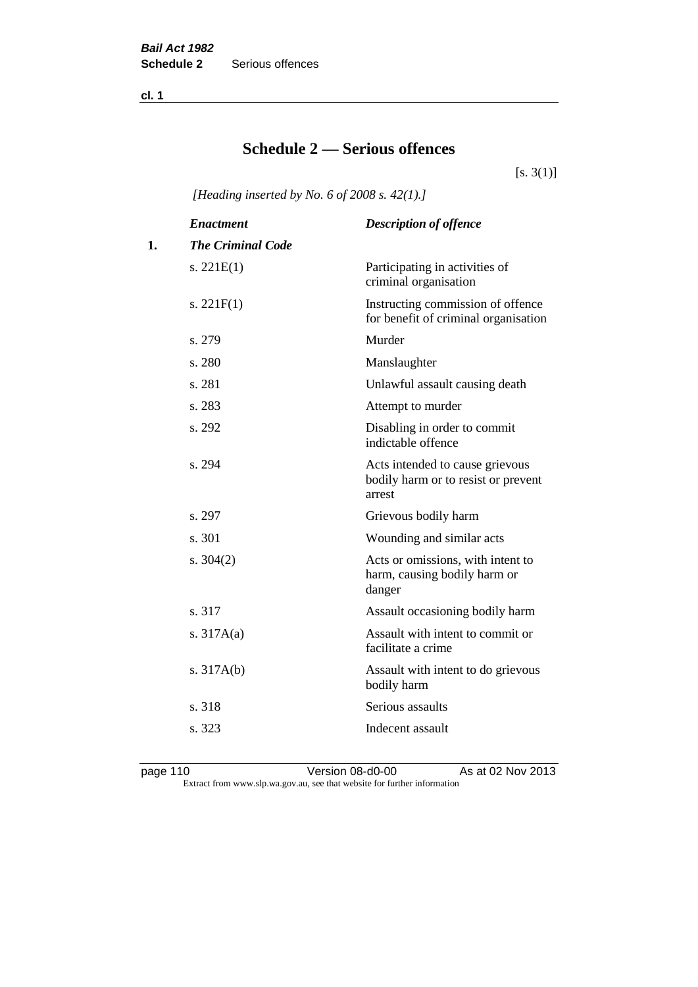**cl. 1**

# **Schedule 2 — Serious offences**

 $[s. 3(1)]$ 

*[Heading inserted by No. 6 of 2008 s. 42(1).]*

|    | <b>Enactment</b>         | <b>Description of offence</b>                                                    |
|----|--------------------------|----------------------------------------------------------------------------------|
| 1. | <b>The Criminal Code</b> |                                                                                  |
|    | s. $221E(1)$             | Participating in activities of<br>criminal organisation                          |
|    | s. $221F(1)$             | Instructing commission of offence<br>for benefit of criminal organisation        |
|    | s. 279                   | Murder                                                                           |
|    | s. 280                   | Manslaughter                                                                     |
|    | s. 281                   | Unlawful assault causing death                                                   |
|    | s. 283                   | Attempt to murder                                                                |
|    | s. 292                   | Disabling in order to commit<br>indictable offence                               |
|    | s. 294                   | Acts intended to cause grievous<br>bodily harm or to resist or prevent<br>arrest |
|    | s. 297                   | Grievous bodily harm                                                             |
|    | s. 301                   | Wounding and similar acts                                                        |
|    | s. $304(2)$              | Acts or omissions, with intent to<br>harm, causing bodily harm or<br>danger      |
|    | s. 317                   | Assault occasioning bodily harm                                                  |
|    | s. $317A(a)$             | Assault with intent to commit or<br>facilitate a crime                           |
|    | s. $317A(b)$             | Assault with intent to do grievous<br>bodily harm                                |
|    | s. 318                   | Serious assaults                                                                 |
|    | s. 323                   | Indecent assault                                                                 |
|    |                          |                                                                                  |

page 110 Version 08-d0-00 As at 02 Nov 2013 Extract from www.slp.wa.gov.au, see that website for further information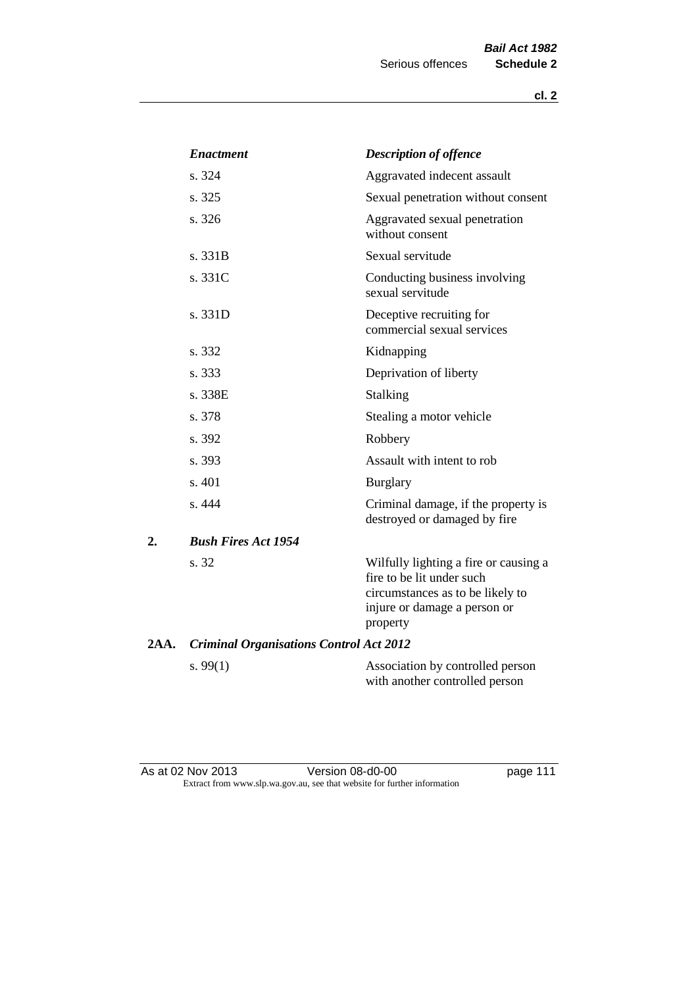|      | <b>Enactment</b>                               | <b>Description of offence</b>                                                                                                                      |
|------|------------------------------------------------|----------------------------------------------------------------------------------------------------------------------------------------------------|
|      | s. 324                                         | Aggravated indecent assault                                                                                                                        |
|      | s. 325                                         | Sexual penetration without consent                                                                                                                 |
|      | s. 326                                         | Aggravated sexual penetration<br>without consent                                                                                                   |
|      | s. 331B                                        | Sexual servitude                                                                                                                                   |
|      | s. 331C                                        | Conducting business involving<br>sexual servitude                                                                                                  |
|      | s. 331D                                        | Deceptive recruiting for<br>commercial sexual services                                                                                             |
|      | s. 332                                         | Kidnapping                                                                                                                                         |
|      | s. 333                                         | Deprivation of liberty                                                                                                                             |
|      | s. 338E                                        | <b>Stalking</b>                                                                                                                                    |
|      | s. 378                                         | Stealing a motor vehicle                                                                                                                           |
|      | s. 392                                         | Robbery                                                                                                                                            |
|      | s. 393                                         | Assault with intent to rob                                                                                                                         |
|      | s. 401                                         | <b>Burglary</b>                                                                                                                                    |
|      | s. 444                                         | Criminal damage, if the property is<br>destroyed or damaged by fire                                                                                |
| 2.   | <b>Bush Fires Act 1954</b>                     |                                                                                                                                                    |
|      | s. 32                                          | Wilfully lighting a fire or causing a<br>fire to be lit under such<br>circumstances as to be likely to<br>injure or damage a person or<br>property |
| 2AA. | <b>Criminal Organisations Control Act 2012</b> |                                                                                                                                                    |
|      | s. $99(1)$                                     | Association by controlled person<br>with another controlled person                                                                                 |

As at 02 Nov 2013 **Details Access 12 Version 08-d0-00 page 111** Extract from www.slp.wa.gov.au, see that website for further information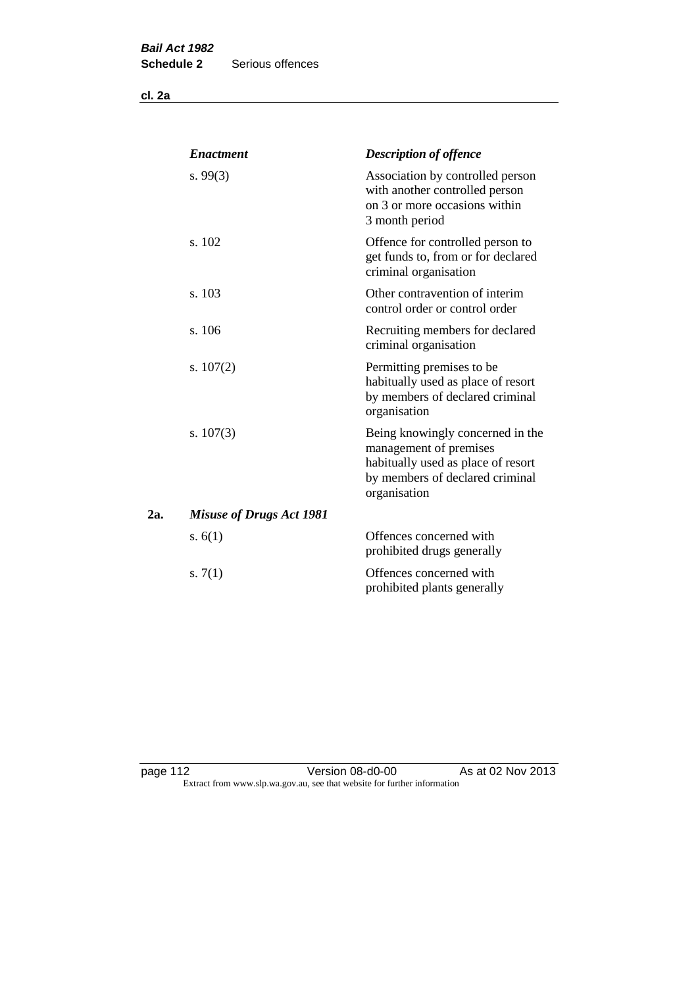**cl. 2a**

|     | <b>Enactment</b>                | <b>Description of offence</b>                                                                                                                       |
|-----|---------------------------------|-----------------------------------------------------------------------------------------------------------------------------------------------------|
|     | s. $99(3)$                      | Association by controlled person<br>with another controlled person<br>on 3 or more occasions within<br>3 month period                               |
|     | s. 102                          | Offence for controlled person to<br>get funds to, from or for declared<br>criminal organisation                                                     |
|     | s. 103                          | Other contravention of interim<br>control order or control order                                                                                    |
|     | s. 106                          | Recruiting members for declared<br>criminal organisation                                                                                            |
|     | s. $107(2)$                     | Permitting premises to be<br>habitually used as place of resort<br>by members of declared criminal<br>organisation                                  |
|     | s. $107(3)$                     | Being knowingly concerned in the<br>management of premises<br>habitually used as place of resort<br>by members of declared criminal<br>organisation |
| 2а. | <b>Misuse of Drugs Act 1981</b> |                                                                                                                                                     |
|     | s. $6(1)$                       | Offences concerned with<br>prohibited drugs generally                                                                                               |
|     | s. $7(1)$                       | Offences concerned with<br>prohibited plants generally                                                                                              |

page 112 **Detail Contract Version 08-d0-00** As at 02 Nov 2013 Extract from www.slp.wa.gov.au, see that website for further information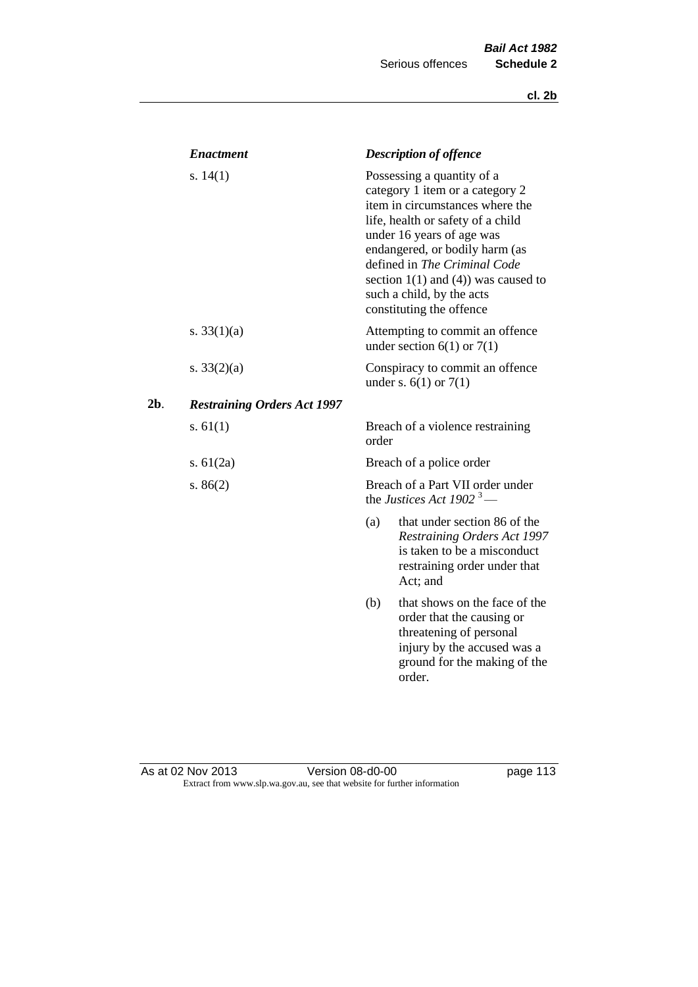|     | <b>Enactment</b>                   |       | <b>Description of offence</b>                                                                                                                                                                                                                                                                                                             |
|-----|------------------------------------|-------|-------------------------------------------------------------------------------------------------------------------------------------------------------------------------------------------------------------------------------------------------------------------------------------------------------------------------------------------|
|     | s. $14(1)$                         |       | Possessing a quantity of a<br>category 1 item or a category 2<br>item in circumstances where the<br>life, health or safety of a child<br>under 16 years of age was<br>endangered, or bodily harm (as<br>defined in The Criminal Code<br>section $1(1)$ and $(4)$ ) was caused to<br>such a child, by the acts<br>constituting the offence |
|     | s. $33(1)(a)$                      |       | Attempting to commit an offence<br>under section $6(1)$ or $7(1)$                                                                                                                                                                                                                                                                         |
|     | s. $33(2)(a)$                      |       | Conspiracy to commit an offence<br>under s. $6(1)$ or $7(1)$                                                                                                                                                                                                                                                                              |
| 2b. | <b>Restraining Orders Act 1997</b> |       |                                                                                                                                                                                                                                                                                                                                           |
|     | s. $61(1)$                         | order | Breach of a violence restraining                                                                                                                                                                                                                                                                                                          |
|     | s. $61(2a)$                        |       | Breach of a police order                                                                                                                                                                                                                                                                                                                  |
|     | s. $86(2)$                         |       | Breach of a Part VII order under<br>the Justices Act 1902 <sup>3</sup> —                                                                                                                                                                                                                                                                  |
|     |                                    | (a)   | that under section 86 of the<br><b>Restraining Orders Act 1997</b><br>is taken to be a misconduct<br>restraining order under that<br>Act; and                                                                                                                                                                                             |
|     |                                    | (b)   | that shows on the face of the<br>order that the causing or<br>threatening of personal<br>injury by the accused was a<br>ground for the making of the<br>order.                                                                                                                                                                            |

#### As at 02 Nov 2013 **Details Access 12 Version 08-d0-00 page 113** Extract from www.slp.wa.gov.au, see that website for further information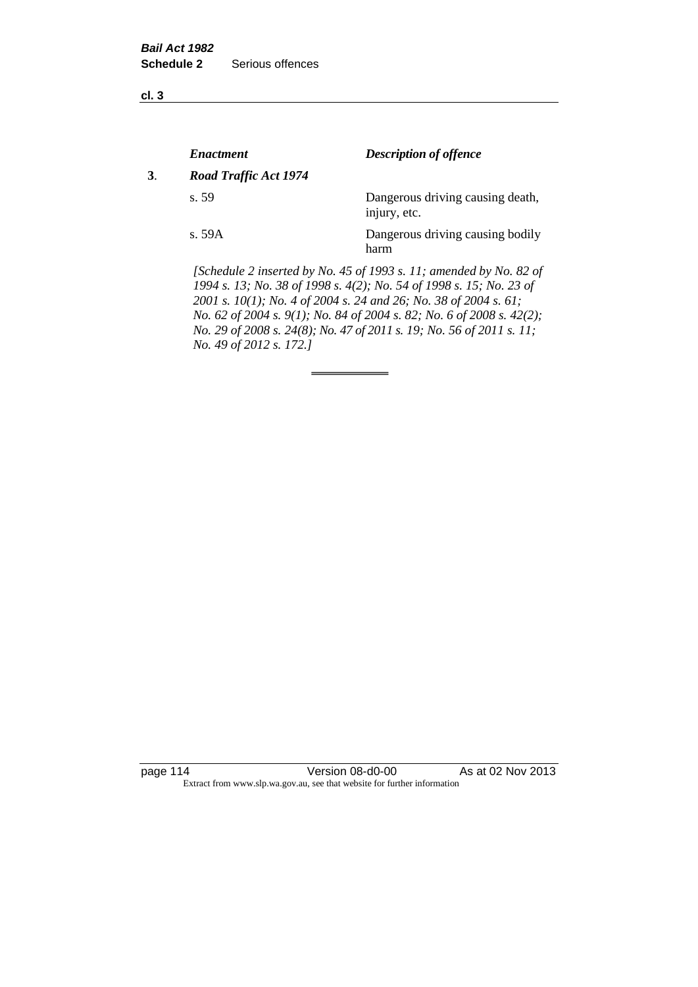**cl. 3**

|    | <b>Enactment</b>      | <b>Description of offence</b>                                                                                                             |
|----|-----------------------|-------------------------------------------------------------------------------------------------------------------------------------------|
| 3. | Road Traffic Act 1974 |                                                                                                                                           |
|    | s.59                  | Dangerous driving causing death,<br>injury, etc.                                                                                          |
|    | s. 59A                | Dangerous driving causing bodily<br>harm                                                                                                  |
|    |                       | [Schedule 2 inserted by No. 45 of 1993 s. 11; amended by No. 82 of<br>1994 s. 13; No. 38 of 1998 s. 4(2); No. 54 of 1998 s. 15; No. 23 of |

*2001 s. 10(1); No. 4 of 2004 s. 24 and 26; No. 38 of 2004 s. 61; No. 62 of 2004 s. 9(1); No. 84 of 2004 s. 82; No. 6 of 2008 s. 42(2); No. 29 of 2008 s. 24(8); No. 47 of 2011 s. 19; No. 56 of 2011 s. 11; No. 49 of 2012 s. 172.]* 

page 114 Version 08-d0-00 As at 02 Nov 2013 Extract from www.slp.wa.gov.au, see that website for further information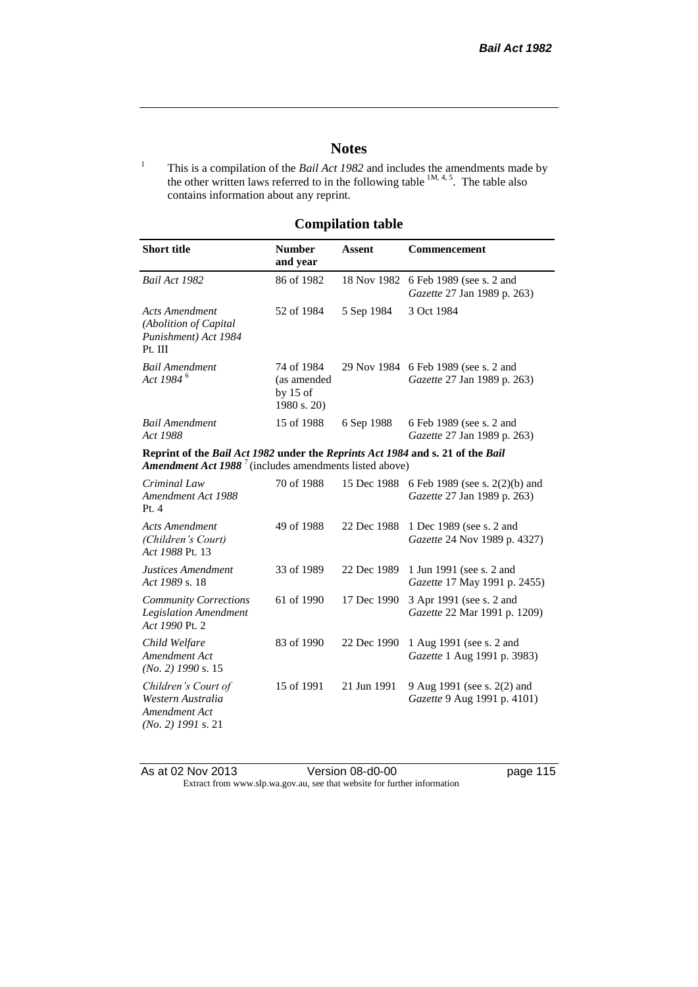# **Notes**

<sup>1</sup> This is a compilation of the *Bail Act 1982* and includes the amendments made by the other written laws referred to in the following table  $^{1M, 4, 5}$ . The table also contains information about any reprint.

# **Compilation table**

| <b>Short title</b>                                                                                                                                          | <b>Number</b><br>and year                              | <b>Assent</b> | Commencement                                                  |
|-------------------------------------------------------------------------------------------------------------------------------------------------------------|--------------------------------------------------------|---------------|---------------------------------------------------------------|
| Bail Act 1982                                                                                                                                               | 86 of 1982                                             | 18 Nov 1982   | 6 Feb 1989 (see s. 2 and<br>Gazette 27 Jan 1989 p. 263)       |
| <b>Acts Amendment</b><br>(Abolition of Capital<br>Punishment) Act 1984<br>Pt. III                                                                           | 52 of 1984                                             | 5 Sep 1984    | 3 Oct 1984                                                    |
| <b>Bail Amendment</b><br>Act 1984 <sup>6</sup>                                                                                                              | 74 of 1984<br>(as amended<br>by $15$ of<br>1980 s. 20) | 29 Nov 1984   | 6 Feb 1989 (see s. 2 and<br>Gazette 27 Jan 1989 p. 263)       |
| <b>Bail Amendment</b><br>Act 1988                                                                                                                           | 15 of 1988                                             | 6 Sep 1988    | 6 Feb 1989 (see s. 2 and<br>Gazette 27 Jan 1989 p. 263)       |
| Reprint of the Bail Act 1982 under the Reprints Act 1984 and s. 21 of the Bail<br><b>Amendment Act 1988</b> <sup>7</sup> (includes amendments listed above) |                                                        |               |                                                               |
| Criminal Law<br>Amendment Act 1988<br>Pt.4                                                                                                                  | 70 of 1988                                             | 15 Dec 1988   | 6 Feb 1989 (see s. 2(2)(b) and<br>Gazette 27 Jan 1989 p. 263) |
| <b>Acts Amendment</b><br>(Children's Court)<br>Act 1988 Pt. 13                                                                                              | 49 of 1988                                             | 22 Dec 1988   | 1 Dec 1989 (see s. 2 and<br>Gazette 24 Nov 1989 p. 4327)      |
| Justices Amendment<br>Act 1989 s. 18                                                                                                                        | 33 of 1989                                             | 22 Dec 1989   | 1 Jun 1991 (see s. 2 and<br>Gazette 17 May 1991 p. 2455)      |
| <b>Community Corrections</b><br><b>Legislation Amendment</b><br>Act 1990 Pt. 2                                                                              | 61 of 1990                                             | 17 Dec 1990   | 3 Apr 1991 (see s. 2 and<br>Gazette 22 Mar 1991 p. 1209)      |
| Child Welfare<br>Amendment Act<br>$(No. 2)$ 1990 s. 15                                                                                                      | 83 of 1990                                             | 22 Dec 1990   | 1 Aug 1991 (see s. 2 and<br>Gazette 1 Aug 1991 p. 3983)       |
| Children's Court of<br>Western Australia<br>Amendment Act<br>$(No. 2)$ 1991 s. 21                                                                           | 15 of 1991                                             | 21 Jun 1991   | 9 Aug 1991 (see s. 2(2) and<br>Gazette 9 Aug 1991 p. 4101)    |

As at 02 Nov 2013 Version 08-d0-00 page 115 Extract from www.slp.wa.gov.au, see that website for further information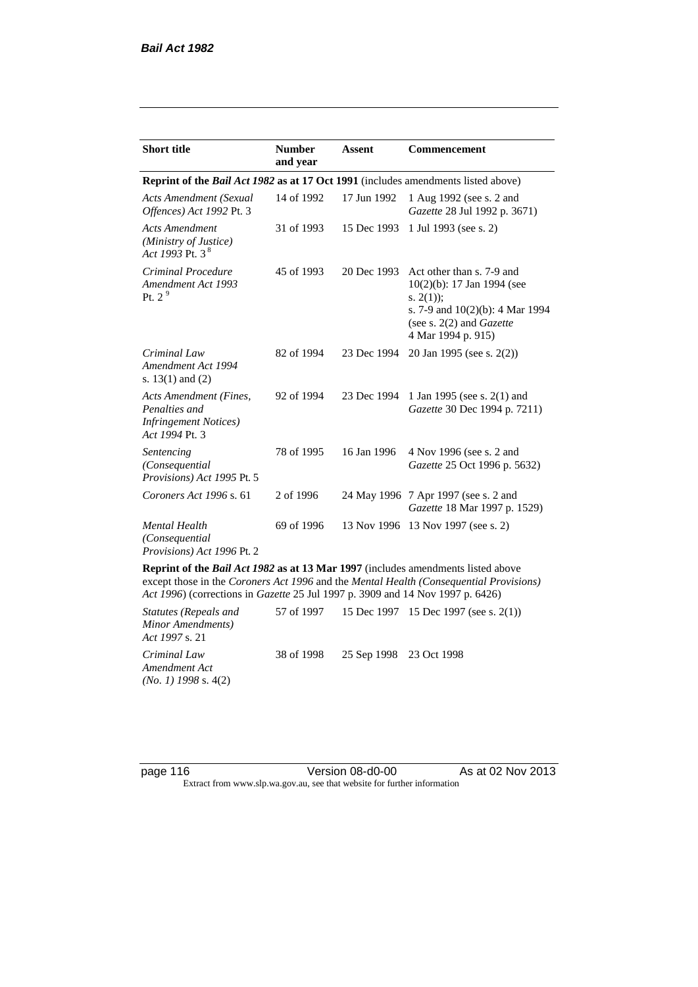| <b>Short title</b>                                                                         | <b>Number</b><br>and year                                                                | Assent      | <b>Commencement</b>                                                                                                                                                        |  |  |  |
|--------------------------------------------------------------------------------------------|------------------------------------------------------------------------------------------|-------------|----------------------------------------------------------------------------------------------------------------------------------------------------------------------------|--|--|--|
|                                                                                            | Reprint of the <i>Bail Act 1982</i> as at 17 Oct 1991 (includes amendments listed above) |             |                                                                                                                                                                            |  |  |  |
| <b>Acts Amendment (Sexual</b><br>Offences) Act 1992 Pt. 3                                  | 14 of 1992                                                                               | 17 Jun 1992 | 1 Aug 1992 (see s. 2 and<br>Gazette 28 Jul 1992 p. 3671)                                                                                                                   |  |  |  |
| <b>Acts Amendment</b><br>(Ministry of Justice)<br>Act 1993 Pt. 3 $^{8}$                    | 31 of 1993                                                                               | 15 Dec 1993 | 1 Jul 1993 (see s. 2)                                                                                                                                                      |  |  |  |
| Criminal Procedure<br>Amendment Act 1993<br>Pt. $2^9$                                      | 45 of 1993                                                                               | 20 Dec 1993 | Act other than s. 7-9 and<br>$10(2)(b)$ : 17 Jan 1994 (see<br>s. $2(1)$ ;<br>s. 7-9 and $10(2)(b)$ : 4 Mar 1994<br>(see s. $2(2)$ and <i>Gazette</i><br>4 Mar 1994 p. 915) |  |  |  |
| Criminal Law<br>Amendment Act 1994<br>s. $13(1)$ and $(2)$                                 | 82 of 1994                                                                               | 23 Dec 1994 | 20 Jan 1995 (see s. 2(2))                                                                                                                                                  |  |  |  |
| Acts Amendment (Fines,<br>Penalties and<br><b>Infringement Notices</b> )<br>Act 1994 Pt. 3 | 92 of 1994                                                                               | 23 Dec 1994 | 1 Jan 1995 (see s. 2(1) and<br>Gazette 30 Dec 1994 p. 7211)                                                                                                                |  |  |  |
| Sentencing<br>(Consequential<br>Provisions) Act 1995 Pt. 5                                 | 78 of 1995                                                                               | 16 Jan 1996 | 4 Nov 1996 (see s. 2 and<br>Gazette 25 Oct 1996 p. 5632)                                                                                                                   |  |  |  |
| Coroners Act 1996 s. 61                                                                    | 2 of 1996                                                                                |             | 24 May 1996 7 Apr 1997 (see s. 2 and<br>Gazette 18 Mar 1997 p. 1529)                                                                                                       |  |  |  |
| <b>Mental Health</b><br>(Consequential<br>Provisions) Act 1996 Pt. 2                       | 69 of 1996                                                                               | 13 Nov 1996 | 13 Nov 1997 (see s. 2)                                                                                                                                                     |  |  |  |

**Reprint of the** *Bail Act 1982* **as at 13 Mar 1997** (includes amendments listed above except those in the *Coroners Act 1996* and the *Mental Health (Consequential Provisions) Act 1996*) (corrections in *Gazette* 25 Jul 1997 p. 3909 and 14 Nov 1997 p. 6426)

*Statutes (Repeals and Minor Amendments) Act 1997* s. 21 57 of 1997 15 Dec 1997 15 Dec 1997 (see s. 2(1)) *Criminal Law Amendment Act (No. 1) 1998* s. 4(2) 38 of 1998 25 Sep 1998 23 Oct 1998

page 116 **Version 08-d0-00** As at 02 Nov 2013 Extract from www.slp.wa.gov.au, see that website for further information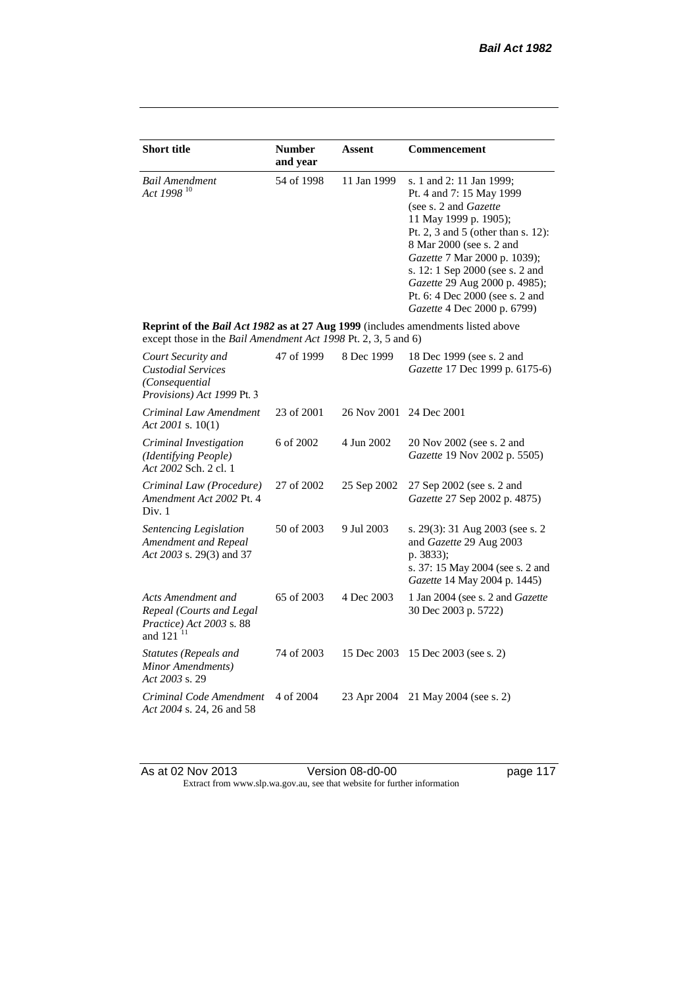| <b>Short title</b>                                                                                                                                 | <b>Number</b><br>and year | <b>Assent</b> | <b>Commencement</b>                                                                                                                                                                                                                                                                                                                                     |
|----------------------------------------------------------------------------------------------------------------------------------------------------|---------------------------|---------------|---------------------------------------------------------------------------------------------------------------------------------------------------------------------------------------------------------------------------------------------------------------------------------------------------------------------------------------------------------|
| <b>Bail Amendment</b><br>Act 1998 <sup>10</sup>                                                                                                    | 54 of 1998                | 11 Jan 1999   | s. 1 and 2: 11 Jan 1999;<br>Pt. 4 and 7: 15 May 1999<br>(see s. 2 and <i>Gazette</i> )<br>11 May 1999 p. 1905);<br>Pt. 2, 3 and 5 (other than s. 12):<br>8 Mar 2000 (see s. 2 and<br>Gazette 7 Mar 2000 p. 1039);<br>s. 12: 1 Sep 2000 (see s. 2 and<br>Gazette 29 Aug 2000 p. 4985);<br>Pt. 6: 4 Dec 2000 (see s. 2 and<br>Gazette 4 Dec 2000 p. 6799) |
| Reprint of the Bail Act 1982 as at 27 Aug 1999 (includes amendments listed above<br>except those in the Bail Amendment Act 1998 Pt. 2, 3, 5 and 6) |                           |               |                                                                                                                                                                                                                                                                                                                                                         |
| Court Security and<br><b>Custodial Services</b><br>(Consequential)<br>Provisions) Act 1999 Pt. 3                                                   | 47 of 1999                | 8 Dec 1999    | 18 Dec 1999 (see s. 2 and<br>Gazette 17 Dec 1999 p. 6175-6)                                                                                                                                                                                                                                                                                             |
| Criminal Law Amendment<br>Act 2001 s. $10(1)$                                                                                                      | 23 of 2001                | 26 Nov 2001   | 24 Dec 2001                                                                                                                                                                                                                                                                                                                                             |
| Criminal Investigation<br>(Identifying People)<br>Act 2002 Sch. 2 cl. 1                                                                            | 6 of 2002                 | 4 Jun 2002    | 20 Nov 2002 (see s. 2 and<br>Gazette 19 Nov 2002 p. 5505)                                                                                                                                                                                                                                                                                               |
| Criminal Law (Procedure)<br>Amendment Act 2002 Pt. 4<br>Div. 1                                                                                     | 27 of 2002                | 25 Sep 2002   | 27 Sep 2002 (see s. 2 and<br>Gazette 27 Sep 2002 p. 4875)                                                                                                                                                                                                                                                                                               |
| Sentencing Legislation<br>Amendment and Repeal<br>Act 2003 s. 29(3) and 37                                                                         | 50 of 2003                | 9 Jul 2003    | s. 29(3): 31 Aug 2003 (see s. 2<br>and Gazette 29 Aug 2003<br>p. 3833);<br>s. 37: 15 May 2004 (see s. 2 and<br>Gazette 14 May 2004 p. 1445)                                                                                                                                                                                                             |
| Acts Amendment and<br>Repeal (Courts and Legal<br>Practice) Act 2003 s. 88<br>and 121 <sup>11</sup>                                                | 65 of 2003                | 4 Dec 2003    | 1 Jan 2004 (see s. 2 and <i>Gazette</i><br>30 Dec 2003 p. 5722)                                                                                                                                                                                                                                                                                         |
| Statutes (Repeals and<br>Minor Amendments)<br>Act 2003 s. 29                                                                                       | 74 of 2003                | 15 Dec 2003   | 15 Dec 2003 (see s. 2)                                                                                                                                                                                                                                                                                                                                  |
| Criminal Code Amendment<br>Act 2004 s. 24, 26 and 58                                                                                               | 4 of 2004                 | 23 Apr 2004   | 21 May 2004 (see s. 2)                                                                                                                                                                                                                                                                                                                                  |

As at 02 Nov 2013 **Details Access 12 Version 08-d0-00 page 117** Extract from www.slp.wa.gov.au, see that website for further information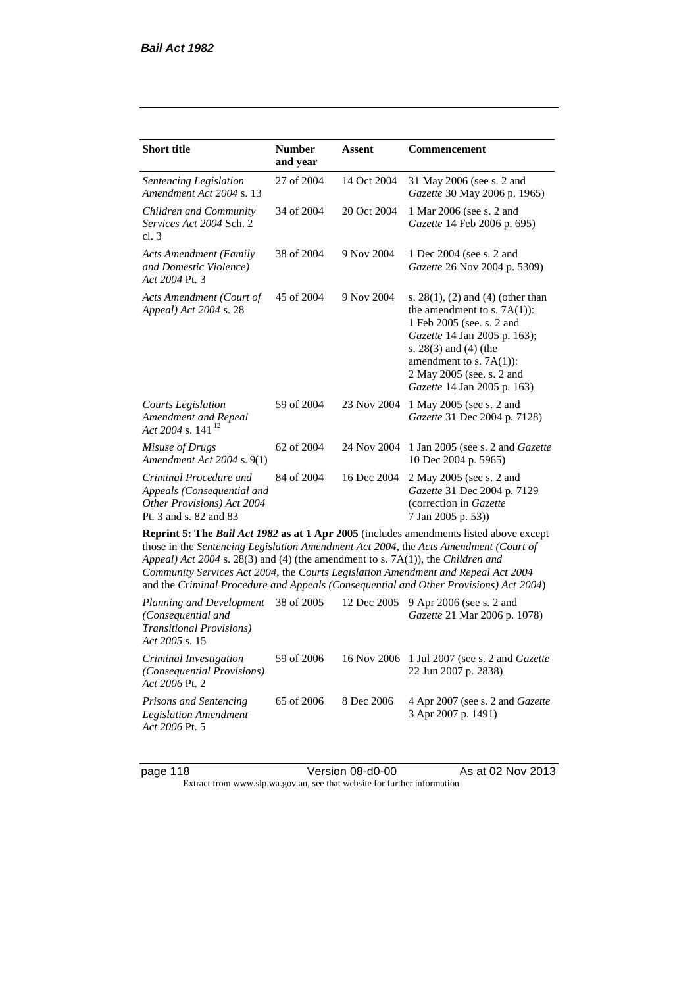| <b>Short title</b>                                                                                                                                                                                                                                                                                                                                                                                                                              | <b>Number</b><br>and year | Assent      | <b>Commencement</b>                                                                                                                                                                                                                                      |  |
|-------------------------------------------------------------------------------------------------------------------------------------------------------------------------------------------------------------------------------------------------------------------------------------------------------------------------------------------------------------------------------------------------------------------------------------------------|---------------------------|-------------|----------------------------------------------------------------------------------------------------------------------------------------------------------------------------------------------------------------------------------------------------------|--|
| Sentencing Legislation<br>Amendment Act 2004 s. 13                                                                                                                                                                                                                                                                                                                                                                                              | 27 of 2004                | 14 Oct 2004 | 31 May 2006 (see s. 2 and<br>Gazette 30 May 2006 p. 1965)                                                                                                                                                                                                |  |
| Children and Community<br>Services Act 2004 Sch. 2<br>cl.3                                                                                                                                                                                                                                                                                                                                                                                      | 34 of 2004                | 20 Oct 2004 | 1 Mar 2006 (see s. 2 and<br>Gazette 14 Feb 2006 p. 695)                                                                                                                                                                                                  |  |
| <b>Acts Amendment (Family</b><br>and Domestic Violence)<br>Act 2004 Pt. 3                                                                                                                                                                                                                                                                                                                                                                       | 38 of 2004                | 9 Nov 2004  | 1 Dec 2004 (see s. 2 and<br>Gazette 26 Nov 2004 p. 5309)                                                                                                                                                                                                 |  |
| Acts Amendment (Court of<br>Appeal) Act 2004 s. 28                                                                                                                                                                                                                                                                                                                                                                                              | 45 of 2004                | 9 Nov 2004  | s. $28(1)$ , (2) and (4) (other than<br>the amendment to s. $7A(1)$ :<br>1 Feb 2005 (see. s. 2 and<br>Gazette 14 Jan 2005 p. 163);<br>s. $28(3)$ and $(4)$ (the<br>amendment to s. $7A(1)$ :<br>2 May 2005 (see. s. 2 and<br>Gazette 14 Jan 2005 p. 163) |  |
| <b>Courts Legislation</b><br>Amendment and Repeal<br>Act 2004 s. 141 <sup>12</sup>                                                                                                                                                                                                                                                                                                                                                              | 59 of 2004                | 23 Nov 2004 | 1 May 2005 (see s. 2 and<br>Gazette 31 Dec 2004 p. 7128)                                                                                                                                                                                                 |  |
| Misuse of Drugs<br>Amendment Act 2004 s. 9(1)                                                                                                                                                                                                                                                                                                                                                                                                   | 62 of 2004                | 24 Nov 2004 | 1 Jan 2005 (see s. 2 and <i>Gazette</i><br>10 Dec 2004 p. 5965)                                                                                                                                                                                          |  |
| Criminal Procedure and<br>Appeals (Consequential and<br>Other Provisions) Act 2004<br>Pt. 3 and s. 82 and 83                                                                                                                                                                                                                                                                                                                                    | 84 of 2004                | 16 Dec 2004 | 2 May 2005 (see s. 2 and<br>Gazette 31 Dec 2004 p. 7129<br>(correction in Gazette<br>7 Jan 2005 p. 53))                                                                                                                                                  |  |
| Reprint 5: The Bail Act 1982 as at 1 Apr 2005 (includes amendments listed above except<br>those in the Sentencing Legislation Amendment Act 2004, the Acts Amendment (Court of<br>Appeal) Act 2004 s. 28(3) and (4) (the amendment to s. 7A(1)), the Children and<br>Community Services Act 2004, the Courts Legislation Amendment and Repeal Act 2004<br>and the Criminal Procedure and Appeals (Consequential and Other Provisions) Act 2004) |                           |             |                                                                                                                                                                                                                                                          |  |
| Planning and Development<br>(Consequential and<br><b>Transitional Provisions)</b><br>Act 2005 s. 15                                                                                                                                                                                                                                                                                                                                             | 38 of 2005                | 12 Dec 2005 | 9 Apr 2006 (see s. 2 and<br>Gazette 21 Mar 2006 p. 1078)                                                                                                                                                                                                 |  |
| Criminal Investigation<br>(Consequential Provisions)                                                                                                                                                                                                                                                                                                                                                                                            | 59 of 2006                | 16 Nov 2006 | 1 Jul 2007 (see s. 2 and Gazette<br>22 Jun 2007 p. 2838)                                                                                                                                                                                                 |  |

*Act 2006* Pt. 2 *Prisons and Sentencing Legislation Amendment Act 2006* Pt. 5 65 of 2006 8 Dec 2006 4 Apr 2007 (see s. 2 and *Gazette* 3 Apr 2007 p. 1491)

page 118 Version 08-d0-00 As at 02 Nov 2013 Extract from www.slp.wa.gov.au, see that website for further information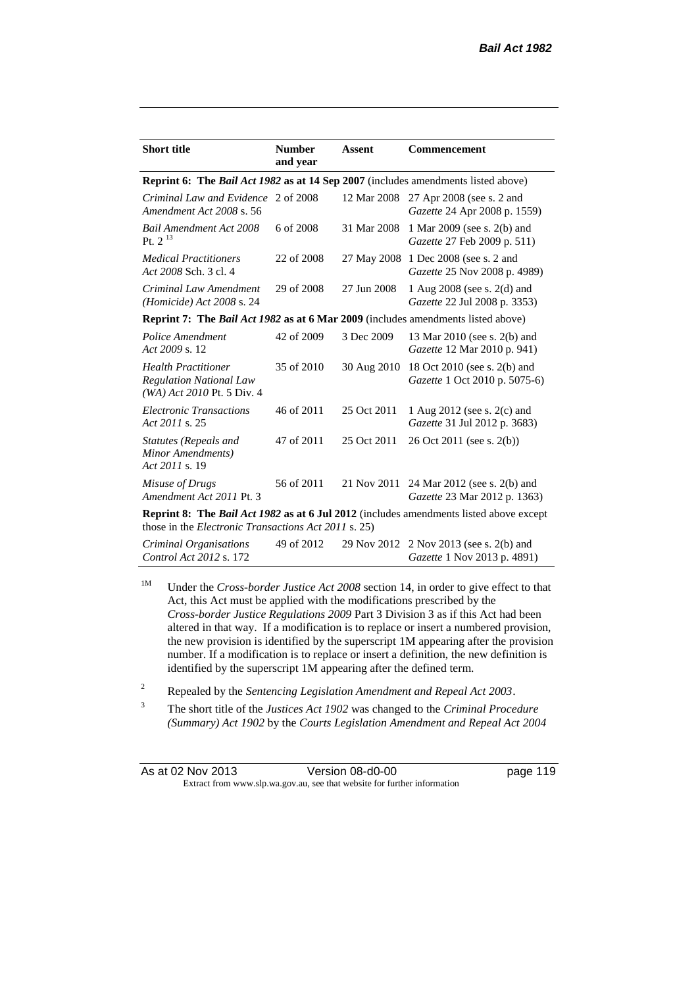| <b>Short title</b>                                                                                                                                           | <b>Number</b><br>and year | <b>Assent</b> | Commencement                                                             |  |
|--------------------------------------------------------------------------------------------------------------------------------------------------------------|---------------------------|---------------|--------------------------------------------------------------------------|--|
| Reprint 6: The Bail Act 1982 as at 14 Sep 2007 (includes amendments listed above)                                                                            |                           |               |                                                                          |  |
| Criminal Law and Evidence 2 of 2008<br>Amendment Act 2008 s. 56                                                                                              |                           | 12 Mar 2008   | 27 Apr 2008 (see s. 2 and<br>Gazette 24 Apr 2008 p. 1559)                |  |
| <b>Bail Amendment Act 2008</b><br>Pt. $2^{13}$                                                                                                               | 6 of 2008                 | 31 Mar 2008   | 1 Mar 2009 (see s. 2(b) and<br><i>Gazette</i> 27 Feb 2009 p. 511)        |  |
| <b>Medical Practitioners</b><br>Act 2008 Sch. 3 cl. 4                                                                                                        | 22 of 2008                | 27 May 2008   | 1 Dec 2008 (see s. 2 and<br>Gazette 25 Nov 2008 p. 4989)                 |  |
| Criminal Law Amendment<br>(Homicide) Act 2008 s. 24                                                                                                          | 29 of 2008                | 27 Jun 2008   | 1 Aug 2008 (see s. 2(d) and<br>Gazette 22 Jul 2008 p. 3353)              |  |
| Reprint 7: The Bail Act 1982 as at 6 Mar 2009 (includes amendments listed above)                                                                             |                           |               |                                                                          |  |
| Police Amendment<br>Act 2009 s. 12                                                                                                                           | 42 of 2009                | 3 Dec 2009    | 13 Mar 2010 (see s. 2(b) and<br>Gazette 12 Mar 2010 p. 941)              |  |
| <b>Health Practitioner</b><br><b>Regulation National Law</b><br>$(WA)$ Act 2010 Pt. 5 Div. 4                                                                 | 35 of 2010                | 30 Aug 2010   | 18 Oct 2010 (see s. 2(b) and<br>Gazette 1 Oct 2010 p. 5075-6)            |  |
| <b>Electronic Transactions</b><br>Act 2011 s. 25                                                                                                             | 46 of 2011                | 25 Oct 2011   | 1 Aug 2012 (see s. 2(c) and<br>Gazette 31 Jul 2012 p. 3683)              |  |
| Statutes (Repeals and<br>Minor Amendments)<br>Act 2011 s. 19                                                                                                 | 47 of 2011                | 25 Oct 2011   | 26 Oct 2011 (see s. 2(b))                                                |  |
| Misuse of Drugs<br>Amendment Act 2011 Pt. 3                                                                                                                  | 56 of 2011                |               | 21 Nov 2011 24 Mar 2012 (see s. 2(b) and<br>Gazette 23 Mar 2012 p. 1363) |  |
| <b>Reprint 8:</b> The <i>Bail Act 1982</i> as at 6 Jul 2012 (includes amendments listed above except<br>those in the Electronic Transactions Act 2011 s. 25) |                           |               |                                                                          |  |
|                                                                                                                                                              |                           |               | $0.110 - 1.0$ $0.110 - 40.52012 - 20.15 = 2012 - 2.15 = 2012$            |  |

*Criminal Organisations Control Act 2012* s. 172 49 of 2012 29 Nov 2012 2 Nov 2013 (see s. 2(b) and *Gazette* 1 Nov 2013 p. 4891)

<sup>1M</sup> Under the *Cross-border Justice Act 2008* section 14, in order to give effect to that Act, this Act must be applied with the modifications prescribed by the *Cross-border Justice Regulations 2009* Part 3 Division 3 as if this Act had been altered in that way. If a modification is to replace or insert a numbered provision, the new provision is identified by the superscript 1M appearing after the provision number. If a modification is to replace or insert a definition, the new definition is identified by the superscript 1M appearing after the defined term.

<sup>2</sup> Repealed by the *Sentencing Legislation Amendment and Repeal Act 2003*.

<sup>3</sup> The short title of the *Justices Act 1902* was changed to the *Criminal Procedure (Summary) Act 1902* by the *Courts Legislation Amendment and Repeal Act 2004* 

| As at 02 Nov 2013 | Version 08-d0-00                                                         | page 119 |
|-------------------|--------------------------------------------------------------------------|----------|
|                   | Extract from www.slp.wa.gov.au, see that website for further information |          |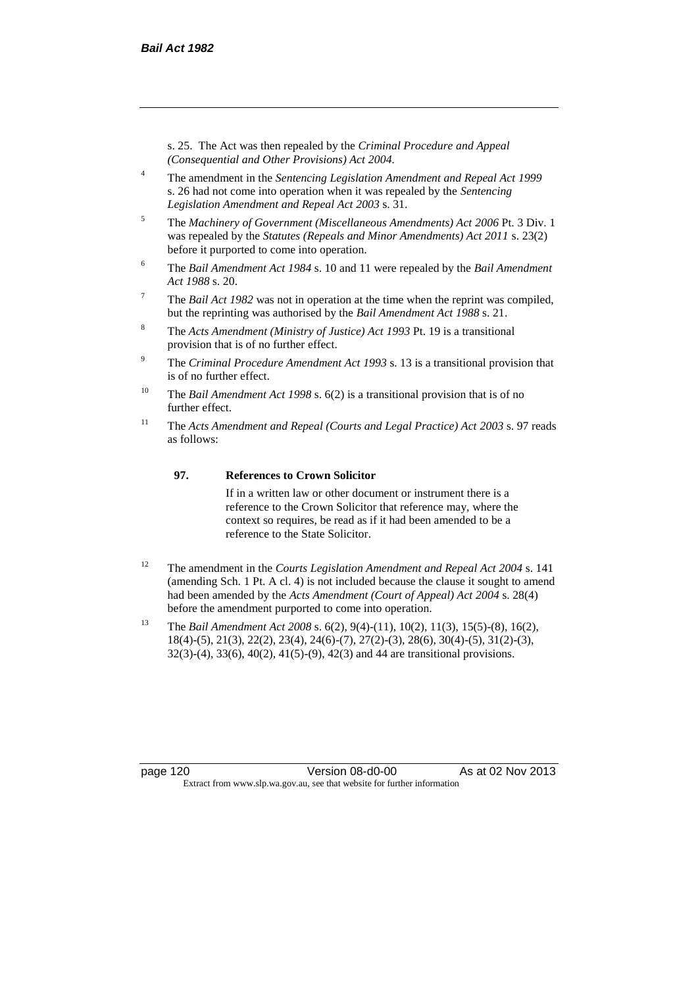s. 25. The Act was then repealed by the *Criminal Procedure and Appeal (Consequential and Other Provisions) Act 2004.*

- <sup>4</sup> The amendment in the *Sentencing Legislation Amendment and Repeal Act 1999* s. 26 had not come into operation when it was repealed by the *Sentencing Legislation Amendment and Repeal Act 2003* s. 31.
- <sup>5</sup> The *Machinery of Government (Miscellaneous Amendments) Act 2006* Pt. 3 Div. 1 was repealed by the *Statutes (Repeals and Minor Amendments) Act 2011* s. 23(2) before it purported to come into operation.
- <sup>6</sup> The *Bail Amendment Act 1984* s. 10 and 11 were repealed by the *Bail Amendment Act 1988* s. 20.
- <sup>7</sup> The *Bail Act 1982* was not in operation at the time when the reprint was compiled, but the reprinting was authorised by the *Bail Amendment Act 1988* s. 21.
- <sup>8</sup> The *Acts Amendment (Ministry of Justice) Act 1993* Pt. 19 is a transitional provision that is of no further effect.
- <sup>9</sup> The *Criminal Procedure Amendment Act 1993* s. 13 is a transitional provision that is of no further effect.
- <sup>10</sup> The *Bail Amendment Act 1998* s. 6(2) is a transitional provision that is of no further effect.
- <sup>11</sup> The *Acts Amendment and Repeal (Courts and Legal Practice) Act 2003* s. 97 reads as follows:

#### **97. References to Crown Solicitor**

If in a written law or other document or instrument there is a reference to the Crown Solicitor that reference may, where the context so requires, be read as if it had been amended to be a reference to the State Solicitor.

- <sup>12</sup> The amendment in the *Courts Legislation Amendment and Repeal Act 2004* s. 141 (amending Sch. 1 Pt. A cl. 4) is not included because the clause it sought to amend had been amended by the *Acts Amendment (Court of Appeal) Act 2004* s. 28(4) before the amendment purported to come into operation.
- <sup>13</sup> The *Bail Amendment Act 2008* s. 6(2), 9(4)-(11), 10(2), 11(3), 15(5)-(8), 16(2), 18(4)-(5), 21(3), 22(2), 23(4), 24(6)-(7), 27(2)-(3), 28(6), 30(4)-(5), 31(2)-(3), 32(3)-(4), 33(6), 40(2), 41(5)-(9), 42(3) and 44 are transitional provisions.

page 120 Version 08-d0-00 As at 02 Nov 2013 Extract from www.slp.wa.gov.au, see that website for further information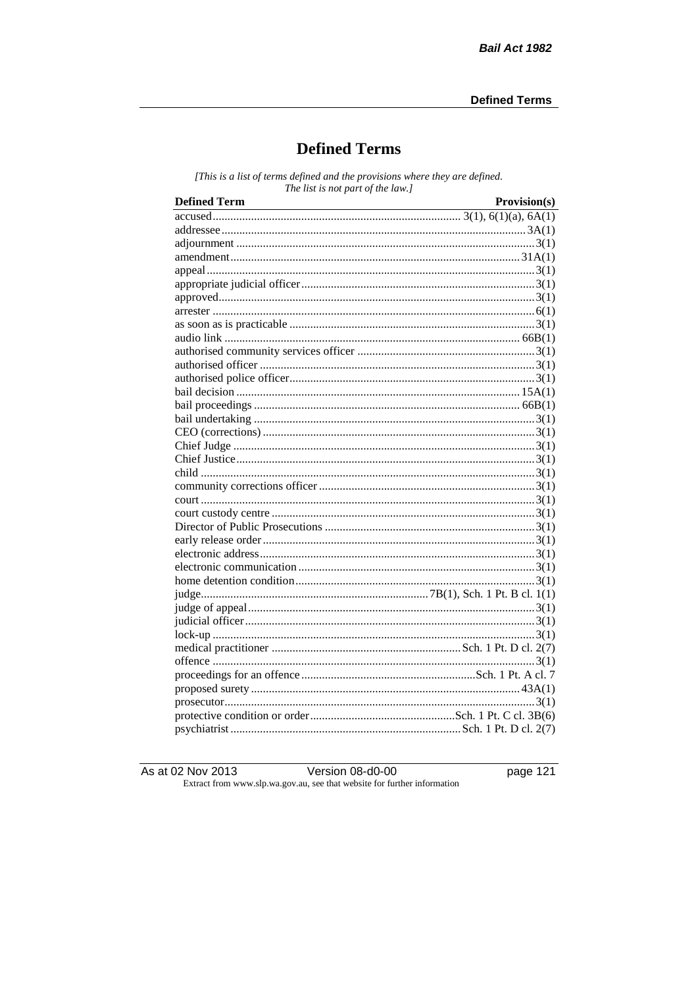# **Defined Terms**

[This is a list of terms defined and the provisions where they are defined. The list is not part of the law.]

| <b>Defined Term</b> | Provision(s) |
|---------------------|--------------|
|                     |              |
|                     |              |
|                     |              |
|                     |              |
|                     |              |
|                     |              |
|                     |              |
|                     |              |
|                     |              |
|                     |              |
|                     |              |
|                     |              |
|                     |              |
|                     |              |
|                     |              |
|                     |              |
|                     |              |
|                     |              |
|                     |              |
|                     |              |
|                     |              |
|                     |              |
|                     |              |
|                     |              |
|                     |              |
|                     |              |
|                     |              |
|                     |              |
|                     |              |
|                     |              |
|                     |              |
|                     |              |
|                     |              |
|                     |              |
|                     |              |
|                     |              |
|                     |              |
|                     |              |
|                     |              |

As at 02 Nov 2013

Version 08-d0-00

page 121

Extract from www.slp.wa.gov.au, see that website for further information